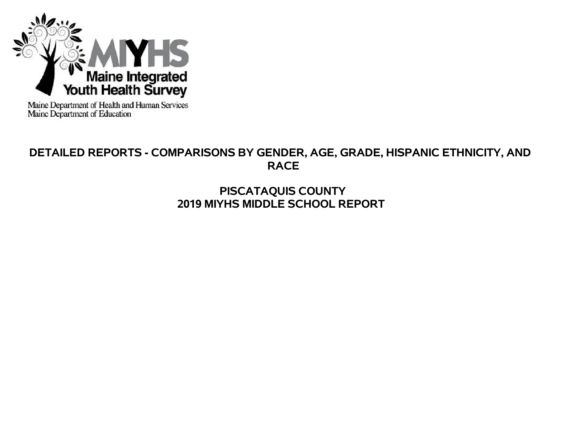

Maine Department of Health and Human Services<br>Maine Department of Education

# **DETAILED REPORTS - COMPARISONS BY GENDER, AGE, GRADE, HISPANIC ETHNICITY, AND RACE**

# **PISCATAQUIS COUNTY 2019 MIYHS MIDDLE SCHOOL REPORT**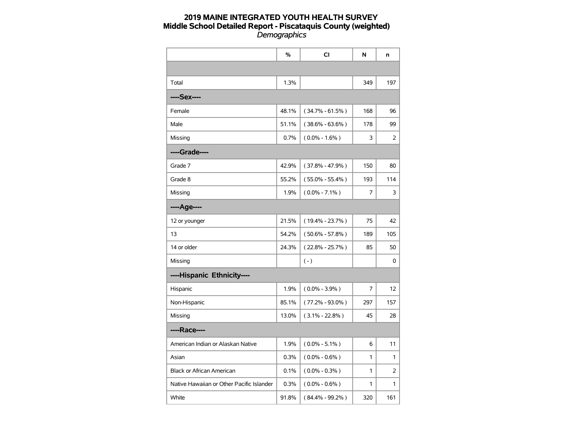|                                           | $\%$  | <b>CI</b>           | N              | n              |
|-------------------------------------------|-------|---------------------|----------------|----------------|
|                                           |       |                     |                |                |
| Total                                     | 1.3%  |                     | 349            | 197            |
| ----Sex----                               |       |                     |                |                |
| Female                                    | 48.1% | $(34.7\% - 61.5\%)$ | 168            | 96             |
| Male                                      | 51.1% | $(38.6\% - 63.6\%)$ | 178            | 99             |
| Missing                                   | 0.7%  | $(0.0\% - 1.6\%)$   | 3              | 2              |
| ----Grade----                             |       |                     |                |                |
| Grade 7                                   | 42.9% | $(37.8\% - 47.9\%)$ | 150            | 80             |
| Grade 8                                   | 55.2% | $(55.0\% - 55.4\%)$ | 193            | 114            |
| Missing                                   | 1.9%  | $(0.0\% - 7.1\%)$   | 7              | 3              |
| ----Age----                               |       |                     |                |                |
| 12 or younger                             | 21.5% | $(19.4\% - 23.7\%)$ | 75             | 42             |
| 13                                        | 54.2% | $(50.6\% - 57.8\%)$ | 189            | 105            |
| 14 or older                               | 24.3% | $(22.8\% - 25.7\%)$ | 85             | 50             |
| Missing                                   |       | $(-)$               |                | 0              |
| ----Hispanic Ethnicity----                |       |                     |                |                |
| Hispanic                                  | 1.9%  | $(0.0\% - 3.9\%)$   | $\overline{7}$ | 12             |
| Non-Hispanic                              | 85.1% | $(77.2\% - 93.0\%)$ | 297            | 157            |
| Missing                                   | 13.0% | $(3.1\% - 22.8\%)$  | 45             | 28             |
| ----Race----                              |       |                     |                |                |
| American Indian or Alaskan Native         | 1.9%  | $(0.0\% - 5.1\%)$   | 6              | 11             |
| Asian                                     | 0.3%  | $(0.0\% - 0.6\%)$   | 1              | $\mathbf{1}$   |
| Black or African American                 | 0.1%  | $(0.0\% - 0.3\%)$   | 1              | $\overline{2}$ |
| Native Hawaiian or Other Pacific Islander | 0.3%  | $(0.0\% - 0.6\%)$   | 1              | 1              |
| White                                     | 91.8% | $(84.4\% - 99.2\%)$ | 320            | 161            |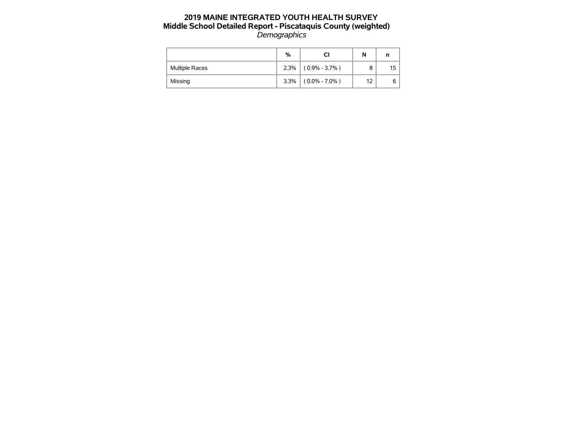|                       | %    |                   | N  |     |
|-----------------------|------|-------------------|----|-----|
| <b>Multiple Races</b> | 2.3% | $(0.9\% - 3.7\%)$ | 8  | 15. |
| Missing               | 3.3% | $(0.0\% - 7.0\%)$ | 12 | 6   |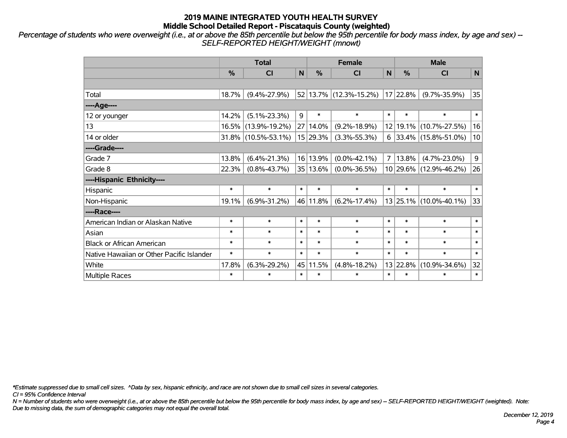*Percentage of students who were overweight (i.e., at or above the 85th percentile but below the 95th percentile for body mass index, by age and sex) -- SELF-REPORTED HEIGHT/WEIGHT (mnowt)*

|                                           |               | <b>Total</b>        |        |               | <b>Female</b>          | <b>Male</b>    |          |                        |        |
|-------------------------------------------|---------------|---------------------|--------|---------------|------------------------|----------------|----------|------------------------|--------|
|                                           | $\frac{0}{0}$ | <b>CI</b>           | N      | $\frac{0}{0}$ | <b>CI</b>              | N              | %        | <b>CI</b>              | N      |
|                                           |               |                     |        |               |                        |                |          |                        |        |
| Total                                     | 18.7%         | $(9.4\% - 27.9\%)$  |        |               | 52 13.7% (12.3%-15.2%) |                | 17 22.8% | $(9.7\% - 35.9\%)$     | 35     |
| ----Age----                               |               |                     |        |               |                        |                |          |                        |        |
| 12 or younger                             | 14.2%         | $(5.1\% - 23.3\%)$  | 9      | $\ast$        | $\ast$                 | $\ast$         | $\ast$   | $\ast$                 | $\ast$ |
| 13                                        |               | 16.5% (13.9%-19.2%) |        | 27 14.0%      | $(9.2\% - 18.9\%)$     | 12             | 19.1%    | $(10.7\% - 27.5\%)$    | 16     |
| 14 or older                               |               | 31.8% (10.5%-53.1%) |        | 15 29.3%      | $(3.3\% - 55.3\%)$     | 6              |          | 33.4% (15.8%-51.0%)    | 10     |
| ----Grade----                             |               |                     |        |               |                        |                |          |                        |        |
| Grade 7                                   | 13.8%         | $(6.4\% - 21.3\%)$  |        | 16 13.9%      | $(0.0\% - 42.1\%)$     | $\overline{7}$ | 13.8%    | $(4.7\% - 23.0\%)$     | 9      |
| Grade 8                                   | 22.3%         | $(0.8\% - 43.7\%)$  |        | 35 13.6%      | $(0.0\% - 36.5\%)$     |                |          | 10 29.6% (12.9%-46.2%) | 26     |
| ----Hispanic Ethnicity----                |               |                     |        |               |                        |                |          |                        |        |
| Hispanic                                  | $\ast$        | $\ast$              | $\ast$ | $\ast$        | $\ast$                 | $\ast$         | $\ast$   | $\ast$                 | $\ast$ |
| Non-Hispanic                              | 19.1%         | $(6.9\% - 31.2\%)$  |        | 46 11.8%      | $(6.2\% - 17.4\%)$     |                | 13 25.1% | $(10.0\% - 40.1\%)$    | 33     |
| ----Race----                              |               |                     |        |               |                        |                |          |                        |        |
| American Indian or Alaskan Native         | $\ast$        | $\ast$              | $\ast$ | $\ast$        | $\ast$                 | $\ast$         | $\ast$   | $\ast$                 | $\ast$ |
| Asian                                     | $\ast$        | $\ast$              | $\ast$ | $\ast$        | $\ast$                 | $\ast$         | $\ast$   | $\ast$                 | $\ast$ |
| <b>Black or African American</b>          | $\ast$        | $\ast$              | $\ast$ | $\ast$        | $\ast$                 | $\ast$         | $\ast$   | $\ast$                 | $\ast$ |
| Native Hawaiian or Other Pacific Islander | $\ast$        | $\ast$              | $\ast$ | $\ast$        | $\ast$                 | $\ast$         | $\ast$   | $\ast$                 | $\ast$ |
| White                                     | 17.8%         | $(6.3\% - 29.2\%)$  |        | 45 11.5%      | $(4.8\% - 18.2\%)$     | 13             | 22.8%    | $(10.9\% - 34.6\%)$    |        |
| Multiple Races                            | $\ast$        | $\ast$              | $\ast$ | $\ast$        | *                      | $\ast$         | $\ast$   | $\ast$                 | $\ast$ |

*\*Estimate suppressed due to small cell sizes. ^Data by sex, hispanic ethnicity, and race are not shown due to small cell sizes in several categories.*

*CI = 95% Confidence Interval*

*N = Number of students who were overweight (i.e., at or above the 85th percentile but below the 95th percentile for body mass index, by age and sex) -- SELF-REPORTED HEIGHT/WEIGHT (weighted). Note: Due to missing data, the sum of demographic categories may not equal the overall total.*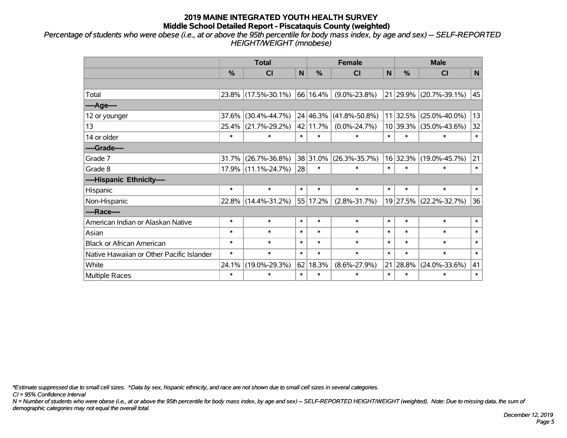*Percentage of students who were obese (i.e., at or above the 95th percentile for body mass index, by age and sex) -- SELF-REPORTED HEIGHT/WEIGHT (mnobese)*

|                                           |               | <b>Total</b>        |        |                                      | <b>Female</b>       | <b>Male</b>  |               |                        |        |
|-------------------------------------------|---------------|---------------------|--------|--------------------------------------|---------------------|--------------|---------------|------------------------|--------|
|                                           | $\frac{0}{0}$ | <b>CI</b>           | N      | %                                    | <b>CI</b>           | $\mathsf{N}$ | $\frac{0}{0}$ | <b>CI</b>              | N      |
|                                           |               |                     |        |                                      |                     |              |               |                        |        |
| Total                                     |               | 23.8% (17.5%-30.1%) |        | 66 16.4%                             | $(9.0\% - 23.8\%)$  |              |               | 21 29.9% (20.7%-39.1%) | 45     |
| ----Age----                               |               |                     |        |                                      |                     |              |               |                        |        |
| 12 or younger                             | 37.6%         | $(30.4\% - 44.7\%)$ |        | 24 46.3%                             | $(41.8\% - 50.8\%)$ |              | 11 32.5%      | $(25.0\% - 40.0\%)$    | 13     |
| 13                                        | 25.4%         | $(21.7\% - 29.2\%)$ |        | 42 11.7%                             | $(0.0\% - 24.7\%)$  |              | 10 39.3%      | $(35.0\% - 43.6\%)$    | 32     |
| 14 or older                               | $\ast$        | $\ast$              | $\ast$ | $\ast$                               | $\ast$              | $\ast$       | $\ast$        | $\ast$                 | $\ast$ |
| ----Grade----                             |               |                     |        |                                      |                     |              |               |                        |        |
| Grade 7                                   | 31.7%         | $(26.7\% - 36.8\%)$ |        | 38 31.0%                             | $(26.3\% - 35.7\%)$ |              | 16 32.3%      | $(19.0\% - 45.7\%)$    | 21     |
| Grade 8                                   |               | 17.9% (11.1%-24.7%) | 28     | $\ast$                               | $\ast$              | $\ast$       | $\ast$        | $\ast$                 | $\ast$ |
| ----Hispanic Ethnicity----                |               |                     |        |                                      |                     |              |               |                        |        |
| Hispanic                                  | $\ast$        | $\ast$              | $\ast$ | $\ast$                               | $\ast$              | $\ast$       | $\ast$        | $\ast$                 | $\ast$ |
| Non-Hispanic                              | 22.8%         | $(14.4\% - 31.2\%)$ |        | 55 17.2%                             | $(2.8\% - 31.7\%)$  |              |               | 19 27.5% (22.2%-32.7%) | 36     |
| ----Race----                              |               |                     |        |                                      |                     |              |               |                        |        |
| American Indian or Alaskan Native         | $\ast$        | $\ast$              | $\ast$ | $\ast$                               | $\ast$              | $\ast$       | $\ast$        | $\ast$                 | $\ast$ |
| Asian                                     | $\ast$        | $\ast$              | $\ast$ | $\ast$                               | $\ast$              | $\ast$       | $\ast$        | $\ast$                 | $\ast$ |
| <b>Black or African American</b>          | $\ast$        | $\ast$              | $\ast$ | $\ast$                               | $\ast$              | $\ast$       | *             | $\ast$                 | $\ast$ |
| Native Hawaiian or Other Pacific Islander | $\ast$        | $\ast$              | $\ast$ | $\ast$<br>$\ast$<br>$\ast$<br>$\ast$ |                     | $\ast$       | $\ast$        |                        |        |
| White                                     | 24.1%         | $(19.0\% - 29.3\%)$ |        | $62 \mid 18.3\%$                     | $(8.6\% - 27.9\%)$  | 21<br>28.8%  |               | $(24.0\% - 33.6\%)$    | 41     |
| Multiple Races                            | $\ast$        | $\ast$              | $\ast$ | $\ast$                               | $\ast$              | $\ast$       | $\ast$        | $\ast$                 | $\ast$ |

*\*Estimate suppressed due to small cell sizes. ^Data by sex, hispanic ethnicity, and race are not shown due to small cell sizes in several categories.*

*CI = 95% Confidence Interval*

*N = Number of students who were obese (i.e., at or above the 95th percentile for body mass index, by age and sex) -- SELF-REPORTED HEIGHT/WEIGHT (weighted). Note: Due to missing data, the sum of demographic categories may not equal the overall total.*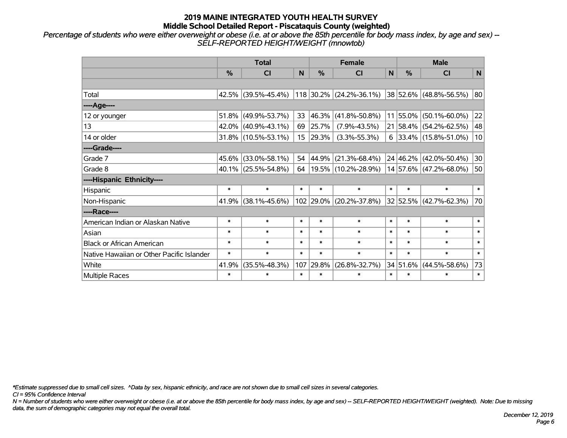*Percentage of students who were either overweight or obese (i.e. at or above the 85th percentile for body mass index, by age and sex) -- SELF-REPORTED HEIGHT/WEIGHT (mnowtob)*

|                                           |        | <b>Total</b>        |                 |           | <b>Female</b>             | <b>Male</b>  |          |                         |              |
|-------------------------------------------|--------|---------------------|-----------------|-----------|---------------------------|--------------|----------|-------------------------|--------------|
|                                           | $\%$   | <b>CI</b>           | N               | %         | <b>CI</b>                 | $\mathsf{N}$ | $\%$     | <b>CI</b>               | $\mathsf{N}$ |
|                                           |        |                     |                 |           |                           |              |          |                         |              |
| Total                                     |        | 42.5% (39.5%-45.4%) |                 |           | $118$ 30.2% (24.2%-36.1%) |              |          | 38 52.6% (48.8%-56.5%)  | 80           |
| ----Age----                               |        |                     |                 |           |                           |              |          |                         |              |
| 12 or younger                             | 51.8%  | $(49.9\% - 53.7\%)$ | 33              | 46.3%     | $(41.8\% - 50.8\%)$       | 11           | 55.0%    | $(50.1\% - 60.0\%)$     | 22           |
| 13                                        |        | 42.0% (40.9%-43.1%) | 69              | 25.7%     | $(7.9\% - 43.5\%)$        |              |          | 21 58.4% (54.2%-62.5%)  | 48           |
| 14 or older                               |        | 31.8% (10.5%-53.1%) | 15 <sub>1</sub> | 29.3%     | $(3.3\% - 55.3\%)$        |              |          | $6$ 33.4% (15.8%-51.0%) | 10           |
| ----Grade----                             |        |                     |                 |           |                           |              |          |                         |              |
| Grade 7                                   | 45.6%  | $(33.0\% - 58.1\%)$ | 54              | 44.9%     | $(21.3\% - 68.4\%)$       |              |          | 24 46.2% (42.0%-50.4%)  | 30           |
| Grade 8                                   |        | 40.1% (25.5%-54.8%) | 64              |           | 19.5% (10.2%-28.9%)       |              |          | 14 57.6% (47.2%-68.0%)  | 50           |
| ----Hispanic Ethnicity----                |        |                     |                 |           |                           |              |          |                         |              |
| Hispanic                                  | $\ast$ | $\ast$              | $\ast$          | $\ast$    | $\ast$                    | $\ast$       | $\ast$   | $\ast$                  | $\ast$       |
| Non-Hispanic                              | 41.9%  | $(38.1\% - 45.6\%)$ |                 | 102 29.0% | $(20.2\% - 37.8\%)$       |              |          | 32 52.5% (42.7%-62.3%)  | 70           |
| ----Race----                              |        |                     |                 |           |                           |              |          |                         |              |
| American Indian or Alaskan Native         | $\ast$ | $\ast$              | $\ast$          | $\ast$    | $\ast$                    | $\ast$       | $\ast$   | $\ast$                  | $\ast$       |
| Asian                                     | $\ast$ | $\ast$              | $\ast$          | $\ast$    | $\ast$                    | $\ast$       | $\ast$   | $\ast$                  | $\ast$       |
| <b>Black or African American</b>          | $\ast$ | $\ast$              | $\ast$          | $\ast$    | $\ast$                    | $\ast$       | $\ast$   | $\ast$                  | $\ast$       |
| Native Hawaiian or Other Pacific Islander | $\ast$ | $\ast$              | $\ast$          | $\ast$    | $\ast$                    | $\ast$       | $\ast$   | $\ast$                  | $\ast$       |
| White                                     | 41.9%  | $(35.5\% - 48.3\%)$ | 107             | 29.8%     | $(26.8\% - 32.7\%)$       |              | 34 51.6% | $(44.5\% - 58.6\%)$     | 73           |
| Multiple Races                            | $\ast$ | $\ast$              | $\ast$          | $\ast$    | $\ast$                    | $\ast$       | $\ast$   | $\ast$                  | $\ast$       |

*\*Estimate suppressed due to small cell sizes. ^Data by sex, hispanic ethnicity, and race are not shown due to small cell sizes in several categories.*

*CI = 95% Confidence Interval*

*N = Number of students who were either overweight or obese (i.e. at or above the 85th percentile for body mass index, by age and sex) -- SELF-REPORTED HEIGHT/WEIGHT (weighted). Note: Due to missing data, the sum of demographic categories may not equal the overall total.*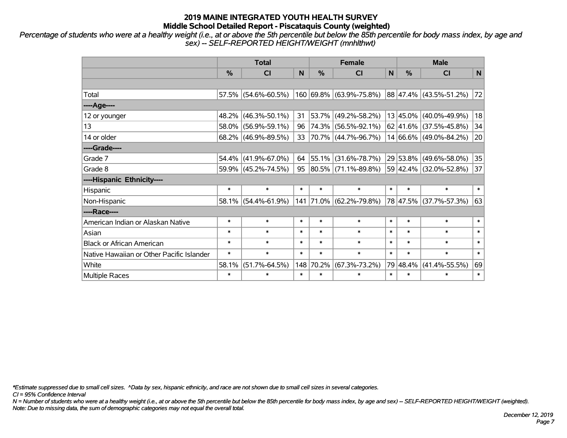*Percentage of students who were at a healthy weight (i.e., at or above the 5th percentile but below the 85th percentile for body mass index, by age and sex) -- SELF-REPORTED HEIGHT/WEIGHT (mnhlthwt)*

|                                           |               | <b>Total</b>        |        |            | <b>Female</b>                     | <b>Male</b> |          |                                         |              |
|-------------------------------------------|---------------|---------------------|--------|------------|-----------------------------------|-------------|----------|-----------------------------------------|--------------|
|                                           | $\frac{0}{0}$ | <b>CI</b>           | N      | %          | <b>CI</b>                         | $\mathbf N$ | $\%$     | <b>CI</b>                               | $\mathsf{N}$ |
|                                           |               |                     |        |            |                                   |             |          |                                         |              |
| Total                                     |               | 57.5% (54.6%-60.5%) |        |            | 160 69.8% (63.9%-75.8%)           |             |          | 88 47.4% (43.5%-51.2%)                  | 72           |
| ----Age----                               |               |                     |        |            |                                   |             |          |                                         |              |
| 12 or younger                             |               | 48.2% (46.3%-50.1%) | 31     | $ 53.7\% $ | $(49.2\% - 58.2\%)$               |             |          | 13 45.0% (40.0%-49.9%)                  | 18           |
| 13                                        |               | 58.0% (56.9%-59.1%) | 96     |            | 74.3% (56.5%-92.1%)               |             |          | $62 \mid 41.6\% \mid (37.5\% - 45.8\%)$ | 34           |
| 14 or older                               |               | 68.2% (46.9%-89.5%) | 33     |            | 70.7% (44.7%-96.7%)               |             |          | 14 66.6% (49.0%-84.2%)                  | 20           |
| ----Grade----                             |               |                     |        |            |                                   |             |          |                                         |              |
| Grade 7                                   |               | 54.4% (41.9%-67.0%) | 64     | 55.1%      | $(31.6\% - 78.7\%)$               |             |          | 29 53.8% (49.6%-58.0%)                  | 35           |
| Grade 8                                   |               | 59.9% (45.2%-74.5%) |        |            | $95   80.5\%   (71.1\% - 89.8\%)$ |             |          | 59 42.4% (32.0%-52.8%)                  | 37           |
| ----Hispanic Ethnicity----                |               |                     |        |            |                                   |             |          |                                         |              |
| Hispanic                                  | $\ast$        | $\ast$              | $\ast$ | $\ast$     | $\ast$                            | $\ast$      | $\ast$   | $\ast$                                  | $\ast$       |
| Non-Hispanic                              |               | 58.1% (54.4%-61.9%) |        |            | 141 71.0% (62.2%-79.8%)           |             |          | 78 47.5% (37.7%-57.3%)                  | 63           |
| ----Race----                              |               |                     |        |            |                                   |             |          |                                         |              |
| American Indian or Alaskan Native         | $\ast$        | $\ast$              | $\ast$ | $\ast$     | $\ast$                            | $\ast$      | $\ast$   | $\ast$                                  | $\ast$       |
| Asian                                     | $\ast$        | $\ast$              | $\ast$ | $\ast$     | $\ast$                            | $\ast$      | $\ast$   | $\ast$                                  | $\ast$       |
| <b>Black or African American</b>          | $\ast$        | $\ast$              | $\ast$ | $\ast$     | $\ast$                            | $\ast$      | $\ast$   | $\ast$                                  | $\ast$       |
| Native Hawaiian or Other Pacific Islander | $\ast$        | $\ast$              | $\ast$ | $\ast$     | $\ast$                            | $\ast$      | $\ast$   | $\ast$                                  | $\ast$       |
| White                                     | 58.1%         | $(51.7\% - 64.5\%)$ | 148    | 70.2%      | $(67.3\% - 73.2\%)$               |             | 79 48.4% | $(41.4\% - 55.5\%)$                     | 69           |
| <b>Multiple Races</b>                     | $\ast$        | $\ast$              | $\ast$ | $\ast$     | $\ast$                            | $\ast$      | $\ast$   | $\ast$                                  | $\ast$       |

*\*Estimate suppressed due to small cell sizes. ^Data by sex, hispanic ethnicity, and race are not shown due to small cell sizes in several categories.*

*CI = 95% Confidence Interval*

*N = Number of students who were at a healthy weight (i.e., at or above the 5th percentile but below the 85th percentile for body mass index, by age and sex) -- SELF-REPORTED HEIGHT/WEIGHT (weighted). Note: Due to missing data, the sum of demographic categories may not equal the overall total.*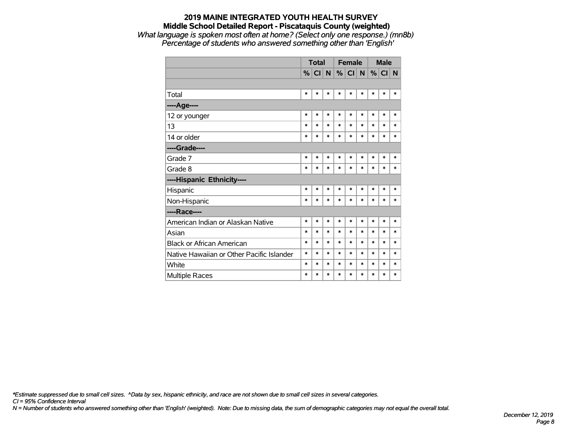## **2019 MAINE INTEGRATED YOUTH HEALTH SURVEY Middle School Detailed Report - Piscataquis County (weighted)** *What language is spoken most often at home? (Select only one response.) (mn8b)*

*Percentage of students who answered something other than 'English'*

|                                           |        | <b>Total</b> |        | <b>Female</b> |           |              | <b>Male</b> |          |        |
|-------------------------------------------|--------|--------------|--------|---------------|-----------|--------------|-------------|----------|--------|
|                                           |        | %  C  N      |        | %             | <b>CI</b> | $\mathsf{N}$ |             | $%$ CI N |        |
|                                           |        |              |        |               |           |              |             |          |        |
| Total                                     | $\ast$ | *            | $\ast$ | $\ast$        | $\ast$    | $\ast$       | $\ast$      | $\ast$   | $\ast$ |
| ----Age----                               |        |              |        |               |           |              |             |          |        |
| 12 or younger                             | $\ast$ | $\ast$       | $\ast$ | $\ast$        | $\ast$    | $\ast$       | $\ast$      | $\ast$   | $\ast$ |
| 13                                        | $\ast$ | $\ast$       | $\ast$ | $\ast$        | $\ast$    | $\ast$       | $\ast$      | $\ast$   | $\ast$ |
| 14 or older                               | $\ast$ | *            | $\ast$ | $\ast$        | *         | $\ast$       | $\ast$      | $\ast$   | *      |
| ----Grade----                             |        |              |        |               |           |              |             |          |        |
| Grade 7                                   | $\ast$ | $\ast$       | $\ast$ | $\ast$        | *         | $\ast$       | $\ast$      | $\ast$   | *      |
| Grade 8                                   | $\ast$ | $\ast$       | $\ast$ | $\ast$        | *         | *            | $\ast$      | $\ast$   | *      |
| ----Hispanic Ethnicity----                |        |              |        |               |           |              |             |          |        |
| Hispanic                                  | $\ast$ | *            | $\ast$ | $\ast$        | *         | $\ast$       | *           | $\ast$   | *      |
| Non-Hispanic                              | $\ast$ | *            | $\ast$ | $\ast$        | $\ast$    | $\ast$       | $\ast$      | $\ast$   | $\ast$ |
| ----Race----                              |        |              |        |               |           |              |             |          |        |
| American Indian or Alaskan Native         | $\ast$ | $\ast$       | $\ast$ | $\ast$        | $\ast$    | $\ast$       | $\ast$      | $\ast$   | *      |
| Asian                                     | $\ast$ | $\ast$       | $\ast$ | $\ast$        | $\ast$    | $\ast$       | *           | $\ast$   | $\ast$ |
| <b>Black or African American</b>          | $\ast$ | $\ast$       | $\ast$ | $\ast$        | $\ast$    | *            | $\ast$      | $\ast$   | $\ast$ |
| Native Hawaiian or Other Pacific Islander | $\ast$ | $\ast$       | $\ast$ | $\ast$        | $\ast$    | $\ast$       | $\ast$      | $\ast$   | $\ast$ |
| White                                     | $\ast$ | $\ast$       | $\ast$ | $\ast$        | $\ast$    | *            | *           | $\ast$   | $\ast$ |
| <b>Multiple Races</b>                     | $\ast$ | $\ast$       | $\ast$ | $\ast$        | $\ast$    | $\ast$       | $\ast$      | $\ast$   | $\ast$ |

*\*Estimate suppressed due to small cell sizes. ^Data by sex, hispanic ethnicity, and race are not shown due to small cell sizes in several categories.*

*CI = 95% Confidence Interval*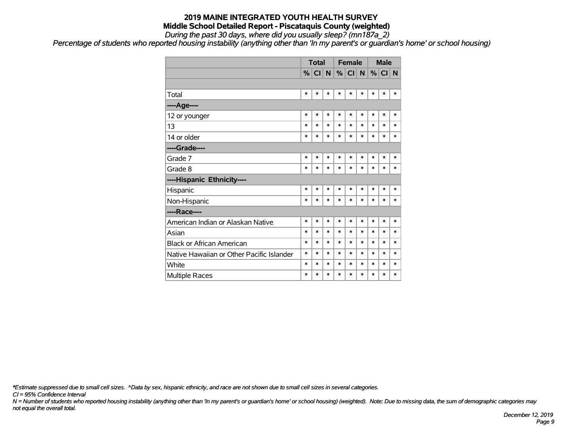*During the past 30 days, where did you usually sleep? (mn187a\_2)*

*Percentage of students who reported housing instability (anything other than 'In my parent's or guardian's home' or school housing)*

|                                           |        | <b>Total</b> |        |        | <b>Female</b> |        | <b>Male</b> |         |          |
|-------------------------------------------|--------|--------------|--------|--------|---------------|--------|-------------|---------|----------|
|                                           |        | $\%$ CI N    |        |        | %  C  N       |        |             | $\%$ CI | <b>N</b> |
|                                           |        |              |        |        |               |        |             |         |          |
| Total                                     | $\ast$ | $\ast$       | $\ast$ | $\ast$ | $\ast$        | *      | $\ast$      | $\ast$  | $\ast$   |
| ----Age----                               |        |              |        |        |               |        |             |         |          |
| 12 or younger                             | $\ast$ | $\ast$       | $\ast$ | $\ast$ | $\ast$        | $\ast$ | $\ast$      | $\ast$  | $\ast$   |
| 13                                        | $\ast$ | $\ast$       | $\ast$ | $\ast$ | $\ast$        | $\ast$ | $\ast$      | $\ast$  | $\ast$   |
| 14 or older                               | *      | $\ast$       | $\ast$ | $\ast$ | $\ast$        | $\ast$ | $\ast$      | $\ast$  | $\ast$   |
| ----Grade----                             |        |              |        |        |               |        |             |         |          |
| Grade 7                                   | $\ast$ | $\ast$       | $\ast$ | $\ast$ | $\ast$        | $\ast$ | $\ast$      | $\ast$  | $\ast$   |
| Grade 8                                   | $\ast$ | $\ast$       | $\ast$ | $\ast$ | $\ast$        | $\ast$ | $\ast$      | $\ast$  | $\ast$   |
| ----Hispanic Ethnicity----                |        |              |        |        |               |        |             |         |          |
| Hispanic                                  | *      | $\ast$       | *      | $\ast$ | $\ast$        | $\ast$ | $\ast$      | *       | $\ast$   |
| Non-Hispanic                              | $\ast$ | $\ast$       | $\ast$ | $\ast$ | $\ast$        | $\ast$ | $\ast$      | $\ast$  | $\ast$   |
| ----Race----                              |        |              |        |        |               |        |             |         |          |
| American Indian or Alaskan Native         | $\ast$ | $\ast$       | $\ast$ | $\ast$ | $\ast$        | $\ast$ | $\ast$      | $\ast$  | $\ast$   |
| Asian                                     | $\ast$ | $\ast$       | $\ast$ | $\ast$ | $\ast$        | $\ast$ | $\ast$      | $\ast$  | $\ast$   |
| <b>Black or African American</b>          | $\ast$ | $\ast$       | $\ast$ | $\ast$ | $\ast$        | $\ast$ | $\ast$      | $\ast$  | $\ast$   |
| Native Hawaiian or Other Pacific Islander | $\ast$ | $\ast$       | $\ast$ | $\ast$ | $\ast$        | $\ast$ | $\ast$      | $\ast$  | $\ast$   |
| White                                     | $\ast$ | $\ast$       | $\ast$ | $\ast$ | $\ast$        | $\ast$ | $\ast$      | $\ast$  | $\ast$   |
| Multiple Races                            | $\ast$ | $\ast$       | $\ast$ | $\ast$ | $\ast$        | *      | $\ast$      | $\ast$  | $\ast$   |

*\*Estimate suppressed due to small cell sizes. ^Data by sex, hispanic ethnicity, and race are not shown due to small cell sizes in several categories.*

*CI = 95% Confidence Interval*

*N = Number of students who reported housing instability (anything other than 'In my parent's or guardian's home' or school housing) (weighted). Note: Due to missing data, the sum of demographic categories may not equal the overall total.*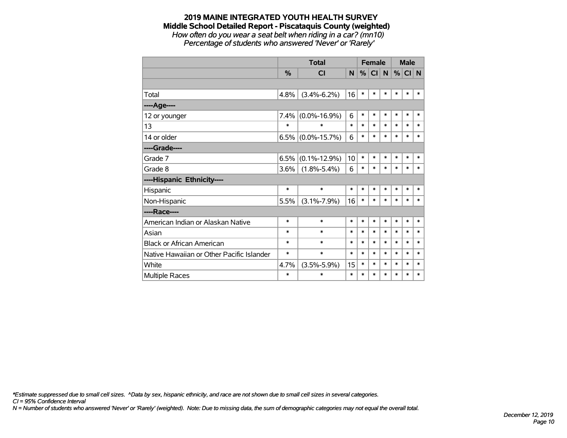*How often do you wear a seat belt when riding in a car? (mn10) Percentage of students who answered 'Never' or 'Rarely'*

|                                           |         | <b>Total</b>         |        | <b>Female</b> |        |        | <b>Male</b> |        |        |
|-------------------------------------------|---------|----------------------|--------|---------------|--------|--------|-------------|--------|--------|
|                                           | %       | <b>CI</b>            | N      | $\%$          | CI N   |        | %           | CI N   |        |
|                                           |         |                      |        |               |        |        |             |        |        |
| Total                                     | 4.8%    | $(3.4\% - 6.2\%)$    | 16     | $\ast$        | *      | $\ast$ | $\ast$      | $\ast$ | $\ast$ |
| ----Age----                               |         |                      |        |               |        |        |             |        |        |
| 12 or younger                             | $7.4\%$ | $(0.0\% - 16.9\%)$   | 6      | $\ast$        | $\ast$ | $\ast$ | $\ast$      | $\ast$ | $\ast$ |
| 13                                        | $\ast$  | $\ast$               | *      | $\ast$        | *      | $\ast$ | $\ast$      | *      | $\ast$ |
| 14 or older                               |         | $6.5\%$ (0.0%-15.7%) | 6      | $\ast$        | $\ast$ | $\ast$ | $\ast$      | $\ast$ | $\ast$ |
| ----Grade----                             |         |                      |        |               |        |        |             |        |        |
| Grade 7                                   | 6.5%    | $(0.1\% - 12.9\%)$   | 10     | $\ast$        | *      | $\ast$ | $\ast$      | $\ast$ | $\ast$ |
| Grade 8                                   | 3.6%    | $(1.8\% - 5.4\%)$    | 6      | $\ast$        | *      | $\ast$ | $\ast$      | $\ast$ | $\ast$ |
| ----Hispanic Ethnicity----                |         |                      |        |               |        |        |             |        |        |
| Hispanic                                  | $\ast$  | $\ast$               | $\ast$ | $\ast$        | *      | $\ast$ | $\ast$      | *      | $\ast$ |
| Non-Hispanic                              | 5.5%    | $(3.1\% - 7.9\%)$    | 16     | $\ast$        | $\ast$ | $\ast$ | $\ast$      | $\ast$ | $\ast$ |
| ----Race----                              |         |                      |        |               |        |        |             |        |        |
| American Indian or Alaskan Native         | $\ast$  | $\ast$               | *      | $\ast$        | $\ast$ | $\ast$ | $\ast$      | $\ast$ | $\ast$ |
| Asian                                     | $\ast$  | $\ast$               | *      | $\ast$        | *      | $\ast$ | $\ast$      | *      | $\ast$ |
| <b>Black or African American</b>          | *       | $\ast$               | *      | *             | *      | $\ast$ | $\ast$      | $\ast$ | $\ast$ |
| Native Hawaiian or Other Pacific Islander | $\ast$  | $\ast$               | *      | $\ast$        | *      | $\ast$ | $\ast$      | $\ast$ | $\ast$ |
| White                                     | 4.7%    | $(3.5\% - 5.9\%)$    | 15     | $\ast$        | *      | $\ast$ | $\ast$      | $\ast$ | $\ast$ |
| Multiple Races                            | *       | $\ast$               | $\ast$ | $\ast$        | $\ast$ | $\ast$ | $\ast$      | $\ast$ | $\ast$ |

*\*Estimate suppressed due to small cell sizes. ^Data by sex, hispanic ethnicity, and race are not shown due to small cell sizes in several categories.*

*CI = 95% Confidence Interval*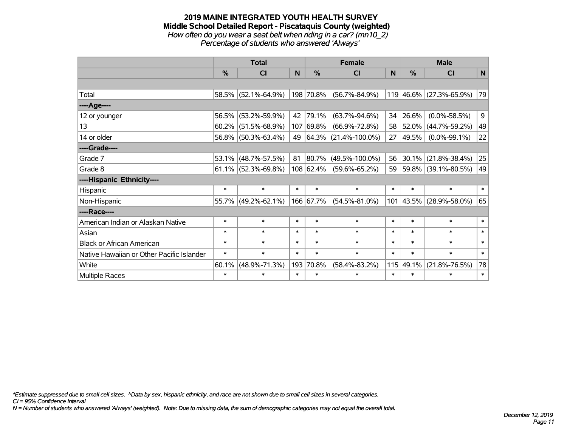#### **2019 MAINE INTEGRATED YOUTH HEALTH SURVEY Middle School Detailed Report - Piscataquis County (weighted)** *How often do you wear a seat belt when riding in a car? (mn10\_2) Percentage of students who answered 'Always'*

|                                           |               | <b>Total</b>           |        |               | <b>Female</b>             |        | <b>Male</b>       |                          |                |
|-------------------------------------------|---------------|------------------------|--------|---------------|---------------------------|--------|-------------------|--------------------------|----------------|
|                                           | $\frac{0}{0}$ | <b>CI</b>              | N      | $\frac{0}{0}$ | <b>CI</b>                 | N      | $\frac{0}{0}$     | <b>CI</b>                | $\mathsf{N}$   |
|                                           |               |                        |        |               |                           |        |                   |                          |                |
| Total                                     |               | 58.5% (52.1%-64.9%)    |        | 198 70.8%     | $(56.7\% - 84.9\%)$       |        |                   | 119 46.6% (27.3%-65.9%)  | 79             |
| ----Age----                               |               |                        |        |               |                           |        |                   |                          |                |
| 12 or younger                             | 56.5%         | $(53.2\% - 59.9\%)$    | 42     | 79.1%         | $(63.7\% - 94.6\%)$       | 34     | 26.6%             | $(0.0\% - 58.5\%)$       | 9 <sup>1</sup> |
| 13                                        | 60.2%         | $(51.5\% - 68.9\%)$    | 107    | 69.8%         | $(66.9\% - 72.8\%)$       | 58     | 52.0%             | $(44.7\% - 59.2\%)$      | 49             |
| 14 or older                               |               | 56.8% (50.3%-63.4%)    | 49     |               | $ 64.3\% $ (21.4%-100.0%) | 27     | 49.5%             | $(0.0\% - 99.1\%)$       | 22             |
| ----Grade----                             |               |                        |        |               |                           |        |                   |                          |                |
| Grade 7                                   | $53.1\%$      | $(48.7\% - 57.5\%)$    | 81     | 80.7%         | $(49.5\% - 100.0\%)$      | 56     | 30.1%             | $(21.8\% - 38.4\%)$      | 25             |
| Grade 8                                   |               | $61.1\%$ (52.3%-69.8%) |        | $108$ 62.4%   | $(59.6\% - 65.2\%)$       | 59     |                   | $ 59.8\% $ (39.1%-80.5%) | 49             |
| ----Hispanic Ethnicity----                |               |                        |        |               |                           |        |                   |                          |                |
| Hispanic                                  | $\ast$        | $\ast$                 | $\ast$ | $\ast$        | $\ast$                    | $\ast$ | $\ast$            | $\ast$                   | $\ast$         |
| Non-Hispanic                              |               | 55.7% (49.2%-62.1%)    |        | 166 67.7%     | $(54.5\% - 81.0\%)$       |        | $101 \,   43.5\%$ | $(28.9\% - 58.0\%)$      | 65             |
| ----Race----                              |               |                        |        |               |                           |        |                   |                          |                |
| American Indian or Alaskan Native         | $\ast$        | $\ast$                 | $\ast$ | $\ast$        | $\ast$                    | $\ast$ | $\ast$            | $\ast$                   | $\ast$         |
| Asian                                     | $\ast$        | $\ast$                 | $\ast$ | $\ast$        | $\ast$                    | $\ast$ | $\ast$            | $\ast$                   | $\ast$         |
| <b>Black or African American</b>          | $\ast$        | $\ast$                 | $\ast$ | $\ast$        | $\ast$                    | $\ast$ | $\ast$            | $\ast$                   | $\ast$         |
| Native Hawaiian or Other Pacific Islander | $\ast$        | $\ast$                 | $\ast$ | $\ast$        | $\ast$                    | $\ast$ | $\ast$            | $\ast$                   | $\ast$         |
| White                                     | 60.1%         | $(48.9\% - 71.3\%)$    | 193    | 70.8%         | $(58.4\% - 83.2\%)$       |        | 115 49.1%         | $(21.8\% - 76.5\%)$      | 78             |
| Multiple Races                            | $\ast$        | $\ast$                 | $\ast$ | $\ast$        | $\ast$                    | $\ast$ | $\ast$            | $\ast$                   | $\ast$         |

*\*Estimate suppressed due to small cell sizes. ^Data by sex, hispanic ethnicity, and race are not shown due to small cell sizes in several categories.*

*CI = 95% Confidence Interval*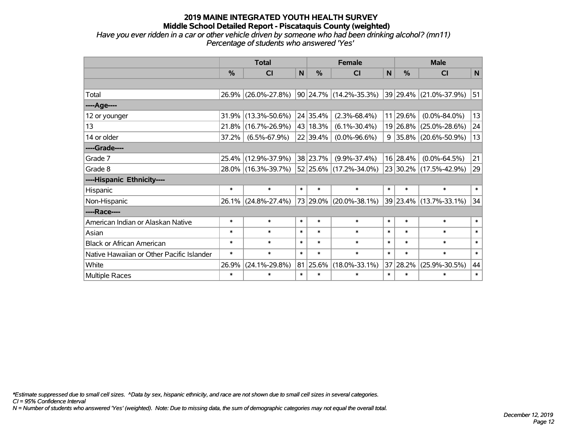## **2019 MAINE INTEGRATED YOUTH HEALTH SURVEY Middle School Detailed Report - Piscataquis County (weighted)** *Have you ever ridden in a car or other vehicle driven by someone who had been drinking alcohol? (mn11)*

*Percentage of students who answered 'Yes'*

|                                           |        | <b>Total</b>        |        |          | <b>Female</b>              |              | <b>Male</b> |                          |        |  |
|-------------------------------------------|--------|---------------------|--------|----------|----------------------------|--------------|-------------|--------------------------|--------|--|
|                                           | %      | <b>CI</b>           | N      | %        | <b>CI</b>                  | $\mathsf{N}$ | %           | <b>CI</b>                | N      |  |
|                                           |        |                     |        |          |                            |              |             |                          |        |  |
| Total                                     |        | 26.9% (26.0%-27.8%) |        |          | 90   24.7%   (14.2%-35.3%) |              |             | 39 29.4% (21.0%-37.9%)   | 51     |  |
| ----Age----                               |        |                     |        |          |                            |              |             |                          |        |  |
| 12 or younger                             | 31.9%  | $(13.3\% - 50.6\%)$ |        | 24 35.4% | $(2.3\% - 68.4\%)$         |              | 11 29.6%    | $(0.0\% - 84.0\%)$       | 13     |  |
| 13                                        | 21.8%  | $(16.7\% - 26.9\%)$ |        | 43 18.3% | $(6.1\% - 30.4\%)$         |              |             | 19 26.8% (25.0%-28.6%)   | 24     |  |
| 14 or older                               | 37.2%  | $(6.5\% - 67.9\%)$  |        | 22 39.4% | $(0.0\% - 96.6\%)$         | 9            |             | $ 35.8\% $ (20.6%-50.9%) | 13     |  |
| ----Grade----                             |        |                     |        |          |                            |              |             |                          |        |  |
| Grade 7                                   | 25.4%  | $(12.9\% - 37.9\%)$ |        | 38 23.7% | $(9.9\% - 37.4\%)$         |              | 16 28.4%    | $(0.0\% - 64.5\%)$       | 21     |  |
| Grade 8                                   |        | 28.0% (16.3%-39.7%) |        |          | 52 25.6% (17.2%-34.0%)     |              |             | 23 30.2% (17.5%-42.9%)   | 29     |  |
| ----Hispanic Ethnicity----                |        |                     |        |          |                            |              |             |                          |        |  |
| Hispanic                                  | $\ast$ | $\ast$              | $\ast$ | $\ast$   | $\ast$                     | $\ast$       | $\ast$      | $\ast$                   | $\ast$ |  |
| Non-Hispanic                              |        | 26.1% (24.8%-27.4%) |        |          | 73 29.0% (20.0%-38.1%)     |              |             | 39 23.4% (13.7%-33.1%)   | 34     |  |
| ----Race----                              |        |                     |        |          |                            |              |             |                          |        |  |
| American Indian or Alaskan Native         | $\ast$ | $\ast$              | $\ast$ | $\ast$   | $\ast$                     | $\ast$       | $\ast$      | $\ast$                   | $\ast$ |  |
| Asian                                     | $\ast$ | $\ast$              | $\ast$ | $\ast$   | $\ast$                     | $\ast$       | $\ast$      | $\ast$                   | $\ast$ |  |
| <b>Black or African American</b>          | $\ast$ | $\ast$              | $\ast$ | $\ast$   | $\ast$                     | $\ast$       | $\ast$      | $\ast$                   | $\ast$ |  |
| Native Hawaiian or Other Pacific Islander | $\ast$ | $\ast$              | $\ast$ | $\ast$   | $\ast$                     | $\ast$       | $\ast$      | $\ast$                   | $\ast$ |  |
| White                                     | 26.9%  | $(24.1\% - 29.8\%)$ |        | 81 25.6% | $(18.0\% - 33.1\%)$        |              | 37 28.2%    | $(25.9\% - 30.5\%)$      | 44     |  |
| <b>Multiple Races</b>                     | $\ast$ | $\ast$              | $\ast$ | $\ast$   | $\ast$                     | $\ast$       | $\ast$      | $\ast$                   | $\ast$ |  |

*\*Estimate suppressed due to small cell sizes. ^Data by sex, hispanic ethnicity, and race are not shown due to small cell sizes in several categories.*

*CI = 95% Confidence Interval*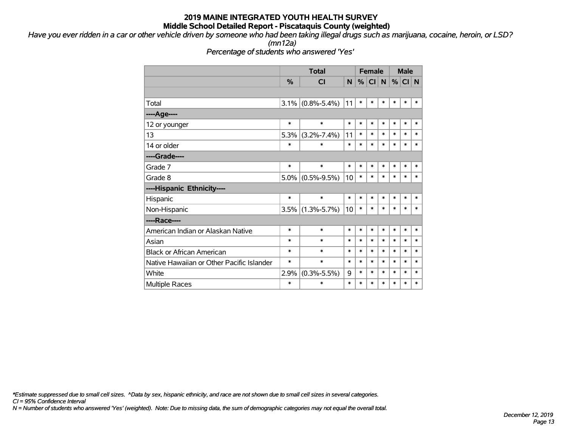*Have you ever ridden in a car or other vehicle driven by someone who had been taking illegal drugs such as marijuana, cocaine, heroin, or LSD?*

*(mn12a)*

*Percentage of students who answered 'Yes'*

|                                           |               | <b>Total</b>      |        |        |           | <b>Female</b> |        | <b>Male</b> |        |
|-------------------------------------------|---------------|-------------------|--------|--------|-----------|---------------|--------|-------------|--------|
|                                           | $\frac{0}{0}$ | <b>CI</b>         | N      | %      | <b>CI</b> | N             |        | $%$ CI N    |        |
|                                           |               |                   |        |        |           |               |        |             |        |
| Total                                     | 3.1%          | $(0.8\% - 5.4\%)$ | 11     | $\ast$ | $\ast$    | $\ast$        | $\ast$ | $\ast$      | $\ast$ |
| ----Age----                               |               |                   |        |        |           |               |        |             |        |
| 12 or younger                             | $\ast$        | $\ast$            | $\ast$ | $\ast$ | $\ast$    | $\ast$        | $\ast$ | $\ast$      | $\ast$ |
| 13                                        | 5.3%          | $(3.2\% - 7.4\%)$ | 11     | $\ast$ | $\ast$    | $\ast$        | $\ast$ | $\ast$      | $\ast$ |
| 14 or older                               | $\ast$        | $\ast$            | $\ast$ | $\ast$ | $\ast$    | $\ast$        | $\ast$ | $\ast$      | $\ast$ |
| ----Grade----                             |               |                   |        |        |           |               |        |             |        |
| Grade 7                                   | $\ast$        | $\ast$            | $\ast$ | $\ast$ | *         | $\ast$        | $\ast$ | $\ast$      | $\ast$ |
| Grade 8                                   | $5.0\%$       | $(0.5\% - 9.5\%)$ | 10     | $\ast$ | *         | $\ast$        | $\ast$ | $\ast$      | *      |
| ----Hispanic Ethnicity----                |               |                   |        |        |           |               |        |             |        |
| Hispanic                                  | $\ast$        | $\ast$            | $\ast$ | $\ast$ | $\ast$    | $\ast$        | $\ast$ | *           | $\ast$ |
| Non-Hispanic                              | 3.5%          | $(1.3\% - 5.7\%)$ | 10     | $\ast$ | $\ast$    | $\ast$        | $\ast$ | $\ast$      | $\ast$ |
| ----Race----                              |               |                   |        |        |           |               |        |             |        |
| American Indian or Alaskan Native         | $\ast$        | $\ast$            | $\ast$ | $\ast$ | $\ast$    | $\ast$        | $\ast$ | $\ast$      | $\ast$ |
| Asian                                     | $\ast$        | $\ast$            | $\ast$ | $\ast$ | $\ast$    | $\ast$        | $\ast$ | $\ast$      | $\ast$ |
| <b>Black or African American</b>          | $\ast$        | $\ast$            | $\ast$ | $\ast$ | $\ast$    | $\ast$        | $\ast$ | $\ast$      | $\ast$ |
| Native Hawaiian or Other Pacific Islander | $\ast$        | $\ast$            | $\ast$ | $\ast$ | $\ast$    | $\ast$        | $\ast$ | $\ast$      | $\ast$ |
| White                                     | 2.9%          | $(0.3\% - 5.5\%)$ | 9      | $\ast$ | $\ast$    | $\ast$        | $\ast$ | $\ast$      | $\ast$ |
| <b>Multiple Races</b>                     | $\ast$        | $\ast$            | $\ast$ | $\ast$ | $\ast$    | $\ast$        | $\ast$ | $\ast$      | $\ast$ |

*CI = 95% Confidence Interval \*Estimate suppressed due to small cell sizes. ^Data by sex, hispanic ethnicity, and race are not shown due to small cell sizes in several categories.*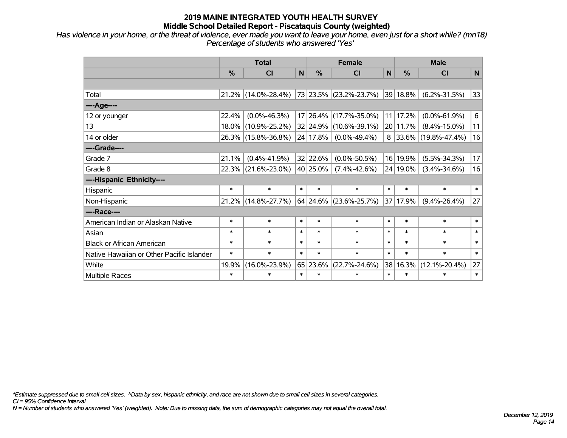*Has violence in your home, or the threat of violence, ever made you want to leave your home, even just for a short while? (mn18) Percentage of students who answered 'Yes'*

|                                           |        | <b>Total</b>        |        |          | <b>Female</b>          |              | <b>Male</b>   |                          |             |  |
|-------------------------------------------|--------|---------------------|--------|----------|------------------------|--------------|---------------|--------------------------|-------------|--|
|                                           | %      | <b>CI</b>           | N      | %        | <b>CI</b>              | $\mathsf{N}$ | $\frac{0}{0}$ | <b>CI</b>                | $\mathbf N$ |  |
|                                           |        |                     |        |          |                        |              |               |                          |             |  |
| Total                                     |        | 21.2% (14.0%-28.4%) |        |          | 73 23.5% (23.2%-23.7%) |              | 39 18.8%      | $(6.2\% - 31.5\%)$       | 33          |  |
| ----Age----                               |        |                     |        |          |                        |              |               |                          |             |  |
| 12 or younger                             | 22.4%  | $(0.0\% - 46.3\%)$  |        | 17 26.4% | $(17.7\% - 35.0\%)$    | 11           | 17.2%         | $(0.0\% - 61.9\%)$       | 6           |  |
| 13                                        |        | 18.0% (10.9%-25.2%) |        |          | 32 24.9% (10.6%-39.1%) |              | 20 11.7%      | $(8.4\% - 15.0\%)$       | 11          |  |
| 14 or older                               |        | 26.3% (15.8%-36.8%) |        | 24 17.8% | $(0.0\% - 49.4\%)$     | 8            |               | $ 33.6\% $ (19.8%-47.4%) | 16          |  |
| ----Grade----                             |        |                     |        |          |                        |              |               |                          |             |  |
| Grade 7                                   | 21.1%  | $(0.4\% - 41.9\%)$  |        | 32 22.6% | $(0.0\% - 50.5\%)$     |              | 16 19.9%      | $(5.5\% - 34.3\%)$       | 17          |  |
| Grade 8                                   |        | 22.3% (21.6%-23.0%) |        | 40 25.0% | $(7.4\% - 42.6\%)$     |              | 24 19.0%      | $(3.4\% - 34.6\%)$       | 16          |  |
| ----Hispanic Ethnicity----                |        |                     |        |          |                        |              |               |                          |             |  |
| Hispanic                                  | $\ast$ | $\ast$              | $\ast$ | $\ast$   | $\ast$                 | $\ast$       | $\ast$        | $\ast$                   | $\ast$      |  |
| Non-Hispanic                              |        | 21.2% (14.8%-27.7%) |        |          | 64 24.6% (23.6%-25.7%) | 37           | 17.9%         | $(9.4\% - 26.4\%)$       | 27          |  |
| ----Race----                              |        |                     |        |          |                        |              |               |                          |             |  |
| American Indian or Alaskan Native         | $\ast$ | $\ast$              | $\ast$ | $\ast$   | $\ast$                 | $\ast$       | $\ast$        | $\ast$                   | $\ast$      |  |
| Asian                                     | $\ast$ | $\ast$              | $\ast$ | $\ast$   | $\ast$                 | $\ast$       | $\ast$        | $\ast$                   | $\ast$      |  |
| <b>Black or African American</b>          | $\ast$ | $\ast$              | $\ast$ | $\ast$   | $\ast$                 | $\ast$       | $\ast$        | $\ast$                   | $\ast$      |  |
| Native Hawaiian or Other Pacific Islander | $\ast$ | $\ast$              | $\ast$ | $\ast$   | $\ast$                 | $\ast$       | $\ast$        | $\ast$                   | $\ast$      |  |
| White                                     | 19.9%  | $(16.0\% - 23.9\%)$ |        | 65 23.6% | $(22.7\% - 24.6\%)$    | 38           | 16.3%         | $(12.1\% - 20.4\%)$      | 27          |  |
| <b>Multiple Races</b>                     | $\ast$ | $\ast$              | $\ast$ | $\ast$   | $\ast$                 | $\ast$       | $\ast$        | $\ast$                   | $\ast$      |  |

*\*Estimate suppressed due to small cell sizes. ^Data by sex, hispanic ethnicity, and race are not shown due to small cell sizes in several categories.*

*CI = 95% Confidence Interval*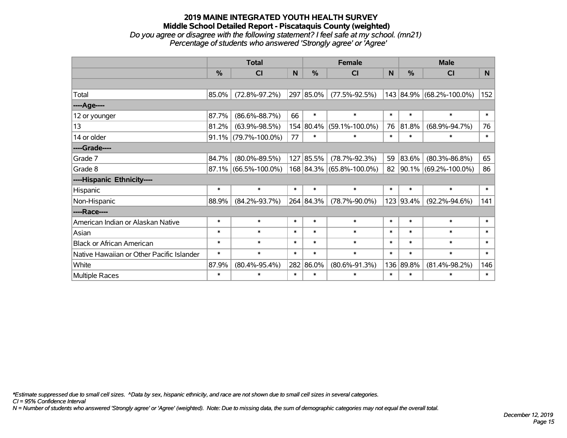#### **2019 MAINE INTEGRATED YOUTH HEALTH SURVEY Middle School Detailed Report - Piscataquis County (weighted)** *Do you agree or disagree with the following statement? I feel safe at my school. (mn21) Percentage of students who answered 'Strongly agree' or 'Agree'*

|                                           |        |                      | <b>Female</b> |                                  | <b>Male</b>              |                  |           |                          |        |                     |     |
|-------------------------------------------|--------|----------------------|---------------|----------------------------------|--------------------------|------------------|-----------|--------------------------|--------|---------------------|-----|
|                                           | %      | CI                   | N             | $\%$                             | <b>CI</b>                | N                | %         | <b>CI</b>                | N      |                     |     |
|                                           |        |                      |               |                                  |                          |                  |           |                          |        |                     |     |
| Total                                     | 85.0%  | $(72.8\% - 97.2\%)$  |               | 297 85.0%                        | $(77.5\% - 92.5\%)$      |                  |           | 143 84.9% (68.2%-100.0%) | 152    |                     |     |
| ----Age----                               |        |                      |               |                                  |                          |                  |           |                          |        |                     |     |
| 12 or younger                             | 87.7%  | $(86.6\% - 88.7\%)$  | 66            | $\ast$                           | $\ast$                   | $\ast$           | $\ast$    | $\ast$                   | $\ast$ |                     |     |
| 13                                        | 81.2%  | $(63.9\% - 98.5\%)$  |               | 154 80.4%                        | $(59.1\% - 100.0\%)$     | 76               | 81.8%     | $(68.9\% - 94.7\%)$      | 76     |                     |     |
| 14 or older                               | 91.1%  | $(79.7\% - 100.0\%)$ | 77            | $\ast$                           | $\ast$                   | $\ast$           | $\ast$    | *                        | $\ast$ |                     |     |
| ----Grade----                             |        |                      |               |                                  |                          |                  |           |                          |        |                     |     |
| Grade 7                                   | 84.7%  | $(80.0\% - 89.5\%)$  |               | 127 85.5%                        | $(78.7\% - 92.3\%)$      | 59               | 83.6%     | $(80.3\% - 86.8\%)$      | 65     |                     |     |
| Grade 8                                   | 87.1%  | $(66.5\% - 100.0\%)$ |               |                                  | 168 84.3% (65.8%-100.0%) |                  |           | 82 90.1% (69.2%-100.0%)  | 86     |                     |     |
| ----Hispanic Ethnicity----                |        |                      |               |                                  |                          |                  |           |                          |        |                     |     |
| Hispanic                                  | $\ast$ | $\ast$               | $\ast$        | $\ast$                           | $\ast$                   | $\ast$           | $\ast$    | $\ast$                   | $\ast$ |                     |     |
| Non-Hispanic                              | 88.9%  | $(84.2\% - 93.7\%)$  |               | 264 84.3%                        | $(78.7\% - 90.0\%)$      |                  | 123 93.4% | $(92.2\% - 94.6\%)$      | 141    |                     |     |
| ----Race----                              |        |                      |               |                                  |                          |                  |           |                          |        |                     |     |
| American Indian or Alaskan Native         | $\ast$ | $\ast$               | $\ast$        | $\ast$                           | $\ast$                   | $\ast$           | $\ast$    | $\ast$                   | $\ast$ |                     |     |
| Asian                                     | $\ast$ | $\ast$               | $\ast$        | $\ast$                           | $\ast$                   | $\ast$           | $\ast$    | $\ast$                   | $\ast$ |                     |     |
| <b>Black or African American</b>          | $\ast$ | $\ast$               | $\ast$        | $\ast$                           | $\ast$                   | $\ast$           | $\ast$    | $\ast$                   | $\ast$ |                     |     |
| Native Hawaiian or Other Pacific Islander | $\ast$ | $\ast$               | $\ast$        | $\ast$<br>$\ast$                 |                          | $\ast$           | $\ast$    | $\ast$                   | $\ast$ |                     |     |
| White                                     | 87.9%  | $(80.4\% - 95.4\%)$  |               | 282 86.0%<br>$(80.6\% - 91.3\%)$ |                          | 136 89.8%        |           |                          |        | $(81.4\% - 98.2\%)$ | 146 |
| Multiple Races                            | $\ast$ | $\ast$               | $\ast$        | $\ast$                           | $\ast$                   | $\ast$<br>$\ast$ |           | $\ast$                   | $\ast$ |                     |     |

*\*Estimate suppressed due to small cell sizes. ^Data by sex, hispanic ethnicity, and race are not shown due to small cell sizes in several categories.*

*CI = 95% Confidence Interval*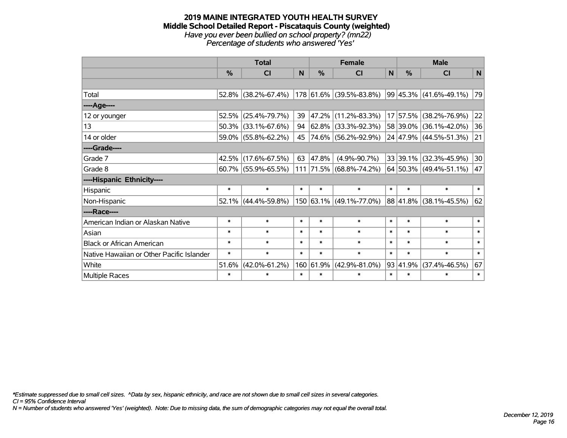#### **2019 MAINE INTEGRATED YOUTH HEALTH SURVEY Middle School Detailed Report - Piscataquis County (weighted)** *Have you ever been bullied on school property? (mn22) Percentage of students who answered 'Yes'*

|                                           | <b>Total</b><br><b>Female</b> |                        |        |           |                                                                        |        | <b>Male</b> |                            |        |  |  |  |  |  |  |  |  |  |  |  |  |  |        |        |        |  |        |        |        |        |        |
|-------------------------------------------|-------------------------------|------------------------|--------|-----------|------------------------------------------------------------------------|--------|-------------|----------------------------|--------|--|--|--|--|--|--|--|--|--|--|--|--|--|--------|--------|--------|--|--------|--------|--------|--------|--------|
|                                           | $\%$                          | <b>CI</b>              | N      | $\%$      | <b>CI</b>                                                              | N      | $\%$        | <b>CI</b>                  | N      |  |  |  |  |  |  |  |  |  |  |  |  |  |        |        |        |  |        |        |        |        |        |
|                                           |                               |                        |        |           |                                                                        |        |             |                            |        |  |  |  |  |  |  |  |  |  |  |  |  |  |        |        |        |  |        |        |        |        |        |
| Total                                     |                               | $52.8\%$ (38.2%-67.4%) |        |           | $\vert$ 178 $\vert$ 61.6% $\vert$ (39.5%-83.8%) 99 45.3% (41.6%-49.1%) |        |             |                            | 79     |  |  |  |  |  |  |  |  |  |  |  |  |  |        |        |        |  |        |        |        |        |        |
| ----Age----                               |                               |                        |        |           |                                                                        |        |             |                            |        |  |  |  |  |  |  |  |  |  |  |  |  |  |        |        |        |  |        |        |        |        |        |
| 12 or younger                             | 52.5%                         | $(25.4\% - 79.7\%)$    | 39     | 47.2%     | $(11.2\% - 83.3\%)$                                                    |        | 17 57.5%    | $(38.2\% - 76.9\%)$        | 22     |  |  |  |  |  |  |  |  |  |  |  |  |  |        |        |        |  |        |        |        |        |        |
| 13                                        |                               | 50.3% (33.1%-67.6%)    | 94     |           | 62.8%   (33.3%-92.3%)                                                  |        |             | 58 39.0% (36.1%-42.0%)     | 36     |  |  |  |  |  |  |  |  |  |  |  |  |  |        |        |        |  |        |        |        |        |        |
| 14 or older                               |                               | $59.0\%$ (55.8%-62.2%) |        |           | 45 74.6% (56.2%-92.9%)                                                 |        |             | 24 47.9% (44.5%-51.3%)     | 21     |  |  |  |  |  |  |  |  |  |  |  |  |  |        |        |        |  |        |        |        |        |        |
| ----Grade----                             |                               |                        |        |           |                                                                        |        |             |                            |        |  |  |  |  |  |  |  |  |  |  |  |  |  |        |        |        |  |        |        |        |        |        |
| Grade 7                                   |                               | 42.5% (17.6%-67.5%)    | 63     | 47.8%     | $(4.9\% - 90.7\%)$                                                     |        |             | 33 39.1% (32.3%-45.9%)     | 30     |  |  |  |  |  |  |  |  |  |  |  |  |  |        |        |        |  |        |        |        |        |        |
| Grade 8                                   |                               | $60.7\%$ (55.9%-65.5%) |        |           | 111 71.5% (68.8%-74.2%)                                                |        |             | $64 50.3\% $ (49.4%-51.1%) | 47     |  |  |  |  |  |  |  |  |  |  |  |  |  |        |        |        |  |        |        |        |        |        |
| ----Hispanic Ethnicity----                |                               |                        |        |           |                                                                        |        |             |                            |        |  |  |  |  |  |  |  |  |  |  |  |  |  |        |        |        |  |        |        |        |        |        |
| Hispanic                                  | $\ast$                        | $\ast$                 | $\ast$ | $\ast$    | $\ast$                                                                 | $\ast$ | $\ast$      | $\ast$                     | $\ast$ |  |  |  |  |  |  |  |  |  |  |  |  |  |        |        |        |  |        |        |        |        |        |
| Non-Hispanic                              |                               | $52.1\%$ (44.4%-59.8%) |        |           | 150 63.1% (49.1%-77.0%)                                                |        |             | 88 41.8% (38.1%-45.5%)     | 62     |  |  |  |  |  |  |  |  |  |  |  |  |  |        |        |        |  |        |        |        |        |        |
| ----Race----                              |                               |                        |        |           |                                                                        |        |             |                            |        |  |  |  |  |  |  |  |  |  |  |  |  |  |        |        |        |  |        |        |        |        |        |
| American Indian or Alaskan Native         | $\ast$                        | $\ast$                 | $\ast$ | $\ast$    | $\ast$                                                                 |        |             |                            |        |  |  |  |  |  |  |  |  |  |  |  |  |  |        |        |        |  |        |        | $\ast$ | $\ast$ | $\ast$ |
| Asian                                     | $\ast$                        | $\ast$                 | $\ast$ | $\ast$    | $\ast$                                                                 |        |             |                            |        |  |  |  |  |  |  |  |  |  |  |  |  |  |        |        |        |  | $\ast$ | $\ast$ | $\ast$ |        |        |
| <b>Black or African American</b>          | $\ast$                        | $\ast$                 | $\ast$ | $\ast$    | $\ast$                                                                 | $\ast$ | $\ast$      | $\ast$                     | $\ast$ |  |  |  |  |  |  |  |  |  |  |  |  |  |        |        |        |  |        |        |        |        |        |
| Native Hawaiian or Other Pacific Islander | $\ast$                        | $\ast$                 | $\ast$ | $\ast$    | $\ast$                                                                 |        |             |                            |        |  |  |  |  |  |  |  |  |  |  |  |  |  | $\ast$ | $\ast$ | $\ast$ |  |        |        |        |        |        |
| White                                     | 51.6%                         | $(42.0\% - 61.2\%)$    |        | 160 61.9% | $(42.9\% - 81.0\%)$                                                    |        | 93 41.9%    | $(37.4\% - 46.5\%)$        | 67     |  |  |  |  |  |  |  |  |  |  |  |  |  |        |        |        |  |        |        |        |        |        |
| Multiple Races                            | $\ast$                        | $\ast$                 | $\ast$ | $\ast$    | $\ast$                                                                 | $\ast$ | $\ast$      | $\ast$                     | $\ast$ |  |  |  |  |  |  |  |  |  |  |  |  |  |        |        |        |  |        |        |        |        |        |

*\*Estimate suppressed due to small cell sizes. ^Data by sex, hispanic ethnicity, and race are not shown due to small cell sizes in several categories.*

*CI = 95% Confidence Interval*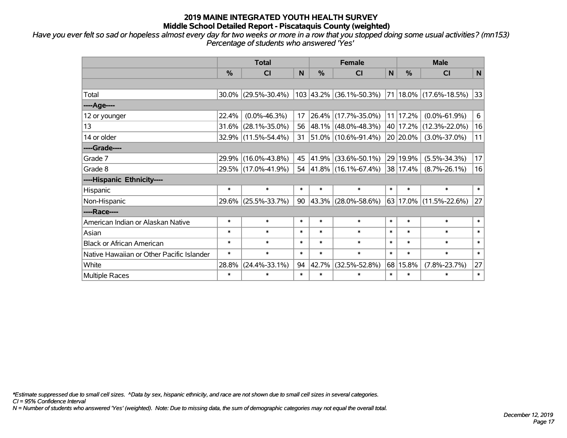*Have you ever felt so sad or hopeless almost every day for two weeks or more in a row that you stopped doing some usual activities? (mn153) Percentage of students who answered 'Yes'*

|                                           | <b>Female</b><br><b>Total</b> |                        |        |               |                           |        | <b>Male</b>   |                        |        |  |        |                    |          |                    |    |  |  |  |  |  |  |  |  |  |  |  |  |  |        |        |        |  |        |        |        |
|-------------------------------------------|-------------------------------|------------------------|--------|---------------|---------------------------|--------|---------------|------------------------|--------|--|--------|--------------------|----------|--------------------|----|--|--|--|--|--|--|--|--|--|--|--|--|--|--------|--------|--------|--|--------|--------|--------|
|                                           | %                             | CI                     | N      | $\frac{9}{6}$ | <b>CI</b>                 | N      | $\frac{0}{0}$ | <b>CI</b>              | N      |  |        |                    |          |                    |    |  |  |  |  |  |  |  |  |  |  |  |  |  |        |        |        |  |        |        |        |
|                                           |                               |                        |        |               |                           |        |               |                        |        |  |        |                    |          |                    |    |  |  |  |  |  |  |  |  |  |  |  |  |  |        |        |        |  |        |        |        |
| Total                                     |                               | $30.0\%$ (29.5%-30.4%) |        |               | $103$ 43.2% (36.1%-50.3%) |        |               | 71 18.0% (17.6%-18.5%) | 33     |  |        |                    |          |                    |    |  |  |  |  |  |  |  |  |  |  |  |  |  |        |        |        |  |        |        |        |
| ----Age----                               |                               |                        |        |               |                           |        |               |                        |        |  |        |                    |          |                    |    |  |  |  |  |  |  |  |  |  |  |  |  |  |        |        |        |  |        |        |        |
| 12 or younger                             | 22.4%                         | $(0.0\% - 46.3\%)$     | 17     |               | 26.4% (17.7%-35.0%)       |        | 11 17.2%      | $(0.0\% - 61.9\%)$     | 6      |  |        |                    |          |                    |    |  |  |  |  |  |  |  |  |  |  |  |  |  |        |        |        |  |        |        |        |
| 13                                        | 31.6%                         | $(28.1\% - 35.0\%)$    | 56     |               | 48.1% (48.0%-48.3%)       |        | 40 17.2%      | $(12.3\% - 22.0\%)$    | 16     |  |        |                    |          |                    |    |  |  |  |  |  |  |  |  |  |  |  |  |  |        |        |        |  |        |        |        |
| 14 or older                               |                               | 32.9% (11.5%-54.4%)    | 31     |               | 51.0% (10.6%-91.4%)       |        | 20 20.0%      | $(3.0\% - 37.0\%)$     | 11     |  |        |                    |          |                    |    |  |  |  |  |  |  |  |  |  |  |  |  |  |        |        |        |  |        |        |        |
| ----Grade----                             |                               |                        |        |               |                           |        |               |                        |        |  |        |                    |          |                    |    |  |  |  |  |  |  |  |  |  |  |  |  |  |        |        |        |  |        |        |        |
| Grade 7                                   |                               | 29.9% (16.0%-43.8%)    | 45     | 41.9%         | $(33.6\% - 50.1\%)$       |        |               |                        |        |  |        |                    | 29 19.9% | $(5.5\% - 34.3\%)$ | 17 |  |  |  |  |  |  |  |  |  |  |  |  |  |        |        |        |  |        |        |        |
| Grade 8                                   |                               | 29.5% (17.0%-41.9%)    | 54     |               | 41.8%   (16.1%-67.4%)     |        | 38 17.4%      | $(8.7\% - 26.1\%)$     | 16     |  |        |                    |          |                    |    |  |  |  |  |  |  |  |  |  |  |  |  |  |        |        |        |  |        |        |        |
| ----Hispanic Ethnicity----                |                               |                        |        |               |                           |        |               |                        |        |  |        |                    |          |                    |    |  |  |  |  |  |  |  |  |  |  |  |  |  |        |        |        |  |        |        |        |
| Hispanic                                  | $\ast$                        | $\ast$                 | $\ast$ | $\ast$        | $\ast$                    | $\ast$ | $\ast$        | $\ast$                 | $\ast$ |  |        |                    |          |                    |    |  |  |  |  |  |  |  |  |  |  |  |  |  |        |        |        |  |        |        |        |
| Non-Hispanic                              |                               | 29.6% (25.5%-33.7%)    | 90     |               | $43.3\%$ (28.0%-58.6%)    |        |               | 63 17.0% (11.5%-22.6%) | 27     |  |        |                    |          |                    |    |  |  |  |  |  |  |  |  |  |  |  |  |  |        |        |        |  |        |        |        |
| ----Race----                              |                               |                        |        |               |                           |        |               |                        |        |  |        |                    |          |                    |    |  |  |  |  |  |  |  |  |  |  |  |  |  |        |        |        |  |        |        |        |
| American Indian or Alaskan Native         | $\ast$                        | $\ast$                 | $\ast$ | $\ast$        | $\ast$                    |        |               |                        |        |  |        |                    |          |                    |    |  |  |  |  |  |  |  |  |  |  |  |  |  |        |        |        |  | $\ast$ | $\ast$ | $\ast$ |
| Asian                                     | $\ast$                        | $\ast$                 | $\ast$ | $\ast$        | $\ast$                    |        |               |                        |        |  |        |                    |          |                    |    |  |  |  |  |  |  |  |  |  |  |  |  |  | $\ast$ | $\ast$ | $\ast$ |  |        |        |        |
| <b>Black or African American</b>          | $\ast$                        | $\ast$                 | $\ast$ | $\ast$        | $\ast$                    |        | $\ast$        | $\ast$                 | $\ast$ |  |        |                    |          |                    |    |  |  |  |  |  |  |  |  |  |  |  |  |  |        |        |        |  |        |        |        |
| Native Hawaiian or Other Pacific Islander | $\ast$                        | $\ast$                 | $\ast$ | $\ast$        | $\ast$                    |        |               |                        |        |  | $\ast$ | $\ast$             | $\ast$   |                    |    |  |  |  |  |  |  |  |  |  |  |  |  |  |        |        |        |  |        |        |        |
| White                                     | 28.8%                         | $(24.4\% - 33.1\%)$    | 94     | 42.7%         | $(32.5\% - 52.8\%)$       |        |               | 68 15.8%               |        |  |        | $(7.8\% - 23.7\%)$ | 27       |                    |    |  |  |  |  |  |  |  |  |  |  |  |  |  |        |        |        |  |        |        |        |
| <b>Multiple Races</b>                     | $\ast$                        | $\ast$                 | $\ast$ | $\ast$        | $\ast$                    | $\ast$ | $\ast$        | $\ast$                 | $\ast$ |  |        |                    |          |                    |    |  |  |  |  |  |  |  |  |  |  |  |  |  |        |        |        |  |        |        |        |

*\*Estimate suppressed due to small cell sizes. ^Data by sex, hispanic ethnicity, and race are not shown due to small cell sizes in several categories.*

*CI = 95% Confidence Interval*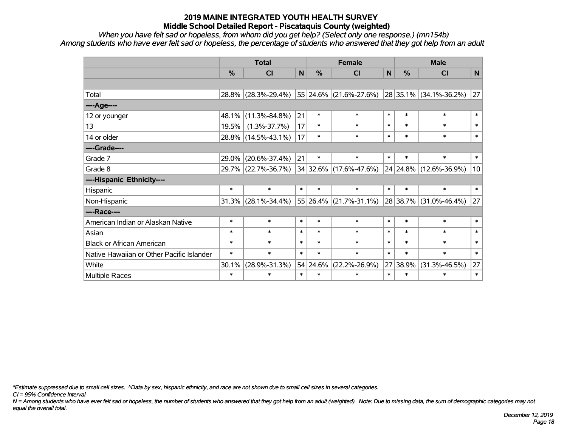*When you have felt sad or hopeless, from whom did you get help? (Select only one response.) (mn154b) Among students who have ever felt sad or hopeless, the percentage of students who answered that they got help from an adult*

|                                           |        | <b>Total</b>        |        |               | <b>Female</b>              |        |               | <b>Male</b>                 |        |        |             |                     |        |        |        |  |  |  |  |  |  |  |  |  |  |  |        |        |        |
|-------------------------------------------|--------|---------------------|--------|---------------|----------------------------|--------|---------------|-----------------------------|--------|--------|-------------|---------------------|--------|--------|--------|--|--|--|--|--|--|--|--|--|--|--|--------|--------|--------|
|                                           | $\%$   | CI                  | N      | $\frac{0}{0}$ | <b>CI</b>                  | N      | $\frac{0}{0}$ | <b>CI</b>                   | N      |        |             |                     |        |        |        |  |  |  |  |  |  |  |  |  |  |  |        |        |        |
|                                           |        |                     |        |               |                            |        |               |                             |        |        |             |                     |        |        |        |  |  |  |  |  |  |  |  |  |  |  |        |        |        |
| Total                                     |        | 28.8% (28.3%-29.4%) |        |               | 55 24.6% (21.6%-27.6%)     |        |               | $ 28 35.1\% $ (34.1%-36.2%) | 27     |        |             |                     |        |        |        |  |  |  |  |  |  |  |  |  |  |  |        |        |        |
| ----Age----                               |        |                     |        |               |                            |        |               |                             |        |        |             |                     |        |        |        |  |  |  |  |  |  |  |  |  |  |  |        |        |        |
| 12 or younger                             | 48.1%  | $(11.3\% - 84.8\%)$ | 21     | $\ast$        | $\ast$                     | $\ast$ | $\ast$        | $\ast$                      | $\ast$ |        |             |                     |        |        |        |  |  |  |  |  |  |  |  |  |  |  |        |        |        |
| 13                                        | 19.5%  | $(1.3\% - 37.7\%)$  | 17     | $\ast$        | $\ast$                     | $\ast$ | $\ast$        | $\ast$                      | $\ast$ |        |             |                     |        |        |        |  |  |  |  |  |  |  |  |  |  |  |        |        |        |
| 14 or older                               | 28.8%  | $(14.5\% - 43.1\%)$ | 17     | $\ast$        | $\ast$                     | $\ast$ | $\ast$        | $\ast$                      | $\ast$ |        |             |                     |        |        |        |  |  |  |  |  |  |  |  |  |  |  |        |        |        |
| ----Grade----                             |        |                     |        |               |                            |        |               |                             |        |        |             |                     |        |        |        |  |  |  |  |  |  |  |  |  |  |  |        |        |        |
| Grade 7                                   | 29.0%  | $(20.6\% - 37.4\%)$ | 21     | $\ast$        | $\ast$                     |        |               |                             | $\ast$ | $\ast$ | $\ast$      |                     |        |        |        |  |  |  |  |  |  |  |  |  |  |  |        |        |        |
| Grade 8                                   |        | 29.7% (22.7%-36.7%) |        |               | $34 32.6\% $ (17.6%-47.6%) |        |               | $ 24 24.8\% $ (12.6%-36.9%) | 10     |        |             |                     |        |        |        |  |  |  |  |  |  |  |  |  |  |  |        |        |        |
| ----Hispanic Ethnicity----                |        |                     |        |               |                            |        |               |                             |        |        |             |                     |        |        |        |  |  |  |  |  |  |  |  |  |  |  |        |        |        |
| Hispanic                                  | $\ast$ | $\ast$              | $\ast$ | $\ast$        | $\ast$                     | $\ast$ | $\ast$        | $\ast$                      | $\ast$ |        |             |                     |        |        |        |  |  |  |  |  |  |  |  |  |  |  |        |        |        |
| Non-Hispanic                              | 31.3%  | $(28.1\% - 34.4\%)$ |        |               | 55 26.4% (21.7%-31.1%)     |        |               | 28 38.7% (31.0%-46.4%)      | 27     |        |             |                     |        |        |        |  |  |  |  |  |  |  |  |  |  |  |        |        |        |
| ----Race----                              |        |                     |        |               |                            |        |               |                             |        |        |             |                     |        |        |        |  |  |  |  |  |  |  |  |  |  |  |        |        |        |
| American Indian or Alaskan Native         | $\ast$ | $\ast$              | $\ast$ | $\ast$        | $\ast$                     | $\ast$ | $\ast$        | $\ast$                      | $\ast$ |        |             |                     |        |        |        |  |  |  |  |  |  |  |  |  |  |  |        |        |        |
| Asian                                     | $\ast$ | $\ast$              | $\ast$ | $\ast$        | $\ast$                     |        |               |                             |        |        |             |                     |        |        |        |  |  |  |  |  |  |  |  |  |  |  | $\ast$ | $\ast$ | $\ast$ |
| <b>Black or African American</b>          | $\ast$ | $\ast$              | $\ast$ | $\ast$        | $\ast$                     |        |               |                             |        |        |             |                     | $\ast$ | $\ast$ | $\ast$ |  |  |  |  |  |  |  |  |  |  |  |        |        |        |
| Native Hawaiian or Other Pacific Islander | $\ast$ | $\ast$              | $\ast$ | $\ast$        | $\ast$                     |        |               |                             |        |        |             |                     |        |        |        |  |  |  |  |  |  |  |  |  |  |  | $\ast$ | $\ast$ | $\ast$ |
| White                                     | 30.1%  | $(28.9\% - 31.3\%)$ |        | 54 24.6%      | $(22.2\% - 26.9\%)$        |        |               |                             |        |        | 27<br>38.9% | $(31.3\% - 46.5\%)$ | 27     |        |        |  |  |  |  |  |  |  |  |  |  |  |        |        |        |
| Multiple Races                            | $\ast$ | $\ast$              | $\ast$ | $\ast$        | $\ast$                     | $\ast$ | $\ast$        | $\ast$                      | $\ast$ |        |             |                     |        |        |        |  |  |  |  |  |  |  |  |  |  |  |        |        |        |

*\*Estimate suppressed due to small cell sizes. ^Data by sex, hispanic ethnicity, and race are not shown due to small cell sizes in several categories.*

*CI = 95% Confidence Interval*

*N = Among students who have ever felt sad or hopeless, the number of students who answered that they got help from an adult (weighted). Note: Due to missing data, the sum of demographic categories may not equal the overall total.*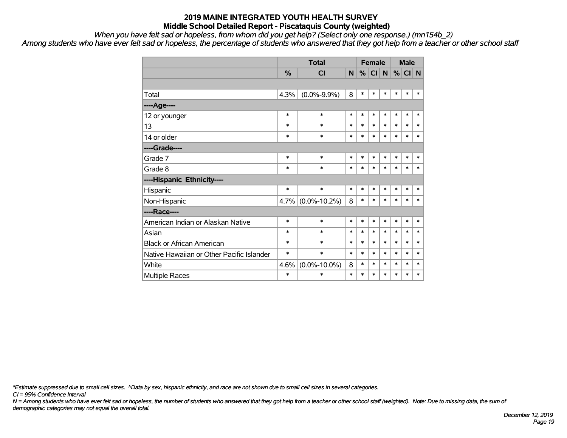*When you have felt sad or hopeless, from whom did you get help? (Select only one response.) (mn154b\_2)*

*Among students who have ever felt sad or hopeless, the percentage of students who answered that they got help from a teacher or other school staff*

|                                           |               | <b>Total</b>       |        |        | <b>Female</b> |        |        | <b>Male</b> |        |
|-------------------------------------------|---------------|--------------------|--------|--------|---------------|--------|--------|-------------|--------|
|                                           | $\frac{0}{2}$ | <b>CI</b>          | N      | %      | CI N          |        | %      | CI N        |        |
|                                           |               |                    |        |        |               |        |        |             |        |
| Total                                     | 4.3%          | $(0.0\% - 9.9\%)$  | 8      | $\ast$ | $\ast$        | $\ast$ | $\ast$ | $\ast$      | $\ast$ |
| ----Age----                               |               |                    |        |        |               |        |        |             |        |
| 12 or younger                             | $\ast$        | $\ast$             | $\ast$ | $\ast$ | $\ast$        | $\ast$ | $\ast$ | $\ast$      | $\ast$ |
| 13                                        | $\ast$        | $\ast$             | $\ast$ | $\ast$ | $\ast$        | $\ast$ | $\ast$ | $\ast$      | $\ast$ |
| 14 or older                               | *             | $\ast$             | $\ast$ | $\ast$ | $\ast$        | $\ast$ | $\ast$ | $\ast$      | $\ast$ |
| ----Grade----                             |               |                    |        |        |               |        |        |             |        |
| Grade 7                                   | $\ast$        | $\ast$             | $\ast$ | $\ast$ | $\ast$        | $\ast$ | $\ast$ | $\ast$      | $\ast$ |
| Grade 8                                   | $\ast$        | $\ast$             | $\ast$ | $\ast$ | $\ast$        | $\ast$ | $\ast$ | $\ast$      | $\ast$ |
| ----Hispanic Ethnicity----                |               |                    |        |        |               |        |        |             |        |
| Hispanic                                  | $\ast$        | $\ast$             | $\ast$ | $\ast$ | $\ast$        | $\ast$ | $\ast$ | $\ast$      | $\ast$ |
| Non-Hispanic                              | 4.7%          | $(0.0\% - 10.2\%)$ | 8      | $\ast$ | $\ast$        | $\ast$ | $\ast$ | $\ast$      | *      |
| ----Race----                              |               |                    |        |        |               |        |        |             |        |
| American Indian or Alaskan Native         | *             | $\ast$             | *      | $\ast$ | $\ast$        | $\ast$ | $\ast$ | $\ast$      | $\ast$ |
| Asian                                     | $\ast$        | $\ast$             | $\ast$ | $\ast$ | $\ast$        | $\ast$ | $\ast$ | $\ast$      | $\ast$ |
| <b>Black or African American</b>          | *             | $\ast$             | $\ast$ | $\ast$ | $\ast$        | $\ast$ | $\ast$ | $\ast$      | $\ast$ |
| Native Hawaiian or Other Pacific Islander | $\ast$        | $\ast$             | $\ast$ | $\ast$ | $\ast$        | $\ast$ | $\ast$ | $\ast$      | $\ast$ |
| White                                     | 4.6%          | $(0.0\% - 10.0\%)$ | 8      | *      | $\ast$        | $\ast$ | $\ast$ | $\ast$      | *      |
| <b>Multiple Races</b>                     | $\ast$        | $\ast$             | $\ast$ | $\ast$ | $\ast$        | $\ast$ | $\ast$ | $\ast$      | $\ast$ |

*\*Estimate suppressed due to small cell sizes. ^Data by sex, hispanic ethnicity, and race are not shown due to small cell sizes in several categories.*

*CI = 95% Confidence Interval*

*N = Among students who have ever felt sad or hopeless, the number of students who answered that they got help from a teacher or other school staff (weighted). Note: Due to missing data, the sum of demographic categories may not equal the overall total.*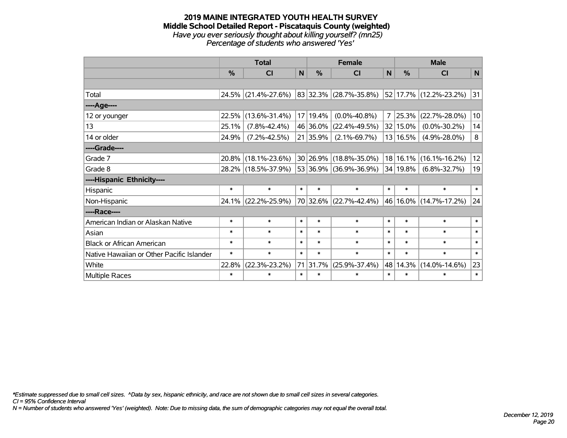#### **2019 MAINE INTEGRATED YOUTH HEALTH SURVEY Middle School Detailed Report - Piscataquis County (weighted)** *Have you ever seriously thought about killing yourself? (mn25) Percentage of students who answered 'Yes'*

|                                           |        | <b>Total</b>        | <b>Female</b> |          |                             |                | <b>Male</b>   |                        |             |  |        |        |        |
|-------------------------------------------|--------|---------------------|---------------|----------|-----------------------------|----------------|---------------|------------------------|-------------|--|--------|--------|--------|
|                                           | %      | <b>CI</b>           | $\mathsf{N}$  | %        | <b>CI</b>                   | N              | $\frac{0}{0}$ | <b>CI</b>              | $\mathbf N$ |  |        |        |        |
|                                           |        |                     |               |          |                             |                |               |                        |             |  |        |        |        |
| Total                                     |        | 24.5% (21.4%-27.6%) |               |          | $ 83 32.3\% $ (28.7%-35.8%) |                |               | 52 17.7% (12.2%-23.2%) | 31          |  |        |        |        |
| ----Age----                               |        |                     |               |          |                             |                |               |                        |             |  |        |        |        |
| 12 or younger                             | 22.5%  | $(13.6\% - 31.4\%)$ |               | 17 19.4% | $(0.0\% - 40.8\%)$          | $\overline{7}$ | 25.3%         | $(22.7\% - 28.0\%)$    | 10          |  |        |        |        |
| 13                                        | 25.1%  | $(7.8\% - 42.4\%)$  |               | 46 36.0% | $(22.4\% - 49.5\%)$         |                | 32 15.0%      | $(0.0\% - 30.2\%)$     | 14          |  |        |        |        |
| 14 or older                               | 24.9%  | $(7.2\% - 42.5\%)$  |               | 21 35.9% | $(2.1\% - 69.7\%)$          |                | 13 16.5%      | $(4.9\% - 28.0\%)$     | 8           |  |        |        |        |
| ----Grade----                             |        |                     |               |          |                             |                |               |                        |             |  |        |        |        |
| Grade 7                                   | 20.8%  | $(18.1\% - 23.6\%)$ |               | 30 26.9% | $(18.8\% - 35.0\%)$         |                |               | 18 16.1% (16.1%-16.2%) | 12          |  |        |        |        |
| Grade 8                                   |        | 28.2% (18.5%-37.9%) |               |          | 53 36.9% (36.9%-36.9%)      |                | 34 19.8%      | $(6.8\% - 32.7\%)$     | 19          |  |        |        |        |
| ----Hispanic Ethnicity----                |        |                     |               |          |                             |                |               |                        |             |  |        |        |        |
| Hispanic                                  | $\ast$ | $\ast$              | $\ast$        | $\ast$   | $\ast$                      | $\ast$         | $\ast$        | $\ast$                 | $\ast$      |  |        |        |        |
| Non-Hispanic                              | 24.1%  | $(22.2\% - 25.9\%)$ |               |          | 70 32.6% (22.7%-42.4%)      |                |               | 46 16.0% (14.7%-17.2%) | 24          |  |        |        |        |
| ----Race----                              |        |                     |               |          |                             |                |               |                        |             |  |        |        |        |
| American Indian or Alaskan Native         | $\ast$ | $\ast$              | $\ast$        | $\ast$   | $\ast$                      | $\ast$         | $\ast$        | $\ast$                 | $\ast$      |  |        |        |        |
| Asian                                     | $\ast$ | $\ast$              | $\ast$        | $\ast$   | $\ast$                      | $\ast$         | $\ast$        | $\ast$                 | $\ast$      |  |        |        |        |
| <b>Black or African American</b>          | $\ast$ | $\ast$              | $\ast$        | $\ast$   | $\ast$                      | $\ast$         | $\ast$        | $\ast$                 | $\ast$      |  |        |        |        |
| Native Hawaiian or Other Pacific Islander | $\ast$ | $\ast$              | $\ast$        | $\ast$   | $\ast$                      |                |               |                        |             |  | $\ast$ | $\ast$ | $\ast$ |
| White                                     | 22.8%  | $(22.3\% - 23.2\%)$ |               | 71 31.7% | $(25.9\% - 37.4\%)$         | 48             | 14.3%         | $(14.0\% - 14.6\%)$    | 23          |  |        |        |        |
| Multiple Races                            | $\ast$ | $\ast$              | $\ast$        | $\ast$   | $\ast$                      | $\ast$         | $\ast$        | $\ast$                 | $\ast$      |  |        |        |        |

*\*Estimate suppressed due to small cell sizes. ^Data by sex, hispanic ethnicity, and race are not shown due to small cell sizes in several categories.*

*CI = 95% Confidence Interval*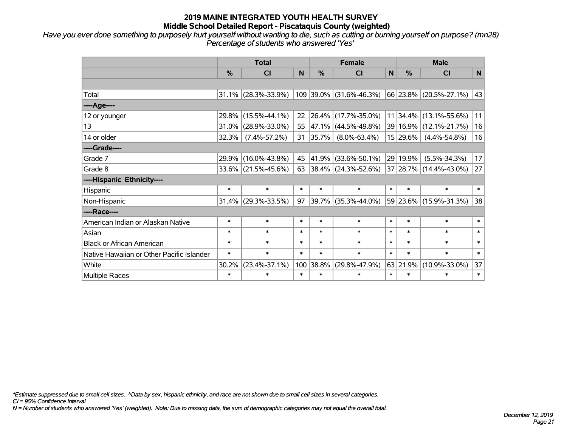*Have you ever done something to purposely hurt yourself without wanting to die, such as cutting or burning yourself on purpose? (mn28) Percentage of students who answered 'Yes'*

|                                           | <b>Total</b> |                        |        |               | <b>Female</b>            | <b>Male</b> |               |                           |              |  |
|-------------------------------------------|--------------|------------------------|--------|---------------|--------------------------|-------------|---------------|---------------------------|--------------|--|
|                                           | %            | CI                     | N      | $\frac{0}{0}$ | CI                       | $\mathbf N$ | $\frac{0}{0}$ | <b>CI</b>                 | $\mathsf{N}$ |  |
|                                           |              |                        |        |               |                          |             |               |                           |              |  |
| Total                                     |              | $31.1\%$ (28.3%-33.9%) |        |               | 109 39.0% (31.6%-46.3%)  |             |               | 66 23.8% (20.5%-27.1%)    | 43           |  |
| ----Age----                               |              |                        |        |               |                          |             |               |                           |              |  |
| 12 or younger                             | 29.8%        | $(15.5\% - 44.1\%)$    | 22     |               | 26.4% (17.7%-35.0%)      |             |               | $11$  34.4% (13.1%-55.6%) | 11           |  |
| 13                                        | 31.0%        | $(28.9\% - 33.0\%)$    | 55     |               | 47.1% (44.5%-49.8%)      |             |               | 39 16.9% (12.1%-21.7%)    | 16           |  |
| 14 or older                               | 32.3%        | $(7.4\% - 57.2\%)$     | 31     | $ 35.7\% $    | $(8.0\% - 63.4\%)$       |             | 15 29.6%      | $(4.4\% - 54.8\%)$        | 16           |  |
| ----Grade----                             |              |                        |        |               |                          |             |               |                           |              |  |
| Grade 7                                   | 29.9%        | $(16.0\% - 43.8\%)$    | 45     | $ 41.9\% $    | $(33.6\% - 50.1\%)$      |             | 29 19.9%      | $(5.5\% - 34.3\%)$        | 17           |  |
| Grade 8                                   |              | 33.6% (21.5%-45.6%)    | 63     |               | $ 38.4\% $ (24.3%-52.6%) |             |               | 37 28.7% (14.4%-43.0%)    | 27           |  |
| ----Hispanic Ethnicity----                |              |                        |        |               |                          |             |               |                           |              |  |
| Hispanic                                  | $\ast$       | $\ast$                 | $\ast$ | $\ast$        | $\ast$                   | $\ast$      | $\ast$        | $\ast$                    | $\ast$       |  |
| Non-Hispanic                              |              | $31.4\%$ (29.3%-33.5%) | 97     |               | 39.7% (35.3%-44.0%)      |             |               | 59 23.6% (15.9%-31.3%)    | 38           |  |
| ----Race----                              |              |                        |        |               |                          |             |               |                           |              |  |
| American Indian or Alaskan Native         | $\ast$       | $\ast$                 | $\ast$ | $\ast$        | $\ast$                   | $\ast$      | $\ast$        | $\ast$                    | $\ast$       |  |
| Asian                                     | $\ast$       | $\ast$                 | $\ast$ | $\ast$        | $\ast$                   | $\ast$      | $\ast$        | $\ast$                    | $\ast$       |  |
| <b>Black or African American</b>          | $\ast$       | $\ast$                 | $\ast$ | $\ast$        | $\ast$                   | $\ast$      | $\ast$        | $\ast$                    | $\ast$       |  |
| Native Hawaiian or Other Pacific Islander | $\ast$       | $\ast$                 | $\ast$ | $\ast$        | $\ast$                   | $\ast$      | $\ast$        | $\ast$                    | $\ast$       |  |
| White                                     | 30.2%        | $(23.4\% - 37.1\%)$    |        | 100 38.8%     | $(29.8\% - 47.9\%)$      | 63          | 21.9%         | $(10.9\% - 33.0\%)$       | 37           |  |
| Multiple Races                            | $\ast$       | $\ast$                 | $\ast$ | $\ast$        | $\ast$                   | $\ast$      | $\ast$        | $\ast$                    | $\ast$       |  |

*\*Estimate suppressed due to small cell sizes. ^Data by sex, hispanic ethnicity, and race are not shown due to small cell sizes in several categories.*

*CI = 95% Confidence Interval*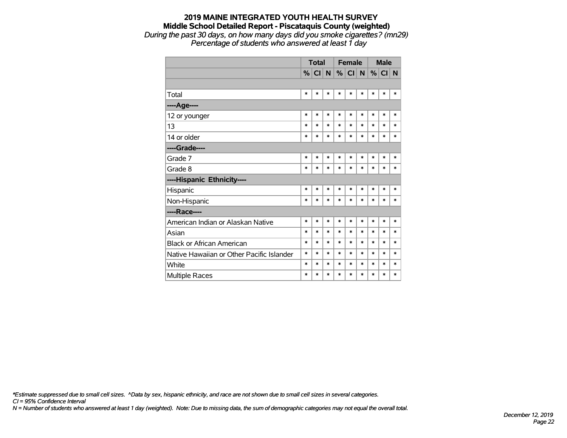#### **2019 MAINE INTEGRATED YOUTH HEALTH SURVEY Middle School Detailed Report - Piscataquis County (weighted)** *During the past 30 days, on how many days did you smoke cigarettes? (mn29) Percentage of students who answered at least 1 day*

|                                           | <b>Total</b> |        |        |        | <b>Female</b>   |        | <b>Male</b> |        |        |
|-------------------------------------------|--------------|--------|--------|--------|-----------------|--------|-------------|--------|--------|
|                                           |              | % CI   | N      | %      | Cl <sub>1</sub> | N      | $\%$        | CI N   |        |
|                                           |              |        |        |        |                 |        |             |        |        |
| Total                                     | $\ast$       | *      | $\ast$ | $\ast$ | $\ast$          | $\ast$ | $\ast$      | $\ast$ | $\ast$ |
| ----Age----                               |              |        |        |        |                 |        |             |        |        |
| 12 or younger                             | $\ast$       | $\ast$ | $\ast$ | $\ast$ | $\ast$          | $\ast$ | $\ast$      | $\ast$ | $\ast$ |
| 13                                        | $\ast$       | $\ast$ | $\ast$ | $\ast$ | $\ast$          | $\ast$ | $\ast$      | $\ast$ | $\ast$ |
| 14 or older                               | $\ast$       | *      | $\ast$ | $\ast$ | $\ast$          | $\ast$ | $\ast$      | $\ast$ | $\ast$ |
| ----Grade----                             |              |        |        |        |                 |        |             |        |        |
| Grade 7                                   | $\ast$       | $\ast$ | $\ast$ | $\ast$ | $\ast$          | $\ast$ | $\ast$      | $\ast$ | $\ast$ |
| Grade 8                                   | $\ast$       | $\ast$ | $\ast$ | $\ast$ | $\ast$          | $\ast$ | $\ast$      | $\ast$ | $\ast$ |
| ----Hispanic Ethnicity----                |              |        |        |        |                 |        |             |        |        |
| Hispanic                                  | $\ast$       | $\ast$ | $\ast$ | $\ast$ | $\ast$          | $\ast$ | $\ast$      | $\ast$ | $\ast$ |
| Non-Hispanic                              | $\ast$       | $\ast$ | $\ast$ | $\ast$ | $\ast$          | $\ast$ | $\ast$      | $\ast$ | $\ast$ |
| ----Race----                              |              |        |        |        |                 |        |             |        |        |
| American Indian or Alaskan Native         | $\ast$       | $\ast$ | $\ast$ | $\ast$ | $\ast$          | $\ast$ | $\ast$      | $\ast$ | $\ast$ |
| Asian                                     | $\ast$       | $\ast$ | $\ast$ | $\ast$ | $\ast$          | $\ast$ | $\ast$      | $\ast$ | $\ast$ |
| <b>Black or African American</b>          | $\ast$       | $\ast$ | $\ast$ | $\ast$ | $\ast$          | $\ast$ | $\ast$      | $\ast$ | $\ast$ |
| Native Hawaiian or Other Pacific Islander | $\ast$       | $\ast$ | $\ast$ | $\ast$ | *               | $\ast$ | *           | *      | $\ast$ |
| White                                     | $\ast$       | $\ast$ | $\ast$ | $\ast$ | *               | $\ast$ | $\ast$      | *      | $\ast$ |
| Multiple Races                            | $\ast$       | $\ast$ | $\ast$ | $\ast$ | *               | $\ast$ | *           | *      | *      |

*\*Estimate suppressed due to small cell sizes. ^Data by sex, hispanic ethnicity, and race are not shown due to small cell sizes in several categories.*

*CI = 95% Confidence Interval*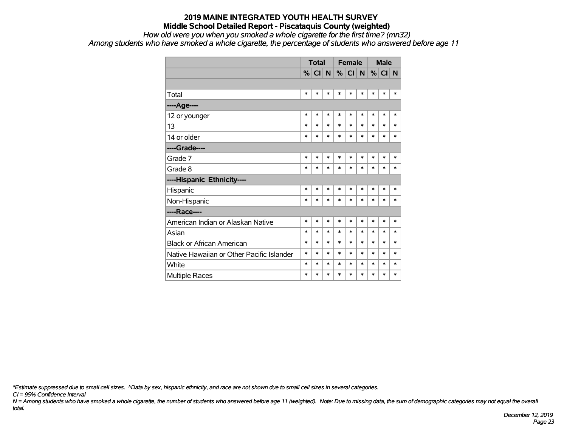*How old were you when you smoked a whole cigarette for the first time? (mn32)*

*Among students who have smoked a whole cigarette, the percentage of students who answered before age 11*

|                                           | <b>Total</b> |        |        |        | <b>Female</b> |        | <b>Male</b> |        |        |
|-------------------------------------------|--------------|--------|--------|--------|---------------|--------|-------------|--------|--------|
|                                           | %            | CI N   |        | %      | CI            | N      |             | % CI N |        |
|                                           |              |        |        |        |               |        |             |        |        |
| Total                                     | $\ast$       | $\ast$ | $\ast$ | $\ast$ | $\ast$        | $\ast$ | $\ast$      | $\ast$ | $\ast$ |
| ----Age----                               |              |        |        |        |               |        |             |        |        |
| 12 or younger                             | $\ast$       | $\ast$ | $\ast$ | $\ast$ | *             | $\ast$ | $\ast$      | $\ast$ | $\ast$ |
| 13                                        | $\ast$       | $\ast$ | $\ast$ | $\ast$ | *             | $\ast$ | *           | $\ast$ | $\ast$ |
| 14 or older                               | $\ast$       | $\ast$ | $\ast$ | $\ast$ | $\ast$        | $\ast$ | $\ast$      | $\ast$ | $\ast$ |
| ----Grade----                             |              |        |        |        |               |        |             |        |        |
| Grade 7                                   | $\ast$       | $\ast$ | $\ast$ | $\ast$ | $\ast$        | $\ast$ | $\ast$      | $\ast$ | *      |
| Grade 8                                   | $\ast$       | $\ast$ | $\ast$ | $\ast$ | *             | $\ast$ | $\ast$      | $\ast$ | *      |
| ----Hispanic Ethnicity----                |              |        |        |        |               |        |             |        |        |
| Hispanic                                  | $\ast$       | $\ast$ | $\ast$ | $\ast$ | $\ast$        | $\ast$ | $\ast$      | $\ast$ | $\ast$ |
| Non-Hispanic                              | $\ast$       | $\ast$ | $\ast$ | $\ast$ | $\ast$        | $\ast$ | $\ast$      | *      | *      |
| ----Race----                              |              |        |        |        |               |        |             |        |        |
| American Indian or Alaskan Native         | $\ast$       | $\ast$ | $\ast$ | $\ast$ | *             | $\ast$ | *           | $\ast$ | $\ast$ |
| Asian                                     | $\ast$       | $\ast$ | $\ast$ | $\ast$ | *             | $\ast$ | $\ast$      | $\ast$ | $\ast$ |
| <b>Black or African American</b>          | $\ast$       | $\ast$ | $\ast$ | $\ast$ | $\ast$        | $\ast$ | $\ast$      | $\ast$ | $\ast$ |
| Native Hawaiian or Other Pacific Islander | $\ast$       | $\ast$ | $\ast$ | $\ast$ | *             | $\ast$ | $\ast$      | $\ast$ | $\ast$ |
| White                                     | $\ast$       | $\ast$ | *      | $\ast$ | $\ast$        | $\ast$ | *           | *      | *      |
| <b>Multiple Races</b>                     | $\ast$       | $\ast$ | $\ast$ | $\ast$ | $\ast$        | $\ast$ | $\ast$      | $\ast$ | $\ast$ |

*\*Estimate suppressed due to small cell sizes. ^Data by sex, hispanic ethnicity, and race are not shown due to small cell sizes in several categories.*

*CI = 95% Confidence Interval*

*N = Among students who have smoked a whole cigarette, the number of students who answered before age 11 (weighted). Note: Due to missing data, the sum of demographic categories may not equal the overall total.*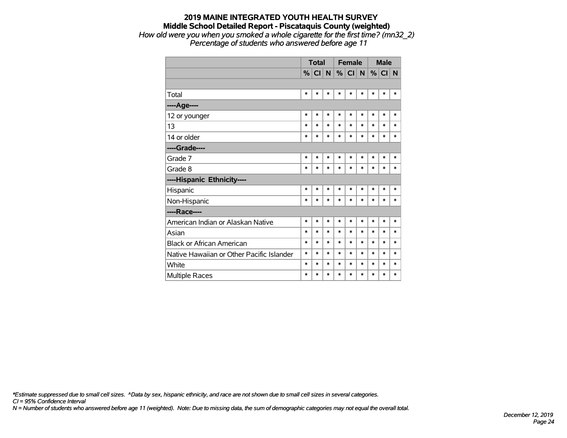#### **2019 MAINE INTEGRATED YOUTH HEALTH SURVEY Middle School Detailed Report - Piscataquis County (weighted)** *How old were you when you smoked a whole cigarette for the first time? (mn32\_2) Percentage of students who answered before age 11*

|                                           | <b>Total</b>  |        |        |          | <b>Female</b>   |        | <b>Male</b> |        |        |
|-------------------------------------------|---------------|--------|--------|----------|-----------------|--------|-------------|--------|--------|
|                                           | $\frac{9}{6}$ | CI     | N      | $% \mid$ | Cl <sub>1</sub> | N      | %           | CI N   |        |
|                                           |               |        |        |          |                 |        |             |        |        |
| Total                                     | $\ast$        | *      | *      | $\ast$   | *               | $\ast$ | $\ast$      | $\ast$ | $\ast$ |
| ----Age----                               |               |        |        |          |                 |        |             |        |        |
| 12 or younger                             | $\ast$        | $\ast$ | $\ast$ | $\ast$   | $\ast$          | $\ast$ | $\ast$      | $\ast$ | $\ast$ |
| 13                                        | $\ast$        | *      | $\ast$ | $\ast$   | $\ast$          | $\ast$ | $\ast$      | $\ast$ | $\ast$ |
| 14 or older                               | $\ast$        | *      | $\ast$ | $\ast$   | $\ast$          | $\ast$ | $\ast$      | $\ast$ | $\ast$ |
| ----Grade----                             |               |        |        |          |                 |        |             |        |        |
| Grade 7                                   | $\ast$        | $\ast$ | $\ast$ | $\ast$   | $\ast$          | $\ast$ | $\ast$      | $\ast$ | $\ast$ |
| Grade 8                                   | $\ast$        | *      | $\ast$ | $\ast$   | $\ast$          | $\ast$ | $\ast$      | $\ast$ | $\ast$ |
| ----Hispanic Ethnicity----                |               |        |        |          |                 |        |             |        |        |
| Hispanic                                  | $\ast$        | *      | $\ast$ | $\ast$   | $\ast$          | $\ast$ | $\ast$      | $\ast$ | *      |
| Non-Hispanic                              | $\ast$        | *      | $\ast$ | $\ast$   | $\ast$          | $\ast$ | $\ast$      | $\ast$ | $\ast$ |
| ----Race----                              |               |        |        |          |                 |        |             |        |        |
| American Indian or Alaskan Native         | $\ast$        | $\ast$ | $\ast$ | $\ast$   | $\ast$          | $\ast$ | $\ast$      | $\ast$ | $\ast$ |
| Asian                                     | $\ast$        | *      | $\ast$ | $\ast$   | $\ast$          | $\ast$ | $\ast$      | $\ast$ | $\ast$ |
| <b>Black or African American</b>          | $\ast$        | $\ast$ | $\ast$ | $\ast$   | $\ast$          | $\ast$ | $\ast$      | $\ast$ | $\ast$ |
| Native Hawaiian or Other Pacific Islander | $\ast$        | *      | $\ast$ | $\ast$   | $\ast$          | $\ast$ | $\ast$      | $\ast$ | $\ast$ |
| White                                     | $\ast$        | *      | $\ast$ | $\ast$   | $\ast$          | $\ast$ | *           | $\ast$ | $\ast$ |
| Multiple Races                            | $\ast$        | *      | $\ast$ | $\ast$   | $\ast$          | $\ast$ | $\ast$      | $\ast$ | $\ast$ |

*\*Estimate suppressed due to small cell sizes. ^Data by sex, hispanic ethnicity, and race are not shown due to small cell sizes in several categories.*

*CI = 95% Confidence Interval*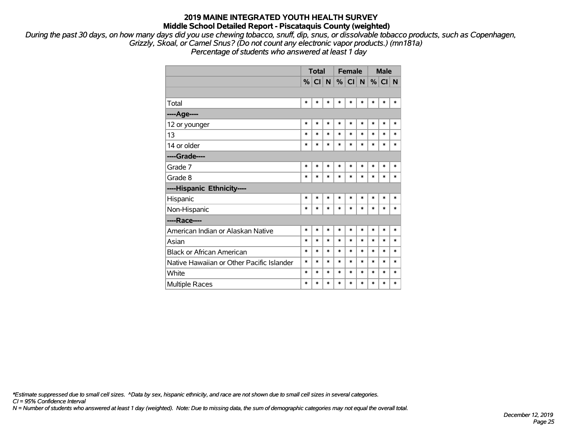*During the past 30 days, on how many days did you use chewing tobacco, snuff, dip, snus, or dissolvable tobacco products, such as Copenhagen, Grizzly, Skoal, or Camel Snus? (Do not count any electronic vapor products.) (mn181a)*

*Percentage of students who answered at least 1 day*

|                                           | <b>Total</b> |        |        |        | <b>Female</b> |        | <b>Male</b> |          |        |
|-------------------------------------------|--------------|--------|--------|--------|---------------|--------|-------------|----------|--------|
|                                           | $\%$         | CI     | N      | %      | CI            | N      |             | %  CI  N |        |
|                                           |              |        |        |        |               |        |             |          |        |
| Total                                     | $\ast$       | $\ast$ | *      | $\ast$ | *             | $\ast$ | $\ast$      | $\ast$   | $\ast$ |
| ----Age----                               |              |        |        |        |               |        |             |          |        |
| 12 or younger                             | *            | $\ast$ | $\ast$ | $\ast$ | $\ast$        | $\ast$ | $\ast$      | $\ast$   | $\ast$ |
| 13                                        | $\ast$       | $\ast$ | $\ast$ | $\ast$ | *             | $\ast$ | $\ast$      | $\ast$   | $\ast$ |
| 14 or older                               | $\ast$       | $\ast$ | $\ast$ | $\ast$ | $\ast$        | $\ast$ | $\ast$      | $\ast$   | $\ast$ |
| ----Grade----                             |              |        |        |        |               |        |             |          |        |
| Grade 7                                   | $\ast$       | $\ast$ | $\ast$ | $\ast$ | $\ast$        | $\ast$ | $\ast$      | $\ast$   | $\ast$ |
| Grade 8                                   | $\ast$       | $\ast$ | $\ast$ | $\ast$ | $\ast$        | $\ast$ | $\ast$      | $\ast$   | $\ast$ |
| ----Hispanic Ethnicity----                |              |        |        |        |               |        |             |          |        |
| Hispanic                                  | *            | $\ast$ | *      | $\ast$ | $\ast$        | $\ast$ | $\ast$      | $\ast$   | $\ast$ |
| Non-Hispanic                              | *            | $\ast$ | *      | *      | $\ast$        | $\ast$ | $\ast$      | *        | $\ast$ |
| ----Race----                              |              |        |        |        |               |        |             |          |        |
| American Indian or Alaskan Native         | $\ast$       | $\ast$ | $\ast$ | $\ast$ | $\ast$        | $\ast$ | $\ast$      | $\ast$   | $\ast$ |
| Asian                                     | $\ast$       | $\ast$ | $\ast$ | $\ast$ | $\ast$        | $\ast$ | $\ast$      | $\ast$   | $\ast$ |
| <b>Black or African American</b>          | $\ast$       | $\ast$ | $\ast$ | $\ast$ | $\ast$        | $\ast$ | $\ast$      | $\ast$   | $\ast$ |
| Native Hawaiian or Other Pacific Islander | *            | $\ast$ | $\ast$ | *      | $\ast$        | $\ast$ | $\ast$      | $\ast$   | $\ast$ |
| White                                     | $\ast$       | $\ast$ | $\ast$ | $\ast$ | $\ast$        | $\ast$ | $\ast$      | $\ast$   | $\ast$ |
| <b>Multiple Races</b>                     | *            | *      | *      | ∗      | $\ast$        | $\ast$ | $\ast$      | *        | $\ast$ |

*\*Estimate suppressed due to small cell sizes. ^Data by sex, hispanic ethnicity, and race are not shown due to small cell sizes in several categories.*

*CI = 95% Confidence Interval*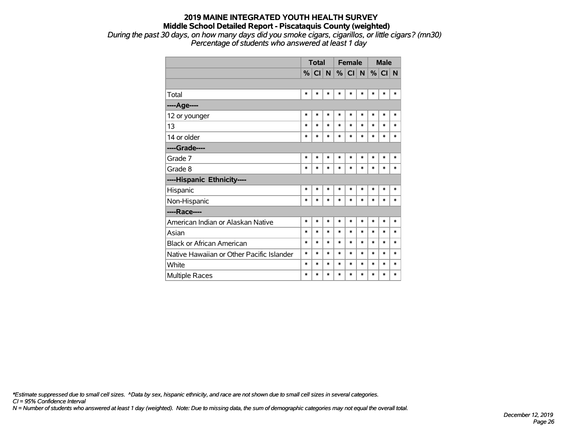*During the past 30 days, on how many days did you smoke cigars, cigarillos, or little cigars? (mn30) Percentage of students who answered at least 1 day*

|                                           |        | <b>Total</b> |        |        | <b>Female</b> |        | <b>Male</b> |        |        |
|-------------------------------------------|--------|--------------|--------|--------|---------------|--------|-------------|--------|--------|
|                                           | $\%$   | CI N         |        |        | %  CI  N      |        | %           | CI N   |        |
|                                           |        |              |        |        |               |        |             |        |        |
| Total                                     | $\ast$ | $\ast$       | $\ast$ | $\ast$ | $\ast$        | $\ast$ | $\ast$      | $\ast$ | $\ast$ |
| ---- Age----                              |        |              |        |        |               |        |             |        |        |
| 12 or younger                             | $\ast$ | *            | $\ast$ | $\ast$ | $\ast$        | $\ast$ | $\ast$      | $\ast$ | $\ast$ |
| 13                                        | $\ast$ | $\ast$       | $\ast$ | $\ast$ | $\ast$        | $\ast$ | *           | $\ast$ | $\ast$ |
| 14 or older                               | $\ast$ | *            | $\ast$ | $\ast$ | $\ast$        | $\ast$ | $\ast$      | $\ast$ | $\ast$ |
| ----Grade----                             |        |              |        |        |               |        |             |        |        |
| Grade 7                                   | $\ast$ | *            | $\ast$ | $\ast$ | $\ast$        | $\ast$ | $\ast$      | $\ast$ | $\ast$ |
| Grade 8                                   | $\ast$ | *            | $\ast$ | $\ast$ | $\ast$        | $\ast$ | $\ast$      | $\ast$ | $\ast$ |
| ----Hispanic Ethnicity----                |        |              |        |        |               |        |             |        |        |
| Hispanic                                  | $\ast$ | $\ast$       | $\ast$ | $\ast$ | $\ast$        | $\ast$ | $\ast$      | $\ast$ | $\ast$ |
| Non-Hispanic                              | $\ast$ | $\ast$       | $\ast$ | $\ast$ | $\ast$        | $\ast$ | $\ast$      | $\ast$ | $\ast$ |
| ----Race----                              |        |              |        |        |               |        |             |        |        |
| American Indian or Alaskan Native         | $\ast$ | $\ast$       | $\ast$ | $\ast$ | $\ast$        | $\ast$ | $\ast$      | $\ast$ | $\ast$ |
| Asian                                     | $\ast$ | *            | $\ast$ | $\ast$ | $\ast$        | $\ast$ | $\ast$      | $\ast$ | $\ast$ |
| <b>Black or African American</b>          | $\ast$ | *            | $\ast$ | $\ast$ | $\ast$        | $\ast$ | $\ast$      | $\ast$ | $\ast$ |
| Native Hawaiian or Other Pacific Islander | $\ast$ | $\ast$       | $\ast$ | $\ast$ | $\ast$        | $\ast$ | $\ast$      | $\ast$ | $\ast$ |
| White                                     | *      | *            | $\ast$ | *      | *             | $\ast$ | $\ast$      | $\ast$ | $\ast$ |
| <b>Multiple Races</b>                     | $\ast$ | $\ast$       | $\ast$ | $\ast$ | $\ast$        | $\ast$ | $\ast$      | $\ast$ | $\ast$ |

*\*Estimate suppressed due to small cell sizes. ^Data by sex, hispanic ethnicity, and race are not shown due to small cell sizes in several categories.*

*CI = 95% Confidence Interval*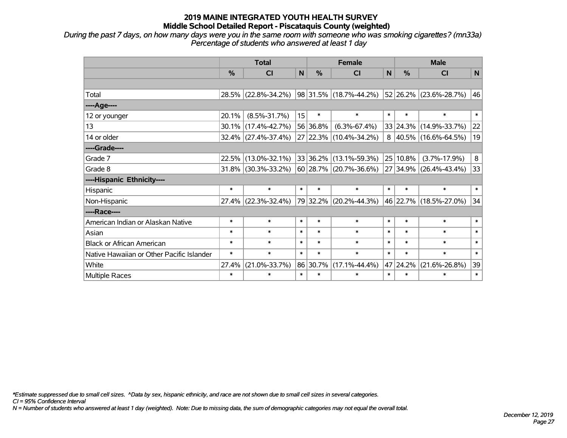*During the past 7 days, on how many days were you in the same room with someone who was smoking cigarettes? (mn33a) Percentage of students who answered at least 1 day*

|                                           | <b>Total</b> |                        |              |          | <b>Female</b>               |              | <b>Male</b> |                          |              |  |
|-------------------------------------------|--------------|------------------------|--------------|----------|-----------------------------|--------------|-------------|--------------------------|--------------|--|
|                                           | %            | <b>CI</b>              | $\mathsf{N}$ | %        | <b>CI</b>                   | $\mathsf{N}$ | %           | <b>CI</b>                | $\mathsf{N}$ |  |
|                                           |              |                        |              |          |                             |              |             |                          |              |  |
| Total                                     |              | 28.5% (22.8%-34.2%)    |              |          | $ 98 31.5\% $ (18.7%-44.2%) |              |             | 52 26.2% (23.6%-28.7%)   | 46           |  |
| ----Age----                               |              |                        |              |          |                             |              |             |                          |              |  |
| 12 or younger                             | 20.1%        | $(8.5\% - 31.7\%)$     | 15           | $\ast$   | $\ast$                      | $\ast$       | $\ast$      | $\ast$                   | $\ast$       |  |
| 13                                        | $30.1\%$     | $(17.4\% - 42.7\%)$    |              | 56 36.8% | $(6.3\% - 67.4\%)$          |              |             | 33 24.3% (14.9%-33.7%)   | 22           |  |
| 14 or older                               |              | 32.4% (27.4%-37.4%)    |              |          | 27 22.3% (10.4%-34.2%)      | 8            |             | $ 40.5\% $ (16.6%-64.5%) | 19           |  |
| ----Grade----                             |              |                        |              |          |                             |              |             |                          |              |  |
| Grade 7                                   | 22.5%        | $(13.0\% - 32.1\%)$    |              | 33 36.2% | $(13.1\% - 59.3\%)$         |              | 25 10.8%    | $(3.7\% - 17.9\%)$       | 8            |  |
| Grade 8                                   |              | $31.8\%$ (30.3%-33.2%) |              |          | 60 28.7% (20.7%-36.6%)      |              |             | 27 34.9% (26.4%-43.4%)   | 33           |  |
| ----Hispanic Ethnicity----                |              |                        |              |          |                             |              |             |                          |              |  |
| Hispanic                                  | $\ast$       | $\ast$                 | $\ast$       | $\ast$   | $\ast$                      | $\ast$       | $\ast$      | $\ast$                   | $\ast$       |  |
| Non-Hispanic                              | 27.4%        | $(22.3\% - 32.4\%)$    |              |          | 79 32.2% (20.2%-44.3%)      |              |             | 46 22.7% (18.5%-27.0%)   | 34           |  |
| ----Race----                              |              |                        |              |          |                             |              |             |                          |              |  |
| American Indian or Alaskan Native         | $\ast$       | $\ast$                 | $\ast$       | $\ast$   | $\ast$                      | $\ast$       | $\ast$      | $\ast$                   | $\ast$       |  |
| Asian                                     | $\ast$       | $\ast$                 | $\ast$       | $\ast$   | $\ast$                      | $\ast$       | $\ast$      | $\ast$                   | $\ast$       |  |
| <b>Black or African American</b>          | $\ast$       | $\ast$                 | $\ast$       | $\ast$   | $\ast$                      | $\ast$       | $\ast$      | $\ast$                   | $\ast$       |  |
| Native Hawaiian or Other Pacific Islander | $\ast$       | $\ast$                 | $\ast$       | $\ast$   | $\ast$                      | $\ast$       | $\ast$      | $\ast$                   | $\ast$       |  |
| White                                     | 27.4%        | $(21.0\% - 33.7\%)$    |              | 86 30.7% | $(17.1\% - 44.4\%)$         | 47           | 24.2%       | $(21.6\% - 26.8\%)$      | 39           |  |
| Multiple Races                            | $\ast$       | $\ast$                 | $\ast$       | $\ast$   | $\ast$                      | $\ast$       | $\ast$      | $\ast$                   | $\ast$       |  |

*\*Estimate suppressed due to small cell sizes. ^Data by sex, hispanic ethnicity, and race are not shown due to small cell sizes in several categories.*

*CI = 95% Confidence Interval*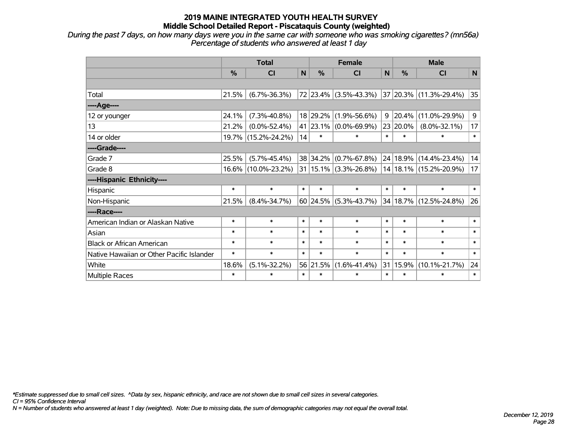*During the past 7 days, on how many days were you in the same car with someone who was smoking cigarettes? (mn56a) Percentage of students who answered at least 1 day*

|                                           | <b>Total</b> |                     |        |               | <b>Female</b>             |        | <b>Male</b>   |                        |        |  |
|-------------------------------------------|--------------|---------------------|--------|---------------|---------------------------|--------|---------------|------------------------|--------|--|
|                                           | %            | <b>CI</b>           | N      | $\frac{0}{0}$ | <b>CI</b>                 | N      | $\frac{0}{0}$ | <b>CI</b>              | N      |  |
|                                           |              |                     |        |               |                           |        |               |                        |        |  |
| Total                                     | 21.5%        | $(6.7\% - 36.3\%)$  |        |               | 72 23.4% (3.5%-43.3%)     |        |               | 37 20.3% (11.3%-29.4%) | 35     |  |
| ----Age----                               |              |                     |        |               |                           |        |               |                        |        |  |
| 12 or younger                             | 24.1%        | $(7.3\% - 40.8\%)$  |        | 18 29.2%      | $(1.9\% - 56.6\%)$        | 9      | 20.4%         | $(11.0\% - 29.9\%)$    | 9      |  |
| 13                                        | 21.2%        | $(0.0\% - 52.4\%)$  |        | 41 23.1%      | $(0.0\% - 69.9\%)$        |        | 23 20.0%      | $(8.0\% - 32.1\%)$     | 17     |  |
| 14 or older                               |              | 19.7% (15.2%-24.2%) | 14     | $\ast$        | $\ast$                    | $\ast$ | $\ast$        | $\ast$                 | $\ast$ |  |
| ----Grade----                             |              |                     |        |               |                           |        |               |                        |        |  |
| Grade 7                                   | 25.5%        | $(5.7\% - 45.4\%)$  |        |               | 38 34.2% (0.7%-67.8%)     | 24     |               | $18.9\%$ (14.4%-23.4%) | 14     |  |
| Grade 8                                   |              | 16.6% (10.0%-23.2%) |        |               | $31 15.1\% $ (3.3%-26.8%) |        |               | 14 18.1% (15.2%-20.9%) | 17     |  |
| ----Hispanic Ethnicity----                |              |                     |        |               |                           |        |               |                        |        |  |
| Hispanic                                  | $\ast$       | $\ast$              | $\ast$ | $\ast$        | $\ast$                    | $\ast$ | $\ast$        | $\ast$                 | $\ast$ |  |
| Non-Hispanic                              | 21.5%        | $(8.4\% - 34.7\%)$  |        |               | $60$ 24.5% (5.3%-43.7%)   |        |               | 34 18.7% (12.5%-24.8%) | 26     |  |
| ----Race----                              |              |                     |        |               |                           |        |               |                        |        |  |
| American Indian or Alaskan Native         | $\ast$       | $\ast$              | $\ast$ | $\ast$        | $\ast$                    | $\ast$ | $\ast$        | $\ast$                 | $\ast$ |  |
| Asian                                     | $\ast$       | $\ast$              | $\ast$ | $\ast$        | $\ast$                    | $\ast$ | $\ast$        | $\ast$                 | $\ast$ |  |
| <b>Black or African American</b>          | $\ast$       | $\ast$              | $\ast$ | $\ast$        | $\ast$                    | $\ast$ | $\ast$        | $\ast$                 | $\ast$ |  |
| Native Hawaiian or Other Pacific Islander | $\ast$       | $\ast$              | $\ast$ | $\ast$        | $\ast$                    | $\ast$ | $\ast$        | $\ast$                 | $\ast$ |  |
| White                                     | 18.6%        | $(5.1\% - 32.2\%)$  |        | 56 21.5%      | $(1.6\% - 41.4\%)$        | 31     | 15.9%         | $(10.1\% - 21.7\%)$    | 24     |  |
| Multiple Races                            | $\ast$       | *                   | $\ast$ | $\ast$        | $\ast$                    | $\ast$ | $\ast$        | $\ast$                 | $\ast$ |  |

*\*Estimate suppressed due to small cell sizes. ^Data by sex, hispanic ethnicity, and race are not shown due to small cell sizes in several categories.*

*CI = 95% Confidence Interval*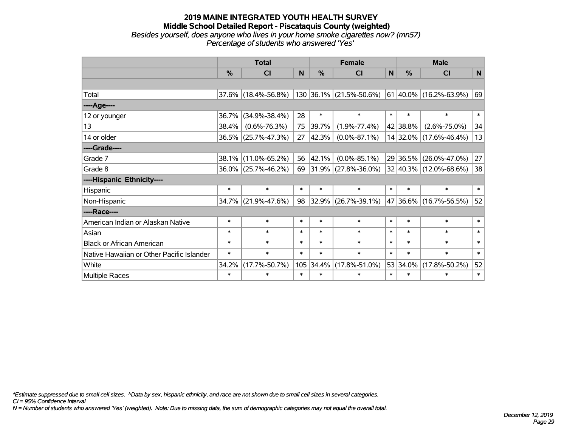#### **2019 MAINE INTEGRATED YOUTH HEALTH SURVEY Middle School Detailed Report - Piscataquis County (weighted)** *Besides yourself, does anyone who lives in your home smoke cigarettes now? (mn57) Percentage of students who answered 'Yes'*

|                                           | <b>Total</b> |                        |        |               | <b>Female</b>             |        | <b>Male</b> |                                |        |  |
|-------------------------------------------|--------------|------------------------|--------|---------------|---------------------------|--------|-------------|--------------------------------|--------|--|
|                                           | $\%$         | <b>CI</b>              | N      | $\frac{0}{0}$ | <b>CI</b>                 | N      | $\%$        | <b>CI</b>                      | N      |  |
|                                           |              |                        |        |               |                           |        |             |                                |        |  |
| Total                                     |              | $37.6\%$ (18.4%-56.8%) |        |               | $130$ 36.1% (21.5%-50.6%) |        |             | $ 61 40.0\% (16.2\% - 63.9\%)$ | 69     |  |
| ----Age----                               |              |                        |        |               |                           |        |             |                                |        |  |
| 12 or younger                             | 36.7%        | $(34.9\% - 38.4\%)$    | 28     | $\ast$        | $\ast$                    | $\ast$ | $\ast$      | $\ast$                         | $\ast$ |  |
| 13                                        | 38.4%        | $(0.6\% - 76.3\%)$     | 75     | 39.7%         | $(1.9\% - 77.4\%)$        |        | 42 38.8%    | $(2.6\% - 75.0\%)$             | 34     |  |
| 14 or older                               |              | 36.5% (25.7%-47.3%)    | 27     | 42.3%         | $(0.0\% - 87.1\%)$        |        |             | 14 32.0% (17.6%-46.4%)         | 13     |  |
| ----Grade----                             |              |                        |        |               |                           |        |             |                                |        |  |
| Grade 7                                   | 38.1%        | $(11.0\% - 65.2\%)$    | 56     | 42.1%         | $(0.0\% - 85.1\%)$        |        | 29 36.5%    | $(26.0\% - 47.0\%)$            | 27     |  |
| Grade 8                                   |              | 36.0% (25.7%-46.2%)    | 69     |               | $ 31.9\% $ (27.8%-36.0%)  |        |             | $32 40.3\% $ (12.0%-68.6%)     | 38     |  |
| ----Hispanic Ethnicity----                |              |                        |        |               |                           |        |             |                                |        |  |
| Hispanic                                  | $\ast$       | $\ast$                 | $\ast$ | $\ast$        | $\ast$                    | $\ast$ | $\ast$      | $\ast$                         | $\ast$ |  |
| Non-Hispanic                              | 34.7%        | $(21.9\% - 47.6\%)$    | 98     |               | 32.9% (26.7%-39.1%)       |        |             | 47 36.6% (16.7%-56.5%)         | 52     |  |
| ----Race----                              |              |                        |        |               |                           |        |             |                                |        |  |
| American Indian or Alaskan Native         | $\ast$       | $\ast$                 | $\ast$ | $\ast$        | $\ast$                    | $\ast$ | $\ast$      | $\ast$                         | $\ast$ |  |
| Asian                                     | $\ast$       | $\ast$                 | $\ast$ | $\ast$        | $\ast$                    | $\ast$ | $\ast$      | $\ast$                         | $\ast$ |  |
| <b>Black or African American</b>          | $\ast$       | $\ast$                 | $\ast$ | $\ast$        | $\ast$                    | $\ast$ | $\ast$      | $\ast$                         | $\ast$ |  |
| Native Hawaiian or Other Pacific Islander | $\ast$       | $\ast$                 | $\ast$ | $\ast$        | $\ast$                    | $\ast$ | $\ast$      | $\ast$                         | $\ast$ |  |
| White                                     | 34.2%        | $(17.7\% - 50.7\%)$    | 105    | 34.4%         | $(17.8\% - 51.0\%)$       |        | 53 34.0%    | $(17.8\% - 50.2\%)$            | 52     |  |
| <b>Multiple Races</b>                     | $\ast$       | $\ast$                 | $\ast$ | $\ast$        | $\ast$                    | $\ast$ | $\ast$      | $\ast$                         | $\ast$ |  |

*\*Estimate suppressed due to small cell sizes. ^Data by sex, hispanic ethnicity, and race are not shown due to small cell sizes in several categories.*

*CI = 95% Confidence Interval*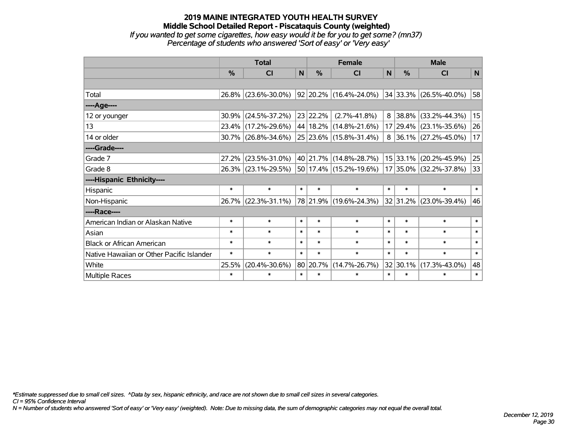#### **2019 MAINE INTEGRATED YOUTH HEALTH SURVEY Middle School Detailed Report - Piscataquis County (weighted)** *If you wanted to get some cigarettes, how easy would it be for you to get some? (mn37) Percentage of students who answered 'Sort of easy' or 'Very easy'*

|                                           | <b>Total</b> |                        |                |               | <b>Female</b>               |        | <b>Male</b>   |                            |        |  |
|-------------------------------------------|--------------|------------------------|----------------|---------------|-----------------------------|--------|---------------|----------------------------|--------|--|
|                                           | %            | <b>CI</b>              | N <sub>1</sub> | $\frac{0}{0}$ | <b>CI</b>                   | N      | $\frac{0}{0}$ | <b>CI</b>                  | N      |  |
|                                           |              |                        |                |               |                             |        |               |                            |        |  |
| Total                                     |              | 26.8% (23.6%-30.0%)    |                |               | 92 20.2% (16.4%-24.0%)      |        |               | $34 33.3\% $ (26.5%-40.0%) | 58     |  |
| ----Age----                               |              |                        |                |               |                             |        |               |                            |        |  |
| 12 or younger                             | $30.9\%$     | $(24.5\% - 37.2\%)$    |                | 23 22.2%      | $(2.7\% - 41.8\%)$          | 8      | 38.8%         | $(33.2\% - 44.3\%)$        | 15     |  |
| 13                                        |              | 23.4% (17.2%-29.6%)    |                |               | 44   18.2%   (14.8%-21.6%)  |        |               | 17 29.4% (23.1%-35.6%)     | 26     |  |
| 14 or older                               |              | $30.7\%$ (26.8%-34.6%) |                |               | 25 23.6% (15.8%-31.4%)      | 8      |               | $ 36.1\% $ (27.2%-45.0%)   | 17     |  |
| ----Grade----                             |              |                        |                |               |                             |        |               |                            |        |  |
| Grade 7                                   | $27.2\%$     | $(23.5\% - 31.0\%)$    |                | 40 21.7%      | $(14.8\% - 28.7\%)$         |        | $15$ 33.1%    | $(20.2\% - 45.9\%)$        | 25     |  |
| Grade 8                                   |              | 26.3% (23.1%-29.5%)    |                |               | $ 50 17.4\% $ (15.2%-19.6%) |        |               | 17 35.0% (32.2%-37.8%)     | 33     |  |
| ----Hispanic Ethnicity----                |              |                        |                |               |                             |        |               |                            |        |  |
| Hispanic                                  | $\ast$       | $\ast$                 | $\ast$         | $\ast$        | $\ast$                      | $\ast$ | $\ast$        | $\ast$                     | $\ast$ |  |
| Non-Hispanic                              |              | 26.7% (22.3%-31.1%)    |                |               | 78 21.9% (19.6%-24.3%)      |        | 32 31.2%      | $(23.0\% - 39.4\%)$        | 46     |  |
| ----Race----                              |              |                        |                |               |                             |        |               |                            |        |  |
| American Indian or Alaskan Native         | $\ast$       | $\ast$                 | $\ast$         | $\ast$        | $\ast$                      | $\ast$ | $\ast$        | $\ast$                     | $\ast$ |  |
| Asian                                     | $\ast$       | $\ast$                 | $\ast$         | $\ast$        | $\ast$                      | $\ast$ | $\ast$        | $\ast$                     | $\ast$ |  |
| <b>Black or African American</b>          | $\ast$       | $\ast$                 | $\ast$         | $\ast$        | $\ast$                      | $\ast$ | $\ast$        | $\ast$                     | $\ast$ |  |
| Native Hawaiian or Other Pacific Islander | $\ast$       | $\ast$                 | $\ast$         | $\ast$        | $\ast$                      | $\ast$ | $\ast$        | $\ast$                     | $\ast$ |  |
| White                                     | 25.5%        | $(20.4\% - 30.6\%)$    |                | 80 20.7%      | $(14.7\% - 26.7\%)$         |        | 32 30.1%      | $(17.3\% - 43.0\%)$        | 48     |  |
| Multiple Races                            | $\ast$       | $\ast$                 | $\ast$         | $\ast$        | $\ast$                      | $\ast$ | $\ast$        | $\ast$                     | $\ast$ |  |

*\*Estimate suppressed due to small cell sizes. ^Data by sex, hispanic ethnicity, and race are not shown due to small cell sizes in several categories.*

*CI = 95% Confidence Interval*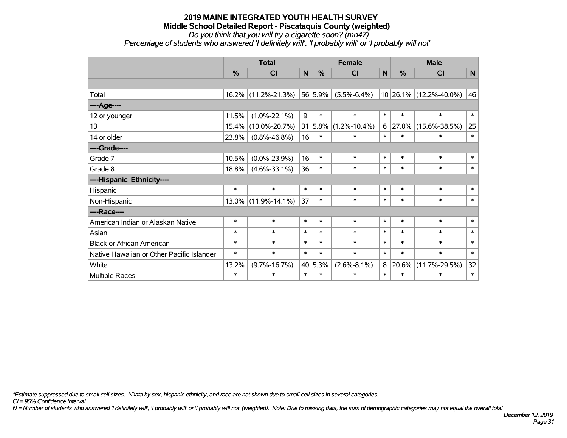#### **2019 MAINE INTEGRATED YOUTH HEALTH SURVEY Middle School Detailed Report - Piscataquis County (weighted)** *Do you think that you will try a cigarette soon? (mn47)*

*Percentage of students who answered 'I definitely will', 'I probably will' or 'I probably will not'*

|                                           |          | <b>Total</b>        |        |               | <b>Female</b>          |        | <b>Male</b>   |                        |             |  |
|-------------------------------------------|----------|---------------------|--------|---------------|------------------------|--------|---------------|------------------------|-------------|--|
|                                           | %        | CI                  | N      | $\frac{0}{0}$ | CI                     | N      | $\frac{0}{0}$ | CI                     | $\mathbf N$ |  |
|                                           |          |                     |        |               |                        |        |               |                        |             |  |
| Total                                     |          | 16.2% (11.2%-21.3%) |        | 56 5.9%       | $(5.5\% - 6.4\%)$      |        |               | 10 26.1% (12.2%-40.0%) | 46          |  |
| ----Age----                               |          |                     |        |               |                        |        |               |                        |             |  |
| 12 or younger                             | 11.5%    | $(1.0\% - 22.1\%)$  | 9      | $\ast$        | $\ast$                 | $\ast$ | $\ast$        | $\ast$                 | $\ast$      |  |
| 13                                        | 15.4%    | $(10.0\% - 20.7\%)$ | 31     |               | $ 5.8\% $ (1.2%-10.4%) | 6      | $ 27.0\%$     | $(15.6\% - 38.5\%)$    | 25          |  |
| 14 or older                               | 23.8%    | $(0.8\% - 46.8\%)$  | 16     | $\ast$        | $\ast$                 | $\ast$ | $\ast$        | $\ast$                 | $\ast$      |  |
| ----Grade----                             |          |                     |        |               |                        |        |               |                        |             |  |
| Grade 7                                   | 10.5%    | $(0.0\% - 23.9\%)$  | 16     | $\ast$        | $\ast$                 | $\ast$ | $\ast$        | $\ast$                 | $\ast$      |  |
| Grade 8                                   | 18.8%    | $(4.6\% - 33.1\%)$  | 36     | $\ast$        | $\ast$                 | $\ast$ | $\ast$        | $\ast$                 | $\ast$      |  |
| ----Hispanic Ethnicity----                |          |                     |        |               |                        |        |               |                        |             |  |
| Hispanic                                  | $\ast$   | $\ast$              | $\ast$ | $\ast$        | $\ast$                 | $\ast$ | $\ast$        | $\ast$                 | $\ast$      |  |
| Non-Hispanic                              | $13.0\%$ | $(11.9\% - 14.1\%)$ | 37     | $\ast$        | $\ast$                 | $\ast$ | $\ast$        | $\ast$                 | $\ast$      |  |
| ----Race----                              |          |                     |        |               |                        |        |               |                        |             |  |
| American Indian or Alaskan Native         | $\ast$   | $\ast$              | $\ast$ | $\ast$        | $\ast$                 | $\ast$ | $\ast$        | $\ast$                 | $\ast$      |  |
| Asian                                     | $\ast$   | $\ast$              | $\ast$ | $\ast$        | $\ast$                 | $\ast$ | $\ast$        | $\ast$                 | $\ast$      |  |
| <b>Black or African American</b>          | $\ast$   | $\ast$              | $\ast$ | $\ast$        | $\ast$                 | $\ast$ | $\ast$        | $\ast$                 | $\ast$      |  |
| Native Hawaiian or Other Pacific Islander | $\ast$   | $\ast$              | $\ast$ | $\ast$        | $\ast$                 | $\ast$ | $\ast$        | $\ast$                 | $\ast$      |  |
| White                                     | 13.2%    | $(9.7\% - 16.7\%)$  |        | 40 5.3%       | $(2.6\% - 8.1\%)$      | 8      | 20.6%         | $(11.7\% - 29.5\%)$    | 32          |  |
| Multiple Races                            | $\ast$   | $\ast$              | $\ast$ | $\ast$        | $\ast$                 | $\ast$ | $\ast$        | $\ast$                 | $\ast$      |  |

*\*Estimate suppressed due to small cell sizes. ^Data by sex, hispanic ethnicity, and race are not shown due to small cell sizes in several categories.*

*CI = 95% Confidence Interval*

*N = Number of students who answered 'I definitely will', 'I probably will' or 'I probably will not' (weighted). Note: Due to missing data, the sum of demographic categories may not equal the overall total.*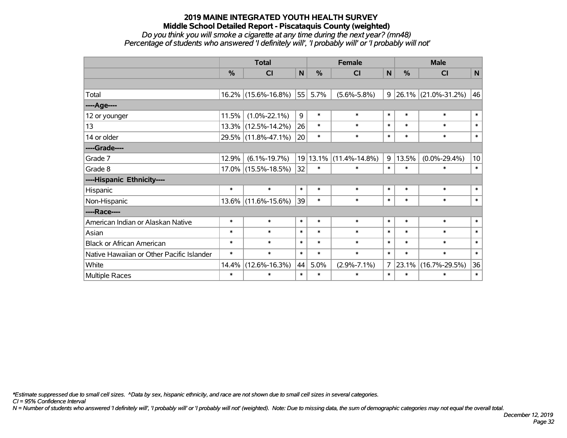#### **2019 MAINE INTEGRATED YOUTH HEALTH SURVEY Middle School Detailed Report - Piscataquis County (weighted)** *Do you think you will smoke a cigarette at any time during the next year? (mn48)*

*Percentage of students who answered 'I definitely will', 'I probably will' or 'I probably will not'*

|                                           | <b>Total</b>  |                     |             |          | <b>Female</b>       |              | <b>Male</b> |                          |                 |  |
|-------------------------------------------|---------------|---------------------|-------------|----------|---------------------|--------------|-------------|--------------------------|-----------------|--|
|                                           | $\frac{0}{0}$ | C <sub>l</sub>      | $\mathbf N$ | %        | <b>CI</b>           | $\mathsf{N}$ | %           | <b>CI</b>                | $\mathsf{N}$    |  |
|                                           |               |                     |             |          |                     |              |             |                          |                 |  |
| Total                                     |               | 16.2% (15.6%-16.8%) | 55          | 5.7%     | $(5.6\% - 5.8\%)$   | 9            |             | $ 26.1\% $ (21.0%-31.2%) | 46              |  |
| ----Age----                               |               |                     |             |          |                     |              |             |                          |                 |  |
| 12 or younger                             | 11.5%         | $(1.0\% - 22.1\%)$  | 9           | $\ast$   | $\ast$              | $\ast$       | $\ast$      | $\ast$                   | $\ast$          |  |
| 13                                        |               | 13.3% (12.5%-14.2%) | 26          | $\ast$   | $\ast$              | $\ast$       | $\ast$      | $\ast$                   | $\ast$          |  |
| 14 or older                               |               | 29.5% (11.8%-47.1%) | 20          | $\ast$   | $\ast$              | $\ast$       | $\ast$      | $\ast$                   | $\ast$          |  |
| ----Grade----                             |               |                     |             |          |                     |              |             |                          |                 |  |
| Grade 7                                   | 12.9%         | $(6.1\% - 19.7\%)$  |             | 19 13.1% | $(11.4\% - 14.8\%)$ | 9            | 13.5%       | $(0.0\% - 29.4\%)$       | 10 <sup>1</sup> |  |
| Grade 8                                   |               | 17.0% (15.5%-18.5%) | 32          | $\ast$   | $\ast$              | $\ast$       | $\ast$      | $\ast$                   | $\ast$          |  |
| ----Hispanic Ethnicity----                |               |                     |             |          |                     |              |             |                          |                 |  |
| Hispanic                                  | $\ast$        | $\ast$              | $\ast$      | $\ast$   | $\ast$              | $\ast$       | $\ast$      | $\ast$                   | $\ast$          |  |
| Non-Hispanic                              |               | 13.6% (11.6%-15.6%) | 39          | $\ast$   | $\ast$              | $\ast$       | $\ast$      | $\ast$                   | $\ast$          |  |
| ----Race----                              |               |                     |             |          |                     |              |             |                          |                 |  |
| American Indian or Alaskan Native         | $\ast$        | $\ast$              | $\ast$      | $\ast$   | $\ast$              | $\ast$       | $\ast$      | $\ast$                   | $\ast$          |  |
| Asian                                     | $\ast$        | $\ast$              | $\ast$      | $\ast$   | $\ast$              | $\ast$       | $\ast$      | $\ast$                   | $\ast$          |  |
| <b>Black or African American</b>          | $\ast$        | $\ast$              | $\ast$      | $\ast$   | $\ast$              | $\ast$       | $\ast$      | $\ast$                   | $\ast$          |  |
| Native Hawaiian or Other Pacific Islander | $\ast$        | $\ast$              | $\ast$      | $\ast$   | $\ast$              | $\ast$       | $\ast$      | $\ast$                   | $\ast$          |  |
| White                                     | 14.4%         | $(12.6\% - 16.3\%)$ | 44          | 5.0%     | $(2.9\% - 7.1\%)$   | 7            | 23.1%       | $(16.7\% - 29.5\%)$      | 36              |  |
| Multiple Races                            | $\ast$        | $\ast$              | $\ast$      | $\ast$   | $\ast$              | $\ast$       | $\ast$      | $\ast$                   | $\ast$          |  |

*\*Estimate suppressed due to small cell sizes. ^Data by sex, hispanic ethnicity, and race are not shown due to small cell sizes in several categories.*

*CI = 95% Confidence Interval*

*N = Number of students who answered 'I definitely will', 'I probably will' or 'I probably will not' (weighted). Note: Due to missing data, the sum of demographic categories may not equal the overall total.*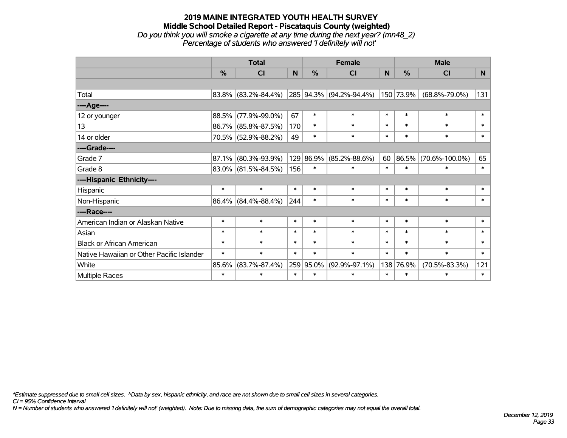#### **2019 MAINE INTEGRATED YOUTH HEALTH SURVEY Middle School Detailed Report - Piscataquis County (weighted)** *Do you think you will smoke a cigarette at any time during the next year? (mn48\_2) Percentage of students who answered 'I definitely will not'*

|                                           | <b>Total</b>  |                        |        |           | <b>Female</b>           |        | <b>Male</b> |                      |        |  |
|-------------------------------------------|---------------|------------------------|--------|-----------|-------------------------|--------|-------------|----------------------|--------|--|
|                                           | $\frac{0}{0}$ | CI                     | N      | %         | CI                      | N      | %           | <b>CI</b>            | N      |  |
|                                           |               |                        |        |           |                         |        |             |                      |        |  |
| Total                                     |               | 83.8% (83.2%-84.4%)    |        |           | 285 94.3% (94.2%-94.4%) |        | 150 73.9%   | $(68.8\% - 79.0\%)$  | 131    |  |
| ----Age----                               |               |                        |        |           |                         |        |             |                      |        |  |
| 12 or younger                             | 88.5%         | $(77.9\% - 99.0\%)$    | 67     | $\ast$    | $\ast$                  | $\ast$ | $\ast$      | $\ast$               | $\ast$ |  |
| 13                                        |               | 86.7% (85.8%-87.5%)    | 170    | $\ast$    | $\ast$                  | $\ast$ | $\ast$      | $\ast$               | $\ast$ |  |
| 14 or older                               |               | 70.5% (52.9%-88.2%)    | 49     | $\ast$    | $\ast$                  | $\ast$ | $\ast$      | $\ast$               | $\ast$ |  |
| ----Grade----                             |               |                        |        |           |                         |        |             |                      |        |  |
| Grade 7                                   | 87.1%         | $(80.3\% - 93.9\%)$    |        | 129 86.9% | $(85.2\% - 88.6\%)$     | 60     | $ 86.5\% $  | $(70.6\% - 100.0\%)$ | 65     |  |
| Grade 8                                   |               | $83.0\%$ (81.5%-84.5%) | 156    | $\ast$    | $\ast$                  | $\ast$ | $\ast$      | $\ast$               | $\ast$ |  |
| ----Hispanic Ethnicity----                |               |                        |        |           |                         |        |             |                      |        |  |
| Hispanic                                  | $\ast$        | $\ast$                 | $\ast$ | $\ast$    | $\ast$                  | $\ast$ | $\ast$      | $\ast$               | $\ast$ |  |
| Non-Hispanic                              |               | $86.4\%$ (84.4%-88.4%) | 244    | $\ast$    | $\ast$                  | $\ast$ | $\ast$      | $\ast$               | $\ast$ |  |
| ----Race----                              |               |                        |        |           |                         |        |             |                      |        |  |
| American Indian or Alaskan Native         | $\ast$        | $\ast$                 | $\ast$ | $\ast$    | $\ast$                  | $\ast$ | $\ast$      | $\ast$               | $\ast$ |  |
| Asian                                     | $\ast$        | $\ast$                 | $\ast$ | $\ast$    | $\ast$                  | $\ast$ | $\ast$      | $\ast$               | $\ast$ |  |
| <b>Black or African American</b>          | $\ast$        | $\ast$                 | $\ast$ | $\ast$    | $\ast$                  | $\ast$ | $\ast$      | $\ast$               | $\ast$ |  |
| Native Hawaiian or Other Pacific Islander | $\ast$        | $\ast$                 | $\ast$ | $\ast$    | $\ast$                  | $\ast$ | $\ast$      | $\ast$               | $\ast$ |  |
| White                                     | 85.6%         | $(83.7\% - 87.4\%)$    |        | 259 95.0% | $(92.9\% - 97.1\%)$     | 138    | 76.9%       | $(70.5\% - 83.3\%)$  | 121    |  |
| Multiple Races                            | $\ast$        | $\ast$                 | $\ast$ | $\ast$    | $\ast$                  | $\ast$ | $\ast$      | $\ast$               | $\ast$ |  |

*\*Estimate suppressed due to small cell sizes. ^Data by sex, hispanic ethnicity, and race are not shown due to small cell sizes in several categories.*

*CI = 95% Confidence Interval*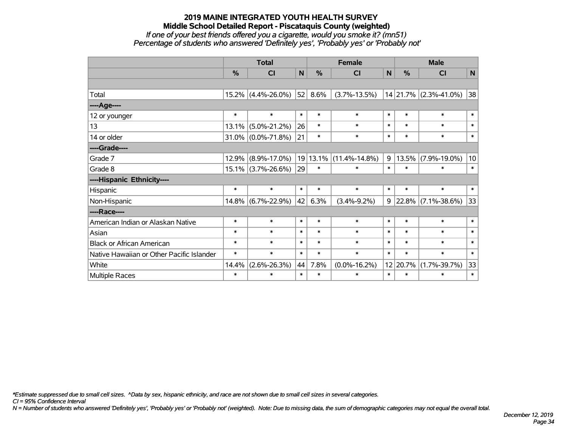#### **2019 MAINE INTEGRATED YOUTH HEALTH SURVEY Middle School Detailed Report - Piscataquis County (weighted)** *If one of your best friends offered you a cigarette, would you smoke it? (mn51) Percentage of students who answered 'Definitely yes', 'Probably yes' or 'Probably not'*

|                                           | <b>Total</b> |                       |        |          | <b>Female</b>       | <b>Male</b> |          |                    |             |
|-------------------------------------------|--------------|-----------------------|--------|----------|---------------------|-------------|----------|--------------------|-------------|
|                                           | %            | <b>CI</b>             | N      | %        | <b>CI</b>           | N           | %        | <b>CI</b>          | $\mathbf N$ |
|                                           |              |                       |        |          |                     |             |          |                    |             |
| Total                                     |              | $15.2\%$ (4.4%-26.0%) | 52     | 8.6%     | $(3.7\% - 13.5\%)$  |             | 14 21.7% | $(2.3\% - 41.0\%)$ | 38          |
| ---- Age----                              |              |                       |        |          |                     |             |          |                    |             |
| 12 or younger                             | $\ast$       | $\ast$                | $\ast$ | $\ast$   | $\ast$              | $\ast$      | $\ast$   | $\ast$             | $\ast$      |
| 13                                        | 13.1%        | $(5.0\% - 21.2\%)$    | 26     | $\ast$   | $\ast$              | $\ast$      | $\ast$   | $\ast$             | $\ast$      |
| 14 or older                               |              | 31.0% (0.0%-71.8%)    | 21     | $\ast$   | $\ast$              | $\ast$      | $\ast$   | $\ast$             | $\ast$      |
| ----Grade----                             |              |                       |        |          |                     |             |          |                    |             |
| Grade 7                                   | 12.9%        | $(8.9\% - 17.0\%)$    |        | 19 13.1% | $(11.4\% - 14.8\%)$ | 9           | 13.5%    | $(7.9\% - 19.0\%)$ | 10          |
| Grade 8                                   |              | $15.1\%$ (3.7%-26.6%) | 29     | $\ast$   | $\ast$              | $\ast$      | $\ast$   | $\ast$             | $\ast$      |
| ----Hispanic Ethnicity----                |              |                       |        |          |                     |             |          |                    |             |
| Hispanic                                  | $\ast$       | $\ast$                | $\ast$ | $\ast$   | $\ast$              | $\ast$      | $\ast$   | $\ast$             | $\ast$      |
| Non-Hispanic                              |              | 14.8% (6.7%-22.9%)    | 42     | 6.3%     | $(3.4\% - 9.2\%)$   | 9           | 22.8%    | $(7.1\% - 38.6\%)$ | 33          |
| ----Race----                              |              |                       |        |          |                     |             |          |                    |             |
| American Indian or Alaskan Native         | $\ast$       | $\ast$                | $\ast$ | $\ast$   | $\ast$              | $\ast$      | $\ast$   | $\ast$             | $\ast$      |
| Asian                                     | $\ast$       | $\ast$                | $\ast$ | $\ast$   | $\ast$              | $\ast$      | $\ast$   | $\ast$             | $\ast$      |
| <b>Black or African American</b>          | $\ast$       | $\ast$                | $\ast$ | $\ast$   | $\ast$              | $\ast$      | $\ast$   | $\ast$             | $\ast$      |
| Native Hawaiian or Other Pacific Islander | $\ast$       | $\ast$                | $\ast$ | $\ast$   | $\ast$              | $\ast$      | $\ast$   | $\ast$             | $\ast$      |
| White                                     | 14.4%        | $(2.6\% - 26.3\%)$    | 44     | 7.8%     | $(0.0\% - 16.2\%)$  | 12          | 20.7%    | $(1.7\% - 39.7\%)$ | 33          |
| Multiple Races                            | $\ast$       | $\ast$                | $\ast$ | $\ast$   | $\ast$              | $\ast$      | $\ast$   | $\ast$             | $\ast$      |

*\*Estimate suppressed due to small cell sizes. ^Data by sex, hispanic ethnicity, and race are not shown due to small cell sizes in several categories.*

*CI = 95% Confidence Interval*

*N = Number of students who answered 'Definitely yes', 'Probably yes' or 'Probably not' (weighted). Note: Due to missing data, the sum of demographic categories may not equal the overall total.*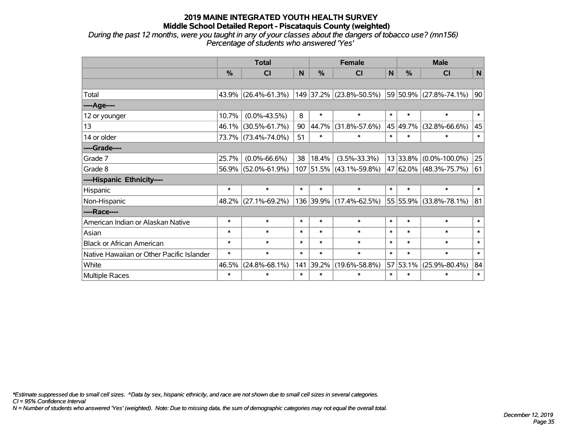*During the past 12 months, were you taught in any of your classes about the dangers of tobacco use? (mn156) Percentage of students who answered 'Yes'*

|                                           | <b>Total</b> |                     |        |        | <b>Female</b>             |              | <b>Male</b> |                        |             |  |
|-------------------------------------------|--------------|---------------------|--------|--------|---------------------------|--------------|-------------|------------------------|-------------|--|
|                                           | $\%$         | <b>CI</b>           | N      | %      | <b>CI</b>                 | $\mathsf{N}$ | %           | <b>CI</b>              | $\mathbf N$ |  |
|                                           |              |                     |        |        |                           |              |             |                        |             |  |
| Total                                     |              | 43.9% (26.4%-61.3%) |        |        | 149 37.2% (23.8%-50.5%)   |              |             | 59 50.9% (27.8%-74.1%) | 90          |  |
| ----Age----                               |              |                     |        |        |                           |              |             |                        |             |  |
| 12 or younger                             | 10.7%        | $(0.0\% - 43.5\%)$  | 8      | $\ast$ | $\ast$                    | $\ast$       | $\ast$      | $\ast$                 | $\ast$      |  |
| 13                                        | 46.1%        | $(30.5\% - 61.7\%)$ | 90     | 44.7%  | $(31.8\% - 57.6\%)$       |              | 45 49.7%    | $(32.8\% - 66.6\%)$    | 45          |  |
| 14 or older                               |              | 73.7% (73.4%-74.0%) | 51     | $\ast$ | $\ast$                    | $\ast$       | $\ast$      | $\ast$                 | $\ast$      |  |
| ----Grade----                             |              |                     |        |        |                           |              |             |                        |             |  |
| Grade 7                                   | 25.7%        | $(0.0\% - 66.6\%)$  | 38     | 18.4%  | $(3.5\% - 33.3\%)$        |              | 13 33.8%    | $(0.0\% - 100.0\%)$    | 25          |  |
| Grade 8                                   |              | 56.9% (52.0%-61.9%) |        |        | $107$ 51.5% (43.1%-59.8%) |              |             | 47 62.0% (48.3%-75.7%) | 61          |  |
| ----Hispanic Ethnicity----                |              |                     |        |        |                           |              |             |                        |             |  |
| Hispanic                                  | $\ast$       | $\ast$              | $\ast$ | $\ast$ | $\ast$                    | $\ast$       | $\ast$      | $\ast$                 | $\ast$      |  |
| Non-Hispanic                              |              | 48.2% (27.1%-69.2%) |        |        | 136 39.9% (17.4%-62.5%)   |              | 55 55.9%    | $(33.8\% - 78.1\%)$    | 81          |  |
| ----Race----                              |              |                     |        |        |                           |              |             |                        |             |  |
| American Indian or Alaskan Native         | $\ast$       | $\ast$              | $\ast$ | $\ast$ | $\ast$                    | $\ast$       | $\ast$      | $\ast$                 | $\ast$      |  |
| Asian                                     | $\ast$       | $\ast$              | $\ast$ | $\ast$ | $\ast$                    | $\ast$       | $\ast$      | $\ast$                 | $\ast$      |  |
| <b>Black or African American</b>          | $\ast$       | $\ast$              | $\ast$ | $\ast$ | $\ast$                    | $\ast$       | $\ast$      | $\ast$                 | $\ast$      |  |
| Native Hawaiian or Other Pacific Islander | $\ast$       | $\ast$              | $\ast$ | $\ast$ | $\ast$                    | $\ast$       | $\ast$      | $\ast$                 | $\ast$      |  |
| White                                     | 46.5%        | $(24.8\% - 68.1\%)$ | 141    | 39.2%  | $(19.6\% - 58.8\%)$       |              | 57 53.1%    | $(25.9\% - 80.4\%)$    | 84          |  |
| Multiple Races                            | $\ast$       | $\ast$              | $\ast$ | $\ast$ | $\ast$                    | $\ast$       | $\ast$      | $\ast$                 | $\ast$      |  |

*\*Estimate suppressed due to small cell sizes. ^Data by sex, hispanic ethnicity, and race are not shown due to small cell sizes in several categories.*

*CI = 95% Confidence Interval*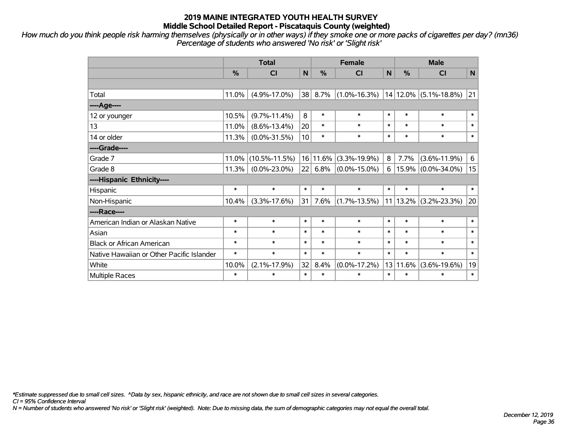*How much do you think people risk harming themselves (physically or in other ways) if they smoke one or more packs of cigarettes per day? (mn36) Percentage of students who answered 'No risk' or 'Slight risk'*

|                                           |        | <b>Total</b>        |        | <b>Female</b> |                    | <b>Male</b>  |        |                           |        |
|-------------------------------------------|--------|---------------------|--------|---------------|--------------------|--------------|--------|---------------------------|--------|
|                                           | %      | CI                  | N      | $\frac{0}{0}$ | CI                 | $\mathsf{N}$ | %      | <b>CI</b>                 | N      |
|                                           |        |                     |        |               |                    |              |        |                           |        |
| Total                                     | 11.0%  | $(4.9\% - 17.0\%)$  | 38     | 8.7%          | $(1.0\% - 16.3\%)$ |              |        | $14 12.0\% $ (5.1%-18.8%) | 21     |
| ----Age----                               |        |                     |        |               |                    |              |        |                           |        |
| 12 or younger                             | 10.5%  | $(9.7\% - 11.4\%)$  | 8      | $\ast$        | $\ast$             | $\ast$       | $\ast$ | $\ast$                    | $\ast$ |
| 13                                        | 11.0%  | $(8.6\% - 13.4\%)$  | 20     | $\ast$        | $\ast$             | $\ast$       | $\ast$ | $\ast$                    | $\ast$ |
| 14 or older                               | 11.3%  | $(0.0\% - 31.5\%)$  | 10     | $\ast$        | $\ast$             | $\ast$       | $\ast$ | $\ast$                    | $\ast$ |
| ----Grade----                             |        |                     |        |               |                    |              |        |                           |        |
| Grade 7                                   | 11.0%  | $(10.5\% - 11.5\%)$ |        | 16 11.6%      | $(3.3\% - 19.9\%)$ | 8            | 7.7%   | $(3.6\% - 11.9\%)$        | 6      |
| Grade 8                                   | 11.3%  | $(0.0\% - 23.0\%)$  | 22     | 6.8%          | $(0.0\% - 15.0\%)$ | 6            |        | $15.9\%$ (0.0%-34.0%)     | 15     |
| ----Hispanic Ethnicity----                |        |                     |        |               |                    |              |        |                           |        |
| Hispanic                                  | $\ast$ | $\ast$              | $\ast$ | $\ast$        | $\ast$             | $\ast$       | $\ast$ | $\ast$                    | $\ast$ |
| Non-Hispanic                              | 10.4%  | $(3.3\% - 17.6\%)$  | 31     | 7.6%          | $(1.7\% - 13.5\%)$ | 11           |        | $13.2\%$ (3.2%-23.3%)     | 20     |
| ----Race----                              |        |                     |        |               |                    |              |        |                           |        |
| American Indian or Alaskan Native         | $\ast$ | $\ast$              | $\ast$ | $\ast$        | $\ast$             | $\ast$       | $\ast$ | $\ast$                    | $\ast$ |
| Asian                                     | $\ast$ | $\ast$              | $\ast$ | $\ast$        | $\ast$             | $\ast$       | $\ast$ | $\ast$                    | $\ast$ |
| <b>Black or African American</b>          | $\ast$ | $\ast$              | $\ast$ | $\ast$        | $\ast$             | $\ast$       | $\ast$ | $\ast$                    | $\ast$ |
| Native Hawaiian or Other Pacific Islander | $\ast$ | $\ast$              | $\ast$ | $\ast$        | $\ast$             | $\ast$       | $\ast$ | $\ast$                    | $\ast$ |
| White                                     | 10.0%  | $(2.1\% - 17.9\%)$  | 32     | 8.4%          | $(0.0\% - 17.2\%)$ | 13           | 11.6%  | $(3.6\% - 19.6\%)$        | 19     |
| Multiple Races                            | $\ast$ | $\ast$              | $\ast$ | $\ast$        | $\ast$             | $\ast$       | $\ast$ | $\ast$                    | $\ast$ |

*\*Estimate suppressed due to small cell sizes. ^Data by sex, hispanic ethnicity, and race are not shown due to small cell sizes in several categories.*

*CI = 95% Confidence Interval*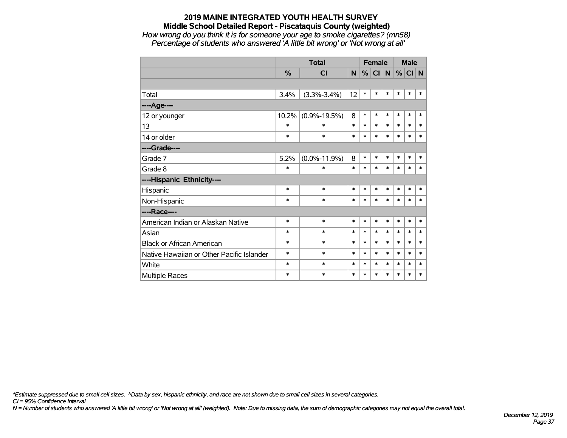### **2019 MAINE INTEGRATED YOUTH HEALTH SURVEY Middle School Detailed Report - Piscataquis County (weighted)** *How wrong do you think it is for someone your age to smoke cigarettes? (mn58)*

*Percentage of students who answered 'A little bit wrong' or 'Not wrong at all'*

|                                           |        |                    |        | <b>Female</b> |        |        | <b>Male</b> |        |        |
|-------------------------------------------|--------|--------------------|--------|---------------|--------|--------|-------------|--------|--------|
|                                           | %      | <b>CI</b>          | N      | %             | CI N   |        | %           | CI N   |        |
|                                           |        |                    |        |               |        |        |             |        |        |
| Total                                     | 3.4%   | $(3.3\% - 3.4\%)$  | 12     | $\ast$        | $\ast$ | $\ast$ | $\ast$      | $\ast$ | $\ast$ |
| ----Age----                               |        |                    |        |               |        |        |             |        |        |
| 12 or younger                             | 10.2%  | $(0.9\% - 19.5\%)$ | 8      | $\ast$        | $\ast$ | $\ast$ | $\ast$      | $\ast$ | $\ast$ |
| 13                                        | $\ast$ | $\ast$             | $\ast$ | $\ast$        | $\ast$ | $\ast$ | $\ast$      | $\ast$ | $\ast$ |
| 14 or older                               | *      | $\ast$             | $\ast$ | $\ast$        | $\ast$ | $\ast$ | $\ast$      | $\ast$ | $\ast$ |
| ----Grade----                             |        |                    |        |               |        |        |             |        |        |
| Grade 7                                   | 5.2%   | $(0.0\% - 11.9\%)$ | 8      | $\ast$        | $\ast$ | $\ast$ | $\ast$      | $\ast$ | $\ast$ |
| Grade 8                                   | $\ast$ | $\ast$             | $\ast$ | *             | $\ast$ | $\ast$ | $\ast$      | $\ast$ | $\ast$ |
| ----Hispanic Ethnicity----                |        |                    |        |               |        |        |             |        |        |
| Hispanic                                  | $\ast$ | $\ast$             | $\ast$ | $\ast$        | $\ast$ | $\ast$ | $\ast$      | $\ast$ | $\ast$ |
| Non-Hispanic                              | $\ast$ | $\ast$             | $\ast$ | $\ast$        | $\ast$ | $\ast$ | $\ast$      | $\ast$ | $\ast$ |
| ----Race----                              |        |                    |        |               |        |        |             |        |        |
| American Indian or Alaskan Native         | $\ast$ | $\ast$             | $\ast$ | $\ast$        | $\ast$ | $\ast$ | $\ast$      | $\ast$ | $\ast$ |
| Asian                                     | *      | $\ast$             | $\ast$ | $\ast$        | $\ast$ | $\ast$ | $\ast$      | $\ast$ | $\ast$ |
| <b>Black or African American</b>          | *      | $\ast$             | $\ast$ | $\ast$        | $\ast$ | $\ast$ | $\ast$      | $\ast$ | $\ast$ |
| Native Hawaiian or Other Pacific Islander | *      | $\ast$             | $\ast$ | $\ast$        | $\ast$ | $\ast$ | *           | $\ast$ | $\ast$ |
| White                                     | $\ast$ | $\ast$             | $\ast$ | $\ast$        | $\ast$ | $\ast$ | $\ast$      | $\ast$ | $\ast$ |
| Multiple Races                            | $\ast$ | $\ast$             | $\ast$ | $\ast$        | $\ast$ | $\ast$ | $\ast$      | $\ast$ | $\ast$ |

*\*Estimate suppressed due to small cell sizes. ^Data by sex, hispanic ethnicity, and race are not shown due to small cell sizes in several categories.*

*CI = 95% Confidence Interval*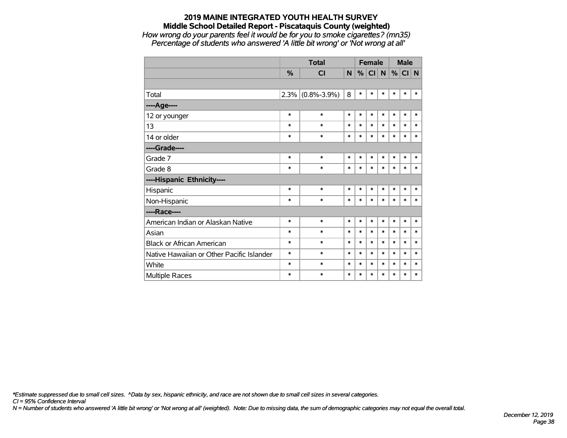#### **2019 MAINE INTEGRATED YOUTH HEALTH SURVEY Middle School Detailed Report - Piscataquis County (weighted)** *How wrong do your parents feel it would be for you to smoke cigarettes? (mn35)*

*Percentage of students who answered 'A little bit wrong' or 'Not wrong at all'*

|                                           |               | <b>Total</b>      |        | <b>Female</b> |        |        |        | <b>Male</b> |        |
|-------------------------------------------|---------------|-------------------|--------|---------------|--------|--------|--------|-------------|--------|
|                                           | $\frac{0}{0}$ | CI                | N.     | %             | CI N   |        | %      | CI          | N      |
|                                           |               |                   |        |               |        |        |        |             |        |
| Total                                     | 2.3%          | $(0.8\% - 3.9\%)$ | 8      | $\ast$        | $\ast$ | $\ast$ | $\ast$ | $\ast$      | $\ast$ |
| ----Age----                               |               |                   |        |               |        |        |        |             |        |
| 12 or younger                             | $\ast$        | $\ast$            | $\ast$ | $\ast$        | $\ast$ | $\ast$ | $\ast$ | $\ast$      | $\ast$ |
| 13                                        | $\ast$        | $\ast$            | $\ast$ | $\ast$        | $\ast$ | $\ast$ | $\ast$ | $\ast$      | $\ast$ |
| 14 or older                               | $\ast$        | $\ast$            | $\ast$ | $\ast$        | $\ast$ | $\ast$ | $\ast$ | $\ast$      | $\ast$ |
| ----Grade----                             |               |                   |        |               |        |        |        |             |        |
| Grade 7                                   | $\ast$        | $\ast$            | $\ast$ | $\ast$        | $\ast$ | $\ast$ | $\ast$ | $\ast$      | $\ast$ |
| Grade 8                                   | $\ast$        | $\ast$            | $\ast$ | $\ast$        | $\ast$ | $\ast$ | $\ast$ | $\ast$      | $\ast$ |
| ----Hispanic Ethnicity----                |               |                   |        |               |        |        |        |             |        |
| Hispanic                                  | $\ast$        | $\ast$            | $\ast$ | $\ast$        | $\ast$ | $\ast$ | $\ast$ | $\ast$      | $\ast$ |
| Non-Hispanic                              | $\ast$        | $\ast$            | $\ast$ | $\ast$        | $\ast$ | $\ast$ | $\ast$ | $\ast$      | $\ast$ |
| ----Race----                              |               |                   |        |               |        |        |        |             |        |
| American Indian or Alaskan Native         | $\ast$        | $\ast$            | $\ast$ | $\ast$        | $\ast$ | $\ast$ | $\ast$ | $\ast$      | $\ast$ |
| Asian                                     | $\ast$        | $\ast$            | $\ast$ | $\ast$        | $\ast$ | $\ast$ | $\ast$ | $\ast$      | $\ast$ |
| <b>Black or African American</b>          | $\ast$        | $\ast$            | $\ast$ | $\ast$        | $\ast$ | *      | $\ast$ | $\ast$      | $\ast$ |
| Native Hawaiian or Other Pacific Islander | $\ast$        | $\ast$            | $\ast$ | $\ast$        | $\ast$ | $\ast$ | $\ast$ | $\ast$      | $\ast$ |
| White                                     | $\ast$        | $\ast$            | $\ast$ | $\ast$        | $\ast$ | $\ast$ | $\ast$ | $\ast$      | $\ast$ |
| <b>Multiple Races</b>                     | $\ast$        | $\ast$            | $\ast$ | $\ast$        | $\ast$ | *      | $\ast$ | $\ast$      | $\ast$ |

*\*Estimate suppressed due to small cell sizes. ^Data by sex, hispanic ethnicity, and race are not shown due to small cell sizes in several categories.*

*CI = 95% Confidence Interval*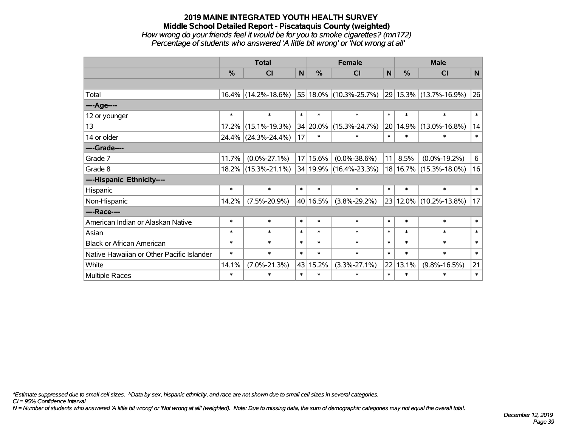### **2019 MAINE INTEGRATED YOUTH HEALTH SURVEY Middle School Detailed Report - Piscataquis County (weighted)** *How wrong do your friends feel it would be for you to smoke cigarettes? (mn172) Percentage of students who answered 'A little bit wrong' or 'Not wrong at all'*

|                                           |        | <b>Total</b>           | <b>Female</b> |               |                             |        |               | <b>Male</b>            |                 |  |  |  |        |        |        |
|-------------------------------------------|--------|------------------------|---------------|---------------|-----------------------------|--------|---------------|------------------------|-----------------|--|--|--|--------|--------|--------|
|                                           | %      | <b>CI</b>              | N             | $\frac{0}{0}$ | <b>CI</b>                   | N      | $\frac{0}{0}$ | <b>CI</b>              | N               |  |  |  |        |        |        |
|                                           |        |                        |               |               |                             |        |               |                        |                 |  |  |  |        |        |        |
| Total                                     |        | $16.4\%$ (14.2%-18.6%) |               |               | 55 18.0% (10.3%-25.7%)      |        |               | 29 15.3% (13.7%-16.9%) | 26              |  |  |  |        |        |        |
| ----Age----                               |        |                        |               |               |                             |        |               |                        |                 |  |  |  |        |        |        |
| 12 or younger                             | $\ast$ | $\ast$                 | $\ast$        | $\ast$        | $\ast$                      | $\ast$ | $\ast$        | $\ast$                 | $\ast$          |  |  |  |        |        |        |
| 13                                        | 17.2%  | $(15.1\% - 19.3\%)$    |               | 34 20.0%      | $(15.3\% - 24.7\%)$         | 20     | 14.9%         | $(13.0\% - 16.8\%)$    | 14              |  |  |  |        |        |        |
| 14 or older                               |        | 24.4% (24.3%-24.4%)    | 17            | $\ast$        | $\ast$                      | $\ast$ | $\ast$        | $\ast$                 | $\ast$          |  |  |  |        |        |        |
| ----Grade----                             |        |                        |               |               |                             |        |               |                        |                 |  |  |  |        |        |        |
| Grade 7                                   | 11.7%  | $(0.0\% - 27.1\%)$     |               | 17 15.6%      | $(0.0\% - 38.6\%)$          | 11     | 8.5%          | $(0.0\% - 19.2\%)$     | $6\overline{6}$ |  |  |  |        |        |        |
| Grade 8                                   |        | 18.2% (15.3%-21.1%)    |               |               | $ 34 19.9\% $ (16.4%-23.3%) |        |               | 18 16.7% (15.3%-18.0%) | 16              |  |  |  |        |        |        |
| ----Hispanic Ethnicity----                |        |                        |               |               |                             |        |               |                        |                 |  |  |  |        |        |        |
| Hispanic                                  | $\ast$ | $\ast$                 | $\ast$        | $\ast$        | $\ast$                      | $\ast$ | $\ast$        | $\ast$                 | $\ast$          |  |  |  |        |        |        |
| Non-Hispanic                              | 14.2%  | $(7.5\% - 20.9\%)$     |               | 40 16.5%      | $(3.8\% - 29.2\%)$          |        |               | 23 12.0% (10.2%-13.8%) | 17              |  |  |  |        |        |        |
| ----Race----                              |        |                        |               |               |                             |        |               |                        |                 |  |  |  |        |        |        |
| American Indian or Alaskan Native         | $\ast$ | $\ast$                 | $\ast$        | $\ast$        | $\ast$                      | $\ast$ | $\ast$        | $\ast$                 | $\ast$          |  |  |  |        |        |        |
| Asian                                     | $\ast$ | $\ast$                 | $\ast$        | $\ast$        | $\ast$                      |        |               |                        |                 |  |  |  | $\ast$ | $\ast$ | $\ast$ |
| <b>Black or African American</b>          | $\ast$ | $\ast$                 | $\ast$        | $\ast$        | $\ast$                      |        | $\ast$        | $\ast$                 | $\ast$          |  |  |  |        |        |        |
| Native Hawaiian or Other Pacific Islander | $\ast$ | $\ast$                 | $\ast$        | $\ast$        | $\ast$                      | $\ast$ | $\ast$        | $\ast$                 | $\ast$          |  |  |  |        |        |        |
| White                                     | 14.1%  | $(7.0\% - 21.3\%)$     | 43            | 15.2%         | $(3.3\% - 27.1\%)$          | 22     | 13.1%         | $(9.8\% - 16.5\%)$     | 21              |  |  |  |        |        |        |
| <b>Multiple Races</b>                     | $\ast$ | $\ast$                 | $\ast$        | $\ast$        | *                           | $\ast$ | $\ast$        | $\ast$                 | $\ast$          |  |  |  |        |        |        |

*\*Estimate suppressed due to small cell sizes. ^Data by sex, hispanic ethnicity, and race are not shown due to small cell sizes in several categories.*

*CI = 95% Confidence Interval*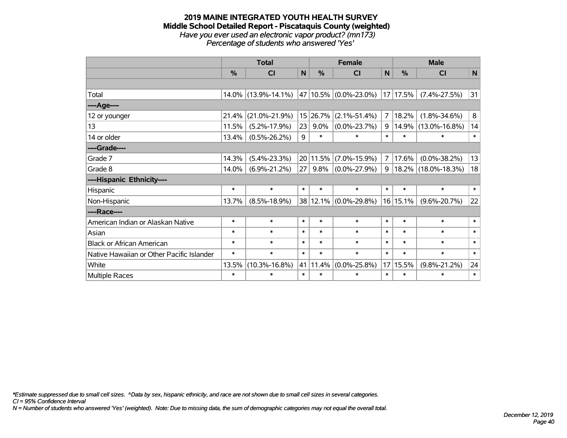#### **2019 MAINE INTEGRATED YOUTH HEALTH SURVEY Middle School Detailed Report - Piscataquis County (weighted)** *Have you ever used an electronic vapor product? (mn173) Percentage of students who answered 'Yes'*

|                                           |        | <b>Total</b>        |                 |          | <b>Female</b>         |                |          | <b>Male</b>         |              |
|-------------------------------------------|--------|---------------------|-----------------|----------|-----------------------|----------------|----------|---------------------|--------------|
|                                           | %      | <b>CI</b>           | N               | %        | <b>CI</b>             | $\mathsf{N}$   | %        | <b>CI</b>           | $\mathsf{N}$ |
|                                           |        |                     |                 |          |                       |                |          |                     |              |
| Total                                     | 14.0%  | $(13.9\% - 14.1\%)$ |                 |          | 47 10.5% (0.0%-23.0%) | 17             | 17.5%    | $(7.4\% - 27.5\%)$  | 31           |
| ----Age----                               |        |                     |                 |          |                       |                |          |                     |              |
| 12 or younger                             | 21.4%  | $(21.0\% - 21.9\%)$ | 15              | 26.7%    | $(2.1\% - 51.4\%)$    | $\overline{7}$ | 18.2%    | $(1.8\% - 34.6\%)$  | 8            |
| 13                                        | 11.5%  | $(5.2\% - 17.9\%)$  | 23              | 9.0%     | $(0.0\% - 23.7\%)$    | 9              | 14.9%    | $(13.0\% - 16.8\%)$ | 14           |
| 14 or older                               | 13.4%  | $(0.5\% - 26.2\%)$  | 9               | $\ast$   | $\ast$                | $\ast$         | $\ast$   | $\ast$              | $\ast$       |
| ----Grade----                             |        |                     |                 |          |                       |                |          |                     |              |
| Grade 7                                   | 14.3%  | $(5.4\% - 23.3\%)$  |                 | 20 11.5% | $(7.0\% - 15.9\%)$    | $\overline{7}$ | 17.6%    | $(0.0\% - 38.2\%)$  | 13           |
| Grade 8                                   | 14.0%  | $(6.9\% - 21.2\%)$  | 27 <sup>2</sup> | 9.8%     | $(0.0\% - 27.9\%)$    | 9              |          | 18.2% (18.0%-18.3%) | 18           |
| ----Hispanic Ethnicity----                |        |                     |                 |          |                       |                |          |                     |              |
| Hispanic                                  | $\ast$ | $\ast$              | $\ast$          | $\ast$   | $\ast$                | $\ast$         | $\ast$   | $\ast$              | $\ast$       |
| Non-Hispanic                              | 13.7%  | $(8.5\% - 18.9\%)$  |                 |          | 38 12.1% (0.0%-29.8%) |                | 16 15.1% | $(9.6\% - 20.7\%)$  | 22           |
| ----Race----                              |        |                     |                 |          |                       |                |          |                     |              |
| American Indian or Alaskan Native         | $\ast$ | $\ast$              | $\ast$          | $\ast$   | $\ast$                | $\ast$         | $\ast$   | $\ast$              | $\ast$       |
| Asian                                     | $\ast$ | $\ast$              | $\ast$          | $\ast$   | $\ast$                | $\ast$         | $\ast$   | $\ast$              | $\ast$       |
| <b>Black or African American</b>          | $\ast$ | $\ast$              | $\ast$          | $\ast$   | $\ast$                | $\ast$         | $\ast$   | $\ast$              | $\ast$       |
| Native Hawaiian or Other Pacific Islander | $\ast$ | $\ast$              | $\ast$          | $\ast$   | $\ast$                | $\ast$         | $\ast$   | $\ast$              | $\ast$       |
| White                                     | 13.5%  | $(10.3\% - 16.8\%)$ | 41              | 11.4%    | $(0.0\% - 25.8\%)$    | 17             | 15.5%    | $(9.8\% - 21.2\%)$  | 24           |
| <b>Multiple Races</b>                     | $\ast$ | $\ast$              | $\ast$          | $\ast$   | $\ast$                | $\ast$         | $\ast$   | $\ast$              | $\ast$       |

*\*Estimate suppressed due to small cell sizes. ^Data by sex, hispanic ethnicity, and race are not shown due to small cell sizes in several categories.*

*CI = 95% Confidence Interval*

*N = Number of students who answered 'Yes' (weighted). Note: Due to missing data, the sum of demographic categories may not equal the overall total.*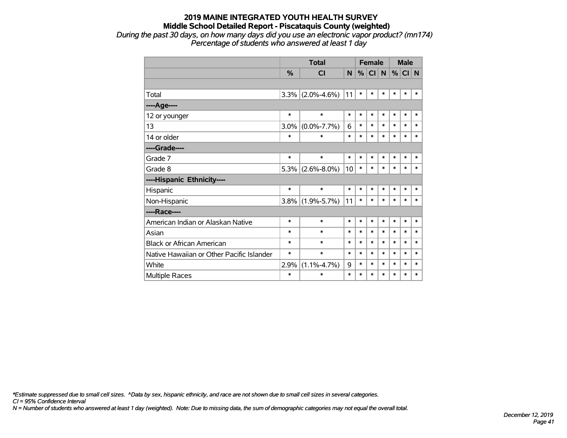*During the past 30 days, on how many days did you use an electronic vapor product? (mn174) Percentage of students who answered at least 1 day*

|                                           |               | <b>Total</b>      |        | <b>Female</b> |           |        | <b>Male</b> |        |        |
|-------------------------------------------|---------------|-------------------|--------|---------------|-----------|--------|-------------|--------|--------|
|                                           | $\frac{0}{0}$ | <b>CI</b>         | N      | %             | <b>CI</b> | N      | %           | CI N   |        |
|                                           |               |                   |        |               |           |        |             |        |        |
| Total                                     | 3.3%          | $(2.0\% - 4.6\%)$ | 11     | $\ast$        | $\ast$    | $\ast$ | $\ast$      | $\ast$ | $\ast$ |
| ---- Age----                              |               |                   |        |               |           |        |             |        |        |
| 12 or younger                             | $\ast$        | $\ast$            | $\ast$ | $\ast$        | $\ast$    | $\ast$ | $\ast$      | $\ast$ | $\ast$ |
| 13                                        | 3.0%          | $(0.0\% - 7.7\%)$ | 6      | $\ast$        | $\ast$    | $\ast$ | $\ast$      | $\ast$ | $\ast$ |
| 14 or older                               | $\ast$        | $\ast$            | $\ast$ | $\ast$        | $\ast$    | $\ast$ | $\ast$      | $\ast$ | $\ast$ |
| ----Grade----                             |               |                   |        |               |           |        |             |        |        |
| Grade 7                                   | $\ast$        | $\ast$            | $\ast$ | $\ast$        | $\ast$    | $\ast$ | $\ast$      | $\ast$ | $\ast$ |
| Grade 8                                   | 5.3%          | $(2.6\% - 8.0\%)$ | 10     | $\ast$        | $\ast$    | $\ast$ | $\ast$      | $\ast$ | $\ast$ |
| ----Hispanic Ethnicity----                |               |                   |        |               |           |        |             |        |        |
| Hispanic                                  | *             | $\ast$            | $\ast$ | $\ast$        | $\ast$    | $\ast$ | $\ast$      | $\ast$ | *      |
| Non-Hispanic                              | 3.8%          | $(1.9\% - 5.7\%)$ | 11     | $\ast$        | $\ast$    | *      | $\ast$      | $\ast$ | $\ast$ |
| ----Race----                              |               |                   |        |               |           |        |             |        |        |
| American Indian or Alaskan Native         | $\ast$        | $\ast$            | $\ast$ | $\ast$        | $\ast$    | $\ast$ | $\ast$      | $\ast$ | $\ast$ |
| Asian                                     | *             | $\ast$            | $\ast$ | $\ast$        | $\ast$    | $\ast$ | $\ast$      | $\ast$ | $\ast$ |
| <b>Black or African American</b>          | *             | $\ast$            | $\ast$ | $\ast$        | $\ast$    | $\ast$ | $\ast$      | $\ast$ | $\ast$ |
| Native Hawaiian or Other Pacific Islander | *             | $\ast$            | $\ast$ | $\ast$        | $\ast$    | $\ast$ | $\ast$      | $\ast$ | $\ast$ |
| White                                     | 2.9%          | $(1.1\% - 4.7\%)$ | 9      | $\ast$        | $\ast$    | $\ast$ | $\ast$      | $\ast$ | $\ast$ |
| Multiple Races                            | *             | $\ast$            | $\ast$ | $\ast$        | $\ast$    | $\ast$ | $\ast$      | $\ast$ | $\ast$ |

*\*Estimate suppressed due to small cell sizes. ^Data by sex, hispanic ethnicity, and race are not shown due to small cell sizes in several categories.*

*CI = 95% Confidence Interval*

*N = Number of students who answered at least 1 day (weighted). Note: Due to missing data, the sum of demographic categories may not equal the overall total.*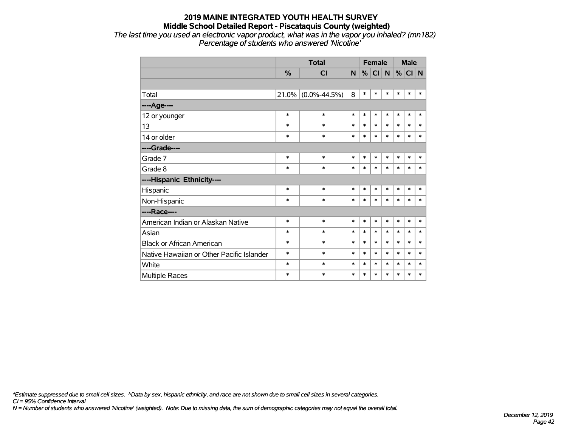*The last time you used an electronic vapor product, what was in the vapor you inhaled? (mn182) Percentage of students who answered 'Nicotine'*

|                                           |        | <b>Total</b>       |        |        |          | <b>Female</b> |        | <b>Male</b> |        |
|-------------------------------------------|--------|--------------------|--------|--------|----------|---------------|--------|-------------|--------|
|                                           | %      | <b>CI</b>          | N      |        | %  CI  N |               | $\%$   | CI N        |        |
|                                           |        |                    |        |        |          |               |        |             |        |
| Total                                     | 21.0%  | $(0.0\% - 44.5\%)$ | 8      | $\ast$ | $\ast$   | $\ast$        | $\ast$ | $\ast$      | $\ast$ |
| ----Age----                               |        |                    |        |        |          |               |        |             |        |
| 12 or younger                             | $\ast$ | $\ast$             | $\ast$ | $\ast$ | $\ast$   | $\ast$        | $\ast$ | $\ast$      | $\ast$ |
| 13                                        | $\ast$ | $\ast$             | *      | $\ast$ | $\ast$   | $\ast$        | $\ast$ | $\ast$      | $\ast$ |
| 14 or older                               | $\ast$ | $\ast$             | $\ast$ | $\ast$ | $\ast$   | $\ast$        | $\ast$ | $\ast$      | $\ast$ |
| ----Grade----                             |        |                    |        |        |          |               |        |             |        |
| Grade 7                                   | $\ast$ | $\ast$             | $\ast$ | $\ast$ | $\ast$   | $\ast$        | $\ast$ | $\ast$      | $\ast$ |
| Grade 8                                   | $\ast$ | $\ast$             | $\ast$ | $\ast$ | $\ast$   | $\ast$        | $\ast$ | $\ast$      | $\ast$ |
| ----Hispanic Ethnicity----                |        |                    |        |        |          |               |        |             |        |
| Hispanic                                  | *      | $\ast$             | $\ast$ | $\ast$ | $\ast$   | $\ast$        | $\ast$ | $\ast$      | ∗      |
| Non-Hispanic                              | $\ast$ | $\ast$             | $\ast$ | $\ast$ | $\ast$   | $\ast$        | $\ast$ | $\ast$      | $\ast$ |
| ----Race----                              |        |                    |        |        |          |               |        |             |        |
| American Indian or Alaskan Native         | $\ast$ | $\ast$             | $\ast$ | $\ast$ | $\ast$   | $\ast$        | $\ast$ | $\ast$      | $\ast$ |
| Asian                                     | $\ast$ | $\ast$             | $\ast$ | $\ast$ | $\ast$   | $\ast$        | $\ast$ | $\ast$      | $\ast$ |
| <b>Black or African American</b>          | $\ast$ | $\ast$             | $\ast$ | $\ast$ | $\ast$   | $\ast$        | $\ast$ | $\ast$      | $\ast$ |
| Native Hawaiian or Other Pacific Islander | *      | $\ast$             | $\ast$ | $\ast$ | $\ast$   | $\ast$        | $\ast$ | $\ast$      | $\ast$ |
| White                                     | $\ast$ | $\ast$             | $\ast$ | $\ast$ | $\ast$   | $\ast$        | $\ast$ | $\ast$      | $\ast$ |
| Multiple Races                            | $\ast$ | $\ast$             | $\ast$ | $\ast$ | $\ast$   | $\ast$        | $\ast$ | $\ast$      | $\ast$ |

*\*Estimate suppressed due to small cell sizes. ^Data by sex, hispanic ethnicity, and race are not shown due to small cell sizes in several categories.*

*CI = 95% Confidence Interval*

*N = Number of students who answered 'Nicotine' (weighted). Note: Due to missing data, the sum of demographic categories may not equal the overall total.*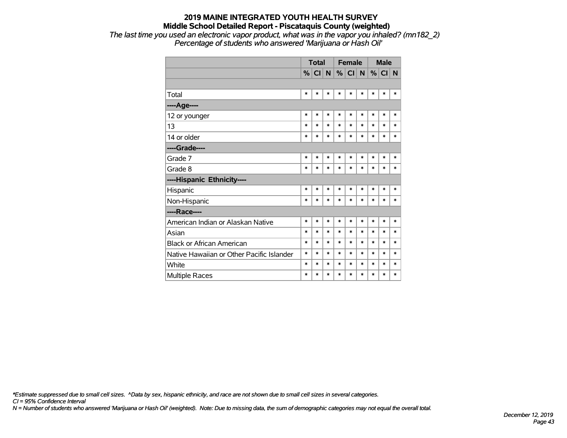*The last time you used an electronic vapor product, what was in the vapor you inhaled? (mn182\_2) Percentage of students who answered 'Marijuana or Hash Oil'*

|                                           | <b>Total</b> |        |        | <b>Female</b> |        |        | <b>Male</b> |        |        |
|-------------------------------------------|--------------|--------|--------|---------------|--------|--------|-------------|--------|--------|
|                                           | %            | CI N   |        | %             | CI N   |        | %           | CI N   |        |
|                                           |              |        |        |               |        |        |             |        |        |
| Total                                     | $\ast$       | *      | $\ast$ | $\ast$        | $\ast$ | $\ast$ | $\ast$      | $\ast$ | *      |
| ----Age----                               |              |        |        |               |        |        |             |        |        |
| 12 or younger                             | $\ast$       | $\ast$ | *      | $\ast$        | *      | $\ast$ | *           | *      | *      |
| 13                                        | $\ast$       | $\ast$ | $\ast$ | $\ast$        | *      | $\ast$ | *           | *      | *      |
| 14 or older                               | $\ast$       | *      | $\ast$ | $\ast$        | $\ast$ | $\ast$ | $\ast$      | $\ast$ | $\ast$ |
| ----Grade----                             |              |        |        |               |        |        |             |        |        |
| Grade 7                                   | $\ast$       | *      | *      | $\ast$        | *      | ∗      | $\ast$      | $\ast$ | *      |
| Grade 8                                   | $\ast$       | $\ast$ | *      | $\ast$        | $\ast$ | $\ast$ | $\ast$      | $\ast$ | $\ast$ |
| ----Hispanic Ethnicity----                |              |        |        |               |        |        |             |        |        |
| Hispanic                                  | $\ast$       | $\ast$ | *      | $\ast$        | $\ast$ | $\ast$ | $\ast$      | $\ast$ | $\ast$ |
| Non-Hispanic                              | $\ast$       | $\ast$ | $\ast$ | $\ast$        | $\ast$ | $\ast$ | $\ast$      | $\ast$ | *      |
| ----Race----                              |              |        |        |               |        |        |             |        |        |
| American Indian or Alaskan Native         | $\ast$       | $\ast$ | $\ast$ | $\ast$        | $\ast$ | $\ast$ | $\ast$      | $\ast$ | $\ast$ |
| Asian                                     | $\ast$       | $\ast$ | $\ast$ | $\ast$        | $\ast$ | $\ast$ | $\ast$      | $\ast$ | $\ast$ |
| <b>Black or African American</b>          | $\ast$       | $\ast$ | *      | $\ast$        | $\ast$ | $\ast$ | $\ast$      | $\ast$ | $\ast$ |
| Native Hawaiian or Other Pacific Islander | $\ast$       | $\ast$ | *      | $\ast$        | $\ast$ | $\ast$ | $\ast$      | $\ast$ | $\ast$ |
| White                                     | $\ast$       | $\ast$ | *      | ∗             | $\ast$ | $\ast$ | $\ast$      | *      | $\ast$ |
| Multiple Races                            | $\ast$       | $\ast$ | *      | $\ast$        | $\ast$ | $\ast$ | $\ast$      | $\ast$ | $\ast$ |

*\*Estimate suppressed due to small cell sizes. ^Data by sex, hispanic ethnicity, and race are not shown due to small cell sizes in several categories.*

*CI = 95% Confidence Interval*

*N = Number of students who answered 'Marijuana or Hash Oil' (weighted). Note: Due to missing data, the sum of demographic categories may not equal the overall total.*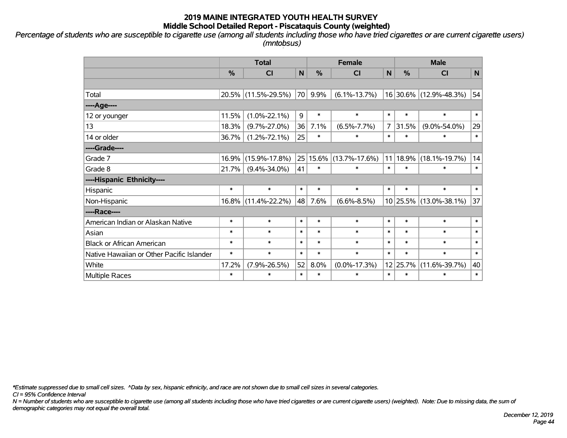*Percentage of students who are susceptible to cigarette use (among all students including those who have tried cigarettes or are current cigarette users) (mntobsus)*

|                                           |               | <b>Total</b>        | <b>Female</b> |               |                                |                            |                     |                        | <b>Male</b> |  |
|-------------------------------------------|---------------|---------------------|---------------|---------------|--------------------------------|----------------------------|---------------------|------------------------|-------------|--|
|                                           | $\frac{0}{0}$ | CI                  | N             | $\frac{9}{6}$ | <b>CI</b>                      | $\mathsf{N}$               | %                   | <b>CI</b>              | N           |  |
|                                           |               |                     |               |               |                                |                            |                     |                        |             |  |
| Total                                     | 20.5%         | $(11.5\% - 29.5\%)$ | 70            | 9.9%          | $(6.1\% - 13.7\%)$             |                            |                     | 16 30.6% (12.9%-48.3%) | 54          |  |
| ---- Age----                              |               |                     |               |               |                                |                            |                     |                        |             |  |
| 12 or younger                             | 11.5%         | $(1.0\% - 22.1\%)$  | 9             | $\ast$        | $\ast$                         | $\ast$                     | $\ast$              | $\ast$                 | $\ast$      |  |
| 13                                        | 18.3%         | $(9.7\% - 27.0\%)$  | 36            | 7.1%          | $(6.5\% - 7.7\%)$              | 31.5%<br>$\overline{7}$    |                     | $(9.0\% - 54.0\%)$     | 29          |  |
| 14 or older                               | 36.7%         | $(1.2\% - 72.1\%)$  | 25            | $\ast$        | $\ast$                         | $\ast$<br>$\ast$<br>$\ast$ |                     | $\ast$                 |             |  |
| ----Grade----                             |               |                     |               |               |                                |                            |                     |                        |             |  |
| Grade 7                                   | 16.9%         | $(15.9\% - 17.8\%)$ |               | 25 15.6%      | $(13.7\% - 17.6\%)$            | 11                         | 18.9%               | $(18.1\% - 19.7\%)$    | 14          |  |
| Grade 8                                   | 21.7%         | $(9.4\% - 34.0\%)$  | 41            | $\ast$        | $\ast$                         | $\ast$                     | $\ast$              | $\ast$                 | $\ast$      |  |
| ----Hispanic Ethnicity----                |               |                     |               |               |                                |                            |                     |                        |             |  |
| Hispanic                                  | $\ast$        | $\ast$              | $\ast$        | $\ast$        | $\ast$                         | $\ast$                     | $\ast$              | $\ast$                 | $\ast$      |  |
| Non-Hispanic                              | 16.8%         | $(11.4\% - 22.2\%)$ | 48            | 7.6%          | $(6.6\% - 8.5\%)$              |                            |                     | 10 25.5% (13.0%-38.1%) | 37          |  |
| ----Race----                              |               |                     |               |               |                                |                            |                     |                        |             |  |
| American Indian or Alaskan Native         | $\ast$        | $\ast$              | $\ast$        | $\ast$        | $\ast$                         | $\ast$                     | $\ast$              | $\ast$                 | $\ast$      |  |
| Asian                                     | $\ast$        | $\ast$              | $\ast$        | $\ast$        | $\ast$                         | $\ast$                     | $\ast$              | $\ast$                 | $\ast$      |  |
| <b>Black or African American</b>          | $\ast$        | $\ast$              | $\ast$        | $\ast$        | $\ast$                         | $\ast$                     | *                   | $\ast$                 | $\ast$      |  |
| Native Hawaiian or Other Pacific Islander | $\ast$        | $\ast$              | $\ast$        | $\ast$        | $\ast$                         |                            | $\ast$              | $\ast$                 | $\ast$      |  |
| White                                     | 17.2%         | $(7.9\% - 26.5\%)$  | 52            | 8.0%          | $(0.0\% - 17.3\%)$<br>12 25.7% |                            | $(11.6\% - 39.7\%)$ | 40                     |             |  |
| Multiple Races                            | $\ast$        | $\ast$              | $\ast$        | $\ast$        | $\ast$                         | $\ast$                     | $\ast$              | $\ast$                 | $\ast$      |  |

*\*Estimate suppressed due to small cell sizes. ^Data by sex, hispanic ethnicity, and race are not shown due to small cell sizes in several categories.*

*CI = 95% Confidence Interval*

*N = Number of students who are susceptible to cigarette use (among all students including those who have tried cigarettes or are current cigarette users) (weighted). Note: Due to missing data, the sum of demographic categories may not equal the overall total.*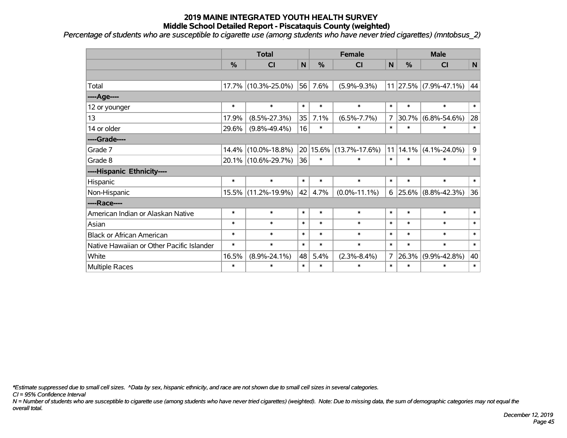*Percentage of students who are susceptible to cigarette use (among students who have never tried cigarettes) (mntobsus\_2)*

|                                           |        | <b>Total</b>        |        |              | <b>Female</b>       |                                              |                 | <b>Male</b>           |        |                    |    |
|-------------------------------------------|--------|---------------------|--------|--------------|---------------------|----------------------------------------------|-----------------|-----------------------|--------|--------------------|----|
|                                           | %      | CI                  | N      | %            | CI                  | N                                            | %               | <b>CI</b>             | N      |                    |    |
|                                           |        |                     |        |              |                     |                                              |                 |                       |        |                    |    |
| Total                                     |        | 17.7% (10.3%-25.0%) | 56     | 7.6%         | $(5.9\% - 9.3\%)$   |                                              |                 | 11 27.5% (7.9%-47.1%) | 44     |                    |    |
| ---- Age----                              |        |                     |        |              |                     |                                              |                 |                       |        |                    |    |
| 12 or younger                             | $\ast$ | $\ast$              | $\ast$ | $\ast$       | $\ast$              | $\ast$                                       | $\ast$          | $\ast$                | $\ast$ |                    |    |
| 13                                        | 17.9%  | $(8.5\% - 27.3\%)$  | 35     | 7.1%         | $(6.5\% - 7.7\%)$   | $\overline{7}$<br> 30.7%<br>$\ast$<br>$\ast$ |                 | $(6.8\% - 54.6\%)$    | 28     |                    |    |
| 14 or older                               | 29.6%  | $(9.8\% - 49.4\%)$  | 16     | $\ast$       | $\ast$              | $\ast$                                       |                 |                       | $\ast$ |                    |    |
| ----Grade----                             |        |                     |        |              |                     | 11 14.1%                                     |                 |                       |        |                    |    |
| Grade 7                                   | 14.4%  | $(10.0\% - 18.8\%)$ |        | $20 15.6\% $ | $(13.7\% - 17.6\%)$ |                                              |                 | $(4.1\% - 24.0\%)$    | 9      |                    |    |
| Grade 8                                   |        | 20.1% (10.6%-29.7%) | 36     | $\ast$       | $\ast$              | $\ast$                                       | $\ast$          | $\ast$                | $\ast$ |                    |    |
| ----Hispanic Ethnicity----                |        |                     |        |              |                     |                                              |                 |                       |        |                    |    |
| Hispanic                                  | $\ast$ | $\ast$              | $\ast$ | $\ast$       | $\ast$              | $\ast$                                       | $\ast$          | $\ast$                | $\ast$ |                    |    |
| Non-Hispanic                              |        | 15.5% (11.2%-19.9%) | 42     | 4.7%         | $(0.0\% - 11.1\%)$  |                                              | $6 \mid 25.6\%$ | $(8.8\% - 42.3\%)$    | 36     |                    |    |
| ----Race----                              |        |                     |        |              |                     |                                              |                 |                       |        |                    |    |
| American Indian or Alaskan Native         | $\ast$ | $\ast$              | $\ast$ | $\ast$       | $\ast$              | $\ast$                                       | $\ast$          | $\ast$                | $\ast$ |                    |    |
| Asian                                     | $\ast$ | $\ast$              | $\ast$ | $\ast$       | $\ast$              | $\ast$                                       | $\ast$          | $\ast$                | $\ast$ |                    |    |
| <b>Black or African American</b>          | $\ast$ | $\ast$              | $\ast$ | $\ast$       | $\ast$              | $\ast$                                       | $\ast$          | $\ast$                | $\ast$ |                    |    |
| Native Hawaiian or Other Pacific Islander | $\ast$ | $\ast$              | $\ast$ | $\ast$       | $\ast$              |                                              | $\ast$          | $\ast$                | $\ast$ |                    |    |
| White                                     | 16.5%  | $(8.9\% - 24.1\%)$  | 48     | 5.4%         | $(2.3\% - 8.4\%)$   |                                              | $\overline{7}$  |                       | 26.3%  | $(9.9\% - 42.8\%)$ | 40 |
| Multiple Races                            | $\ast$ | $\ast$              | $\ast$ | $\ast$       | $\ast$              | $\ast$                                       | $\ast$          | $\ast$                | $\ast$ |                    |    |

*\*Estimate suppressed due to small cell sizes. ^Data by sex, hispanic ethnicity, and race are not shown due to small cell sizes in several categories.*

*CI = 95% Confidence Interval*

*N = Number of students who are susceptible to cigarette use (among students who have never tried cigarettes) (weighted). Note: Due to missing data, the sum of demographic categories may not equal the overall total.*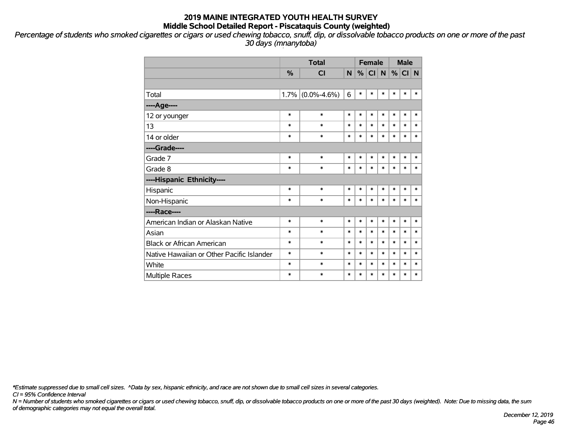*Percentage of students who smoked cigarettes or cigars or used chewing tobacco, snuff, dip, or dissolvable tobacco products on one or more of the past 30 days (mnanytoba)*

|                                           |        | <b>Total</b>      | <b>Female</b> |        |        |        | <b>Male</b> |        |        |
|-------------------------------------------|--------|-------------------|---------------|--------|--------|--------|-------------|--------|--------|
|                                           | %      | <b>CI</b>         | N.            | %      | CI N   |        | %           | CI N   |        |
|                                           |        |                   |               |        |        |        |             |        |        |
| Total                                     | 1.7%   | $(0.0\% - 4.6\%)$ | 6             | $\ast$ | $\ast$ | $\ast$ | $\ast$      | $\ast$ | $\ast$ |
| ---- Age----                              |        |                   |               |        |        |        |             |        |        |
| 12 or younger                             | $\ast$ | $\ast$            | $\ast$        | $\ast$ | $\ast$ | $\ast$ | $\ast$      | $\ast$ | $\ast$ |
| 13                                        | $\ast$ | $\ast$            | $\ast$        | $\ast$ | *      | $\ast$ | $\ast$      | $\ast$ | $\ast$ |
| 14 or older                               | $\ast$ | $\ast$            | $\ast$        | $\ast$ | $\ast$ | $\ast$ | $\ast$      | $\ast$ | $\ast$ |
| ----Grade----                             |        |                   |               |        |        |        |             |        |        |
| Grade 7                                   | $\ast$ | $\ast$            | $\ast$        | $\ast$ | $\ast$ | $\ast$ | $\ast$      | $\ast$ | $\ast$ |
| Grade 8                                   | $\ast$ | $\ast$            | $\ast$        | $\ast$ | $\ast$ | $\ast$ | $\ast$      | $\ast$ | $\ast$ |
| ----Hispanic Ethnicity----                |        |                   |               |        |        |        |             |        |        |
| Hispanic                                  | $\ast$ | $\ast$            | $\ast$        | $\ast$ | $\ast$ | $\ast$ | $\ast$      | $\ast$ | $\ast$ |
| Non-Hispanic                              | $\ast$ | $\ast$            | $\ast$        | $\ast$ | $\ast$ | $\ast$ | $\ast$      | $\ast$ | $\ast$ |
| ----Race----                              |        |                   |               |        |        |        |             |        |        |
| American Indian or Alaskan Native         | $\ast$ | $\ast$            | *             | $\ast$ | $\ast$ | $\ast$ | $\ast$      | $\ast$ | $\ast$ |
| Asian                                     | *      | $\ast$            | $\ast$        | $\ast$ | $\ast$ | $\ast$ | $\ast$      | $\ast$ | $\ast$ |
| <b>Black or African American</b>          | *      | $\ast$            | $\ast$        | $\ast$ | *      | $\ast$ | *           | $\ast$ | $\ast$ |
| Native Hawaiian or Other Pacific Islander | *      | $\ast$            | $\ast$        | $\ast$ | $\ast$ | $\ast$ | $\ast$      | $\ast$ | $\ast$ |
| White                                     | *      | $\ast$            | $\ast$        | $\ast$ | *      | $\ast$ | $\ast$      | $\ast$ | $\ast$ |
| Multiple Races                            | *      | $\ast$            | $\ast$        | $\ast$ | *      | $\ast$ | *           | $\ast$ | $\ast$ |

*\*Estimate suppressed due to small cell sizes. ^Data by sex, hispanic ethnicity, and race are not shown due to small cell sizes in several categories.*

*CI = 95% Confidence Interval*

*N = Number of students who smoked cigarettes or cigars or used chewing tobacco, snuff, dip, or dissolvable tobacco products on one or more of the past 30 days (weighted). Note: Due to missing data, the sum of demographic categories may not equal the overall total.*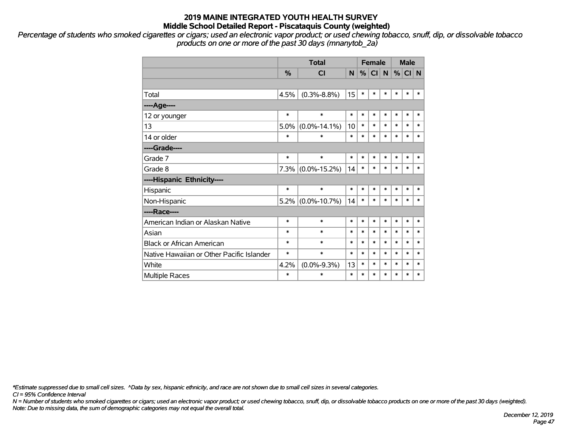*Percentage of students who smoked cigarettes or cigars; used an electronic vapor product; or used chewing tobacco, snuff, dip, or dissolvable tobacco products on one or more of the past 30 days (mnanytob\_2a)*

|                                           |        | <b>Total</b>         | <b>Female</b> |        |        |        |        | <b>Male</b> |        |
|-------------------------------------------|--------|----------------------|---------------|--------|--------|--------|--------|-------------|--------|
|                                           | %      | <b>CI</b>            | N             | %      | CI N   |        | %      | CI N        |        |
|                                           |        |                      |               |        |        |        |        |             |        |
| Total                                     | 4.5%   | $(0.3\% - 8.8\%)$    | 15            | $\ast$ | $\ast$ | *      | $\ast$ | $\ast$      | $\ast$ |
| ---- Age----                              |        |                      |               |        |        |        |        |             |        |
| 12 or younger                             | $\ast$ | $\ast$               | $\ast$        | $\ast$ | $\ast$ | $\ast$ | $\ast$ | $\ast$      | $\ast$ |
| 13                                        | 5.0%   | $(0.0\% - 14.1\%)$   | 10            | $\ast$ | $\ast$ | $\ast$ | $\ast$ | $\ast$      | $\ast$ |
| 14 or older                               | $\ast$ | $\ast$               | $\ast$        | $\ast$ | $\ast$ | $\ast$ | $\ast$ | $\ast$      | $\ast$ |
| ----Grade----                             |        |                      |               |        |        |        |        |             |        |
| Grade 7                                   | $\ast$ | $\ast$               | *             | $\ast$ | *      | *      | $\ast$ | $\ast$      | $\ast$ |
| Grade 8                                   |        | $7.3\%$ (0.0%-15.2%) | 14            | $\ast$ | *      | $\ast$ | $\ast$ | $\ast$      | $\ast$ |
| ----Hispanic Ethnicity----                |        |                      |               |        |        |        |        |             |        |
| Hispanic                                  | $\ast$ | $\ast$               | $\ast$        | $\ast$ | $\ast$ | $\ast$ | $\ast$ | $\ast$      | $\ast$ |
| Non-Hispanic                              | 5.2%   | $(0.0\% - 10.7\%)$   | 14            | $\ast$ | *      | $\ast$ | $\ast$ | $\ast$      | $\ast$ |
| ----Race----                              |        |                      |               |        |        |        |        |             |        |
| American Indian or Alaskan Native         | $\ast$ | $\ast$               | $\ast$        | $\ast$ | *      | $\ast$ | $\ast$ | $\ast$      | $\ast$ |
| Asian                                     | $\ast$ | $\ast$               | $\ast$        | $\ast$ | *      | $\ast$ | $\ast$ | $\ast$      | $\ast$ |
| <b>Black or African American</b>          | $\ast$ | $\ast$               | $\ast$        | $\ast$ | $\ast$ | $\ast$ | $\ast$ | $\ast$      | $\ast$ |
| Native Hawaiian or Other Pacific Islander | $\ast$ | *                    | $\ast$        | $\ast$ | *      | $\ast$ | $\ast$ | $\ast$      | $\ast$ |
| White                                     | 4.2%   | $(0.0\% - 9.3\%)$    | 13            | $\ast$ | *      | $\ast$ | $\ast$ | $\ast$      | $\ast$ |
| <b>Multiple Races</b>                     | $\ast$ | *                    | $\ast$        | $\ast$ | $\ast$ | $\ast$ | $\ast$ | $\ast$      | $\ast$ |

*\*Estimate suppressed due to small cell sizes. ^Data by sex, hispanic ethnicity, and race are not shown due to small cell sizes in several categories.*

*CI = 95% Confidence Interval*

*N = Number of students who smoked cigarettes or cigars; used an electronic vapor product; or used chewing tobacco, snuff, dip, or dissolvable tobacco products on one or more of the past 30 days (weighted). Note: Due to missing data, the sum of demographic categories may not equal the overall total.*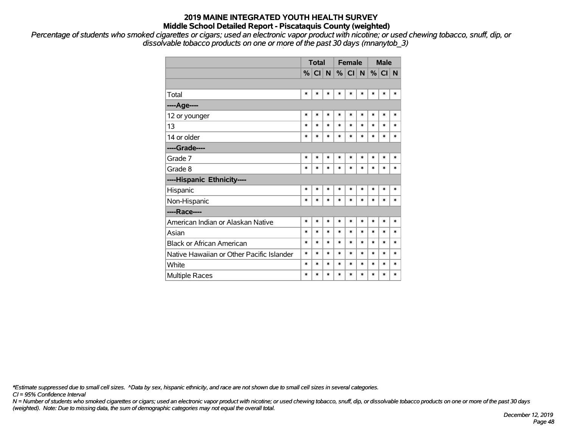*Percentage of students who smoked cigarettes or cigars; used an electronic vapor product with nicotine; or used chewing tobacco, snuff, dip, or dissolvable tobacco products on one or more of the past 30 days (mnanytob\_3)*

|                                           | <b>Total</b> |         |        |        | <b>Female</b> |                | <b>Male</b> |         |          |
|-------------------------------------------|--------------|---------|--------|--------|---------------|----------------|-------------|---------|----------|
|                                           |              | %  C  N |        |        | $\%$ CI       | N <sub>1</sub> |             | $\%$ CI | <b>N</b> |
|                                           |              |         |        |        |               |                |             |         |          |
| Total                                     | $\ast$       | ∗       | $\ast$ | $\ast$ | $\ast$        | ∗              | $\ast$      | *       | *        |
| ---- Age----                              |              |         |        |        |               |                |             |         |          |
| 12 or younger                             | $\ast$       | $\ast$  | $\ast$ | $\ast$ | $\ast$        | $\ast$         | $\ast$      | $\ast$  | *        |
| 13                                        | *            | $\ast$  | $\ast$ | $\ast$ | $\ast$        | $\ast$         | $\ast$      | $\ast$  | $\ast$   |
| 14 or older                               | $\ast$       | $\ast$  | $\ast$ | $\ast$ | $\ast$        | $\ast$         | $\ast$      | $\ast$  | *        |
| ----Grade----                             |              |         |        |        |               |                |             |         |          |
| Grade 7                                   | $\ast$       | $\ast$  | $\ast$ | $\ast$ | $\ast$        | $\ast$         | $\ast$      | $\ast$  | *        |
| Grade 8                                   | $\ast$       | $\ast$  | $\ast$ | $\ast$ | $\ast$        | $\ast$         | $\ast$      | $\ast$  | *        |
| ----Hispanic Ethnicity----                |              |         |        |        |               |                |             |         |          |
| Hispanic                                  | $\ast$       | $\ast$  | $\ast$ | $\ast$ | $\ast$        | $\ast$         | $\ast$      | $\ast$  | *        |
| Non-Hispanic                              | $\ast$       | $\ast$  | $\ast$ | $\ast$ | $\ast$        | $\ast$         | $\ast$      | $\ast$  | *        |
| ----Race----                              |              |         |        |        |               |                |             |         |          |
| American Indian or Alaskan Native         | $\ast$       | $\ast$  | $\ast$ | $\ast$ | $\ast$        | $\ast$         | $\ast$      | $\ast$  | $\ast$   |
| Asian                                     | $\ast$       | $\ast$  | $\ast$ | $\ast$ | $\ast$        | $\ast$         | $\ast$      | $\ast$  | $\ast$   |
| <b>Black or African American</b>          | $\ast$       | $\ast$  | $\ast$ | $\ast$ | $\ast$        | $\ast$         | $\ast$      | $\ast$  | $\ast$   |
| Native Hawaiian or Other Pacific Islander | $\ast$       | $\ast$  | $\ast$ | $\ast$ | $\ast$        | $\ast$         | $\ast$      | $\ast$  | $\ast$   |
| White                                     | $\ast$       | $\ast$  | $\ast$ | $\ast$ | $\ast$        | $\ast$         | $\ast$      | $\ast$  | $\ast$   |
| Multiple Races                            | *            | $\ast$  | $\ast$ | $\ast$ | $\ast$        | $\ast$         | $\ast$      | $\ast$  | *        |

*\*Estimate suppressed due to small cell sizes. ^Data by sex, hispanic ethnicity, and race are not shown due to small cell sizes in several categories.*

*CI = 95% Confidence Interval*

*N = Number of students who smoked cigarettes or cigars; used an electronic vapor product with nicotine; or used chewing tobacco, snuff, dip, or dissolvable tobacco products on one or more of the past 30 days (weighted). Note: Due to missing data, the sum of demographic categories may not equal the overall total.*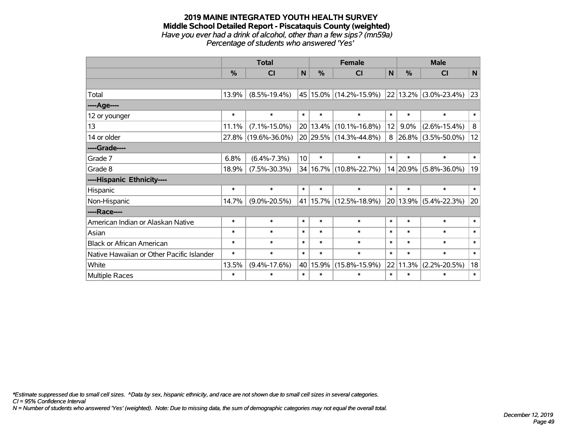#### **2019 MAINE INTEGRATED YOUTH HEALTH SURVEY Middle School Detailed Report - Piscataquis County (weighted)** *Have you ever had a drink of alcohol, other than a few sips? (mn59a) Percentage of students who answered 'Yes'*

|                                           | <b>Total</b>  |                     |                                 |                  | <b>Female</b>              |                  | <b>Male</b>        |                                |              |  |        |        |        |
|-------------------------------------------|---------------|---------------------|---------------------------------|------------------|----------------------------|------------------|--------------------|--------------------------------|--------------|--|--------|--------|--------|
|                                           | $\frac{0}{0}$ | <b>CI</b>           | $\mathsf{N}$                    | %                | <b>CI</b>                  | $\mathsf{N}$     | %                  | <b>CI</b>                      | $\mathsf{N}$ |  |        |        |        |
|                                           |               |                     |                                 |                  |                            |                  |                    |                                |              |  |        |        |        |
| Total                                     | 13.9%         | $(8.5\% - 19.4\%)$  |                                 |                  | 45 15.0% (14.2%-15.9%)     |                  |                    | 22 13.2% (3.0%-23.4%)          | 23           |  |        |        |        |
| ----Age----                               |               |                     |                                 |                  |                            |                  |                    |                                |              |  |        |        |        |
| 12 or younger                             | $\ast$        | $\ast$              | $\ast$                          | $\ast$           | $\ast$                     | $\ast$           | $\ast$             | $\ast$                         | $\ast$       |  |        |        |        |
| 13                                        | 11.1%         | $(7.1\% - 15.0\%)$  |                                 |                  | 20 13.4% (10.1%-16.8%)     | 12               | $9.0\%$            | $(2.6\% - 15.4\%)$             | 8            |  |        |        |        |
| 14 or older                               | 27.8%         | $(19.6\% - 36.0\%)$ |                                 |                  | 20 29.5% (14.3%-44.8%)     |                  |                    | 8   26.8%   $(3.5\% - 50.0\%)$ | 12           |  |        |        |        |
| ----Grade----                             |               |                     |                                 |                  |                            |                  |                    |                                |              |  |        |        |        |
| Grade 7                                   | 6.8%          | $(6.4\% - 7.3\%)$   | 10 <sup>1</sup>                 | $\ast$           | $\ast$                     |                  |                    |                                |              |  | $\ast$ | $\ast$ | $\ast$ |
| Grade 8                                   | 18.9%         | $(7.5\% - 30.3\%)$  |                                 |                  | 34 16.7% (10.8%-22.7%)     |                  |                    | 14 20.9% (5.8%-36.0%)          | 19           |  |        |        |        |
| ----Hispanic Ethnicity----                |               |                     |                                 |                  |                            |                  |                    |                                |              |  |        |        |        |
| Hispanic                                  | $\ast$        | $\ast$              | $\ast$                          | $\ast$           | $\ast$                     | $\ast$           | $\ast$             | $\ast$                         | $\ast$       |  |        |        |        |
| Non-Hispanic                              | 14.7%         | $(9.0\% - 20.5\%)$  |                                 |                  | 41   15.7%   (12.5%-18.9%) | 20               |                    | $13.9\%$ (5.4%-22.3%)          | 20           |  |        |        |        |
| ----Race----                              |               |                     |                                 |                  |                            |                  |                    |                                |              |  |        |        |        |
| American Indian or Alaskan Native         | $\ast$        | $\ast$              | $\ast$                          | $\ast$           | $\ast$                     | $\ast$           | $\ast$             | $\ast$                         | $\ast$       |  |        |        |        |
| Asian                                     | $\ast$        | $\ast$              | $\ast$                          | $\ast$           | $\ast$                     | $\ast$           | $\ast$             | $\ast$                         | $\ast$       |  |        |        |        |
| <b>Black or African American</b>          | $\ast$        | $\ast$              | $\ast$                          | $\ast$           | $\ast$                     | $\ast$           | $\ast$             | $\ast$                         | $\ast$       |  |        |        |        |
| Native Hawaiian or Other Pacific Islander | $\ast$        | $\ast$              | $\ast$                          | $\ast$<br>$\ast$ |                            | $\ast$<br>$\ast$ |                    | $\ast$                         | $\ast$       |  |        |        |        |
| White                                     | 13.5%         | $(9.4\% - 17.6\%)$  | 40 15.9%<br>$(15.8\% - 15.9\%)$ |                  | 22                         | 11.3%            | $(2.2\% - 20.5\%)$ | 18                             |              |  |        |        |        |
| Multiple Races                            | $\ast$        | $\ast$              | $\ast$                          | $\ast$<br>$\ast$ |                            |                  | $\ast$             | $\ast$                         | $\ast$       |  |        |        |        |

*\*Estimate suppressed due to small cell sizes. ^Data by sex, hispanic ethnicity, and race are not shown due to small cell sizes in several categories.*

*CI = 95% Confidence Interval*

*N = Number of students who answered 'Yes' (weighted). Note: Due to missing data, the sum of demographic categories may not equal the overall total.*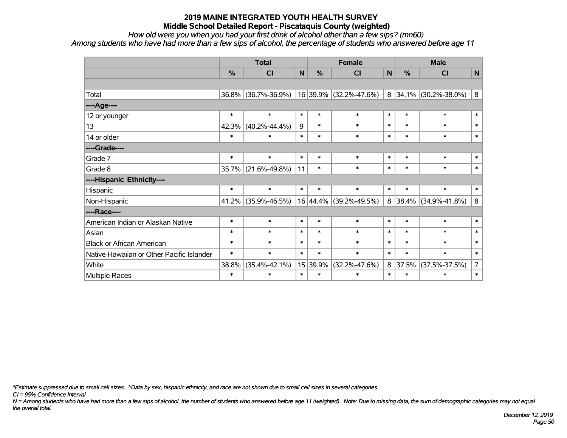*How old were you when you had your first drink of alcohol other than a few sips? (mn60) Among students who have had more than a few sips of alcohol, the percentage of students who answered before age 11*

|                                           | <b>Total</b> |                     |        |                                    | <b>Female</b>            |              | <b>Male</b>   |                          |                |        |        |  |  |  |  |  |        |        |        |
|-------------------------------------------|--------------|---------------------|--------|------------------------------------|--------------------------|--------------|---------------|--------------------------|----------------|--------|--------|--|--|--|--|--|--------|--------|--------|
|                                           | %            | C <sub>l</sub>      | N      | $\frac{0}{0}$                      | <b>CI</b>                | $\mathsf{N}$ | $\frac{0}{0}$ | C <sub>1</sub>           | $\mathsf{N}$   |        |        |  |  |  |  |  |        |        |        |
|                                           |              |                     |        |                                    |                          |              |               |                          |                |        |        |  |  |  |  |  |        |        |        |
| Total                                     | 36.8%        | $(36.7\% - 36.9\%)$ |        |                                    | $16$ 39.9% (32.2%-47.6%) | 8            |               | $34.1\%$ (30.2%-38.0%)   | 8              |        |        |  |  |  |  |  |        |        |        |
| ---- Age----                              |              |                     |        |                                    |                          |              |               |                          |                |        |        |  |  |  |  |  |        |        |        |
| 12 or younger                             | $\ast$       | $\ast$              | $\ast$ | $\ast$                             | $\ast$                   | $\ast$       | $\ast$        | $\ast$                   | $\ast$         |        |        |  |  |  |  |  |        |        |        |
| 13                                        | 42.3%        | $(40.2\% - 44.4\%)$ | 9      | $\ast$                             | $\ast$                   |              |               |                          | $\ast$         | $\ast$ | $\ast$ |  |  |  |  |  |        |        |        |
| 14 or older                               | $\ast$       | $\ast$              | $\ast$ | $\ast$                             | $\ast$                   | $\ast$       | $\ast$        | $\ast$                   | $\ast$         |        |        |  |  |  |  |  |        |        |        |
| ----Grade----                             |              |                     |        |                                    |                          |              |               |                          |                |        |        |  |  |  |  |  |        |        |        |
| Grade 7                                   | $\ast$       | $\ast$              | $\ast$ | $\ast$                             | $\ast$                   |              | $\ast$        | $\ast$                   | $\ast$         |        |        |  |  |  |  |  |        |        |        |
| Grade 8                                   |              | 35.7% (21.6%-49.8%) | 11     | $\ast$                             | $\ast$                   | $\ast$       | $\ast$        | $\ast$                   | $\ast$         |        |        |  |  |  |  |  |        |        |        |
| ----Hispanic Ethnicity----                |              |                     |        |                                    |                          |              |               |                          |                |        |        |  |  |  |  |  |        |        |        |
| Hispanic                                  | $\ast$       | $\ast$              | $\ast$ | $\ast$                             | $\ast$                   | $\ast$       | $\ast$        | $\ast$                   | $\ast$         |        |        |  |  |  |  |  |        |        |        |
| Non-Hispanic                              | 41.2%        | $(35.9\% - 46.5\%)$ |        |                                    | 16 44.4% (39.2%-49.5%)   | 8            |               | $ 38.4\% $ (34.9%-41.8%) | 8              |        |        |  |  |  |  |  |        |        |        |
| ----Race----                              |              |                     |        |                                    |                          |              |               |                          |                |        |        |  |  |  |  |  |        |        |        |
| American Indian or Alaskan Native         | $\ast$       | $\ast$              | $\ast$ | $\ast$                             | $\ast$                   |              | $\ast$        | $\ast$                   | $\ast$         |        |        |  |  |  |  |  |        |        |        |
| Asian                                     | $\ast$       | $\ast$              | $\ast$ | $\ast$                             | $\ast$                   |              |               |                          |                |        |        |  |  |  |  |  | $\ast$ | $\ast$ | $\ast$ |
| <b>Black or African American</b>          | $\ast$       | $\ast$              | $\ast$ | $\ast$                             | $\ast$                   | $\ast$       | $\ast$        | $\ast$                   | $\ast$         |        |        |  |  |  |  |  |        |        |        |
| Native Hawaiian or Other Pacific Islander | $\ast$       | $\ast$              | $\ast$ | $\ast$                             | $\ast$                   | $\ast$       | $\ast$        | $\ast$                   | $\ast$         |        |        |  |  |  |  |  |        |        |        |
| White                                     | 38.8%        | $(35.4\% - 42.1\%)$ |        | 39.9%<br>$(32.2\% - 47.6\%)$<br>15 |                          | 8            | 37.5%         | $(37.5\% - 37.5\%)$      | $\overline{7}$ |        |        |  |  |  |  |  |        |        |        |
| Multiple Races                            | $\ast$       | $\ast$              | $\ast$ | $\ast$                             | $\ast$                   |              | $\ast$        | $\ast$                   | $\ast$         |        |        |  |  |  |  |  |        |        |        |

*\*Estimate suppressed due to small cell sizes. ^Data by sex, hispanic ethnicity, and race are not shown due to small cell sizes in several categories.*

*CI = 95% Confidence Interval*

*N = Among students who have had more than a few sips of alcohol, the number of students who answered before age 11 (weighted). Note: Due to missing data, the sum of demographic categories may not equal the overall total.*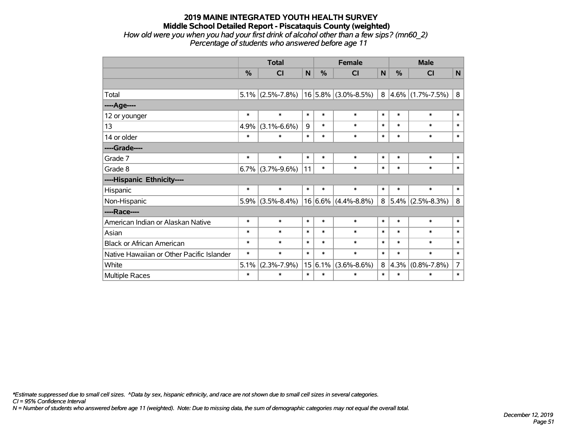#### **2019 MAINE INTEGRATED YOUTH HEALTH SURVEY Middle School Detailed Report - Piscataquis County (weighted)** *How old were you when you had your first drink of alcohol other than a few sips? (mn60\_2) Percentage of students who answered before age 11*

|                                           | <b>Total</b>  |                   |                            |        | <b>Female</b>           | <b>Male</b>    |        |                        |                |
|-------------------------------------------|---------------|-------------------|----------------------------|--------|-------------------------|----------------|--------|------------------------|----------------|
|                                           | $\frac{0}{0}$ | <b>CI</b>         | N                          | %      | <b>CI</b>               | N              | %      | <b>CI</b>              | $\mathsf{N}$   |
|                                           |               |                   |                            |        |                         |                |        |                        |                |
| Total                                     | 5.1%          | $(2.5\% - 7.8\%)$ |                            |        | $16 5.8\% $ (3.0%-8.5%) |                |        | $8 4.6\% $ (1.7%-7.5%) | 8              |
| ----Age----                               |               |                   |                            |        |                         |                |        |                        |                |
| 12 or younger                             | $\ast$        | $\ast$            | $\ast$                     | $\ast$ | $\ast$                  | $\ast$         | $\ast$ | $\ast$                 | $\ast$         |
| 13                                        | 4.9%          | $(3.1\% - 6.6\%)$ | 9<br>$\ast$<br>$\ast$      |        | $\ast$                  | $\ast$         | $\ast$ | $\ast$                 |                |
| 14 or older                               | $\ast$        | $\ast$            | $\ast$<br>$\ast$<br>$\ast$ |        | $\ast$                  | $\ast$         | $\ast$ | $\ast$                 |                |
| ----Grade----                             |               |                   |                            |        |                         |                |        |                        |                |
| Grade 7                                   | $\ast$        | $\ast$            | $\ast$                     | $\ast$ | $\ast$                  | $\ast$         | $\ast$ | $\ast$                 | $\ast$         |
| Grade 8                                   | 6.7%          | $(3.7\% - 9.6\%)$ | 11                         | $\ast$ | $\ast$                  | $\ast$         | $\ast$ | $\ast$                 | $\ast$         |
| ----Hispanic Ethnicity----                |               |                   |                            |        |                         |                |        |                        |                |
| Hispanic                                  | $\ast$        | $\ast$            | $\ast$                     | $\ast$ | $\ast$                  | $\ast$         | $\ast$ | $\ast$                 | $\ast$         |
| Non-Hispanic                              | 5.9%          | $(3.5\% - 8.4\%)$ | 16                         |        | $6.6\%$ (4.4%-8.8%)     | 8 <sup>1</sup> |        | $5.4\%$ (2.5%-8.3%)    | 8              |
| ----Race----                              |               |                   |                            |        |                         |                |        |                        |                |
| American Indian or Alaskan Native         | $\ast$        | $\ast$            | $\ast$                     | $\ast$ | $\ast$                  | $\ast$         | $\ast$ | $\ast$                 | $\ast$         |
| Asian                                     | $\ast$        | $\ast$            | $\ast$                     | $\ast$ | $\ast$                  | $\ast$         | $\ast$ | $\ast$                 | $\ast$         |
| <b>Black or African American</b>          | $\ast$        | $\ast$            | $\ast$                     | $\ast$ | $\ast$                  | $\ast$         | $\ast$ | $\ast$                 | $\ast$         |
| Native Hawaiian or Other Pacific Islander | $\ast$        | $\ast$            | $\ast$                     | $\ast$ | $\ast$                  | $\ast$         | $\ast$ | $\ast$                 | $\ast$         |
| White                                     | 5.1%          | $(2.3\% - 7.9\%)$ | 15 <sup>1</sup>            | 6.1%   | $(3.6\% - 8.6\%)$       |                |        | $4.3\%$ (0.8%-7.8%)    | $\overline{7}$ |
| Multiple Races                            | $\ast$        | $\ast$            | $\ast$                     | $\ast$ | $\ast$                  | $\ast$         |        | $\ast$                 | $\ast$         |

*\*Estimate suppressed due to small cell sizes. ^Data by sex, hispanic ethnicity, and race are not shown due to small cell sizes in several categories.*

*CI = 95% Confidence Interval*

*N = Number of students who answered before age 11 (weighted). Note: Due to missing data, the sum of demographic categories may not equal the overall total.*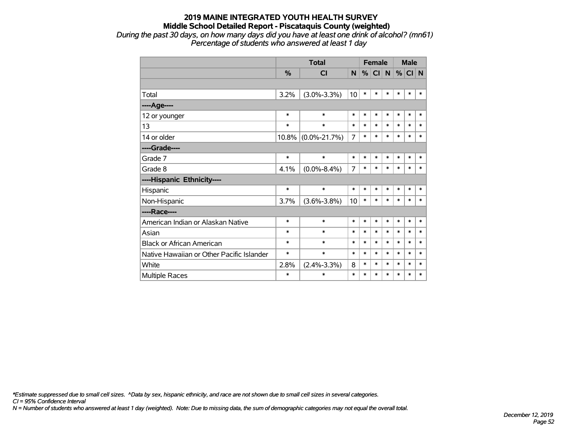*During the past 30 days, on how many days did you have at least one drink of alcohol? (mn61) Percentage of students who answered at least 1 day*

|                                           |        | <b>Total</b>       |                | <b>Female</b> |        |        |        | <b>Male</b> |        |
|-------------------------------------------|--------|--------------------|----------------|---------------|--------|--------|--------|-------------|--------|
|                                           | %      | <b>CI</b>          | N              | %             | CI N   |        | %      | CI N        |        |
|                                           |        |                    |                |               |        |        |        |             |        |
| Total                                     | 3.2%   | $(3.0\% - 3.3\%)$  | 10             | $\ast$        | *      | $\ast$ | $\ast$ | $\ast$      | $\ast$ |
| ----Age----                               |        |                    |                |               |        |        |        |             |        |
| 12 or younger                             | $\ast$ | $\ast$             | $\ast$         | $\ast$        | $\ast$ | $\ast$ | $\ast$ | $\ast$      | $\ast$ |
| 13                                        | $\ast$ | $\ast$             | $\ast$         | $\ast$        | $\ast$ | $\ast$ | $\ast$ | $\ast$      | $\ast$ |
| 14 or older                               | 10.8%  | $(0.0\% - 21.7\%)$ | $\overline{7}$ | $\ast$        | $\ast$ | $\ast$ | $\ast$ | $\ast$      | $\ast$ |
| ----Grade----                             |        |                    |                |               |        |        |        |             |        |
| Grade 7                                   | $\ast$ | $\ast$             | $\ast$         | $\ast$        | $\ast$ | $\ast$ | $\ast$ | $\ast$      | $\ast$ |
| Grade 8                                   | 4.1%   | $(0.0\% - 8.4\%)$  | 7              | $\ast$        | $\ast$ | $\ast$ | $\ast$ | $\ast$      | $\ast$ |
| ----Hispanic Ethnicity----                |        |                    |                |               |        |        |        |             |        |
| Hispanic                                  | $\ast$ | $\ast$             | *              | $\ast$        | $\ast$ | $\ast$ | $\ast$ | $\ast$      | ∗      |
| Non-Hispanic                              | 3.7%   | $(3.6\% - 3.8\%)$  | 10             | $\ast$        | $\ast$ | $\ast$ | $\ast$ | $\ast$      | $\ast$ |
| ----Race----                              |        |                    |                |               |        |        |        |             |        |
| American Indian or Alaskan Native         | $\ast$ | $\ast$             | $\ast$         | $\ast$        | $\ast$ | $\ast$ | $\ast$ | $\ast$      | $\ast$ |
| Asian                                     | $\ast$ | $\ast$             | $\ast$         | $\ast$        | $\ast$ | $\ast$ | $\ast$ | $\ast$      | $\ast$ |
| <b>Black or African American</b>          | $\ast$ | $\ast$             | $\ast$         | $\ast$        | $\ast$ | $\ast$ | $\ast$ | $\ast$      | $\ast$ |
| Native Hawaiian or Other Pacific Islander | $\ast$ | $\ast$             | $\ast$         | $\ast$        | $\ast$ | $\ast$ | $\ast$ | $\ast$      | $\ast$ |
| White                                     | 2.8%   | $(2.4\% - 3.3\%)$  | 8              | $\ast$        | $\ast$ | $\ast$ | $\ast$ | $\ast$      | $\ast$ |
| <b>Multiple Races</b>                     | $\ast$ | $\ast$             | $\ast$         | $\ast$        | $\ast$ | $\ast$ | $\ast$ | $\ast$      | $\ast$ |

*\*Estimate suppressed due to small cell sizes. ^Data by sex, hispanic ethnicity, and race are not shown due to small cell sizes in several categories.*

*CI = 95% Confidence Interval*

*N = Number of students who answered at least 1 day (weighted). Note: Due to missing data, the sum of demographic categories may not equal the overall total.*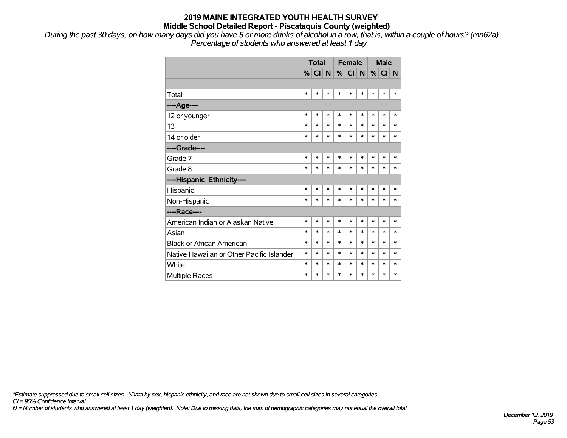*During the past 30 days, on how many days did you have 5 or more drinks of alcohol in a row, that is, within a couple of hours? (mn62a) Percentage of students who answered at least 1 day*

|                                           | <b>Total</b>  |        |        |        | <b>Female</b> |        |        | <b>Male</b> |        |  |
|-------------------------------------------|---------------|--------|--------|--------|---------------|--------|--------|-------------|--------|--|
|                                           | $\frac{9}{6}$ | CI N   |        |        | %  CI         | N      | %      | CI          | N      |  |
|                                           |               |        |        |        |               |        |        |             |        |  |
| Total                                     | $\ast$        | $\ast$ | $\ast$ | $\ast$ | *             | $\ast$ | $\ast$ | $\ast$      | $\ast$ |  |
| ----Age----                               |               |        |        |        |               |        |        |             |        |  |
| 12 or younger                             | $\ast$        | $\ast$ | $\ast$ | $\ast$ | $\ast$        | $\ast$ | $\ast$ | $\ast$      | $\ast$ |  |
| 13                                        | $\ast$        | $\ast$ | $\ast$ | $\ast$ | $\ast$        | $\ast$ | $\ast$ | $\ast$      | $\ast$ |  |
| 14 or older                               | $\ast$        | $\ast$ | $\ast$ | $\ast$ | $\ast$        | $\ast$ | $\ast$ | $\ast$      | $\ast$ |  |
| ----Grade----                             |               |        |        |        |               |        |        |             |        |  |
| Grade 7                                   | $\ast$        | $\ast$ | $\ast$ | $\ast$ | $\ast$        | $\ast$ | $\ast$ | $\ast$      | $\ast$ |  |
| Grade 8                                   | $\ast$        | $\ast$ | $\ast$ | $\ast$ | $\ast$        | $\ast$ | $\ast$ | $\ast$      | $\ast$ |  |
| ----Hispanic Ethnicity----                |               |        |        |        |               |        |        |             |        |  |
| Hispanic                                  | $\ast$        | $\ast$ | $\ast$ | $\ast$ | $\ast$        | $\ast$ | $\ast$ | $\ast$      | $\ast$ |  |
| Non-Hispanic                              | $\ast$        | *      | $\ast$ | $\ast$ | $\ast$        | $\ast$ | $\ast$ | $\ast$      | $\ast$ |  |
| ----Race----                              |               |        |        |        |               |        |        |             |        |  |
| American Indian or Alaskan Native         | $\ast$        | $\ast$ | $\ast$ | $\ast$ | $\ast$        | $\ast$ | $\ast$ | $\ast$      | $\ast$ |  |
| Asian                                     | $\ast$        | $\ast$ | $\ast$ | $\ast$ | $\ast$        | $\ast$ | $\ast$ | $\ast$      | $\ast$ |  |
| <b>Black or African American</b>          | $\ast$        | $\ast$ | $\ast$ | $\ast$ | $\ast$        | $\ast$ | $\ast$ | $\ast$      | $\ast$ |  |
| Native Hawaiian or Other Pacific Islander | $\ast$        | $\ast$ | $\ast$ | $\ast$ | $\ast$        | $\ast$ | $\ast$ | $\ast$      | $\ast$ |  |
| White                                     |               |        | *      | $\ast$ | $\ast$        | $\ast$ | $\ast$ | $\ast$      | $\ast$ |  |
| <b>Multiple Races</b>                     | $\ast$        | $\ast$ | $\ast$ | $\ast$ | $\ast$        | $\ast$ | $\ast$ | $\ast$      | $\ast$ |  |

*\*Estimate suppressed due to small cell sizes. ^Data by sex, hispanic ethnicity, and race are not shown due to small cell sizes in several categories.*

*CI = 95% Confidence Interval*

*N = Number of students who answered at least 1 day (weighted). Note: Due to missing data, the sum of demographic categories may not equal the overall total.*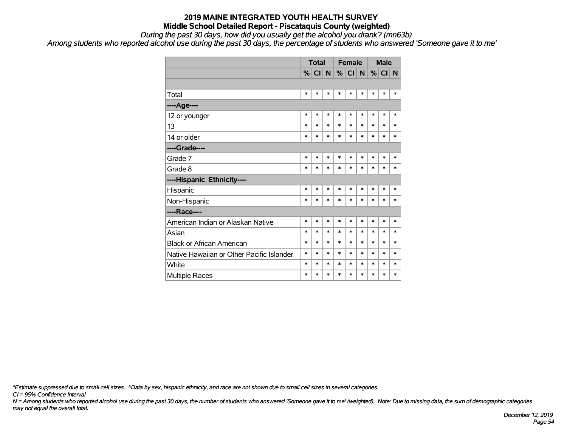*During the past 30 days, how did you usually get the alcohol you drank? (mn63b)*

*Among students who reported alcohol use during the past 30 days, the percentage of students who answered 'Someone gave it to me'*

|                                           | <b>Total</b><br>%  CI  N |        |        |        | <b>Female</b> |        | <b>Male</b> |         |        |
|-------------------------------------------|--------------------------|--------|--------|--------|---------------|--------|-------------|---------|--------|
|                                           |                          |        |        |        | %  CI  N      |        |             | $\%$ CI | N      |
|                                           |                          |        |        |        |               |        |             |         |        |
| Total                                     | $\ast$                   | *      | $\ast$ | $\ast$ | $\ast$        | *      | $\ast$      | $\ast$  | $\ast$ |
| ----Age----                               |                          |        |        |        |               |        |             |         |        |
| 12 or younger                             | $\ast$                   | $\ast$ | $\ast$ | $\ast$ | $\ast$        | $\ast$ | $\ast$      | $\ast$  | $\ast$ |
| 13                                        | $\ast$                   | $\ast$ | $\ast$ | $\ast$ | $\ast$        | $\ast$ | $\ast$      | $\ast$  | $\ast$ |
| 14 or older                               | *                        | $\ast$ | $\ast$ | $\ast$ | $\ast$        | $\ast$ | $\ast$      | $\ast$  | $\ast$ |
| ----Grade----                             |                          |        |        |        |               |        |             |         |        |
| Grade 7                                   | $\ast$                   | $\ast$ | $\ast$ | $\ast$ | $\ast$        | $\ast$ | $\ast$      | $\ast$  | $\ast$ |
| Grade 8                                   | $\ast$                   | $\ast$ | $\ast$ | $\ast$ | $\ast$        | $\ast$ | $\ast$      | $\ast$  | $\ast$ |
| ----Hispanic Ethnicity----                |                          |        |        |        |               |        |             |         |        |
| Hispanic                                  | $\ast$                   | $\ast$ | $\ast$ | $\ast$ | $\ast$        | $\ast$ | $\ast$      | $\ast$  | $\ast$ |
| Non-Hispanic                              | $\ast$                   | $\ast$ | $\ast$ | $\ast$ | $\ast$        | $\ast$ | $\ast$      | $\ast$  | $\ast$ |
| ----Race----                              |                          |        |        |        |               |        |             |         |        |
| American Indian or Alaskan Native         | $\ast$                   | $\ast$ | $\ast$ | $\ast$ | $\ast$        | $\ast$ | $\ast$      | $\ast$  | $\ast$ |
| Asian                                     | $\ast$                   | $\ast$ | $\ast$ | $\ast$ | $\ast$        | $\ast$ | $\ast$      | $\ast$  | $\ast$ |
| <b>Black or African American</b>          | $\ast$                   | $\ast$ | $\ast$ | $\ast$ | $\ast$        | $\ast$ | $\ast$      | $\ast$  | $\ast$ |
| Native Hawaiian or Other Pacific Islander | $\ast$                   | $\ast$ | $\ast$ | $\ast$ | $\ast$        | $\ast$ | $\ast$      | $\ast$  | $\ast$ |
| White                                     | $\ast$                   | $\ast$ | $\ast$ | $\ast$ | $\ast$        | $\ast$ | $\ast$      | *       | $\ast$ |
| Multiple Races                            | $\ast$                   | $\ast$ | $\ast$ | $\ast$ | $\ast$        | *      | $\ast$      | $\ast$  | $\ast$ |

*\*Estimate suppressed due to small cell sizes. ^Data by sex, hispanic ethnicity, and race are not shown due to small cell sizes in several categories.*

*CI = 95% Confidence Interval*

*N = Among students who reported alcohol use during the past 30 days, the number of students who answered 'Someone gave it to me' (weighted). Note: Due to missing data, the sum of demographic categories may not equal the overall total.*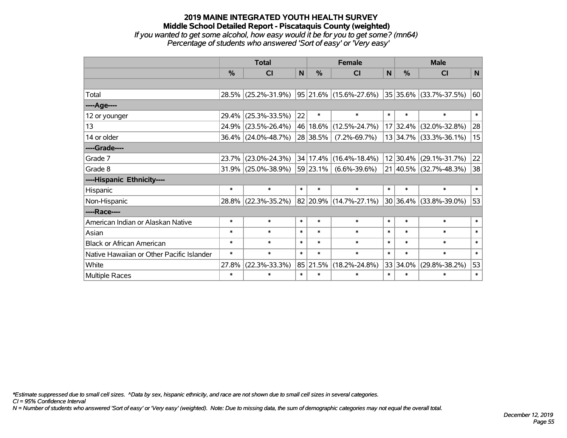### **2019 MAINE INTEGRATED YOUTH HEALTH SURVEY Middle School Detailed Report - Piscataquis County (weighted)** *If you wanted to get some alcohol, how easy would it be for you to get some? (mn64) Percentage of students who answered 'Sort of easy' or 'Very easy'*

|                                           | <b>Total</b> |                        |        |               | <b>Female</b>          |        | <b>Male</b>   |                        |        |  |
|-------------------------------------------|--------------|------------------------|--------|---------------|------------------------|--------|---------------|------------------------|--------|--|
|                                           | %            | <b>CI</b>              | N      | $\frac{0}{0}$ | <b>CI</b>              | N      | %             | <b>CI</b>              | N      |  |
|                                           |              |                        |        |               |                        |        |               |                        |        |  |
| Total                                     |              | 28.5% (25.2%-31.9%)    |        |               | 95 21.6% (15.6%-27.6%) |        |               | 35 35.6% (33.7%-37.5%) | 60     |  |
| ----Age----                               |              |                        |        |               |                        |        |               |                        |        |  |
| 12 or younger                             | 29.4%        | $(25.3\% - 33.5\%)$    | 22     | $\ast$        | $\ast$                 | $\ast$ | $\ast$        | $\ast$                 | $\ast$ |  |
| 13                                        |              | 24.9% (23.5%-26.4%)    |        | 46 18.6%      | $(12.5\% - 24.7\%)$    |        | 17 32.4%      | $(32.0\% - 32.8\%)$    | 28     |  |
| 14 or older                               |              | $36.4\%$ (24.0%-48.7%) |        | 28 38.5%      | $(7.2\% - 69.7\%)$     |        |               | 13 34.7% (33.3%-36.1%) | 15     |  |
| ----Grade----                             |              |                        |        |               |                        |        |               |                        |        |  |
| Grade 7                                   | 23.7%        | $(23.0\% - 24.3\%)$    |        | 34 17.4%      | $(16.4\% - 18.4\%)$    |        | $12 30.4\% $  | $(29.1\% - 31.7\%)$    | 22     |  |
| Grade 8                                   |              | $31.9\%$ (25.0%-38.9%) |        | 59 23.1%      | $(6.6\% - 39.6\%)$     |        |               | 21 40.5% (32.7%-48.3%) | 38     |  |
| ----Hispanic Ethnicity----                |              |                        |        |               |                        |        |               |                        |        |  |
| Hispanic                                  | $\ast$       | $\ast$                 | $\ast$ | $\ast$        | $\ast$                 | $\ast$ | $\ast$        | $\ast$                 | $\ast$ |  |
| Non-Hispanic                              |              | 28.8% (22.3%-35.2%)    |        |               | 82 20.9% (14.7%-27.1%) |        | $ 30 36.4\% $ | $(33.8\% - 39.0\%)$    | 53     |  |
| ----Race----                              |              |                        |        |               |                        |        |               |                        |        |  |
| American Indian or Alaskan Native         | $\ast$       | $\ast$                 | $\ast$ | $\ast$        | $\ast$                 | $\ast$ | $\ast$        | $\ast$                 | $\ast$ |  |
| Asian                                     | $\ast$       | $\ast$                 | $\ast$ | $\ast$        | $\ast$                 | $\ast$ | $\ast$        | $\ast$                 | $\ast$ |  |
| <b>Black or African American</b>          | $\ast$       | $\ast$                 | $\ast$ | $\ast$        | $\ast$                 | $\ast$ | $\ast$        | $\ast$                 | $\ast$ |  |
| Native Hawaiian or Other Pacific Islander | $\ast$       | $\ast$                 | $\ast$ | $\ast$        | $\ast$                 | $\ast$ | $\ast$        | $\ast$                 | $\ast$ |  |
| White                                     | 27.8%        | $(22.3\% - 33.3\%)$    |        | 85 21.5%      | $(18.2\% - 24.8\%)$    |        | 33 34.0%      | $(29.8\% - 38.2\%)$    | 53     |  |
| Multiple Races                            | $\ast$       | $\ast$                 | $\ast$ | $\ast$        | $\ast$                 | $\ast$ | $\ast$        | $\ast$                 | $\ast$ |  |

*\*Estimate suppressed due to small cell sizes. ^Data by sex, hispanic ethnicity, and race are not shown due to small cell sizes in several categories.*

*CI = 95% Confidence Interval*

*N = Number of students who answered 'Sort of easy' or 'Very easy' (weighted). Note: Due to missing data, the sum of demographic categories may not equal the overall total.*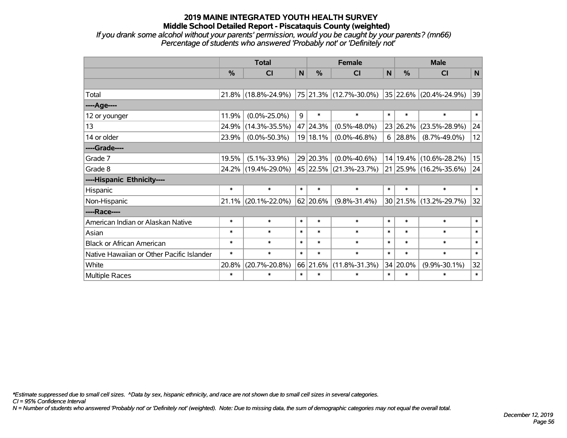*If you drank some alcohol without your parents' permission, would you be caught by your parents? (mn66) Percentage of students who answered 'Probably not' or 'Definitely not'*

|                                           | <b>Total</b> |                     |                                 |                  | <b>Female</b>          |              | <b>Male</b>        |                        |             |  |
|-------------------------------------------|--------------|---------------------|---------------------------------|------------------|------------------------|--------------|--------------------|------------------------|-------------|--|
|                                           | %            | CI                  | $\mathsf{N}$                    | %                | <b>CI</b>              | $\mathsf{N}$ | %                  | <b>CI</b>              | $\mathbf N$ |  |
|                                           |              |                     |                                 |                  |                        |              |                    |                        |             |  |
| Total                                     | 21.8%        | $(18.8\% - 24.9\%)$ |                                 |                  | 75 21.3% (12.7%-30.0%) |              |                    | 35 22.6% (20.4%-24.9%) | 39          |  |
| ----Age----                               |              |                     |                                 |                  |                        |              |                    |                        |             |  |
| 12 or younger                             | 11.9%        | $(0.0\% - 25.0\%)$  | 9                               | $\ast$           | $\ast$                 | $\ast$       | $\ast$             | $\ast$                 | $\ast$      |  |
| 13                                        | 24.9%        | $(14.3\% - 35.5\%)$ |                                 | 47 24.3%         | $(0.5\% - 48.0\%)$     |              | 23 26.2%           | $(23.5\% - 28.9\%)$    | 24          |  |
| 14 or older                               | 23.9%        | $(0.0\% - 50.3\%)$  |                                 | 19 18.1%         | $(0.0\% - 46.8\%)$     | 6            | 28.8%              | $(8.7\% - 49.0\%)$     | 12          |  |
| ----Grade----                             |              |                     |                                 |                  |                        |              |                    |                        |             |  |
| Grade 7                                   | 19.5%        | $(5.1\% - 33.9\%)$  |                                 | 29 20.3%         | $(0.0\% - 40.6\%)$     |              | 14 19.4%           | $(10.6\% - 28.2\%)$    | 15          |  |
| Grade 8                                   |              | 24.2% (19.4%-29.0%) |                                 |                  | 45 22.5% (21.3%-23.7%) |              |                    | 21 25.9% (16.2%-35.6%) | 24          |  |
| ----Hispanic Ethnicity----                |              |                     |                                 |                  |                        |              |                    |                        |             |  |
| Hispanic                                  | $\ast$       | $\ast$              | $\ast$                          | $\ast$           | $\ast$                 | $\ast$       | $\ast$             | $\ast$                 | $\ast$      |  |
| Non-Hispanic                              | 21.1%        | $(20.1\% - 22.0\%)$ |                                 | 62 20.6%         | $(9.8\% - 31.4\%)$     |              | 30 21.5%           | $(13.2\% - 29.7\%)$    | 32          |  |
| ----Race----                              |              |                     |                                 |                  |                        |              |                    |                        |             |  |
| American Indian or Alaskan Native         | $\ast$       | $\ast$              | $\ast$                          | $\ast$           | $\ast$                 | $\ast$       | $\ast$             | $\ast$                 | $\ast$      |  |
| Asian                                     | $\ast$       | $\ast$              | $\ast$                          | $\ast$           | $\ast$                 | $\ast$       | $\ast$             | $\ast$                 | $\ast$      |  |
| <b>Black or African American</b>          | $\ast$       | $\ast$              | $\ast$                          | $\ast$           | $\ast$                 | $\ast$       | $\ast$             | $\ast$                 | $\ast$      |  |
| Native Hawaiian or Other Pacific Islander | $\ast$       | $\ast$              | $\ast$<br>$\ast$<br>$\ast$      |                  |                        | $\ast$       | $\ast$             | $\ast$                 | $\ast$      |  |
| White                                     | 20.8%        | $(20.7\% - 20.8\%)$ | 66 21.6%<br>$(11.8\% - 31.3\%)$ |                  |                        | 34 20.0%     | $(9.9\% - 30.1\%)$ | 32                     |             |  |
| <b>Multiple Races</b>                     | $\ast$       | $\ast$              | $\ast$                          | $\ast$<br>$\ast$ |                        |              | $\ast$             | $\ast$                 | $\ast$      |  |

*\*Estimate suppressed due to small cell sizes. ^Data by sex, hispanic ethnicity, and race are not shown due to small cell sizes in several categories.*

*CI = 95% Confidence Interval*

*N = Number of students who answered 'Probably not' or 'Definitely not' (weighted). Note: Due to missing data, the sum of demographic categories may not equal the overall total.*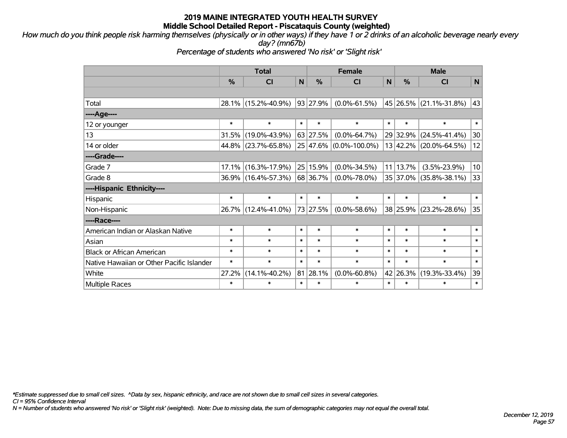*How much do you think people risk harming themselves (physically or in other ways) if they have 1 or 2 drinks of an alcoholic beverage nearly every day? (mn67b)*

*Percentage of students who answered 'No risk' or 'Slight risk'*

|                                           | <b>Total</b>                                   |                     |                                            |               | <b>Female</b>              |                     | <b>Male</b>   |                        |        |  |  |
|-------------------------------------------|------------------------------------------------|---------------------|--------------------------------------------|---------------|----------------------------|---------------------|---------------|------------------------|--------|--|--|
|                                           | $\frac{0}{0}$                                  | <b>CI</b>           | N                                          | $\frac{0}{0}$ | <b>CI</b>                  | ${\sf N}$           | $\frac{0}{0}$ | <b>CI</b>              | N      |  |  |
|                                           |                                                |                     |                                            |               |                            |                     |               |                        |        |  |  |
| Total                                     | 28.1%                                          | $(15.2\% - 40.9\%)$ |                                            | 93 27.9%      | $(0.0\% - 61.5\%)$         |                     |               | 45 26.5% (21.1%-31.8%) | 43     |  |  |
| ----Age----                               |                                                |                     |                                            |               |                            |                     |               |                        |        |  |  |
| 12 or younger                             | $\ast$                                         | $\ast$              | $\ast$                                     | $\ast$        | $\ast$                     | $\ast$              | $\ast$        | $\ast$                 | $\ast$ |  |  |
| 13                                        | 31.5%                                          | $(19.0\% - 43.9\%)$ | 63 27.5%<br>$(0.0\% - 64.7\%)$<br>29 32.9% |               | $(24.5\% - 41.4\%)$        | 30                  |               |                        |        |  |  |
| 14 or older                               |                                                | 44.8% (23.7%-65.8%) |                                            |               | $25 47.6\% $ (0.0%-100.0%) |                     | 13 42.2%      | $(20.0\% - 64.5\%)$    | 12     |  |  |
| ----Grade----                             |                                                |                     |                                            |               |                            |                     |               |                        |        |  |  |
| Grade 7                                   | 17.1%                                          | $(16.3\% - 17.9\%)$ |                                            | 25 15.9%      | $(0.0\% - 34.5\%)$         | 11                  | 13.7%         | $(3.5\% - 23.9\%)$     | 10     |  |  |
| Grade 8                                   |                                                | 36.9% (16.4%-57.3%) |                                            | 68 36.7%      | $(0.0\% - 78.0\%)$         |                     |               | 35 37.0% (35.8%-38.1%) | 33     |  |  |
| ----Hispanic Ethnicity----                |                                                |                     |                                            |               |                            |                     |               |                        |        |  |  |
| Hispanic                                  | $\ast$                                         | $\ast$              | $\ast$                                     | $\ast$        | $\ast$                     | $\ast$              | $\ast$        | $\ast$                 | $\ast$ |  |  |
| Non-Hispanic                              |                                                | 26.7% (12.4%-41.0%) |                                            | 73 27.5%      | $(0.0\% - 58.6\%)$         |                     | 38 25.9%      | $(23.2\% - 28.6\%)$    | 35     |  |  |
| ----Race----                              |                                                |                     |                                            |               |                            |                     |               |                        |        |  |  |
| American Indian or Alaskan Native         | $\ast$                                         | $\ast$              | $\ast$                                     | $\ast$        | $\ast$                     | $\ast$              | $\ast$        | $\ast$                 | $\ast$ |  |  |
| Asian                                     | $\ast$                                         | $\ast$              | $\ast$                                     | $\ast$        | $\ast$                     | $\ast$              | $\ast$        | $\ast$                 | $\ast$ |  |  |
| <b>Black or African American</b>          | $\ast$                                         | $\ast$              | $\ast$                                     | $\ast$        | $\ast$                     | $\ast$              | $\ast$        | $\ast$                 | $\ast$ |  |  |
| Native Hawaiian or Other Pacific Islander | $\ast$                                         | $\ast$              | $\ast$                                     | $\ast$        | $\ast$                     | $\ast$              | $\ast$        | $\ast$                 | $\ast$ |  |  |
| White                                     | 81 28.1%<br>27.2%<br>$(14.1\% - 40.2\%)$       |                     | $(0.0\% - 60.8\%)$                         | 42            | 26.3%                      | $(19.3\% - 33.4\%)$ | 39            |                        |        |  |  |
| <b>Multiple Races</b>                     | $\ast$<br>$\ast$<br>$\ast$<br>$\ast$<br>$\ast$ |                     | $\ast$                                     | $\ast$        | $\ast$                     | $\ast$              |               |                        |        |  |  |

*\*Estimate suppressed due to small cell sizes. ^Data by sex, hispanic ethnicity, and race are not shown due to small cell sizes in several categories.*

*CI = 95% Confidence Interval*

*N = Number of students who answered 'No risk' or 'Slight risk' (weighted). Note: Due to missing data, the sum of demographic categories may not equal the overall total.*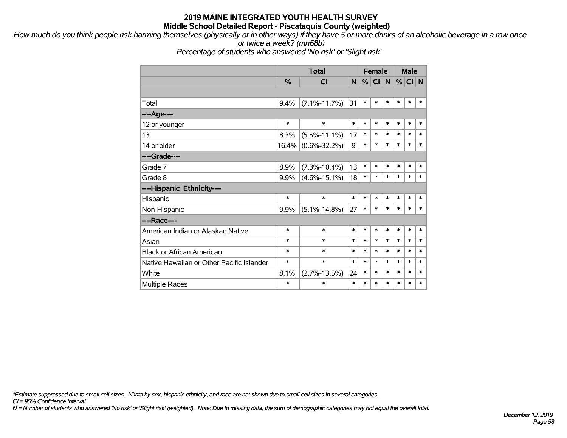*How much do you think people risk harming themselves (physically or in other ways) if they have 5 or more drinks of an alcoholic beverage in a row once or twice a week? (mn68b)*

*Percentage of students who answered 'No risk' or 'Slight risk'*

|                                           |        | <b>Total</b>       |        |        | <b>Female</b>   |        |        | <b>Male</b> |        |  |
|-------------------------------------------|--------|--------------------|--------|--------|-----------------|--------|--------|-------------|--------|--|
|                                           | %      | CI                 | N      | %      | Cl <sub>1</sub> | N      | %      | CI N        |        |  |
|                                           |        |                    |        |        |                 |        |        |             |        |  |
| Total                                     | 9.4%   | $(7.1\% - 11.7\%)$ | 31     | $\ast$ | $\ast$          | $\ast$ | $\ast$ | $\ast$      | $\ast$ |  |
| ----Age----                               |        |                    |        |        |                 |        |        |             |        |  |
| 12 or younger                             | $\ast$ | $\ast$             | $\ast$ | $\ast$ | $\ast$          | $\ast$ | $\ast$ | $\ast$      | $\ast$ |  |
| 13                                        | 8.3%   | $(5.5\% - 11.1\%)$ | 17     | $\ast$ | $\ast$          | $\ast$ | $\ast$ | $\ast$      | $\ast$ |  |
| 14 or older                               | 16.4%  | $(0.6\% - 32.2\%)$ | 9      | $\ast$ | $\ast$          | $\ast$ | $\ast$ | $\ast$      | $\ast$ |  |
| ----Grade----                             |        |                    |        |        |                 |        |        |             |        |  |
| Grade 7                                   | 8.9%   | $(7.3\% - 10.4\%)$ | 13     | $\ast$ | $\ast$          | $\ast$ | $\ast$ | $\ast$      | ∗      |  |
| Grade 8                                   | 9.9%   | $(4.6\% - 15.1\%)$ | 18     | $\ast$ | $\ast$          | $\ast$ | $\ast$ | $\ast$      | $\ast$ |  |
| ----Hispanic Ethnicity----                |        |                    |        |        |                 |        |        |             |        |  |
| Hispanic                                  | $\ast$ | $\ast$             | $\ast$ | $\ast$ | $\ast$          | *      | $\ast$ | $\ast$      | $\ast$ |  |
| Non-Hispanic                              | 9.9%   | $(5.1\% - 14.8\%)$ | 27     | $\ast$ | $\ast$          | $\ast$ | $\ast$ | $\ast$      | $\ast$ |  |
| ----Race----                              |        |                    |        |        |                 |        |        |             |        |  |
| American Indian or Alaskan Native         | $\ast$ | $\ast$             | $\ast$ | $\ast$ | $\ast$          | $\ast$ | $\ast$ | $\ast$      | ∗      |  |
| Asian                                     | $\ast$ | $\ast$             | $\ast$ | $\ast$ | $\ast$          | *      | $\ast$ | $\ast$      | $\ast$ |  |
| <b>Black or African American</b>          | $\ast$ | $\ast$             | $\ast$ | $\ast$ | $\ast$          | $\ast$ | $\ast$ | $\ast$      | $\ast$ |  |
| Native Hawaiian or Other Pacific Islander | $\ast$ | $\ast$             | $\ast$ | $\ast$ | $\ast$          | $\ast$ | $\ast$ | $\ast$      | $\ast$ |  |
| White                                     | 8.1%   | $(2.7\% - 13.5\%)$ | 24     | $\ast$ | $\ast$          | $\ast$ | $\ast$ | $\ast$      | $\ast$ |  |
| <b>Multiple Races</b>                     | $\ast$ | $\ast$             | $\ast$ | $\ast$ | $\ast$          | $\ast$ | $\ast$ | $\ast$      | $\ast$ |  |

*\*Estimate suppressed due to small cell sizes. ^Data by sex, hispanic ethnicity, and race are not shown due to small cell sizes in several categories.*

*CI = 95% Confidence Interval*

*N = Number of students who answered 'No risk' or 'Slight risk' (weighted). Note: Due to missing data, the sum of demographic categories may not equal the overall total.*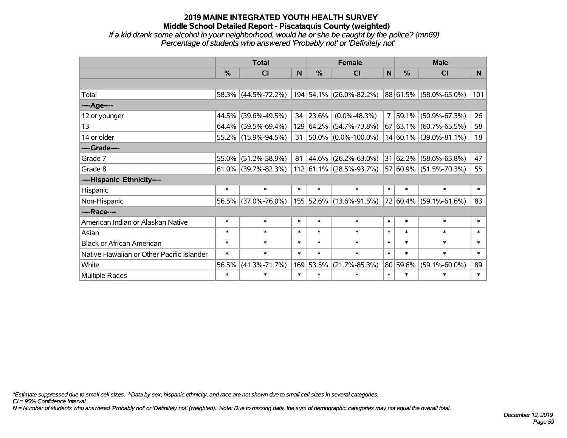### **2019 MAINE INTEGRATED YOUTH HEALTH SURVEY Middle School Detailed Report - Piscataquis County (weighted)** *If a kid drank some alcohol in your neighborhood, would he or she be caught by the police? (mn69)*

*Percentage of students who answered 'Probably not' or 'Definitely not'*

|                                           | <b>Total</b>                                                                 |                        |                     |               | <b>Female</b>                                  |              | <b>Male</b>   |                        |                |  |
|-------------------------------------------|------------------------------------------------------------------------------|------------------------|---------------------|---------------|------------------------------------------------|--------------|---------------|------------------------|----------------|--|
|                                           | %                                                                            | <b>CI</b>              | N                   | $\frac{0}{0}$ | <b>CI</b>                                      | $\mathsf{N}$ | %             | <b>CI</b>              | N <sub>1</sub> |  |
|                                           |                                                                              |                        |                     |               |                                                |              |               |                        |                |  |
| Total                                     |                                                                              | 58.3% (44.5%-72.2%)    |                     |               | 194 54.1% (26.0%-82.2%) 88 61.5% (58.0%-65.0%) |              |               |                        | 101            |  |
| ----Age----                               |                                                                              |                        |                     |               |                                                |              |               |                        |                |  |
| 12 or younger                             | 44.5%                                                                        | $(39.6\% - 49.5\%)$    | 34                  | 23.6%         | $(0.0\% - 48.3\%)$                             |              | 7 59.1%       | $(50.9\% - 67.3\%)$    | 26             |  |
| 13                                        | 64.4%                                                                        | $(59.5\% - 69.4\%)$    |                     | 129 64.2%     | $(54.7\% - 73.8\%)$                            |              | 67 63.1%      | $(60.7\% - 65.5\%)$    | 58             |  |
| 14 or older                               |                                                                              | 55.2% (15.9%-94.5%)    | 31                  |               | $ 50.0\% $ (0.0%-100.0%)                       |              |               | 14 60.1% (39.0%-81.1%) | 18             |  |
| ----Grade----                             |                                                                              |                        |                     |               |                                                |              |               |                        |                |  |
| Grade 7                                   | 55.0%                                                                        | $(51.2\% - 58.9\%)$    | 81                  | 44.6%         | $(26.2\% - 63.0\%)$                            |              | 31 62.2%      | $(58.6\% - 65.8\%)$    | 47             |  |
| Grade 8                                   |                                                                              | $61.0\%$ (39.7%-82.3%) |                     |               | $112 61.1\% (28.5\% - 93.7\%)$                 |              | 57 60.9%      | $(51.5\% - 70.3\%)$    | 55             |  |
| ----Hispanic Ethnicity----                |                                                                              |                        |                     |               |                                                |              |               |                        |                |  |
| Hispanic                                  | $\ast$                                                                       | $\ast$                 | $\ast$              | $\ast$        | $\ast$                                         | $\ast$       | $\ast$        | $\ast$                 | $\ast$         |  |
| Non-Hispanic                              | 56.5%                                                                        | $(37.0\% - 76.0\%)$    |                     |               | 155 52.6% (13.6%-91.5%)                        |              | $ 72 60.4\% $ | $(59.1\% - 61.6\%)$    | 83             |  |
| ----Race----                              |                                                                              |                        |                     |               |                                                |              |               |                        |                |  |
| American Indian or Alaskan Native         | $\ast$                                                                       | $\ast$                 | $\ast$              | $\ast$        | $\ast$                                         | $\ast$       | $\ast$        | $\ast$                 | $\ast$         |  |
| Asian                                     | $\ast$                                                                       | $\ast$                 | $\ast$              | $\ast$        | $\ast$                                         | $\ast$       | $\ast$        | $\ast$                 | $\ast$         |  |
| <b>Black or African American</b>          | $\ast$<br>$\ast$<br>$\ast$<br>$\ast$<br>$\ast$<br>$\ast$<br>$\ast$           |                        |                     | $\ast$        | $\ast$                                         |              |               |                        |                |  |
| Native Hawaiian or Other Pacific Islander | $\ast$<br>$\ast$<br>$\ast$<br>$\ast$<br>$\ast$                               |                        |                     | $\ast$        | $\ast$                                         | $\ast$       | $\ast$        |                        |                |  |
| White                                     | 169 53.5%<br>80 59.6%<br>56.5%<br>$(41.3\% - 71.7\%)$<br>$(21.7\% - 85.3\%)$ |                        | $(59.1\% - 60.0\%)$ | 89            |                                                |              |               |                        |                |  |
| Multiple Races                            | $\ast$<br>$\ast$<br>$\ast$<br>$\ast$<br>$\ast$<br>$\ast$<br>$\ast$           |                        | $\ast$              | $\ast$        |                                                |              |               |                        |                |  |

*\*Estimate suppressed due to small cell sizes. ^Data by sex, hispanic ethnicity, and race are not shown due to small cell sizes in several categories.*

*CI = 95% Confidence Interval*

*N = Number of students who answered 'Probably not' or 'Definitely not' (weighted). Note: Due to missing data, the sum of demographic categories may not equal the overall total.*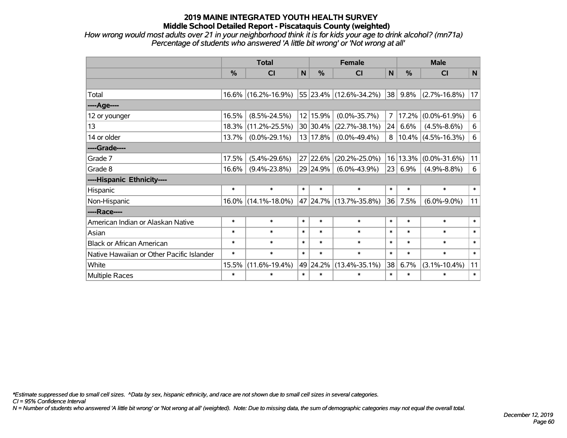*How wrong would most adults over 21 in your neighborhood think it is for kids your age to drink alcohol? (mn71a) Percentage of students who answered 'A little bit wrong' or 'Not wrong at all'*

|                                           | <b>Total</b>  |                     |          |                  | <b>Female</b>          |              | <b>Male</b> |                          |        |  |          |                    |    |
|-------------------------------------------|---------------|---------------------|----------|------------------|------------------------|--------------|-------------|--------------------------|--------|--|----------|--------------------|----|
|                                           | $\frac{0}{0}$ | <b>CI</b>           | N        | $\frac{0}{0}$    | CI                     | $\mathsf{N}$ | %           | <b>CI</b>                | N      |  |          |                    |    |
|                                           |               |                     |          |                  |                        |              |             |                          |        |  |          |                    |    |
| Total                                     | $16.6\%$      | $(16.2\% - 16.9\%)$ |          |                  | 55 23.4% (12.6%-34.2%) | 38           | 9.8%        | $(2.7\% - 16.8\%)$       | 17     |  |          |                    |    |
| ---- Age----                              |               |                     |          |                  |                        |              |             |                          |        |  |          |                    |    |
| 12 or younger                             | 16.5%         | $(8.5\% - 24.5\%)$  |          | 12 15.9%         | $(0.0\% - 35.7\%)$     | 7            | 17.2%       | $(0.0\% - 61.9\%)$       | 6      |  |          |                    |    |
| 13                                        | 18.3%         | $(11.2\% - 25.5\%)$ |          | 30 30.4%         | $(22.7\% - 38.1\%)$    |              | 6.6%<br>24  | $(4.5\% - 8.6\%)$        | 6      |  |          |                    |    |
| 14 or older                               | 13.7%         | $(0.0\% - 29.1\%)$  |          | 13 17.8%         | $(0.0\% - 49.4\%)$     |              |             | $8 10.4\% $ (4.5%-16.3%) | 6      |  |          |                    |    |
| ----Grade----                             |               |                     |          |                  |                        |              |             |                          |        |  |          |                    |    |
| Grade 7                                   | 17.5%         | $(5.4\% - 29.6\%)$  |          | 27 22.6%         | $(20.2\% - 25.0\%)$    |              |             |                          |        |  | 16 13.3% | $(0.0\% - 31.6\%)$ | 11 |
| Grade 8                                   | 16.6%         | $(9.4\% - 23.8\%)$  |          | 29 24.9%         | $(6.0\% - 43.9\%)$     | 23           | 6.9%        | $(4.9\% - 8.8\%)$        | 6      |  |          |                    |    |
| ----Hispanic Ethnicity----                |               |                     |          |                  |                        |              |             |                          |        |  |          |                    |    |
| Hispanic                                  | $\ast$        | $\ast$              | $\ast$   | $\ast$           | $\ast$                 | $\ast$       | $\ast$      | $\ast$                   | $\ast$ |  |          |                    |    |
| Non-Hispanic                              | $16.0\%$      | $(14.1\% - 18.0\%)$ |          |                  | 47 24.7% (13.7%-35.8%) | 36           | 7.5%        | $(6.0\% - 9.0\%)$        | 11     |  |          |                    |    |
| ----Race----                              |               |                     |          |                  |                        |              |             |                          |        |  |          |                    |    |
| American Indian or Alaskan Native         | $\ast$        | $\ast$              | $\ast$   | $\ast$           | $\ast$                 |              | $\ast$      | $\ast$                   | $\ast$ |  |          |                    |    |
| Asian                                     | $\ast$        | $\ast$              | $\ast$   | $\ast$           | $\ast$                 | $\ast$       | $\ast$      | $\ast$                   | $\ast$ |  |          |                    |    |
| <b>Black or African American</b>          | $\ast$        | $\ast$              | $\ast$   | $\ast$           | $\ast$                 | $\ast$       | $\ast$      | $\ast$                   | $\ast$ |  |          |                    |    |
| Native Hawaiian or Other Pacific Islander | $\ast$        | $\ast$              | $\ast$   | $\ast$<br>$\ast$ |                        | $\ast$       |             | $\ast$                   | $\ast$ |  |          |                    |    |
| White                                     | 15.5%         | $(11.6\% - 19.4\%)$ | 49 24.2% |                  | $(13.4\% - 35.1\%)$    | 38           | 6.7%        | $(3.1\% - 10.4\%)$       | 11     |  |          |                    |    |
| Multiple Races                            | $\ast$        | $\ast$              | $\ast$   | $\ast$<br>$\ast$ |                        |              | $\ast$      | $\ast$                   | $\ast$ |  |          |                    |    |

*\*Estimate suppressed due to small cell sizes. ^Data by sex, hispanic ethnicity, and race are not shown due to small cell sizes in several categories.*

*CI = 95% Confidence Interval*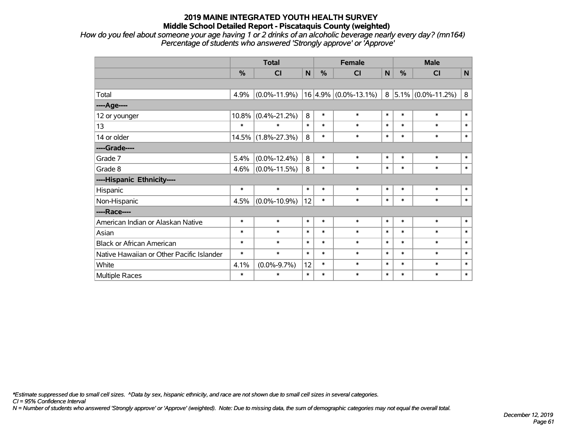*How do you feel about someone your age having 1 or 2 drinks of an alcoholic beverage nearly every day? (mn164) Percentage of students who answered 'Strongly approve' or 'Approve'*

|                                           | <b>Total</b> |                    |              |               | <b>Female</b>            | <b>Male</b> |        |                        |              |
|-------------------------------------------|--------------|--------------------|--------------|---------------|--------------------------|-------------|--------|------------------------|--------------|
|                                           | %            | CI                 | $\mathsf{N}$ | $\frac{0}{0}$ | <b>CI</b>                | $\mathbf N$ | %      | CI                     | $\mathsf{N}$ |
|                                           |              |                    |              |               |                          |             |        |                        |              |
| Total                                     | 4.9%         | $(0.0\% - 11.9\%)$ |              |               | $16 4.9\% $ (0.0%-13.1%) | 8           |        | $ 5.1\% $ (0.0%-11.2%) | 8            |
| ----Age----                               |              |                    |              |               |                          |             |        |                        |              |
| 12 or younger                             | $10.8\%$     | $(0.4\% - 21.2\%)$ | 8            | $\ast$        | $\ast$                   | $\ast$      | $\ast$ | $\ast$                 | $\ast$       |
| 13                                        | $\ast$       | $\ast$             | $\ast$       | $\ast$        | $\ast$                   | $\ast$      | $\ast$ | $\ast$                 | $\ast$       |
| 14 or older                               | 14.5%        | $(1.8\% - 27.3\%)$ | 8            | $\ast$        | $\ast$                   | $\ast$      | $\ast$ | $\ast$                 | $\ast$       |
| ----Grade----                             |              |                    |              |               |                          |             |        |                        |              |
| Grade 7                                   | 5.4%         | $(0.0\% - 12.4\%)$ | 8            | $\ast$        | $\ast$                   | $\ast$      | $\ast$ | $\ast$                 | $\ast$       |
| Grade 8                                   | 4.6%         | $(0.0\% - 11.5\%)$ | 8            | $\ast$        | $\ast$                   | $\ast$      | $\ast$ | $\ast$                 | $\ast$       |
| ----Hispanic Ethnicity----                |              |                    |              |               |                          |             |        |                        |              |
| Hispanic                                  | $\ast$       | $\ast$             | $\ast$       | $\ast$        | $\ast$                   | $\ast$      | $\ast$ | $\ast$                 | $\ast$       |
| Non-Hispanic                              | 4.5%         | $(0.0\% - 10.9\%)$ | 12           | $\ast$        | $\ast$                   | $\ast$      | $\ast$ | $\ast$                 | $\ast$       |
| ----Race----                              |              |                    |              |               |                          |             |        |                        |              |
| American Indian or Alaskan Native         | $\ast$       | $\ast$             | $\ast$       | $\ast$        | $\ast$                   | $\ast$      | $\ast$ | $\ast$                 | $\ast$       |
| Asian                                     | $\ast$       | $\ast$             | $\ast$       | $\ast$        | $\ast$                   | $\ast$      | $\ast$ | $\ast$                 | $\ast$       |
| <b>Black or African American</b>          | $\ast$       | $\ast$             | $\ast$       | $\ast$        | $\ast$                   | $\ast$      | $\ast$ | $\ast$                 | $\ast$       |
| Native Hawaiian or Other Pacific Islander | $\ast$       | $\ast$             | $\ast$       | $\ast$        | $\ast$                   | $\ast$      | $\ast$ | $\ast$                 | $\ast$       |
| White                                     | 4.1%         | $(0.0\% - 9.7\%)$  | 12           | $\ast$        | $\ast$                   | $\ast$      | $\ast$ | $\ast$                 | $\ast$       |
| Multiple Races                            | $\ast$       | $\ast$             | $\ast$       | $\ast$        | $\ast$                   | $\ast$      | $\ast$ | $\ast$                 | $\ast$       |

*\*Estimate suppressed due to small cell sizes. ^Data by sex, hispanic ethnicity, and race are not shown due to small cell sizes in several categories.*

*CI = 95% Confidence Interval*

*N = Number of students who answered 'Strongly approve' or 'Approve' (weighted). Note: Due to missing data, the sum of demographic categories may not equal the overall total.*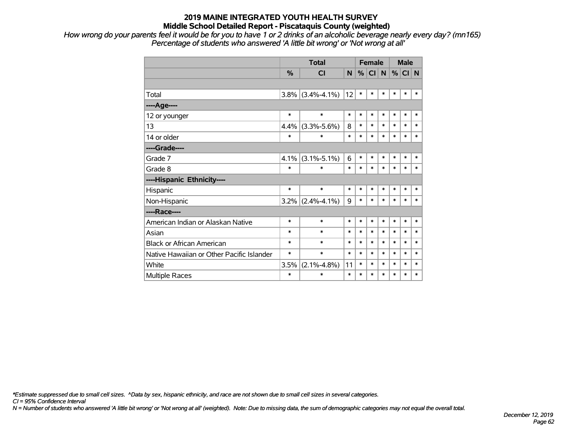*How wrong do your parents feel it would be for you to have 1 or 2 drinks of an alcoholic beverage nearly every day? (mn165) Percentage of students who answered 'A little bit wrong' or 'Not wrong at all'*

|                                           |               | <b>Total</b>        |        |        | <b>Female</b> |        |        | <b>Male</b> |        |  |
|-------------------------------------------|---------------|---------------------|--------|--------|---------------|--------|--------|-------------|--------|--|
|                                           | $\frac{0}{0}$ | <b>CI</b>           | N      | %      | <b>CI</b>     | N      | %      | CI N        |        |  |
|                                           |               |                     |        |        |               |        |        |             |        |  |
| Total                                     |               | $3.8\%$ (3.4%-4.1%) | 12     | $\ast$ | $\ast$        | $\ast$ | *      | $\ast$      | $\ast$ |  |
| ---- Age----                              |               |                     |        |        |               |        |        |             |        |  |
| 12 or younger                             | $\ast$        | $\ast$              | $\ast$ | $\ast$ | $\ast$        | $\ast$ | $\ast$ | $\ast$      | $\ast$ |  |
| 13                                        | 4.4%          | $(3.3\% - 5.6\%)$   | 8      | $\ast$ | $\ast$        | $\ast$ | *      | $\ast$      | $\ast$ |  |
| 14 or older                               | $\ast$        | $\ast$              | $\ast$ | $\ast$ | $\ast$        | $\ast$ | $\ast$ | $\ast$      | $\ast$ |  |
| ----Grade----                             |               |                     |        |        |               |        |        |             |        |  |
| Grade 7                                   | 4.1%          | $(3.1\% - 5.1\%)$   | 6      | $\ast$ | $\ast$        | $\ast$ | *      | $\ast$      | $\ast$ |  |
| Grade 8                                   | $\ast$        | $\ast$              | $\ast$ | $\ast$ | $\ast$        | $\ast$ | *      | $\ast$      | $\ast$ |  |
| ----Hispanic Ethnicity----                |               |                     |        |        |               |        |        |             |        |  |
| Hispanic                                  | $\ast$        | $\ast$              | $\ast$ | $\ast$ | $\ast$        | $\ast$ | $\ast$ | $\ast$      | $\ast$ |  |
| Non-Hispanic                              | $3.2\%$       | $(2.4\% - 4.1\%)$   | 9      | $\ast$ | $\ast$        | $\ast$ | $\ast$ | $\ast$      | $\ast$ |  |
| ----Race----                              |               |                     |        |        |               |        |        |             |        |  |
| American Indian or Alaskan Native         | $\ast$        | $\ast$              | $\ast$ | $\ast$ | $\ast$        | $\ast$ | *      | $\ast$      | $\ast$ |  |
| Asian                                     | $\ast$        | $\ast$              | $\ast$ | $\ast$ | $\ast$        | *      | *      | $\ast$      | $\ast$ |  |
| <b>Black or African American</b>          | $\ast$        | $\ast$              | $\ast$ | $\ast$ | $\ast$        | $\ast$ | *      | $\ast$      | $\ast$ |  |
| Native Hawaiian or Other Pacific Islander | $\ast$        | $\ast$              | $\ast$ | $\ast$ | $\ast$        | $\ast$ | *      | $\ast$      | $\ast$ |  |
| White                                     | 3.5%          | $(2.1\% - 4.8\%)$   | 11     | $\ast$ | $\ast$        | $\ast$ | $\ast$ | $\ast$      | $\ast$ |  |
| <b>Multiple Races</b>                     | $\ast$        | $\ast$              | $\ast$ | $\ast$ | *             | $\ast$ | *      | $\ast$      | $\ast$ |  |

*\*Estimate suppressed due to small cell sizes. ^Data by sex, hispanic ethnicity, and race are not shown due to small cell sizes in several categories.*

*CI = 95% Confidence Interval*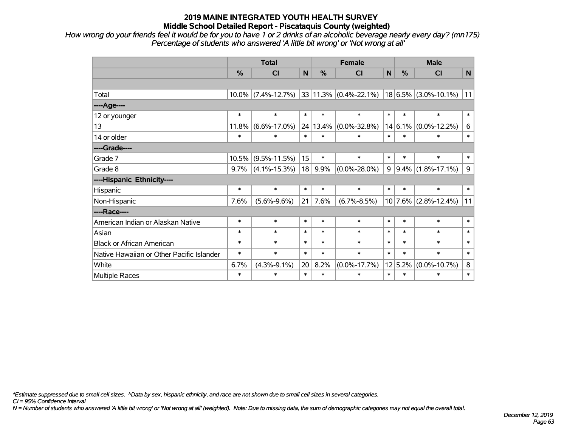*How wrong do your friends feel it would be for you to have 1 or 2 drinks of an alcoholic beverage nearly every day? (mn175) Percentage of students who answered 'A little bit wrong' or 'Not wrong at all'*

|                                           | <b>Total</b>  |                    |        |               | <b>Female</b>              | <b>Male</b>  |             |                          |        |
|-------------------------------------------|---------------|--------------------|--------|---------------|----------------------------|--------------|-------------|--------------------------|--------|
|                                           | $\frac{0}{0}$ | CI                 | N      | $\frac{0}{0}$ | <b>CI</b>                  | $\mathsf{N}$ | %           | CI                       | N      |
|                                           |               |                    |        |               |                            |              |             |                          |        |
| Total                                     | 10.0%         | $(7.4\% - 12.7\%)$ |        |               | $ 33 11.3\% $ (0.4%-22.1%) |              |             | $18 6.5\% $ (3.0%-10.1%) | 11     |
| ----Age----                               |               |                    |        |               |                            |              |             |                          |        |
| 12 or younger                             | $\ast$        | $\ast$             | $\ast$ | $\ast$        | $\ast$                     | $\ast$       | $\ast$      | $\ast$                   | $\ast$ |
| 13                                        | 11.8%         | $(6.6\% - 17.0\%)$ | 24     | 13.4%         | $(0.0\% - 32.8\%)$         |              | $14 6.1\% $ | $(0.0\% - 12.2\%)$       | $\,6$  |
| 14 or older                               | $\ast$        | $\ast$             | $\ast$ | $\ast$        | $\ast$                     | $\ast$       | $\ast$      | $\ast$                   | $\ast$ |
| ----Grade----                             |               |                    |        |               |                            |              |             |                          |        |
| Grade 7                                   | 10.5%         | $(9.5\% - 11.5\%)$ | 15     | $\ast$        | $\ast$                     | $\ast$       | $\ast$      | $\ast$                   | $\ast$ |
| Grade 8                                   | 9.7%          | $(4.1\% - 15.3\%)$ | 18     | 9.9%          | $(0.0\% - 28.0\%)$         | 9            |             | $ 9.4\% $ (1.8%-17.1%)   | 9      |
| ----Hispanic Ethnicity----                |               |                    |        |               |                            |              |             |                          |        |
| Hispanic                                  | $\ast$        | $\ast$             | $\ast$ | $\ast$        | $\ast$                     | $\ast$       | $\ast$      | $\ast$                   | $\ast$ |
| Non-Hispanic                              | 7.6%          | $(5.6\% - 9.6\%)$  | 21     | 7.6%          | $(6.7\% - 8.5\%)$          |              |             | $10$ 7.6% (2.8%-12.4%)   | 11     |
| ----Race----                              |               |                    |        |               |                            |              |             |                          |        |
| American Indian or Alaskan Native         | $\ast$        | $\ast$             | $\ast$ | $\ast$        | $\ast$                     | $\ast$       | $\ast$      | $\ast$                   | $\ast$ |
| Asian                                     | $\ast$        | $\ast$             | $\ast$ | $\ast$        | $\ast$                     | $\ast$       | $\ast$      | $\ast$                   | $\ast$ |
| <b>Black or African American</b>          | $\ast$        | $\ast$             | $\ast$ | $\ast$        | $\ast$                     | $\ast$       | $\ast$      | $\ast$                   | $\ast$ |
| Native Hawaiian or Other Pacific Islander | $\ast$        | $\ast$             | $\ast$ | $\ast$        | $\ast$                     | $\ast$       | $\ast$      | $\ast$                   | $\ast$ |
| White                                     | 6.7%          | $(4.3\% - 9.1\%)$  | 20     | 8.2%          | $(0.0\% - 17.7\%)$         |              | 12 5.2%     | $(0.0\% - 10.7\%)$       | 8      |
| Multiple Races                            | $\ast$        | $\ast$             | $\ast$ | $\ast$        | $\ast$                     | $\ast$       | $\ast$      | $\ast$                   | $\ast$ |

*\*Estimate suppressed due to small cell sizes. ^Data by sex, hispanic ethnicity, and race are not shown due to small cell sizes in several categories.*

*CI = 95% Confidence Interval*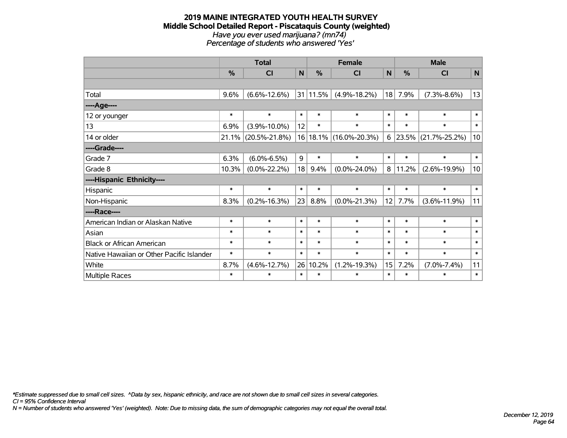#### **2019 MAINE INTEGRATED YOUTH HEALTH SURVEY Middle School Detailed Report - Piscataquis County (weighted)** *Have you ever used marijuana? (mn74) Percentage of students who answered 'Yes'*

|                                           | <b>Total</b> |                     |              |               | <b>Female</b>       |              | <b>Male</b>   |                     |             |  |
|-------------------------------------------|--------------|---------------------|--------------|---------------|---------------------|--------------|---------------|---------------------|-------------|--|
|                                           | %            | CI                  | $\mathsf{N}$ | $\frac{0}{0}$ | <b>CI</b>           | $\mathsf{N}$ | $\frac{0}{0}$ | <b>CI</b>           | $\mathbf N$ |  |
|                                           |              |                     |              |               |                     |              |               |                     |             |  |
| Total                                     | 9.6%         | $(6.6\% - 12.6\%)$  |              | 31 11.5%      | $(4.9\% - 18.2\%)$  | 18           | 7.9%          | $(7.3\% - 8.6\%)$   | 13          |  |
| ----Age----                               |              |                     |              |               |                     |              |               |                     |             |  |
| 12 or younger                             | $\ast$       | $\ast$              | $\ast$       | $\ast$        | $\ast$              | $\ast$       | $\ast$        | $\ast$              | $\ast$      |  |
| 13                                        | 6.9%         | $(3.9\% - 10.0\%)$  | 12           | $\ast$        | $\ast$              | $\ast$       | $\ast$        | $\ast$              | $\ast$      |  |
| 14 or older                               | 21.1%        | $(20.5\% - 21.8\%)$ | 16           |               | 18.1% (16.0%-20.3%) | 6            |               | 23.5% (21.7%-25.2%) | 10          |  |
| ----Grade----                             |              |                     |              |               |                     |              |               |                     |             |  |
| Grade 7                                   | 6.3%         | $(6.0\% - 6.5\%)$   | 9            | $\ast$        | $\ast$              | $\ast$       | $\ast$        | $\ast$              | $\ast$      |  |
| Grade 8                                   | 10.3%        | $(0.0\% - 22.2\%)$  | 18           | 9.4%          | $(0.0\% - 24.0\%)$  | 8            | 11.2%         | $(2.6\% - 19.9\%)$  | 10          |  |
| ----Hispanic Ethnicity----                |              |                     |              |               |                     |              |               |                     |             |  |
| Hispanic                                  | $\ast$       | $\ast$              | $\ast$       | $\ast$        | $\ast$              | $\ast$       | $\ast$        | $\ast$              | $\ast$      |  |
| Non-Hispanic                              | 8.3%         | $(0.2\% - 16.3\%)$  | 23           | 8.8%          | $(0.0\% - 21.3\%)$  | 12           | 7.7%          | $(3.6\% - 11.9\%)$  | 11          |  |
| ----Race----                              |              |                     |              |               |                     |              |               |                     |             |  |
| American Indian or Alaskan Native         | $\ast$       | $\ast$              | $\ast$       | $\ast$        | $\ast$              | $\ast$       | $\ast$        | $\ast$              | $\ast$      |  |
| Asian                                     | $\ast$       | $\ast$              | $\ast$       | $\ast$        | $\ast$              | $\ast$       | $\ast$        | $\ast$              | $\ast$      |  |
| <b>Black or African American</b>          | $\ast$       | $\ast$              | $\ast$       | $\ast$        | $\ast$              | $\ast$       | $\ast$        | $\ast$              | $\ast$      |  |
| Native Hawaiian or Other Pacific Islander | $\ast$       | $\ast$              | $\ast$       | $\ast$        | $\ast$              | $\ast$       | $\ast$        | $\ast$              | $\ast$      |  |
| White                                     | 8.7%         | $(4.6\% - 12.7\%)$  | 26           | 10.2%         | $(1.2\% - 19.3\%)$  | 15           | 7.2%          | $(7.0\% - 7.4\%)$   | 11          |  |
| <b>Multiple Races</b>                     | $\ast$       | $\ast$              | $\ast$       | $\ast$        | $\ast$              | $\ast$       | $\ast$        | $\ast$              | $\ast$      |  |

*\*Estimate suppressed due to small cell sizes. ^Data by sex, hispanic ethnicity, and race are not shown due to small cell sizes in several categories.*

*CI = 95% Confidence Interval*

*N = Number of students who answered 'Yes' (weighted). Note: Due to missing data, the sum of demographic categories may not equal the overall total.*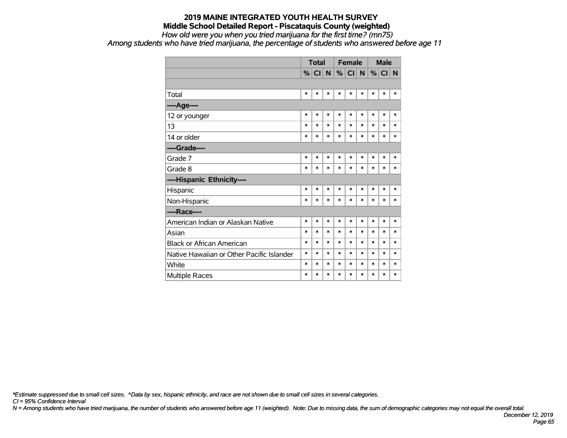#### **2019 MAINE INTEGRATED YOUTH HEALTH SURVEY Middle School Detailed Report - Piscataquis County (weighted)** *How old were you when you tried marijuana for the first time? (mn75)*

*Among students who have tried marijuana, the percentage of students who answered before age 11*

|                                           |        | <b>Total</b> |        | <b>Female</b> |         |        | <b>Male</b> |          |        |
|-------------------------------------------|--------|--------------|--------|---------------|---------|--------|-------------|----------|--------|
|                                           |        | $%$ CI N     |        |               | $\%$ CI | N      |             | $%$ CI N |        |
|                                           |        |              |        |               |         |        |             |          |        |
| Total                                     | $\ast$ | *            | *      | $\ast$        | $\ast$  | *      | $\ast$      | $\ast$   | $\ast$ |
| ---- Age----                              |        |              |        |               |         |        |             |          |        |
| 12 or younger                             | $\ast$ | $\ast$       | $\ast$ | $\ast$        | $\ast$  | $\ast$ | $\ast$      | $\ast$   | $\ast$ |
| 13                                        | $\ast$ | *            | *      | $\ast$        | *       | $\ast$ | $\ast$      | $\ast$   | $\ast$ |
| 14 or older                               | $\ast$ | $\ast$       | $\ast$ | $\ast$        | $\ast$  | $\ast$ | $\ast$      | $\ast$   | $\ast$ |
| ----Grade----                             |        |              |        |               |         |        |             |          |        |
| Grade 7                                   | $\ast$ | $\ast$       | $\ast$ | $\ast$        | $\ast$  | $\ast$ | $\ast$      | $\ast$   | $\ast$ |
| Grade 8                                   | $\ast$ | *            | $\ast$ | $\ast$        | $\ast$  | *      | $\ast$      | $\ast$   | $\ast$ |
| ----Hispanic Ethnicity----                |        |              |        |               |         |        |             |          |        |
| Hispanic                                  | $\ast$ | *            | *      | $\ast$        | $\ast$  | $\ast$ | $\ast$      | $\ast$   | *      |
| Non-Hispanic                              | $\ast$ | *            | $\ast$ | $\ast$        | $\ast$  | *      | $\ast$      | $\ast$   | $\ast$ |
| ----Race----                              |        |              |        |               |         |        |             |          |        |
| American Indian or Alaskan Native         | $\ast$ | $\ast$       | *      | $\ast$        | $\ast$  | $\ast$ | $\ast$      | $\ast$   | $\ast$ |
| Asian                                     | $\ast$ | *            | *      | $\ast$        | *       | $\ast$ | $\ast$      | $\ast$   | $\ast$ |
| <b>Black or African American</b>          | $\ast$ | *            | $\ast$ | $\ast$        | $\ast$  | $\ast$ | $\ast$      | $\ast$   | $\ast$ |
| Native Hawaiian or Other Pacific Islander | $\ast$ | *            | *      | $\ast$        | $\ast$  | $\ast$ | $\ast$      | $\ast$   | $\ast$ |
| White                                     | $\ast$ | *            | $\ast$ | $\ast$        | $\ast$  | $\ast$ | $\ast$      | $\ast$   | $\ast$ |
| Multiple Races                            | $\ast$ | $\ast$       | $\ast$ | $\ast$        | $\ast$  | $\ast$ | $\ast$      | $\ast$   | $\ast$ |

*\*Estimate suppressed due to small cell sizes. ^Data by sex, hispanic ethnicity, and race are not shown due to small cell sizes in several categories.*

*CI = 95% Confidence Interval*

*N = Among students who have tried marijuana, the number of students who answered before age 11 (weighted). Note: Due to missing data, the sum of demographic categories may not equal the overall total.*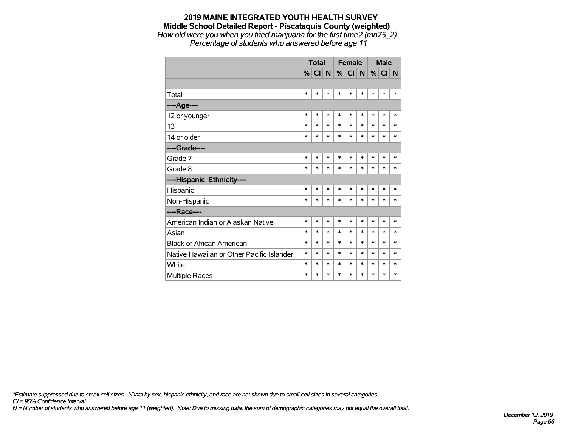### **2019 MAINE INTEGRATED YOUTH HEALTH SURVEY Middle School Detailed Report - Piscataquis County (weighted)** *How old were you when you tried marijuana for the first time? (mn75\_2)*

*Percentage of students who answered before age 11*

|                                           |        | <b>Total</b> |        | <b>Female</b> |               |        | <b>Male</b> |          |        |
|-------------------------------------------|--------|--------------|--------|---------------|---------------|--------|-------------|----------|--------|
|                                           |        | % CI         | N      | %             | <sub>CI</sub> | N      |             | $%$ CI N |        |
|                                           |        |              |        |               |               |        |             |          |        |
| Total                                     | $\ast$ | $\ast$       | *      | $\ast$        | $\ast$        | *      | $\ast$      | *        | $\ast$ |
| ----Age----                               |        |              |        |               |               |        |             |          |        |
| 12 or younger                             | $\ast$ | $\ast$       | $\ast$ | $\ast$        | $\ast$        | $\ast$ | $\ast$      | $\ast$   | $\ast$ |
| 13                                        | $\ast$ | $\ast$       | *      | $\ast$        | $\ast$        | $\ast$ | $\ast$      | $\ast$   | $\ast$ |
| 14 or older                               | $\ast$ | $\ast$       | $\ast$ | $\ast$        | $\ast$        | $\ast$ | $\ast$      | $\ast$   | $\ast$ |
| ----Grade----                             |        |              |        |               |               |        |             |          |        |
| Grade 7                                   | $\ast$ | $\ast$       | $\ast$ | $\ast$        | $\ast$        | $\ast$ | $\ast$      | $\ast$   | $\ast$ |
| Grade 8                                   | $\ast$ | $\ast$       | *      | $\ast$        | $\ast$        | $\ast$ | $\ast$      | $\ast$   | $\ast$ |
| ----Hispanic Ethnicity----                |        |              |        |               |               |        |             |          |        |
| Hispanic                                  | $\ast$ | $\ast$       | $\ast$ | $\ast$        | $\ast$        | $\ast$ | $\ast$      | *        | *      |
| Non-Hispanic                              | *      | $\ast$       | *      | $\ast$        | $\ast$        | *      | $\ast$      | $\ast$   | $\ast$ |
| ----Race----                              |        |              |        |               |               |        |             |          |        |
| American Indian or Alaskan Native         | $\ast$ | $\ast$       | *      | $\ast$        | $\ast$        | $\ast$ | $\ast$      | $\ast$   | $\ast$ |
| Asian                                     | *      | *            | *      | $\ast$        | $\ast$        | $\ast$ | $\ast$      | $\ast$   | $\ast$ |
| <b>Black or African American</b>          | $\ast$ | $\ast$       | $\ast$ | $\ast$        | $\ast$        | $\ast$ | $\ast$      | $\ast$   | $\ast$ |
| Native Hawaiian or Other Pacific Islander | $\ast$ | $\ast$       | $\ast$ | $\ast$        | $\ast$        | $\ast$ | $\ast$      | $\ast$   | $\ast$ |
| White                                     | $\ast$ | $\ast$       | *      | $\ast$        | $\ast$        | $\ast$ | $\ast$      | $\ast$   | $\ast$ |
| Multiple Races                            | $\ast$ | $\ast$       | $\ast$ | $\ast$        | $\ast$        | $\ast$ | $\ast$      | $\ast$   | $\ast$ |

*\*Estimate suppressed due to small cell sizes. ^Data by sex, hispanic ethnicity, and race are not shown due to small cell sizes in several categories.*

*CI = 95% Confidence Interval*

*N = Number of students who answered before age 11 (weighted). Note: Due to missing data, the sum of demographic categories may not equal the overall total.*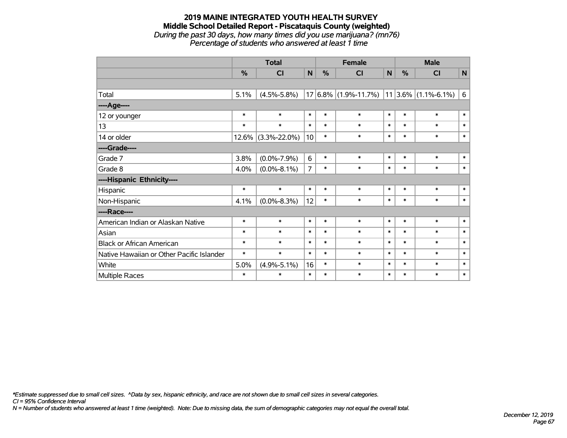#### **2019 MAINE INTEGRATED YOUTH HEALTH SURVEY Middle School Detailed Report - Piscataquis County (weighted)** *During the past 30 days, how many times did you use marijuana? (mn76) Percentage of students who answered at least 1 time*

|                                           | <b>Total</b> |                    |                |        | <b>Female</b>                                    |        | <b>Male</b>   |           |              |  |
|-------------------------------------------|--------------|--------------------|----------------|--------|--------------------------------------------------|--------|---------------|-----------|--------------|--|
|                                           | %            | <b>CI</b>          | N              | %      | <b>CI</b>                                        | N      | $\frac{0}{0}$ | <b>CI</b> | $\mathsf{N}$ |  |
|                                           |              |                    |                |        |                                                  |        |               |           |              |  |
| Total                                     | 5.1%         | $(4.5\% - 5.8\%)$  |                |        | $17 6.8\% $ (1.9%-11.7%)   11 3.6%   (1.1%-6.1%) |        |               |           | 6            |  |
| ----Age----                               |              |                    |                |        |                                                  |        |               |           |              |  |
| 12 or younger                             | $\ast$       | $\ast$             | $\ast$         | $\ast$ | $\ast$                                           | $\ast$ | $\ast$        | $\ast$    | $\ast$       |  |
| 13                                        | $\ast$       | $\ast$             | $\ast$         | $\ast$ | $\ast$                                           | $\ast$ | $\ast$        | $\ast$    | $\ast$       |  |
| 14 or older                               | $12.6\%$     | $(3.3\% - 22.0\%)$ | 10             | $\ast$ | $\ast$                                           | $\ast$ | $\ast$        | $\ast$    | $\ast$       |  |
| ----Grade----                             |              |                    |                |        |                                                  |        |               |           |              |  |
| Grade 7                                   | 3.8%         | $(0.0\% - 7.9\%)$  | 6              | $\ast$ | $\ast$                                           | $\ast$ | $\ast$        | $\ast$    | $\ast$       |  |
| Grade 8                                   | 4.0%         | $(0.0\% - 8.1\%)$  | $\overline{7}$ | $\ast$ | $\ast$                                           | $\ast$ | $\ast$        | $\ast$    | $\ast$       |  |
| ----Hispanic Ethnicity----                |              |                    |                |        |                                                  |        |               |           |              |  |
| Hispanic                                  | $\ast$       | $\ast$             | $\ast$         | $\ast$ | $\ast$                                           | $\ast$ | $\ast$        | $\ast$    | $\ast$       |  |
| Non-Hispanic                              | 4.1%         | $(0.0\% - 8.3\%)$  | 12             | $\ast$ | $\ast$                                           | $\ast$ | $\ast$        | $\ast$    | $\ast$       |  |
| ----Race----                              |              |                    |                |        |                                                  |        |               |           |              |  |
| American Indian or Alaskan Native         | $\ast$       | $\ast$             | $\ast$         | $\ast$ | $\ast$                                           | $\ast$ | $\ast$        | $\ast$    | $\ast$       |  |
| Asian                                     | $\ast$       | $\ast$             | $\ast$         | $\ast$ | $\ast$                                           | $\ast$ | $\ast$        | $\ast$    | $\ast$       |  |
| <b>Black or African American</b>          | $\ast$       | $\ast$             | $\ast$         | $\ast$ | $\ast$                                           | $\ast$ | $\ast$        | $\ast$    | $\ast$       |  |
| Native Hawaiian or Other Pacific Islander | $\ast$       | $\ast$             | $\ast$         | $\ast$ | $\ast$                                           | $\ast$ | $\ast$        | $\ast$    | $\ast$       |  |
| White                                     | 5.0%         | $(4.9\% - 5.1\%)$  | 16             | $\ast$ | $\ast$                                           | $\ast$ | $\ast$        | $\ast$    | $\ast$       |  |
| Multiple Races                            | $\ast$       | *                  | $\ast$         | $\ast$ | $\ast$                                           | $\ast$ | $\ast$        | $\ast$    | $\ast$       |  |

*\*Estimate suppressed due to small cell sizes. ^Data by sex, hispanic ethnicity, and race are not shown due to small cell sizes in several categories.*

*CI = 95% Confidence Interval*

*N = Number of students who answered at least 1 time (weighted). Note: Due to missing data, the sum of demographic categories may not equal the overall total.*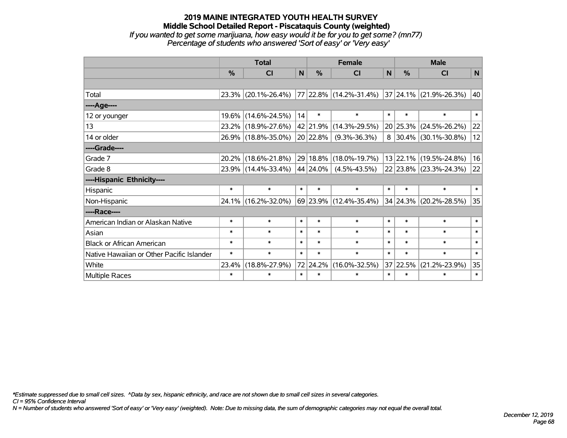### **2019 MAINE INTEGRATED YOUTH HEALTH SURVEY Middle School Detailed Report - Piscataquis County (weighted)** *If you wanted to get some marijuana, how easy would it be for you to get some? (mn77)*

*Percentage of students who answered 'Sort of easy' or 'Very easy'*

|                                           | <b>Total</b> |                     |        |               | <b>Female</b>          |        | <b>Male</b> |                          |        |  |
|-------------------------------------------|--------------|---------------------|--------|---------------|------------------------|--------|-------------|--------------------------|--------|--|
|                                           | $\%$         | C <sub>1</sub>      | N      | $\frac{0}{0}$ | <b>CI</b>              | N      | %           | <b>CI</b>                | N      |  |
|                                           |              |                     |        |               |                        |        |             |                          |        |  |
| Total                                     |              | 23.3% (20.1%-26.4%) |        |               | 77 22.8% (14.2%-31.4%) |        |             | 37 24.1% (21.9%-26.3%)   | 40     |  |
| ----Age----                               |              |                     |        |               |                        |        |             |                          |        |  |
| 12 or younger                             | $19.6\%$     | $(14.6\% - 24.5\%)$ | 14     | $\ast$        | $\ast$                 | $\ast$ | $\ast$      | $\ast$                   | $\ast$ |  |
| 13                                        |              | 23.2% (18.9%-27.6%) |        | 42 21.9%      | $(14.3\% - 29.5\%)$    |        | 20 25.3%    | $(24.5\% - 26.2\%)$      | 22     |  |
| 14 or older                               |              | 26.9% (18.8%-35.0%) |        | 20 22.8%      | $(9.3\% - 36.3\%)$     | 8      |             | $ 30.4\% $ (30.1%-30.8%) | 12     |  |
| ----Grade----                             |              |                     |        |               |                        |        |             |                          |        |  |
| Grade 7                                   | $20.2\%$     | $(18.6\% - 21.8\%)$ |        | 29 18.8%      | $(18.0\% - 19.7\%)$    |        |             | 13 22.1% (19.5%-24.8%)   | 16     |  |
| Grade 8                                   |              | 23.9% (14.4%-33.4%) |        | $44 24.0\% $  | $(4.5\% - 43.5\%)$     |        |             | $22$ 23.8% (23.3%-24.3%) | 22     |  |
| ----Hispanic Ethnicity----                |              |                     |        |               |                        |        |             |                          |        |  |
| Hispanic                                  | $\ast$       | $\ast$              | $\ast$ | $\ast$        | $\ast$                 | $\ast$ | $\ast$      | $\ast$                   | $\ast$ |  |
| Non-Hispanic                              |              | 24.1% (16.2%-32.0%) |        |               | 69 23.9% (12.4%-35.4%) |        |             | $34$ 24.3% (20.2%-28.5%) | 35     |  |
| ----Race----                              |              |                     |        |               |                        |        |             |                          |        |  |
| American Indian or Alaskan Native         | $\ast$       | $\ast$              | $\ast$ | $\ast$        | $\ast$                 | $\ast$ | $\ast$      | $\ast$                   | $\ast$ |  |
| Asian                                     | $\ast$       | $\ast$              | $\ast$ | $\ast$        | $\ast$                 | $\ast$ | $\ast$      | $\ast$                   | $\ast$ |  |
| <b>Black or African American</b>          | $\ast$       | $\ast$              | $\ast$ | $\ast$        | $\ast$                 | $\ast$ | $\ast$      | $\ast$                   | $\ast$ |  |
| Native Hawaiian or Other Pacific Islander | $\ast$       | $\ast$              | $\ast$ | $\ast$        | $\ast$                 | $\ast$ | $\ast$      | $\ast$                   | $\ast$ |  |
| White                                     | 23.4%        | $(18.8\% - 27.9\%)$ |        | 72 24.2%      | $(16.0\% - 32.5\%)$    |        | 37 22.5%    | $(21.2\% - 23.9\%)$      | 35     |  |
| <b>Multiple Races</b>                     | $\ast$       | $\ast$              | $\ast$ | $\ast$        | $\ast$                 | $\ast$ | $\ast$      | $\ast$                   | $\ast$ |  |

*\*Estimate suppressed due to small cell sizes. ^Data by sex, hispanic ethnicity, and race are not shown due to small cell sizes in several categories.*

*CI = 95% Confidence Interval*

*N = Number of students who answered 'Sort of easy' or 'Very easy' (weighted). Note: Due to missing data, the sum of demographic categories may not equal the overall total.*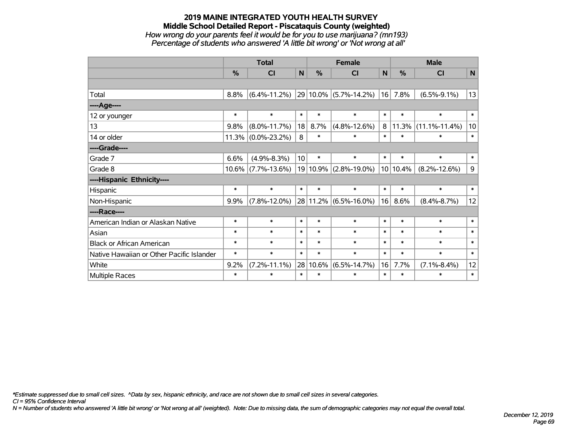### **2019 MAINE INTEGRATED YOUTH HEALTH SURVEY Middle School Detailed Report - Piscataquis County (weighted)** *How wrong do your parents feel it would be for you to use marijuana? (mn193) Percentage of students who answered 'A little bit wrong' or 'Not wrong at all'*

|                                           | <b>Total</b>  |                    |                 |        | <b>Female</b>              |        | <b>Male</b>   |                     |        |  |
|-------------------------------------------|---------------|--------------------|-----------------|--------|----------------------------|--------|---------------|---------------------|--------|--|
|                                           | $\frac{0}{0}$ | CI                 | N               | %      | <b>CI</b>                  | N      | $\frac{0}{0}$ | <b>CI</b>           | N      |  |
|                                           |               |                    |                 |        |                            |        |               |                     |        |  |
| Total                                     | 8.8%          | $(6.4\% - 11.2\%)$ |                 |        | $ 29 10.0\% $ (5.7%-14.2%) | 16     | 7.8%          | $(6.5\% - 9.1\%)$   | 13     |  |
| ----Age----                               |               |                    |                 |        |                            |        |               |                     |        |  |
| 12 or younger                             | $\ast$        | $\ast$             | $\ast$          | $\ast$ | $\ast$                     | $\ast$ | $\ast$        | $\ast$              | $\ast$ |  |
| 13                                        | 9.8%          | $(8.0\% - 11.7\%)$ | 18              | 8.7%   | $(4.8\% - 12.6\%)$         |        | 8 11.3%       | $(11.1\% - 11.4\%)$ | 10     |  |
| 14 or older                               | 11.3%         | $(0.0\% - 23.2\%)$ | 8               | $\ast$ | $\ast$                     | $\ast$ | $\ast$        | $\ast$              | $\ast$ |  |
| ----Grade----                             |               |                    |                 |        |                            |        |               |                     |        |  |
| Grade 7                                   | 6.6%          | $(4.9\% - 8.3\%)$  | 10 <sup>1</sup> | $\ast$ | $\ast$                     | $\ast$ | $\ast$        | $\ast$              | $\ast$ |  |
| Grade 8                                   | $10.6\%$      | $(7.7\% - 13.6\%)$ |                 |        | 19 10.9% (2.8%-19.0%)      |        | 10 10.4%      | $(8.2\% - 12.6\%)$  | 9      |  |
| ----Hispanic Ethnicity----                |               |                    |                 |        |                            |        |               |                     |        |  |
| Hispanic                                  | $\ast$        | $\ast$             | $\ast$          | $\ast$ | $\ast$                     | $\ast$ | $\ast$        | $\ast$              | $\ast$ |  |
| Non-Hispanic                              | 9.9%          | $(7.8\% - 12.0\%)$ |                 |        | 28 11.2% (6.5%-16.0%)      | 16     | 8.6%          | $(8.4\% - 8.7\%)$   | 12     |  |
| ----Race----                              |               |                    |                 |        |                            |        |               |                     |        |  |
| American Indian or Alaskan Native         | $\ast$        | $\ast$             | $\ast$          | $\ast$ | $\ast$                     | $\ast$ | $\ast$        | $\ast$              | $\ast$ |  |
| Asian                                     | $\ast$        | $\ast$             | $\ast$          | $\ast$ | $\ast$                     | $\ast$ | $\ast$        | $\ast$              | $\ast$ |  |
| <b>Black or African American</b>          | $\ast$        | $\ast$             | $\ast$          | $\ast$ | $\ast$                     | $\ast$ | $\ast$        | $\ast$              | $\ast$ |  |
| Native Hawaiian or Other Pacific Islander | $\ast$        | $\ast$             | $\ast$          | $\ast$ | $\ast$                     | $\ast$ | $\ast$        | $\ast$              | $\ast$ |  |
| White                                     | 9.2%          | $(7.2\% - 11.1\%)$ | 28              | 10.6%  | $(6.5\% - 14.7\%)$         | 16     | 7.7%          | $(7.1\% - 8.4\%)$   | 12     |  |
| <b>Multiple Races</b>                     | $\ast$        | $\ast$             | $\ast$          | $\ast$ | *                          | $\ast$ | $\ast$        | $\ast$              | $\ast$ |  |

*\*Estimate suppressed due to small cell sizes. ^Data by sex, hispanic ethnicity, and race are not shown due to small cell sizes in several categories.*

*CI = 95% Confidence Interval*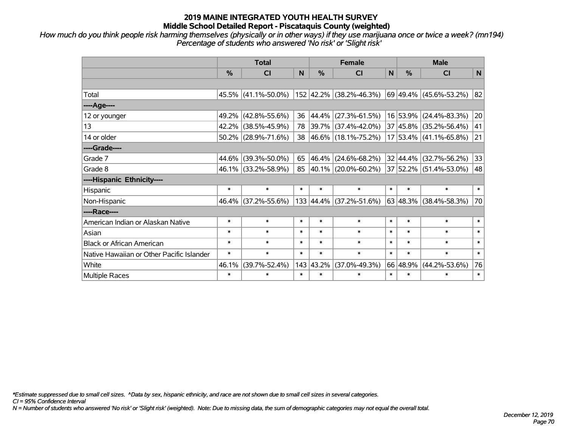*How much do you think people risk harming themselves (physically or in other ways) if they use marijuana once or twice a week? (mn194) Percentage of students who answered 'No risk' or 'Slight risk'*

|                                           | <b>Total</b>  |                        |        |             | <b>Female</b>           |        | <b>Male</b> |                            |        |  |
|-------------------------------------------|---------------|------------------------|--------|-------------|-------------------------|--------|-------------|----------------------------|--------|--|
|                                           | $\frac{0}{0}$ | CI                     | N      | %           | <b>CI</b>               | N      | %           | <b>CI</b>                  | N      |  |
|                                           |               |                        |        |             |                         |        |             |                            |        |  |
| Total                                     |               | $45.5\%$ (41.1%-50.0%) |        |             | 152 42.2% (38.2%-46.3%) |        |             | 69 49.4% (45.6%-53.2%)     | 82     |  |
| ----Age----                               |               |                        |        |             |                         |        |             |                            |        |  |
| 12 or younger                             | 49.2%         | $(42.8\% - 55.6\%)$    | 36     | 44.4%       | $(27.3\% - 61.5\%)$     |        |             | 16 53.9% (24.4%-83.3%)     | 20     |  |
| 13                                        | 42.2%         | $(38.5\% - 45.9\%)$    | 78     |             | 39.7% (37.4%-42.0%)     |        |             | 37 45.8% (35.2%-56.4%)     | 41     |  |
| 14 or older                               |               | $50.2\%$ (28.9%-71.6%) | 38     |             | 46.6% (18.1%-75.2%)     |        |             | $17 53.4\% $ (41.1%-65.8%) | 21     |  |
| ----Grade----                             |               |                        |        |             |                         |        |             |                            |        |  |
| Grade 7                                   | 44.6%         | $(39.3\% - 50.0\%)$    | 65     | 46.4%       | $(24.6\% - 68.2\%)$     |        |             | 32 44.4% (32.7%-56.2%)     | 33     |  |
| Grade 8                                   |               | 46.1% (33.2%-58.9%)    | 85     |             | 40.1% (20.0%-60.2%)     |        |             | 37 52.2% (51.4%-53.0%)     | 48     |  |
| ----Hispanic Ethnicity----                |               |                        |        |             |                         |        |             |                            |        |  |
| Hispanic                                  | $\ast$        | $\ast$                 | $\ast$ | $\ast$      | $\ast$                  | $\ast$ | $\ast$      | $\ast$                     | $\ast$ |  |
| Non-Hispanic                              |               | 46.4% (37.2%-55.6%)    |        | 133   44.4% | $(37.2\% - 51.6\%)$     |        |             | $63 48.3\% $ (38.4%-58.3%) | 70     |  |
| ----Race----                              |               |                        |        |             |                         |        |             |                            |        |  |
| American Indian or Alaskan Native         | $\ast$        | $\ast$                 | $\ast$ | $\ast$      | $\ast$                  | $\ast$ | $\ast$      | $\ast$                     | $\ast$ |  |
| Asian                                     | $\ast$        | $\ast$                 | $\ast$ | $\ast$      | $\ast$                  | $\ast$ | $\ast$      | $\ast$                     | $\ast$ |  |
| <b>Black or African American</b>          | $\ast$        | $\ast$                 | $\ast$ | $\ast$      | $\ast$                  | $\ast$ | $\ast$      | $\ast$                     | $\ast$ |  |
| Native Hawaiian or Other Pacific Islander | $\ast$        | $\ast$                 | $\ast$ | $\ast$      | $\ast$                  | $\ast$ | $\ast$      | $\ast$                     | $\ast$ |  |
| White                                     | 46.1%         | $(39.7\% - 52.4\%)$    | 143    | 43.2%       | $(37.0\% - 49.3\%)$     |        | 66 48.9%    | $(44.2\% - 53.6\%)$        | 76     |  |
| Multiple Races                            | $\ast$        | $\ast$                 | $\ast$ | $\ast$      | $\ast$                  | $\ast$ | $\ast$      | $\ast$                     | $\ast$ |  |

*\*Estimate suppressed due to small cell sizes. ^Data by sex, hispanic ethnicity, and race are not shown due to small cell sizes in several categories.*

*CI = 95% Confidence Interval*

*N = Number of students who answered 'No risk' or 'Slight risk' (weighted). Note: Due to missing data, the sum of demographic categories may not equal the overall total.*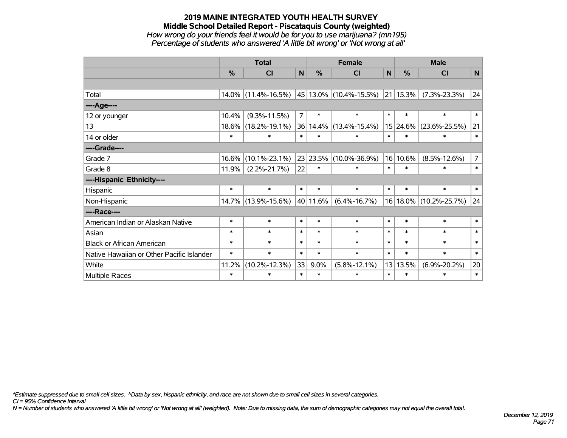### **2019 MAINE INTEGRATED YOUTH HEALTH SURVEY Middle School Detailed Report - Piscataquis County (weighted)** *How wrong do your friends feel it would be for you to use marijuana? (mn195) Percentage of students who answered 'A little bit wrong' or 'Not wrong at all'*

|                                           | <b>Total</b> |                     |                |          | <b>Female</b>               |              | <b>Male</b>      |                     |                |  |
|-------------------------------------------|--------------|---------------------|----------------|----------|-----------------------------|--------------|------------------|---------------------|----------------|--|
|                                           | %            | <b>CI</b>           | $\mathbf N$    | %        | <b>CI</b>                   | $\mathsf{N}$ | %                | <b>CI</b>           | $\mathsf{N}$   |  |
|                                           |              |                     |                |          |                             |              |                  |                     |                |  |
| Total                                     |              | 14.0% (11.4%-16.5%) |                |          | $ 45 13.0\% $ (10.4%-15.5%) |              | $ 21 $ 15.3% $ $ | $(7.3\% - 23.3\%)$  | 24             |  |
| ----Age----                               |              |                     |                |          |                             |              |                  |                     |                |  |
| 12 or younger                             | 10.4%        | $(9.3\% - 11.5\%)$  | $\overline{7}$ | $\ast$   | $\ast$                      | $\ast$       | $\ast$           | $\ast$              | $\ast$         |  |
| 13                                        | 18.6%        | $(18.2\% - 19.1\%)$ |                | 36 14.4% | $(13.4\% - 15.4\%)$         |              | 15 24.6%         | $(23.6\% - 25.5\%)$ | 21             |  |
| 14 or older                               | $\ast$       | $\ast$              | $\ast$         | $\ast$   | $\ast$                      | $\ast$       | $\ast$           | $\ast$              | $\ast$         |  |
| ----Grade----                             |              |                     |                |          |                             |              |                  |                     |                |  |
| Grade 7                                   | 16.6%        | $(10.1\% - 23.1\%)$ |                | 23 23.5% | $(10.0\% - 36.9\%)$         | 16           | 10.6%            | $(8.5\% - 12.6\%)$  | 7 <sup>1</sup> |  |
| Grade 8                                   | 11.9%        | $(2.2\% - 21.7\%)$  | 22             | ∗        | $\ast$                      | $\ast$       | $\ast$           | $\ast$              | $\ast$         |  |
| ----Hispanic Ethnicity----                |              |                     |                |          |                             |              |                  |                     |                |  |
| Hispanic                                  | $\ast$       | $\ast$              | $\ast$         | $\ast$   | $\ast$                      | $\ast$       | $\ast$           | $\ast$              | $\ast$         |  |
| Non-Hispanic                              |              | 14.7% (13.9%-15.6%) |                | 40 11.6% | $(6.4\% - 16.7\%)$          |              | 16 18.0%         | $(10.2\% - 25.7\%)$ | 24             |  |
| ----Race----                              |              |                     |                |          |                             |              |                  |                     |                |  |
| American Indian or Alaskan Native         | $\ast$       | $\ast$              | $\ast$         | $\ast$   | $\ast$                      | $\ast$       | $\ast$           | $\ast$              | $\ast$         |  |
| Asian                                     | $\ast$       | $\ast$              | $\ast$         | $\ast$   | $\ast$                      | $\ast$       | $\ast$           | $\ast$              | $\ast$         |  |
| <b>Black or African American</b>          | $\ast$       | $\ast$              | $\ast$         | $\ast$   | $\ast$                      | $\ast$       | $\ast$           | $\ast$              | $\ast$         |  |
| Native Hawaiian or Other Pacific Islander | $\ast$       | $\ast$              | $\ast$         | $\ast$   | $\ast$                      | $\ast$       | $\ast$           | $\ast$              | $\ast$         |  |
| White                                     | 11.2%        | $(10.2\% - 12.3\%)$ | 33             | 9.0%     | $(5.8\% - 12.1\%)$          | 13           | 13.5%            | $(6.9\% - 20.2\%)$  | 20             |  |
| <b>Multiple Races</b>                     | $\ast$       | $\ast$              | $\ast$         | $\ast$   | $\ast$                      | $\ast$       | $\ast$           | $\ast$              | $\ast$         |  |

*\*Estimate suppressed due to small cell sizes. ^Data by sex, hispanic ethnicity, and race are not shown due to small cell sizes in several categories.*

*CI = 95% Confidence Interval*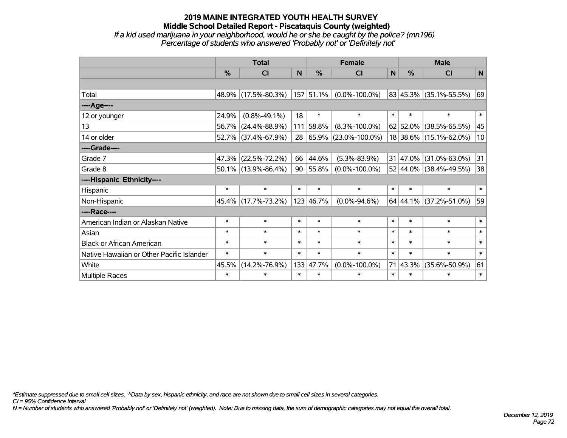#### **2019 MAINE INTEGRATED YOUTH HEALTH SURVEY Middle School Detailed Report - Piscataquis County (weighted)** *If a kid used marijuana in your neighborhood, would he or she be caught by the police? (mn196) Percentage of students who answered 'Probably not' or 'Definitely not'*

|                                           | <b>Total</b> |                        |              |           | <b>Female</b>        |        | <b>Male</b>     |                        |        |  |
|-------------------------------------------|--------------|------------------------|--------------|-----------|----------------------|--------|-----------------|------------------------|--------|--|
|                                           | %            | <b>CI</b>              | $\mathsf{N}$ | %         | <b>CI</b>            | N      | $\frac{0}{0}$   | <b>CI</b>              | N      |  |
|                                           |              |                        |              |           |                      |        |                 |                        |        |  |
| Total                                     |              | 48.9% (17.5%-80.3%)    |              | 157 51.1% | $(0.0\% - 100.0\%)$  |        |                 | 83 45.3% (35.1%-55.5%) | 69     |  |
| ----Age----                               |              |                        |              |           |                      |        |                 |                        |        |  |
| 12 or younger                             | 24.9%        | $(0.8\% - 49.1\%)$     | 18           | $\ast$    | $\ast$               | $\ast$ | $\ast$          | $\ast$                 | $\ast$ |  |
| 13                                        | 56.7%        | $(24.4\% - 88.9\%)$    | 111          | 58.8%     | $(8.3\% - 100.0\%)$  |        | $62 52.0\% $    | $(38.5\% - 65.5\%)$    | 45     |  |
| 14 or older                               |              | 52.7% (37.4%-67.9%)    | 28           | 65.9%     | $(23.0\% - 100.0\%)$ |        |                 | 18 38.6% (15.1%-62.0%) | 10     |  |
| ----Grade----                             |              |                        |              |           |                      |        |                 |                        |        |  |
| Grade 7                                   | 47.3%        | $(22.5\% - 72.2\%)$    | 66           | 44.6%     | $(5.3\% - 83.9\%)$   |        | $31   47.0\%  $ | $(31.0\% - 63.0\%)$    | 31     |  |
| Grade 8                                   |              | $50.1\%$ (13.9%-86.4%) | 90           | 55.8%     | $(0.0\% - 100.0\%)$  |        |                 | 52 44.0% (38.4%-49.5%) | 38     |  |
| ----Hispanic Ethnicity----                |              |                        |              |           |                      |        |                 |                        |        |  |
| Hispanic                                  | $\ast$       | $\ast$                 | $\ast$       | $\ast$    | $\ast$               | $\ast$ | $\ast$          | $\ast$                 | $\ast$ |  |
| Non-Hispanic                              |              | 45.4% (17.7%-73.2%)    |              | 123 46.7% | $(0.0\% - 94.6\%)$   |        |                 | 64 44.1% (37.2%-51.0%) | 59     |  |
| ----Race----                              |              |                        |              |           |                      |        |                 |                        |        |  |
| American Indian or Alaskan Native         | $\ast$       | $\ast$                 | $\ast$       | $\ast$    | $\ast$               | $\ast$ | $\ast$          | $\ast$                 | $\ast$ |  |
| Asian                                     | $\ast$       | $\ast$                 | $\ast$       | $\ast$    | $\ast$               | $\ast$ | $\ast$          | $\ast$                 | $\ast$ |  |
| <b>Black or African American</b>          | $\ast$       | $\ast$                 | $\ast$       | $\ast$    | $\ast$               | $\ast$ | $\ast$          | $\ast$                 | $\ast$ |  |
| Native Hawaiian or Other Pacific Islander | $\ast$       | $\ast$                 | $\ast$       | $\ast$    | $\ast$               | $\ast$ | $\ast$          | $\ast$                 | $\ast$ |  |
| White                                     | 45.5%        | $(14.2\% - 76.9\%)$    |              | 133 47.7% | $(0.0\% - 100.0\%)$  | 71     | 43.3%           | $(35.6\% - 50.9\%)$    | 61     |  |
| <b>Multiple Races</b>                     | $\ast$       | $\ast$                 | $\ast$       | $\ast$    | $\ast$               | $\ast$ | $\ast$          | $\ast$                 | $\ast$ |  |

*\*Estimate suppressed due to small cell sizes. ^Data by sex, hispanic ethnicity, and race are not shown due to small cell sizes in several categories.*

*CI = 95% Confidence Interval*

*N = Number of students who answered 'Probably not' or 'Definitely not' (weighted). Note: Due to missing data, the sum of demographic categories may not equal the overall total.*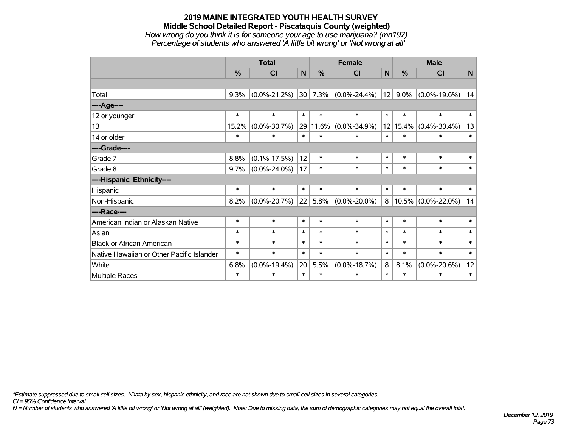#### **2019 MAINE INTEGRATED YOUTH HEALTH SURVEY Middle School Detailed Report - Piscataquis County (weighted)** *How wrong do you think it is for someone your age to use marijuana? (mn197) Percentage of students who answered 'A little bit wrong' or 'Not wrong at all'*

|                                           |        | <b>Total</b>       |              |               | <b>Female</b>      |                            | <b>Male</b> |                       |        |  |
|-------------------------------------------|--------|--------------------|--------------|---------------|--------------------|----------------------------|-------------|-----------------------|--------|--|
|                                           | %      | CI                 | $\mathsf{N}$ | $\frac{0}{0}$ | CI                 | $\mathsf{N}$               | %           | <b>CI</b>             | N      |  |
|                                           |        |                    |              |               |                    |                            |             |                       |        |  |
| Total                                     | 9.3%   | $(0.0\% - 21.2\%)$ | 30           | 7.3%          | $(0.0\% - 24.4\%)$ | 12                         | $9.0\%$     | $(0.0\% - 19.6\%)$    | 14     |  |
| ----Age----                               |        |                    |              |               |                    |                            |             |                       |        |  |
| 12 or younger                             | $\ast$ | $\ast$             | $\ast$       | $\ast$        | $\ast$             | $\ast$                     | $\ast$      | $\ast$                | $\ast$ |  |
| 13                                        | 15.2%  | $(0.0\% - 30.7\%)$ |              | 29 11.6%      | $(0.0\% - 34.9\%)$ | 12                         | 15.4%       | $(0.4\% - 30.4\%)$    | 13     |  |
| 14 or older                               | $\ast$ | $\ast$             | $\ast$       | $\ast$        | $\ast$             | $\ast$                     | $\ast$      | $\ast$                | $\ast$ |  |
| ----Grade----                             |        |                    |              |               |                    |                            |             |                       |        |  |
| Grade 7                                   | 8.8%   | $(0.1\% - 17.5\%)$ | 12           | $\ast$        | $\ast$             | $\ast$                     | $\ast$      | $\ast$                | $\ast$ |  |
| Grade 8                                   | 9.7%   | $(0.0\% - 24.0\%)$ | 17           | $\ast$        | $\ast$             | $\ast$                     | $\ast$      | $\ast$                | $\ast$ |  |
| ----Hispanic Ethnicity----                |        |                    |              |               |                    |                            |             |                       |        |  |
| Hispanic                                  | $\ast$ | $\ast$             | $\ast$       | $\ast$        | $\ast$             | $\ast$                     | $\ast$      | $\ast$                | $\ast$ |  |
| Non-Hispanic                              | 8.2%   | $(0.0\% - 20.7\%)$ | 22           | 5.8%          | $(0.0\% - 20.0\%)$ | 8                          |             | $10.5\%$ (0.0%-22.0%) | 14     |  |
| ----Race----                              |        |                    |              |               |                    |                            |             |                       |        |  |
| American Indian or Alaskan Native         | $\ast$ | $\ast$             | $\ast$       | $\ast$        | $\ast$             | $\ast$                     | $\ast$      | $\ast$                | $\ast$ |  |
| Asian                                     | $\ast$ | $\ast$             | $\ast$       | $\ast$        | $\ast$             | $\ast$                     | $\ast$      | $\ast$                | $\ast$ |  |
| <b>Black or African American</b>          | $\ast$ | $\ast$             | $\ast$       | $\ast$        | $\ast$             | $\ast$                     | $\ast$      | $\ast$                | $\ast$ |  |
| Native Hawaiian or Other Pacific Islander | $\ast$ | $\ast$             | $\ast$       | $\ast$        | $\ast$             | $\ast$<br>$\ast$<br>$\ast$ |             |                       | $\ast$ |  |
| White                                     | 6.8%   | $(0.0\% - 19.4\%)$ | 20           | 5.5%          | $(0.0\% - 18.7\%)$ | 8                          | 8.1%        | $(0.0\% - 20.6\%)$    | 12     |  |
| Multiple Races                            | ∗      | *                  | $\ast$       | $\ast$        | $\ast$             | $\ast$                     | $\ast$      | $\ast$                | $\ast$ |  |

*\*Estimate suppressed due to small cell sizes. ^Data by sex, hispanic ethnicity, and race are not shown due to small cell sizes in several categories.*

*CI = 95% Confidence Interval*

*N = Number of students who answered 'A little bit wrong' or 'Not wrong at all' (weighted). Note: Due to missing data, the sum of demographic categories may not equal the overall total.*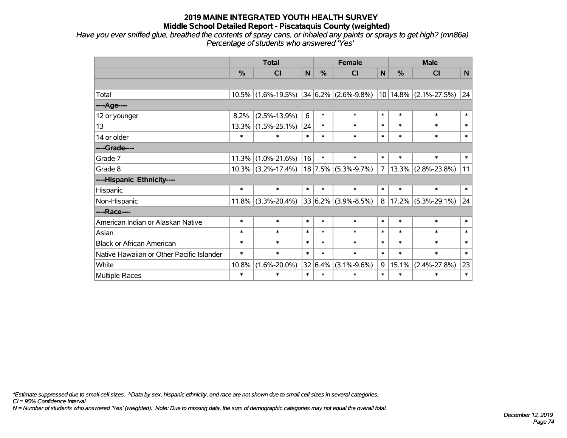*Have you ever sniffed glue, breathed the contents of spray cans, or inhaled any paints or sprays to get high? (mn86a) Percentage of students who answered 'Yes'*

|                                           |        | <b>Total</b>          |             |               | <b>Female</b>                   |                | <b>Male</b>        |                           |          |  |
|-------------------------------------------|--------|-----------------------|-------------|---------------|---------------------------------|----------------|--------------------|---------------------------|----------|--|
|                                           | %      | CI                    | $\mathbf N$ | $\frac{0}{0}$ | CI                              | N              | %                  | <b>CI</b>                 | <b>N</b> |  |
|                                           |        |                       |             |               |                                 |                |                    |                           |          |  |
| Total                                     |        | $10.5\%$ (1.6%-19.5%) |             |               | $34 6.2\% $ (2.6%-9.8%)         |                |                    | $10 14.8\% $ (2.1%-27.5%) | 24       |  |
| ---- Age----                              |        |                       |             |               |                                 |                |                    |                           |          |  |
| 12 or younger                             | 8.2%   | $(2.5\% - 13.9\%)$    | 6           | $\ast$        | $\ast$                          | $\ast$         | $\ast$             | $\ast$                    | $\ast$   |  |
| 13                                        | 13.3%  | $(1.5\% - 25.1\%)$    | 24          | $\ast$        | $\ast$                          | $\ast$         | $\ast$             | $\ast$                    | $\ast$   |  |
| 14 or older                               | $\ast$ | $\ast$                | $\ast$      | $\ast$        | $\ast$                          | $\ast$         | $\ast$             | $\ast$                    | $\ast$   |  |
| ----Grade----                             |        |                       |             |               |                                 |                |                    |                           |          |  |
| Grade 7                                   | 11.3%  | $(1.0\% - 21.6\%)$    | 16          | $\ast$        | $\ast$                          | $\ast$         | $\ast$             | $\ast$                    | $\ast$   |  |
| Grade 8                                   |        | $10.3\%$ (3.2%-17.4%) |             |               | $18$ 7.5% (5.3%-9.7%)           | $\overline{7}$ |                    | $13.3\%$ (2.8%-23.8%)     | 11       |  |
| ----Hispanic Ethnicity----                |        |                       |             |               |                                 |                |                    |                           |          |  |
| Hispanic                                  | $\ast$ | $\ast$                | $\ast$      | $\ast$        | $\ast$                          | $\ast$         | $\ast$             | $\ast$                    | $\ast$   |  |
| Non-Hispanic                              | 11.8%  | $(3.3\% - 20.4\%)$    |             | 33 6.2%       | $(3.9\% - 8.5\%)$               | 8              |                    | $17.2\%$ (5.3%-29.1%)     | 24       |  |
| ----Race----                              |        |                       |             |               |                                 |                |                    |                           |          |  |
| American Indian or Alaskan Native         | $\ast$ | $\ast$                | $\ast$      | $\ast$        | $\ast$                          | $\ast$         | $\ast$             | $\ast$                    | $\ast$   |  |
| Asian                                     | $\ast$ | $\ast$                | $\ast$      | $\ast$        | $\ast$                          | $\ast$         | $\ast$             | $\ast$                    | $\ast$   |  |
| <b>Black or African American</b>          | $\ast$ | $\ast$                | $\ast$      | $\ast$        | $\ast$                          | $\ast$         | $\ast$             | $\ast$                    | $\ast$   |  |
| Native Hawaiian or Other Pacific Islander | $\ast$ | $\ast$                | $\ast$      | $\ast$        | $\ast$                          | $\ast$         | $\ast$             | $\ast$                    | $\ast$   |  |
| White                                     | 10.8%  | $(1.6\% - 20.0\%)$    | 32          | 6.4%          | $(3.1\% - 9.6\%)$<br>9<br>15.1% |                | $(2.4\% - 27.8\%)$ | 23                        |          |  |
| Multiple Races                            | $\ast$ | $\ast$                | $\ast$      | $\ast$        | $\ast$                          | $\ast$         | $\ast$             | $\ast$                    | $\ast$   |  |

*\*Estimate suppressed due to small cell sizes. ^Data by sex, hispanic ethnicity, and race are not shown due to small cell sizes in several categories.*

*CI = 95% Confidence Interval*

*N = Number of students who answered 'Yes' (weighted). Note: Due to missing data, the sum of demographic categories may not equal the overall total.*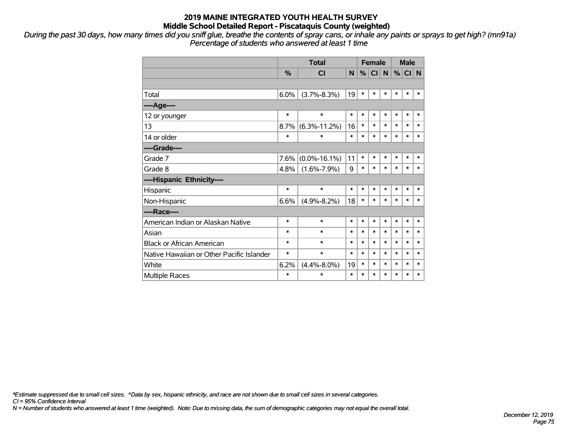*During the past 30 days, how many times did you sniff glue, breathe the contents of spray cans, or inhale any paints or sprays to get high? (mn91a) Percentage of students who answered at least 1 time*

|                                           |        | <b>Total</b>       |        | <b>Female</b> |                 |           |        | <b>Male</b> |        |
|-------------------------------------------|--------|--------------------|--------|---------------|-----------------|-----------|--------|-------------|--------|
|                                           | %      | <b>CI</b>          | N      | %             | Cl <sub>1</sub> | $\vert$ N | %      | CI N        |        |
|                                           |        |                    |        |               |                 |           |        |             |        |
| Total                                     | 6.0%   | $(3.7\% - 8.3\%)$  | 19     | $\ast$        | $\ast$          | $\ast$    | $\ast$ | $\ast$      | $\ast$ |
| ----Age----                               |        |                    |        |               |                 |           |        |             |        |
| 12 or younger                             | $\ast$ | $\ast$             | $\ast$ | $\ast$        | $\ast$          | $\ast$    | $\ast$ | $\ast$      | $\ast$ |
| 13                                        | 8.7%   | $(6.3\% - 11.2\%)$ | 16     | $\ast$        | $\ast$          | $\ast$    | $\ast$ | $\ast$      | $\ast$ |
| 14 or older                               | $\ast$ | $\ast$             | $\ast$ | $\ast$        | $\ast$          | $\ast$    | $\ast$ | $\ast$      | $\ast$ |
| ----Grade----                             |        |                    |        |               |                 |           |        |             |        |
| Grade 7                                   | 7.6%   | $(0.0\% - 16.1\%)$ | 11     | $\ast$        | $\ast$          | $\ast$    | $\ast$ | $\ast$      | $\ast$ |
| Grade 8                                   | 4.8%   | $(1.6\% - 7.9\%)$  | 9      | $\ast$        | $\ast$          | $\ast$    | $\ast$ | $\ast$      | $\ast$ |
| ----Hispanic Ethnicity----                |        |                    |        |               |                 |           |        |             |        |
| Hispanic                                  | $\ast$ | $\ast$             | $\ast$ | $\ast$        | *               | $\ast$    | $\ast$ | $\ast$      | $\ast$ |
| Non-Hispanic                              | 6.6%   | $(4.9\% - 8.2\%)$  | 18     | $\ast$        | $\ast$          | $\ast$    | $\ast$ | $\ast$      | $\ast$ |
| ----Race----                              |        |                    |        |               |                 |           |        |             |        |
| American Indian or Alaskan Native         | $\ast$ | $\ast$             | $\ast$ | $\ast$        | $\ast$          | $\ast$    | $\ast$ | $\ast$      | $\ast$ |
| Asian                                     | *      | $\ast$             | $\ast$ | $\ast$        | $\ast$          | $\ast$    | $\ast$ | $\ast$      | $\ast$ |
| <b>Black or African American</b>          | *      | $\ast$             | $\ast$ | $\ast$        | $\ast$          | $\ast$    | $\ast$ | $\ast$      | $\ast$ |
| Native Hawaiian or Other Pacific Islander | *      | $\ast$             | $\ast$ | $\ast$        | $\ast$          | $\ast$    | $\ast$ | $\ast$      | $\ast$ |
| White                                     | 6.2%   | $(4.4\% - 8.0\%)$  | 19     | $\ast$        | $\ast$          | $\ast$    | $\ast$ | $\ast$      | $\ast$ |
| <b>Multiple Races</b>                     | *      | $\ast$             | $\ast$ | $\ast$        | $\ast$          | $\ast$    | $\ast$ | $\ast$      | $\ast$ |

*\*Estimate suppressed due to small cell sizes. ^Data by sex, hispanic ethnicity, and race are not shown due to small cell sizes in several categories.*

*CI = 95% Confidence Interval*

*N = Number of students who answered at least 1 time (weighted). Note: Due to missing data, the sum of demographic categories may not equal the overall total.*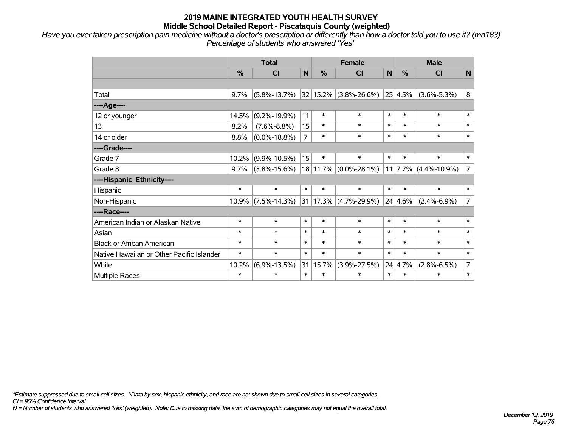*Have you ever taken prescription pain medicine without a doctor's prescription or differently than how a doctor told you to use it? (mn183) Percentage of students who answered 'Yes'*

|                                           | <b>Total</b><br><b>Female</b> |                    |                |                                                |                           | <b>Male</b>       |                |                            |                |
|-------------------------------------------|-------------------------------|--------------------|----------------|------------------------------------------------|---------------------------|-------------------|----------------|----------------------------|----------------|
|                                           | $\frac{0}{0}$                 | <b>CI</b>          | $\mathsf{N}$   | $\frac{0}{0}$                                  | <b>CI</b>                 | N                 | $\frac{0}{0}$  | <b>CI</b>                  | $\mathsf{N}$   |
|                                           |                               |                    |                |                                                |                           |                   |                |                            |                |
| Total                                     | 9.7%                          | $(5.8\% - 13.7\%)$ |                |                                                | 32 15.2% (3.8%-26.6%)     |                   | 25 4.5%        | $(3.6\% - 5.3\%)$          | 8              |
| ----Age----                               |                               |                    |                |                                                |                           |                   |                |                            |                |
| 12 or younger                             | 14.5%                         | $(9.2\% - 19.9\%)$ | 11             | $\ast$                                         | $\ast$                    | $\ast$            | $\ast$         | $\ast$                     | $\ast$         |
| 13                                        | 8.2%                          | $(7.6\% - 8.8\%)$  | 15             | $\ast$                                         | $\ast$                    | $\ast$            | $\ast$         | $\ast$                     | $\ast$         |
| 14 or older                               | 8.8%                          | $(0.0\% - 18.8\%)$ | $\overline{7}$ | $\ast$                                         | $\ast$                    | $\ast$            | $\ast$         | $\ast$                     | $\ast$         |
| ----Grade----                             |                               |                    |                |                                                |                           |                   |                |                            |                |
| Grade 7                                   | 10.2%                         | $(9.9\% - 10.5\%)$ | 15             | $\ast$                                         | $\ast$                    | $\ast$            | $\ast$         | $\ast$                     | $\ast$         |
| Grade 8                                   | 9.7%                          | $(3.8\% - 15.6\%)$ |                |                                                | $18 11.7\% $ (0.0%-28.1%) |                   |                | $11$   7.7%   (4.4%-10.9%) | $\overline{7}$ |
| ----Hispanic Ethnicity----                |                               |                    |                |                                                |                           |                   |                |                            |                |
| Hispanic                                  | $\ast$                        | $\ast$             | $\ast$         | $\ast$                                         | $\ast$                    | $\ast$            | $\ast$         | $\ast$                     | $\pmb{\ast}$   |
| Non-Hispanic                              | 10.9%                         | $(7.5\% - 14.3\%)$ | 31             |                                                | $17.3\%$ (4.7%-29.9%)     |                   | 24 4.6%        | $(2.4\% - 6.9\%)$          | $\overline{7}$ |
| ----Race----                              |                               |                    |                |                                                |                           |                   |                |                            |                |
| American Indian or Alaskan Native         | $\ast$                        | $\ast$             | $\ast$         | $\ast$                                         | $\ast$                    | $\ast$            | $\ast$         | $\ast$                     | $\ast$         |
| Asian                                     | $\ast$                        | $\ast$             | $\ast$         | $\ast$                                         | $\ast$                    | $\ast$            | $\ast$         | $\ast$                     | $\ast$         |
| <b>Black or African American</b>          | *                             | $\ast$             | $\ast$         | $\ast$                                         | $\ast$                    | $\ast$            | $\ast$         | $\ast$                     | $\ast$         |
| Native Hawaiian or Other Pacific Islander | $\ast$                        | $\ast$             | $\ast$         | $\ast$                                         | $\ast$                    | $\ast$            | $\ast$         | $\ast$                     | $\ast$         |
| White                                     | 10.2%                         | $(6.9\% - 13.5\%)$ | 31             | 15.7%<br>$24 \mid 4.7\%$<br>$(3.9\% - 27.5\%)$ |                           | $(2.8\% - 6.5\%)$ | $\overline{7}$ |                            |                |
| Multiple Races                            | $\ast$                        | $\ast$             | $\ast$         | $\ast$                                         | $\ast$                    | $\ast$            | $\ast$         | $\ast$                     | $\ast$         |

*\*Estimate suppressed due to small cell sizes. ^Data by sex, hispanic ethnicity, and race are not shown due to small cell sizes in several categories.*

*CI = 95% Confidence Interval*

*N = Number of students who answered 'Yes' (weighted). Note: Due to missing data, the sum of demographic categories may not equal the overall total.*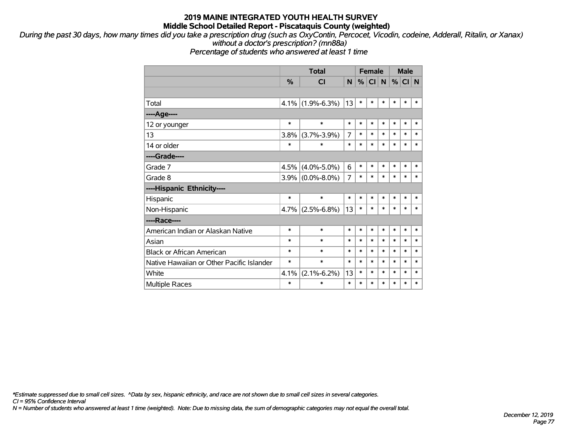*During the past 30 days, how many times did you take a prescription drug (such as OxyContin, Percocet, Vicodin, codeine, Adderall, Ritalin, or Xanax) without a doctor's prescription? (mn88a)*

*Percentage of students who answered at least 1 time*

|                                           |               | <b>Total</b>      |        |        | <b>Female</b>   |        | <b>Male</b> |          |        |
|-------------------------------------------|---------------|-------------------|--------|--------|-----------------|--------|-------------|----------|--------|
|                                           | $\frac{0}{0}$ | <b>CI</b>         | N.     | %      | Cl <sub>1</sub> | N      |             | %  CI  N |        |
|                                           |               |                   |        |        |                 |        |             |          |        |
| Total                                     | 4.1%          | $(1.9\% - 6.3\%)$ | 13     | $\ast$ | $\ast$          | $\ast$ | $\ast$      | $\ast$   | ∗      |
| ---- Age----                              |               |                   |        |        |                 |        |             |          |        |
| 12 or younger                             | $\ast$        | $\ast$            | $\ast$ | $\ast$ | $\ast$          | $\ast$ | $\ast$      | $\ast$   | $\ast$ |
| 13                                        | 3.8%          | $(3.7\% - 3.9\%)$ | 7      | $\ast$ | $\ast$          | $\ast$ | $\ast$      | $\ast$   | $\ast$ |
| 14 or older                               | $\ast$        | $\ast$            | $\ast$ | $\ast$ | $\ast$          | $\ast$ | $\ast$      | $\ast$   | $\ast$ |
| ----Grade----                             |               |                   |        |        |                 |        |             |          |        |
| Grade 7                                   | 4.5%          | $(4.0\% - 5.0\%)$ | 6      | $\ast$ | $\ast$          | $\ast$ | $\ast$      | $\ast$   | $\ast$ |
| Grade 8                                   | $3.9\%$       | $(0.0\% - 8.0\%)$ | 7      | $\ast$ | $\ast$          | $\ast$ | $\ast$      | $\ast$   | $\ast$ |
| ----Hispanic Ethnicity----                |               |                   |        |        |                 |        |             |          |        |
| Hispanic                                  | $\ast$        | $\ast$            | $\ast$ | $\ast$ | $\ast$          | $\ast$ | $\ast$      | $\ast$   | $\ast$ |
| Non-Hispanic                              | 4.7%          | $(2.5\% - 6.8\%)$ | 13     | $\ast$ | $\ast$          | $\ast$ | $\ast$      | $\ast$   | $\ast$ |
| ----Race----                              |               |                   |        |        |                 |        |             |          |        |
| American Indian or Alaskan Native         | $\ast$        | $\ast$            | $\ast$ | $\ast$ | $\ast$          | $\ast$ | $\ast$      | $\ast$   | $\ast$ |
| Asian                                     | $\ast$        | $\ast$            | $\ast$ | *      | $\ast$          | $\ast$ | $\ast$      | $\ast$   | $\ast$ |
| <b>Black or African American</b>          | *             | $\ast$            | $\ast$ | $\ast$ | $\ast$          | $\ast$ | $\ast$      | $\ast$   | $\ast$ |
| Native Hawaiian or Other Pacific Islander | $\ast$        | $\ast$            | $\ast$ | $\ast$ | $\ast$          | $\ast$ | $\ast$      | $\ast$   | $\ast$ |
| White                                     | 4.1%          | $(2.1\% - 6.2\%)$ | 13     | $\ast$ | $\ast$          | $\ast$ | $\ast$      | $\ast$   | $\ast$ |
| <b>Multiple Races</b>                     | $\ast$        | $\ast$            | *      | $\ast$ | $\ast$          | $\ast$ | $\ast$      | $\ast$   | $\ast$ |

*\*Estimate suppressed due to small cell sizes. ^Data by sex, hispanic ethnicity, and race are not shown due to small cell sizes in several categories.*

*CI = 95% Confidence Interval*

*N = Number of students who answered at least 1 time (weighted). Note: Due to missing data, the sum of demographic categories may not equal the overall total.*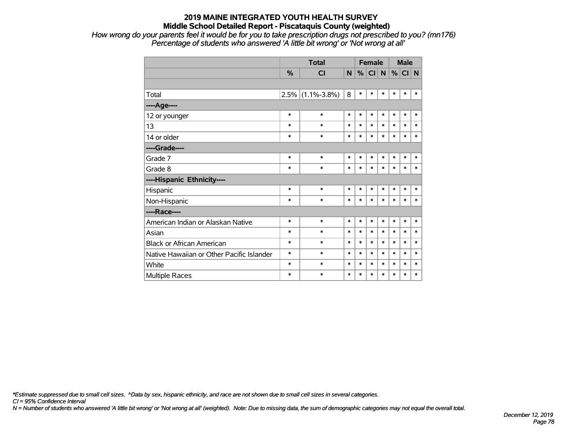*How wrong do your parents feel it would be for you to take prescription drugs not prescribed to you? (mn176) Percentage of students who answered 'A little bit wrong' or 'Not wrong at all'*

|                                           |               | <b>Total</b>        |        |        | <b>Female</b> |        |        | <b>Male</b> |        |
|-------------------------------------------|---------------|---------------------|--------|--------|---------------|--------|--------|-------------|--------|
|                                           | $\frac{0}{0}$ | <b>CI</b>           | N      |        | %  CI  N      |        |        | $%$ CI N    |        |
|                                           |               |                     |        |        |               |        |        |             |        |
| Total                                     |               | $2.5\%$ (1.1%-3.8%) | 8      | $\ast$ | $\ast$        | $\ast$ | $\ast$ | $\ast$      | $\ast$ |
| ----Age----                               |               |                     |        |        |               |        |        |             |        |
| 12 or younger                             | $\ast$        | $\ast$              | $\ast$ | $\ast$ | $\ast$        | $\ast$ | $\ast$ | $\ast$      | $\ast$ |
| 13                                        | $\ast$        | $\ast$              | $\ast$ | $\ast$ | $\ast$        | $\ast$ | $\ast$ | $\ast$      | $\ast$ |
| 14 or older                               | $\ast$        | $\ast$              | $\ast$ | $\ast$ | $\ast$        | $\ast$ | $\ast$ | $\ast$      | $\ast$ |
| ----Grade----                             |               |                     |        |        |               |        |        |             |        |
| Grade 7                                   | $\ast$        | $\ast$              | $\ast$ | $\ast$ | $\ast$        | $\ast$ | $\ast$ | $\ast$      | $\ast$ |
| Grade 8                                   | $\ast$        | $\ast$              | $\ast$ | $\ast$ | $\ast$        | $\ast$ | $\ast$ | $\ast$      | $\ast$ |
| ----Hispanic Ethnicity----                |               |                     |        |        |               |        |        |             |        |
| Hispanic                                  | $\ast$        | $\ast$              | $\ast$ | *      | $\ast$        | $\ast$ | $\ast$ | $\ast$      | $\ast$ |
| Non-Hispanic                              | $\ast$        | $\ast$              | $\ast$ | $\ast$ | $\ast$        | $\ast$ | $\ast$ | $\ast$      | $\ast$ |
| ----Race----                              |               |                     |        |        |               |        |        |             |        |
| American Indian or Alaskan Native         | $\ast$        | $\ast$              | $\ast$ | $\ast$ | $\ast$        | $\ast$ | $\ast$ | $\ast$      | $\ast$ |
| Asian                                     | $\ast$        | $\ast$              | $\ast$ | $\ast$ | $\ast$        | $\ast$ | $\ast$ | $\ast$      | $\ast$ |
| <b>Black or African American</b>          | $\ast$        | $\ast$              | $\ast$ | *      | $\ast$        | $\ast$ | $\ast$ | $\ast$      | $\ast$ |
| Native Hawaiian or Other Pacific Islander | $\ast$        | $\ast$              | $\ast$ | $\ast$ | $\ast$        | $\ast$ | $\ast$ | $\ast$      | $\ast$ |
| White                                     | $\ast$        | $\ast$              | $\ast$ | $\ast$ | $\ast$        | $\ast$ | $\ast$ | $\ast$      | $\ast$ |
| <b>Multiple Races</b>                     | $\ast$        | $\ast$              | $\ast$ | $\ast$ | *             | $\ast$ | $\ast$ | $\ast$      | $\ast$ |

*\*Estimate suppressed due to small cell sizes. ^Data by sex, hispanic ethnicity, and race are not shown due to small cell sizes in several categories.*

*CI = 95% Confidence Interval*

*N = Number of students who answered 'A little bit wrong' or 'Not wrong at all' (weighted). Note: Due to missing data, the sum of demographic categories may not equal the overall total.*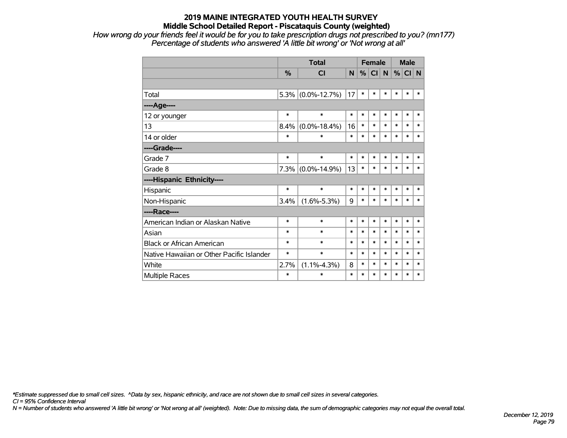*How wrong do your friends feel it would be for you to take prescription drugs not prescribed to you? (mn177) Percentage of students who answered 'A little bit wrong' or 'Not wrong at all'*

|                                           |        | <b>Total</b>       |        | <b>Female</b> |                 |        | <b>Male</b> |        |        |
|-------------------------------------------|--------|--------------------|--------|---------------|-----------------|--------|-------------|--------|--------|
|                                           | %      | <b>CI</b>          | N      | %             | Cl <sub>1</sub> | N      | %           | CI N   |        |
|                                           |        |                    |        |               |                 |        |             |        |        |
| Total                                     | 5.3%   | $(0.0\% - 12.7\%)$ | 17     | $\ast$        | $\ast$          | $\ast$ | $\ast$      | $\ast$ | *      |
| ----Age----                               |        |                    |        |               |                 |        |             |        |        |
| 12 or younger                             | $\ast$ | $\ast$             | $\ast$ | $\ast$        | $\ast$          | $\ast$ | $\ast$      | $\ast$ | $\ast$ |
| 13                                        | 8.4%   | $(0.0\% - 18.4\%)$ | 16     | $\ast$        | $\ast$          | $\ast$ | $\ast$      | $\ast$ | *      |
| 14 or older                               | $\ast$ | $\ast$             | $\ast$ | $\ast$        | $\ast$          | $\ast$ | $\ast$      | $\ast$ | $\ast$ |
| ----Grade----                             |        |                    |        |               |                 |        |             |        |        |
| Grade 7                                   | $\ast$ | $\ast$             | $\ast$ | $\ast$        | $\ast$          | $\ast$ | $\ast$      | $\ast$ | *      |
| Grade 8                                   | 7.3%   | $(0.0\% - 14.9\%)$ | 13     | $\ast$        | $\ast$          | $\ast$ | $\ast$      | $\ast$ | *      |
| ----Hispanic Ethnicity----                |        |                    |        |               |                 |        |             |        |        |
| Hispanic                                  | $\ast$ | $\ast$             | $\ast$ | $\ast$        | $\ast$          | $\ast$ | $\ast$      | $\ast$ | $\ast$ |
| Non-Hispanic                              | 3.4%   | $(1.6\% - 5.3\%)$  | 9      | $\ast$        | $\ast$          | $\ast$ | $\ast$      | $\ast$ | $\ast$ |
| ----Race----                              |        |                    |        |               |                 |        |             |        |        |
| American Indian or Alaskan Native         | $\ast$ | $\ast$             | $\ast$ | $\ast$        | $\ast$          | $\ast$ | $\ast$      | $\ast$ | $\ast$ |
| Asian                                     | $\ast$ | $\ast$             | $\ast$ | $\ast$        | $\ast$          | $\ast$ | $\ast$      | $\ast$ | *      |
| <b>Black or African American</b>          | $\ast$ | $\ast$             | $\ast$ | $\ast$        | $\ast$          | $\ast$ | $\ast$      | $\ast$ | $\ast$ |
| Native Hawaiian or Other Pacific Islander | $\ast$ | $\ast$             | $\ast$ | $\ast$        | $\ast$          | $\ast$ | $\ast$      | $\ast$ | $\ast$ |
| White                                     | 2.7%   | $(1.1\% - 4.3\%)$  | 8      | $\ast$        | $\ast$          | $\ast$ | $\ast$      | $\ast$ | $\ast$ |
| <b>Multiple Races</b>                     | $\ast$ | $\ast$             | $\ast$ | $\ast$        | $\ast$          | $\ast$ | $\ast$      | $\ast$ | $\ast$ |

*\*Estimate suppressed due to small cell sizes. ^Data by sex, hispanic ethnicity, and race are not shown due to small cell sizes in several categories.*

*CI = 95% Confidence Interval*

*N = Number of students who answered 'A little bit wrong' or 'Not wrong at all' (weighted). Note: Due to missing data, the sum of demographic categories may not equal the overall total.*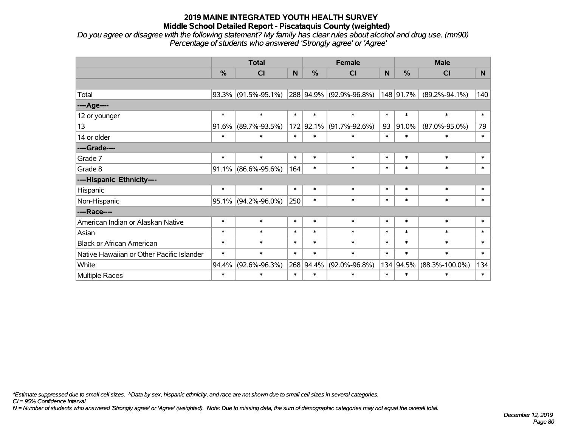*Do you agree or disagree with the following statement? My family has clear rules about alcohol and drug use. (mn90) Percentage of students who answered 'Strongly agree' or 'Agree'*

|                                           |               | <b>Total</b>           |        |               | <b>Female</b>                                                              |        |                     | <b>Male</b>          |        |
|-------------------------------------------|---------------|------------------------|--------|---------------|----------------------------------------------------------------------------|--------|---------------------|----------------------|--------|
|                                           | $\frac{0}{0}$ | CI                     | N      | $\frac{0}{0}$ | <b>CI</b>                                                                  | N      | %                   | <b>CI</b>            | N      |
|                                           |               |                        |        |               |                                                                            |        |                     |                      |        |
| Total                                     |               | $93.3\%$ (91.5%-95.1%) |        | 288 94.9%     | $(92.9\% - 96.8\%)$                                                        |        | 148 91.7%           | $(89.2\% - 94.1\%)$  | 140    |
| ----Age----                               |               |                        |        |               |                                                                            |        |                     |                      |        |
| 12 or younger                             | $\ast$        | $\ast$                 | $\ast$ | $\ast$        | $\ast$                                                                     | $\ast$ | $\ast$              | $\ast$               | $\ast$ |
| 13                                        | 91.6%         | $(89.7\% - 93.5\%)$    |        | 172 92.1%     | 93<br>91.0%<br>$(91.7\% - 92.6\%)$<br>$\ast$<br>$\ast$<br>$\ast$<br>$\ast$ |        | $(87.0\% - 95.0\%)$ | 79                   |        |
| 14 or older                               | $\ast$        | $\ast$<br>$\ast$       |        |               |                                                                            |        | $\ast$              | $\ast$               |        |
| ----Grade----                             |               |                        |        |               |                                                                            |        |                     |                      |        |
| Grade 7                                   | $\ast$        | $\ast$                 | $\ast$ | $\ast$        | $\ast$                                                                     | $\ast$ | $\ast$              | $\ast$               | $\ast$ |
| Grade 8                                   |               | $91.1\%$ (86.6%-95.6%) | 164    | $\ast$        | $\ast$                                                                     | $\ast$ | $\ast$              | $\ast$               | $\ast$ |
| ----Hispanic Ethnicity----                |               |                        |        |               |                                                                            |        |                     |                      |        |
| Hispanic                                  | $\ast$        | $\ast$                 | $\ast$ | $\ast$        | $\ast$                                                                     | $\ast$ | $\ast$              | $\ast$               | $\ast$ |
| Non-Hispanic                              |               | $95.1\%$ (94.2%-96.0%) | 250    | $\ast$        | $\ast$                                                                     | $\ast$ | $\ast$              | $\ast$               | $\ast$ |
| ----Race----                              |               |                        |        |               |                                                                            |        |                     |                      |        |
| American Indian or Alaskan Native         | $\ast$        | $\ast$                 | $\ast$ | $\ast$        | $\ast$                                                                     | $\ast$ | $\ast$              | $\ast$               | $\ast$ |
| Asian                                     | $\ast$        | $\ast$                 | $\ast$ | $\ast$        | $\ast$                                                                     | $\ast$ | $\ast$              | $\ast$               | $\ast$ |
| <b>Black or African American</b>          | $\ast$        | $\ast$                 | $\ast$ | $\ast$        | $\ast$                                                                     | $\ast$ | $\ast$              | $\ast$               | $\ast$ |
| Native Hawaiian or Other Pacific Islander | $\ast$        | $\ast$                 | $\ast$ | $\ast$        | $\ast$                                                                     | $\ast$ | $\ast$              | $\ast$               | $\ast$ |
| White                                     | 94.4%         | $(92.6\% - 96.3\%)$    |        | 268 94.4%     | $(92.0\% - 96.8\%)$                                                        | 134    | 94.5%               | $(88.3\% - 100.0\%)$ | 134    |
| Multiple Races                            | $\ast$        | $\ast$                 | $\ast$ | $\ast$        | $\ast$                                                                     | $\ast$ | $\ast$              | $\ast$               | $\ast$ |

*\*Estimate suppressed due to small cell sizes. ^Data by sex, hispanic ethnicity, and race are not shown due to small cell sizes in several categories.*

*CI = 95% Confidence Interval*

*N = Number of students who answered 'Strongly agree' or 'Agree' (weighted). Note: Due to missing data, the sum of demographic categories may not equal the overall total.*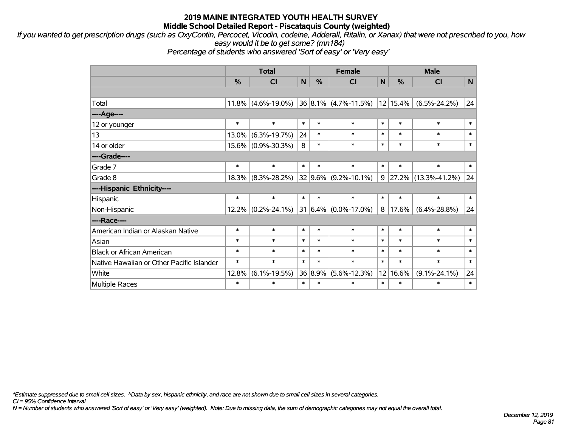*If you wanted to get prescription drugs (such as OxyContin, Percocet, Vicodin, codeine, Adderall, Ritalin, or Xanax) that were not prescribed to you, how easy would it be to get some? (mn184)*

*Percentage of students who answered 'Sort of easy' or 'Very easy'*

|                                           |               | <b>Total</b>          |        |         | <b>Female</b>                 |        |          | <b>Male</b>         |        |
|-------------------------------------------|---------------|-----------------------|--------|---------|-------------------------------|--------|----------|---------------------|--------|
|                                           | $\frac{0}{0}$ | C <sub>l</sub>        | N      | %       | C <sub>l</sub>                | N      | %        | <b>CI</b>           | N      |
|                                           |               |                       |        |         |                               |        |          |                     |        |
| Total                                     |               | $11.8\%$ (4.6%-19.0%) |        |         | $ 36 8.1\% $ (4.7%-11.5%)     |        | 12 15.4% | $(6.5\% - 24.2\%)$  | 24     |
| ---- Age----                              |               |                       |        |         |                               |        |          |                     |        |
| 12 or younger                             | $\ast$        | $\ast$                | $\ast$ | $\ast$  | $\ast$                        | $\ast$ | $\ast$   | $\ast$              | $\ast$ |
| 13                                        | 13.0%         | $(6.3\% - 19.7\%)$    | 24     | $\ast$  | $\ast$                        | $\ast$ | $\ast$   | $\ast$              | $\ast$ |
| 14 or older                               |               | 15.6% (0.9%-30.3%)    | 8      | $\ast$  | $\ast$                        | $\ast$ | $\ast$   | $\ast$              | $\ast$ |
| ----Grade----                             |               |                       |        |         |                               |        |          |                     |        |
| Grade 7                                   | $\ast$        | $\ast$                | $\ast$ | $\ast$  | $\ast$                        | $\ast$ | $\ast$   | $\ast$              | $\ast$ |
| Grade 8                                   | $18.3\%$      | $(8.3\% - 28.2\%)$    |        |         | $32 9.6\% $ (9.2%-10.1%)      | 9      | 27.2%    | $(13.3\% - 41.2\%)$ | 24     |
| ----Hispanic Ethnicity----                |               |                       |        |         |                               |        |          |                     |        |
| Hispanic                                  | $\ast$        | $\ast$                | $\ast$ | $\ast$  | $\ast$                        | $\ast$ | $\ast$   | $\ast$              | $\ast$ |
| Non-Hispanic                              |               | $12.2\%$ (0.2%-24.1%) |        |         | $ 31 6.4\%  (0.0\% - 17.0\%)$ | 8      | 17.6%    | $(6.4\% - 28.8\%)$  | 24     |
| ----Race----                              |               |                       |        |         |                               |        |          |                     |        |
| American Indian or Alaskan Native         | $\ast$        | $\ast$                | $\ast$ | $\ast$  | $\ast$                        | $\ast$ | $\ast$   | $\ast$              | $\ast$ |
| Asian                                     | $\ast$        | $\ast$                | $\ast$ | $\ast$  | $\ast$                        | $\ast$ | $\ast$   | $\ast$              | $\ast$ |
| <b>Black or African American</b>          | $\ast$        | $\ast$                | $\ast$ | $\ast$  | $\ast$                        | $\ast$ | $\ast$   | $\ast$              | $\ast$ |
| Native Hawaiian or Other Pacific Islander | $\ast$        | $\ast$                | $\ast$ | $\ast$  | $\ast$                        | $\ast$ | $\ast$   | $\ast$              | $\ast$ |
| White                                     | 12.8%         | $(6.1\% - 19.5\%)$    |        | 36 8.9% | $(5.6\% - 12.3\%)$            | 12     | 16.6%    | $(9.1\% - 24.1\%)$  | 24     |
| <b>Multiple Races</b>                     | $\ast$        | $\ast$                | $\ast$ | $\ast$  | $\ast$                        | $\ast$ | $\ast$   | $\ast$              | $\ast$ |

*\*Estimate suppressed due to small cell sizes. ^Data by sex, hispanic ethnicity, and race are not shown due to small cell sizes in several categories.*

*CI = 95% Confidence Interval*

*N = Number of students who answered 'Sort of easy' or 'Very easy' (weighted). Note: Due to missing data, the sum of demographic categories may not equal the overall total.*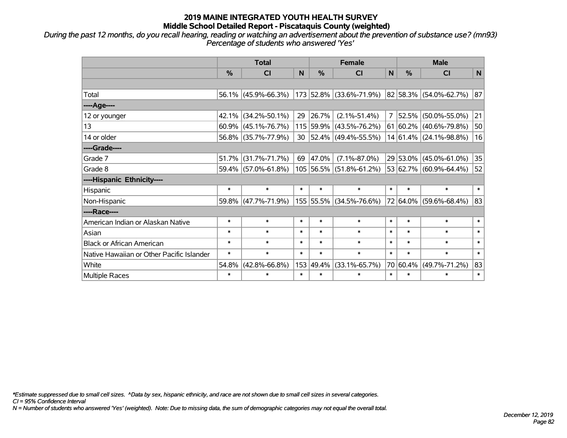*During the past 12 months, do you recall hearing, reading or watching an advertisement about the prevention of substance use? (mn93) Percentage of students who answered 'Yes'*

|                                           | <b>Total</b>  |                     |        | <b>Female</b> |                          | <b>Male</b>    |               |                            |              |  |
|-------------------------------------------|---------------|---------------------|--------|---------------|--------------------------|----------------|---------------|----------------------------|--------------|--|
|                                           | $\frac{0}{0}$ | CI                  | N      | %             | <b>CI</b>                | N              | $\frac{0}{0}$ | <b>CI</b>                  | $\mathsf{N}$ |  |
|                                           |               |                     |        |               |                          |                |               |                            |              |  |
| Total                                     |               | 56.1% (45.9%-66.3%) |        |               | 173 52.8% (33.6%-71.9%)  |                |               | 82 58.3% (54.0%-62.7%)     | 87           |  |
| ----Age----                               |               |                     |        |               |                          |                |               |                            |              |  |
| 12 or younger                             | 42.1%         | $(34.2\% - 50.1\%)$ | 29     | 26.7%         | $(2.1\% - 51.4\%)$       | $\overline{7}$ | 52.5%         | $(50.0\% - 55.0\%)$        | 21           |  |
| 13                                        | 60.9%         | $(45.1\% - 76.7\%)$ |        |               | 115 59.9% (43.5%-76.2%)  |                |               | $61 60.2\% $ (40.6%-79.8%) | 50           |  |
| 14 or older                               |               | 56.8% (35.7%-77.9%) | 30     |               | $ 52.4\% $ (49.4%-55.5%) |                |               | 14 61.4% (24.1%-98.8%)     | 16           |  |
| ----Grade----                             |               |                     |        |               |                          |                |               |                            |              |  |
| Grade 7                                   | 51.7%         | $(31.7\% - 71.7\%)$ | 69     | 47.0%         | $(7.1\% - 87.0\%)$       |                |               | 29 53.0% (45.0%-61.0%)     | 35           |  |
| Grade 8                                   |               | 59.4% (57.0%-61.8%) |        |               | 105 56.5% (51.8%-61.2%)  |                |               | 53 62.7% (60.9%-64.4%)     | 52           |  |
| ----Hispanic Ethnicity----                |               |                     |        |               |                          |                |               |                            |              |  |
| Hispanic                                  | $\ast$        | $\ast$              | $\ast$ | $\ast$        | $\ast$                   | $\ast$         | $\ast$        | $\ast$                     | $\ast$       |  |
| Non-Hispanic                              |               | 59.8% (47.7%-71.9%) |        |               | 155 55.5% (34.5%-76.6%)  | 72             |               | $64.0\%$ (59.6%-68.4%)     | 83           |  |
| ----Race----                              |               |                     |        |               |                          |                |               |                            |              |  |
| American Indian or Alaskan Native         | $\ast$        | $\ast$              | $\ast$ | $\ast$        | $\ast$                   | $\ast$         | $\ast$        | $\ast$                     | $\ast$       |  |
| Asian                                     | $\ast$        | $\ast$              | $\ast$ | $\ast$        | $\ast$                   | $\ast$         | $\ast$        | $\ast$                     | $\ast$       |  |
| <b>Black or African American</b>          | $\ast$        | $\ast$              | $\ast$ | $\ast$        | $\ast$                   | $\ast$         | $\ast$        | $\ast$                     | $\ast$       |  |
| Native Hawaiian or Other Pacific Islander | $\ast$        | $\ast$              | $\ast$ | $\ast$        | $\ast$                   | $\ast$         | $\ast$        | $\ast$                     | $\ast$       |  |
| White                                     | 54.8%         | $(42.8\% - 66.8\%)$ | 153    | 49.4%         | $(33.1\% - 65.7\%)$      | 70             | 60.4%         | $(49.7\% - 71.2\%)$        | 83           |  |
| <b>Multiple Races</b>                     | $\ast$        | $\ast$              | $\ast$ | $\ast$        | $\ast$                   | $\ast$         | $\ast$        | $\ast$                     | $\ast$       |  |

*\*Estimate suppressed due to small cell sizes. ^Data by sex, hispanic ethnicity, and race are not shown due to small cell sizes in several categories.*

*CI = 95% Confidence Interval*

*N = Number of students who answered 'Yes' (weighted). Note: Due to missing data, the sum of demographic categories may not equal the overall total.*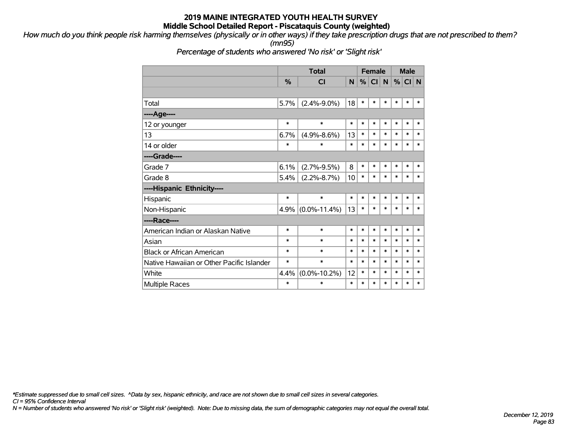*How much do you think people risk harming themselves (physically or in other ways) if they take prescription drugs that are not prescribed to them? (mn95)*

*Percentage of students who answered 'No risk' or 'Slight risk'*

|                                           |        | <b>Total</b>       |        |        | <b>Female</b> |        |        | <b>Male</b> |        |
|-------------------------------------------|--------|--------------------|--------|--------|---------------|--------|--------|-------------|--------|
|                                           | $\%$   | <b>CI</b>          | N      | %      | CI            | N      | $\%$   | CI N        |        |
|                                           |        |                    |        |        |               |        |        |             |        |
| Total                                     | 5.7%   | $(2.4\% - 9.0\%)$  | 18     | $\ast$ | $\ast$        | $\ast$ | $\ast$ | $\ast$      | $\ast$ |
| ----Age----                               |        |                    |        |        |               |        |        |             |        |
| 12 or younger                             | *      | $\ast$             | *      | $\ast$ | $\ast$        | $\ast$ | $\ast$ | $\ast$      | ∗      |
| 13                                        | 6.7%   | $(4.9\% - 8.6\%)$  | 13     | $\ast$ | $\ast$        | $\ast$ | $\ast$ | $\ast$      | $\ast$ |
| 14 or older                               | *      | $\ast$             | $\ast$ | $\ast$ | $\ast$        | $\ast$ | $\ast$ | $\ast$      | $\ast$ |
| ----Grade----                             |        |                    |        |        |               |        |        |             |        |
| Grade 7                                   | 6.1%   | $(2.7\% - 9.5\%)$  | 8      | $\ast$ | $\ast$        | *      | $\ast$ | $\ast$      | $\ast$ |
| Grade 8                                   | 5.4%   | $(2.2\% - 8.7\%)$  | 10     | $\ast$ | $\ast$        | *      | $\ast$ | $\ast$      | $\ast$ |
| ----Hispanic Ethnicity----                |        |                    |        |        |               |        |        |             |        |
| Hispanic                                  | $\ast$ | $\ast$             | $\ast$ | $\ast$ | $\ast$        | $\ast$ | $\ast$ | $\ast$      | $\ast$ |
| Non-Hispanic                              | 4.9%   | $(0.0\% - 11.4\%)$ | 13     | $\ast$ | *             | $\ast$ | $\ast$ | $\ast$      | $\ast$ |
| ----Race----                              |        |                    |        |        |               |        |        |             |        |
| American Indian or Alaskan Native         | $\ast$ | $\ast$             | $\ast$ | $\ast$ | $\ast$        | $\ast$ | $\ast$ | $\ast$      | $\ast$ |
| Asian                                     | $\ast$ | $\ast$             | $\ast$ | $\ast$ | *             | $\ast$ | $\ast$ | $\ast$      | $\ast$ |
| Black or African American                 | $\ast$ | $\ast$             | $\ast$ | $\ast$ | $\ast$        | $\ast$ | $\ast$ | $\ast$      | $\ast$ |
| Native Hawaiian or Other Pacific Islander | $\ast$ | $\ast$             | $\ast$ | $\ast$ | $\ast$        | $\ast$ | $\ast$ | $\ast$      | $\ast$ |
| White                                     | 4.4%   | $(0.0\% - 10.2\%)$ | 12     | $\ast$ | $\ast$        | $\ast$ | $\ast$ | $\ast$      | $\ast$ |
| <b>Multiple Races</b>                     | $\ast$ | *                  | $\ast$ | $\ast$ | $\ast$        | $\ast$ | $\ast$ | *           | $\ast$ |

*\*Estimate suppressed due to small cell sizes. ^Data by sex, hispanic ethnicity, and race are not shown due to small cell sizes in several categories.*

*CI = 95% Confidence Interval*

*N = Number of students who answered 'No risk' or 'Slight risk' (weighted). Note: Due to missing data, the sum of demographic categories may not equal the overall total.*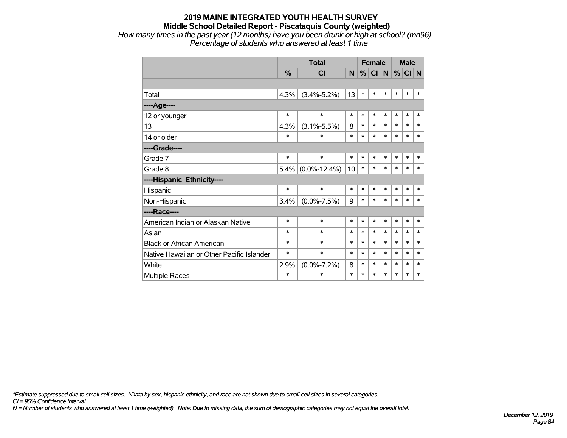*How many times in the past year (12 months) have you been drunk or high at school? (mn96) Percentage of students who answered at least 1 time*

|                                           |               | <b>Total</b>       |        | <b>Female</b> |         |        |        | <b>Male</b> |        |
|-------------------------------------------|---------------|--------------------|--------|---------------|---------|--------|--------|-------------|--------|
|                                           | $\frac{0}{0}$ | <b>CI</b>          | N      |               | $\%$ CI | N      | %      | $CI$ N      |        |
|                                           |               |                    |        |               |         |        |        |             |        |
| Total                                     | 4.3%          | $(3.4\% - 5.2\%)$  | 13     | $\ast$        | $\ast$  | $\ast$ | *      | $\ast$      | *      |
| ----Age----                               |               |                    |        |               |         |        |        |             |        |
| 12 or younger                             | $\ast$        | $\ast$             | $\ast$ | $\ast$        | $\ast$  | $\ast$ | $\ast$ | $\ast$      | $\ast$ |
| 13                                        | 4.3%          | $(3.1\% - 5.5\%)$  | 8      | $\ast$        | $\ast$  | $\ast$ | $\ast$ | $\ast$      | $\ast$ |
| 14 or older                               | *             | $\ast$             | $\ast$ | $\ast$        | $\ast$  | $\ast$ | $\ast$ | $\ast$      | *      |
| ----Grade----                             |               |                    |        |               |         |        |        |             |        |
| Grade 7                                   | $\ast$        | $\ast$             | $\ast$ | $\ast$        | $\ast$  | $\ast$ | $\ast$ | $\ast$      | $\ast$ |
| Grade 8                                   | 5.4%          | $(0.0\% - 12.4\%)$ | 10     | $\ast$        | $\ast$  | $\ast$ | $\ast$ | $\ast$      | $\ast$ |
| ----Hispanic Ethnicity----                |               |                    |        |               |         |        |        |             |        |
| Hispanic                                  | $\ast$        | $\ast$             | $\ast$ | $\ast$        | $\ast$  | $\ast$ | *      | $\ast$      | $\ast$ |
| Non-Hispanic                              | 3.4%          | $(0.0\% - 7.5\%)$  | 9      | $\ast$        | $\ast$  | $\ast$ | *      | $\ast$      | $\ast$ |
| ----Race----                              |               |                    |        |               |         |        |        |             |        |
| American Indian or Alaskan Native         | $\ast$        | $\ast$             | $\ast$ | $\ast$        | $\ast$  | $\ast$ | $\ast$ | $\ast$      | $\ast$ |
| Asian                                     | $\ast$        | $\ast$             | $\ast$ | $\ast$        | $\ast$  | $\ast$ | $\ast$ | $\ast$      | *      |
| <b>Black or African American</b>          | $\ast$        | $\ast$             | $\ast$ | $\ast$        | $\ast$  | $\ast$ | $\ast$ | $\ast$      | $\ast$ |
| Native Hawaiian or Other Pacific Islander | $\ast$        | $\ast$             | $\ast$ | $\ast$        | $\ast$  | $\ast$ | $\ast$ | $\ast$      | $\ast$ |
| White                                     | 2.9%          | $(0.0\% - 7.2\%)$  | 8      | $\ast$        | $\ast$  | $\ast$ | $\ast$ | $\ast$      | $\ast$ |
| Multiple Races                            | *             | $\ast$             | $\ast$ | $\ast$        | $\ast$  | $\ast$ | $\ast$ | $\ast$      | *      |

*\*Estimate suppressed due to small cell sizes. ^Data by sex, hispanic ethnicity, and race are not shown due to small cell sizes in several categories.*

*CI = 95% Confidence Interval*

*N = Number of students who answered at least 1 time (weighted). Note: Due to missing data, the sum of demographic categories may not equal the overall total.*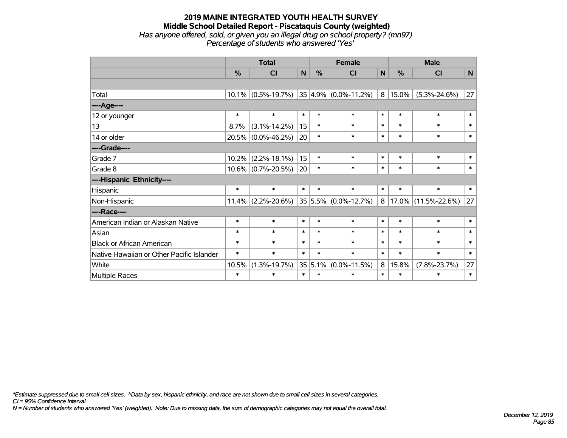#### **2019 MAINE INTEGRATED YOUTH HEALTH SURVEY Middle School Detailed Report - Piscataquis County (weighted)** *Has anyone offered, sold, or given you an illegal drug on school property? (mn97) Percentage of students who answered 'Yes'*

|                                           | <b>Total</b> |                       | <b>Female</b> |         |                               | <b>Male</b> |        |                     |        |
|-------------------------------------------|--------------|-----------------------|---------------|---------|-------------------------------|-------------|--------|---------------------|--------|
|                                           | %            | CI                    | N             | %       | <b>CI</b>                     | N           | %      | <b>CI</b>           | N      |
|                                           |              |                       |               |         |                               |             |        |                     |        |
| Total                                     |              | $10.1\%$ (0.5%-19.7%) |               |         | $ 35 4.9\%  (0.0\% - 11.2\%)$ | 8           | 15.0%  | $(5.3\% - 24.6\%)$  | 27     |
| ---- Age----                              |              |                       |               |         |                               |             |        |                     |        |
| 12 or younger                             | $\ast$       | $\ast$                | $\ast$        | $\ast$  | $\ast$                        | $\ast$      | $\ast$ | $\ast$              | $\ast$ |
| 13                                        | 8.7%         | $(3.1\% - 14.2\%)$    | 15            | $\ast$  | $\ast$                        | $\ast$      | $\ast$ | $\ast$              | $\ast$ |
| 14 or older                               |              | 20.5% (0.0%-46.2%)    | 20            | $\ast$  | $\ast$                        | $\ast$      | $\ast$ | $\ast$              | $\ast$ |
| ----Grade----                             |              |                       |               |         |                               |             |        |                     |        |
| Grade 7                                   | 10.2%        | $(2.2\% - 18.1\%)$    | 15            | $\ast$  | $\ast$                        | $\ast$      | $\ast$ | $\ast$              | $\ast$ |
| Grade 8                                   |              | $10.6\%$ (0.7%-20.5%) | 20            | $\ast$  | $\ast$                        | $\ast$      | $\ast$ | $\ast$              | $\ast$ |
| ----Hispanic Ethnicity----                |              |                       |               |         |                               |             |        |                     |        |
| Hispanic                                  | $\ast$       | $\ast$                | $\ast$        | $\ast$  | $\ast$                        | $\ast$      | $\ast$ | $\ast$              | $\ast$ |
| Non-Hispanic                              |              | $11.4\%$ (2.2%-20.6%) |               |         | $35 5.5\% $ (0.0%-12.7%)      | 8           |        | 17.0% (11.5%-22.6%) | 27     |
| ----Race----                              |              |                       |               |         |                               |             |        |                     |        |
| American Indian or Alaskan Native         | $\ast$       | $\ast$                | $\ast$        | $\ast$  | $\ast$                        | $\ast$      | $\ast$ | $\ast$              | $\ast$ |
| Asian                                     | $\ast$       | $\ast$                | $\ast$        | $\ast$  | $\ast$                        | $\ast$      | $\ast$ | $\ast$              | $\ast$ |
| <b>Black or African American</b>          | $\ast$       | $\ast$                | $\ast$        | $\ast$  | $\ast$                        | $\ast$      | $\ast$ | $\ast$              | $\ast$ |
| Native Hawaiian or Other Pacific Islander | $\ast$       | $\ast$                | $\ast$        | $\ast$  | $\ast$                        | $\ast$      | $\ast$ | $\ast$              | $\ast$ |
| White                                     | 10.5%        | $(1.3\% - 19.7\%)$    |               | 35 5.1% | $(0.0\% - 11.5\%)$            | 8           | 15.8%  | $(7.8\% - 23.7\%)$  | 27     |
| <b>Multiple Races</b>                     | $\ast$       | $\ast$                | $\ast$        | $\ast$  | $\ast$                        | $\ast$      | $\ast$ | $\ast$              | $\ast$ |

*\*Estimate suppressed due to small cell sizes. ^Data by sex, hispanic ethnicity, and race are not shown due to small cell sizes in several categories.*

*CI = 95% Confidence Interval*

*N = Number of students who answered 'Yes' (weighted). Note: Due to missing data, the sum of demographic categories may not equal the overall total.*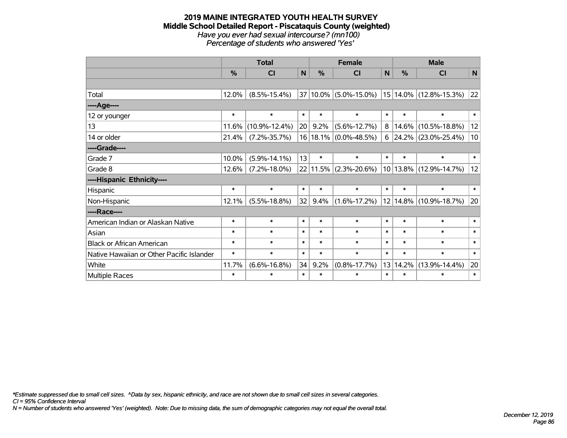#### **2019 MAINE INTEGRATED YOUTH HEALTH SURVEY Middle School Detailed Report - Piscataquis County (weighted)** *Have you ever had sexual intercourse? (mn100) Percentage of students who answered 'Yes'*

|                                           | <b>Total</b>  |                     |        |        | <b>Female</b>             |        | <b>Male</b> |                        |        |  |
|-------------------------------------------|---------------|---------------------|--------|--------|---------------------------|--------|-------------|------------------------|--------|--|
|                                           | $\frac{0}{0}$ | <b>CI</b>           | N      | %      | <b>CI</b>                 | N      | %           | <b>CI</b>              | N      |  |
|                                           |               |                     |        |        |                           |        |             |                        |        |  |
| Total                                     | 12.0%         | $(8.5\% - 15.4\%)$  |        |        | 37 10.0% (5.0%-15.0%)     |        |             | 15 14.0% (12.8%-15.3%) | 22     |  |
| ----Age----                               |               |                     |        |        |                           |        |             |                        |        |  |
| 12 or younger                             | $\ast$        | $\ast$              | $\ast$ | $\ast$ | $\ast$                    | $\ast$ | $\ast$      | $\ast$                 | $\ast$ |  |
| 13                                        | 11.6%         | $(10.9\% - 12.4\%)$ | 20     | 9.2%   | $(5.6\% - 12.7\%)$        | 8      | 14.6%       | $(10.5\% - 18.8\%)$    | 12     |  |
| 14 or older                               | 21.4%         | $(7.2\% - 35.7\%)$  |        |        | $16 18.1\% $ (0.0%-48.5%) | 6      |             | 24.2% (23.0%-25.4%)    | 10     |  |
| ----Grade----                             |               |                     |        |        |                           |        |             |                        |        |  |
| Grade 7                                   | 10.0%         | $(5.9\% - 14.1\%)$  | 13     | $\ast$ | $\ast$                    | $\ast$ | $\ast$      | $\ast$                 | $\ast$ |  |
| Grade 8                                   | 12.6%         | $(7.2\% - 18.0\%)$  |        |        | $22 11.5\% $ (2.3%-20.6%) |        |             | 10 13.8% (12.9%-14.7%) | 12     |  |
| ----Hispanic Ethnicity----                |               |                     |        |        |                           |        |             |                        |        |  |
| Hispanic                                  | $\ast$        | $\ast$              | $\ast$ | $\ast$ | $\ast$                    | $\ast$ | $\ast$      | $\ast$                 | $\ast$ |  |
| Non-Hispanic                              | 12.1%         | $(5.5\% - 18.8\%)$  | 32     | 9.4%   | $(1.6\% - 17.2\%)$        |        |             | 12 14.8% (10.9%-18.7%) | 20     |  |
| ----Race----                              |               |                     |        |        |                           |        |             |                        |        |  |
| American Indian or Alaskan Native         | $\ast$        | $\ast$              | $\ast$ | $\ast$ | $\ast$                    | $\ast$ | $\ast$      | $\ast$                 | $\ast$ |  |
| Asian                                     | $\ast$        | $\ast$              | $\ast$ | $\ast$ | $\ast$                    | $\ast$ | $\ast$      | $\ast$                 | $\ast$ |  |
| <b>Black or African American</b>          | $\ast$        | $\ast$              | $\ast$ | $\ast$ | $\ast$                    | $\ast$ | $\ast$      | $\ast$                 | $\ast$ |  |
| Native Hawaiian or Other Pacific Islander | $\ast$        | $\ast$              | $\ast$ | $\ast$ | $\ast$                    | $\ast$ | $\ast$      | $\ast$                 | $\ast$ |  |
| White                                     | 11.7%         | $(6.6\% - 16.8\%)$  | 34     | 9.2%   | $(0.8\% - 17.7\%)$        | 13     | 14.2%       | $(13.9\% - 14.4\%)$    | 20     |  |
| <b>Multiple Races</b>                     | $\ast$        | $\ast$              | $\ast$ | $\ast$ | $\ast$                    | $\ast$ | $\ast$      | $\ast$                 | $\ast$ |  |

*\*Estimate suppressed due to small cell sizes. ^Data by sex, hispanic ethnicity, and race are not shown due to small cell sizes in several categories.*

*CI = 95% Confidence Interval*

*N = Number of students who answered 'Yes' (weighted). Note: Due to missing data, the sum of demographic categories may not equal the overall total.*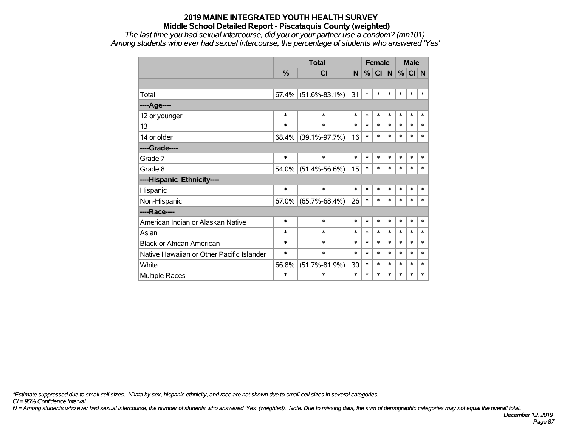*The last time you had sexual intercourse, did you or your partner use a condom? (mn101) Among students who ever had sexual intercourse, the percentage of students who answered 'Yes'*

|                                           |               | <b>Total</b>           |        | <b>Female</b> |        |        | <b>Male</b> |        |        |
|-------------------------------------------|---------------|------------------------|--------|---------------|--------|--------|-------------|--------|--------|
|                                           | $\frac{0}{2}$ | <b>CI</b>              | N      | %             | CI N   |        | %           | CI N   |        |
|                                           |               |                        |        |               |        |        |             |        |        |
| Total                                     |               | $67.4\%$ (51.6%-83.1%) | 31     | $\ast$        | $\ast$ | $\ast$ | $\ast$      | $\ast$ | $\ast$ |
| ----Age----                               |               |                        |        |               |        |        |             |        |        |
| 12 or younger                             | $\ast$        | $\ast$                 | $\ast$ | $\ast$        | $\ast$ | $\ast$ | $\ast$      | $\ast$ | $\ast$ |
| 13                                        | $\ast$        | $\ast$                 | $\ast$ | *             | $\ast$ | $\ast$ | $\ast$      | $\ast$ | $\ast$ |
| 14 or older                               |               | 68.4% (39.1%-97.7%)    | 16     | $\ast$        | $\ast$ | $\ast$ | $\ast$      | $\ast$ | $\ast$ |
| ----Grade----                             |               |                        |        |               |        |        |             |        |        |
| Grade 7                                   | $\ast$        | $\ast$                 | $\ast$ | $\ast$        | $\ast$ | $\ast$ | $\ast$      | $\ast$ | $\ast$ |
| Grade 8                                   |               | 54.0% (51.4%-56.6%)    | 15     | $\ast$        | $\ast$ | $\ast$ | $\ast$      | $\ast$ | $\ast$ |
| ----Hispanic Ethnicity----                |               |                        |        |               |        |        |             |        |        |
| Hispanic                                  | $\ast$        | $\ast$                 | $\ast$ | $\ast$        | $\ast$ | $\ast$ | $\ast$      | $\ast$ | $\ast$ |
| Non-Hispanic                              |               | $67.0\%$ (65.7%-68.4%) | 26     | $\ast$        | $\ast$ | $\ast$ | $\ast$      | $\ast$ | $\ast$ |
| ----Race----                              |               |                        |        |               |        |        |             |        |        |
| American Indian or Alaskan Native         | $\ast$        | $\ast$                 | $\ast$ | $\ast$        | $\ast$ | $\ast$ | $\ast$      | $\ast$ | $\ast$ |
| Asian                                     | $\ast$        | $\ast$                 | $\ast$ | $\ast$        | $\ast$ | $\ast$ | $\ast$      | $\ast$ | $\ast$ |
| <b>Black or African American</b>          | $\ast$        | $\ast$                 | $\ast$ | $\ast$        | $\ast$ | $\ast$ | $\ast$      | $\ast$ | $\ast$ |
| Native Hawaiian or Other Pacific Islander | $\ast$        | $\ast$                 | $\ast$ | $\ast$        | $\ast$ | $\ast$ | $\ast$      | $\ast$ | $\ast$ |
| White                                     | 66.8%         | $(51.7\% - 81.9\%)$    | 30     | $\ast$        | $\ast$ | $\ast$ | $\ast$      | $\ast$ | $\ast$ |
| <b>Multiple Races</b>                     | $\ast$        | $\ast$                 | $\ast$ | $\ast$        | $\ast$ | $\ast$ | $\ast$      | $\ast$ | $\ast$ |

*\*Estimate suppressed due to small cell sizes. ^Data by sex, hispanic ethnicity, and race are not shown due to small cell sizes in several categories.*

*CI = 95% Confidence Interval*

*N = Among students who ever had sexual intercourse, the number of students who answered 'Yes' (weighted). Note: Due to missing data, the sum of demographic categories may not equal the overall total.*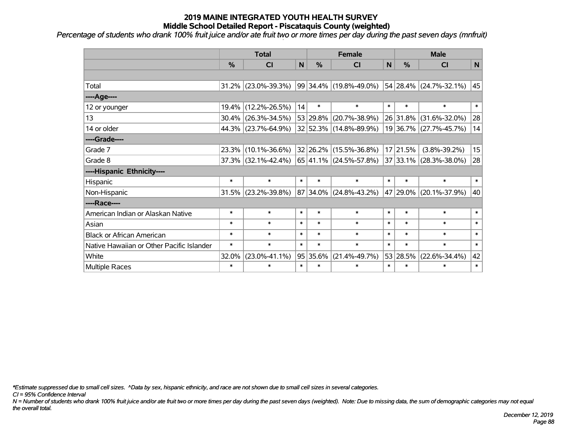*Percentage of students who drank 100% fruit juice and/or ate fruit two or more times per day during the past seven days (mnfruit)*

|                                           | <b>Total</b>  |                        |        |          | <b>Female</b>                  | <b>Male</b>  |               |                        |              |
|-------------------------------------------|---------------|------------------------|--------|----------|--------------------------------|--------------|---------------|------------------------|--------------|
|                                           | $\frac{0}{0}$ | <b>CI</b>              | N      | %        | <b>CI</b>                      | $\mathsf{N}$ | $\frac{0}{0}$ | <b>CI</b>              | $\mathsf{N}$ |
|                                           |               |                        |        |          |                                |              |               |                        |              |
| Total                                     |               | 31.2% (23.0%-39.3%)    |        |          | 99   34.4%   (19.8%-49.0%)     |              |               | 54 28.4% (24.7%-32.1%) | 45           |
| ---- Age----                              |               |                        |        |          |                                |              |               |                        |              |
| 12 or younger                             | $19.4\%$      | $(12.2\% - 26.5\%)$    | 14     | $\ast$   | $\ast$                         | $\ast$       | $\ast$        | $\ast$                 | $\ast$       |
| 13                                        |               | 30.4% (26.3%-34.5%)    |        | 53 29.8% | $(20.7\% - 38.9\%)$            |              | 26 31.8%      | $(31.6\% - 32.0\%)$    | 28           |
| 14 or older                               |               | 44.3% (23.7%-64.9%)    |        |          | 32 52.3% (14.8%-89.9%)         |              |               | 19 36.7% (27.7%-45.7%) | 14           |
| ----Grade----                             |               |                        |        |          |                                |              |               |                        |              |
| Grade 7                                   | 23.3%         | $(10.1\% - 36.6\%)$    |        | 32 26.2% | $(15.5\% - 36.8\%)$            |              | 17 21.5%      | $(3.8\% - 39.2\%)$     | 15           |
| Grade 8                                   |               | $37.3\%$ (32.1%-42.4%) |        |          | $ 65 41.1\% (24.5\% - 57.8\%)$ |              |               | 37 33.1% (28.3%-38.0%) | 28           |
| ----Hispanic Ethnicity----                |               |                        |        |          |                                |              |               |                        |              |
| Hispanic                                  | $\ast$        | $\ast$                 | $\ast$ | $\ast$   | $\ast$                         | $\ast$       | $\ast$        | $\ast$                 | $\ast$       |
| Non-Hispanic                              |               | $31.5\%$ (23.2%-39.8%) |        |          | 87 34.0% (24.8%-43.2%)         |              | 47 29.0%      | $(20.1\% - 37.9\%)$    | 40           |
| ----Race----                              |               |                        |        |          |                                |              |               |                        |              |
| American Indian or Alaskan Native         | $\ast$        | $\ast$                 | $\ast$ | $\ast$   | $\ast$                         | $\ast$       | $\ast$        | $\ast$                 | $\ast$       |
| Asian                                     | $\ast$        | $\ast$                 | $\ast$ | $\ast$   | $\ast$                         | $\ast$       | $\ast$        | $\ast$                 | $\ast$       |
| <b>Black or African American</b>          | $\ast$        | $\ast$                 | $\ast$ | $\ast$   | $\ast$                         | $\ast$       | $\ast$        | $\ast$                 | $\ast$       |
| Native Hawaiian or Other Pacific Islander | $\ast$        | $\ast$                 | $\ast$ | $\ast$   | $\ast$                         | $\ast$       | $\ast$        | $\ast$                 | $\ast$       |
| White                                     | 32.0%         | $(23.0\% - 41.1\%)$    |        | 95 35.6% | $(21.4\% - 49.7\%)$            |              | 53 28.5%      | $(22.6\% - 34.4\%)$    | 42           |
| Multiple Races                            | $\ast$        | $\ast$                 | $\ast$ | $\ast$   | $\ast$                         | $\ast$       | $\ast$        | $\ast$                 | $\ast$       |

*\*Estimate suppressed due to small cell sizes. ^Data by sex, hispanic ethnicity, and race are not shown due to small cell sizes in several categories.*

*CI = 95% Confidence Interval*

*N = Number of students who drank 100% fruit juice and/or ate fruit two or more times per day during the past seven days (weighted). Note: Due to missing data, the sum of demographic categories may not equal the overall total.*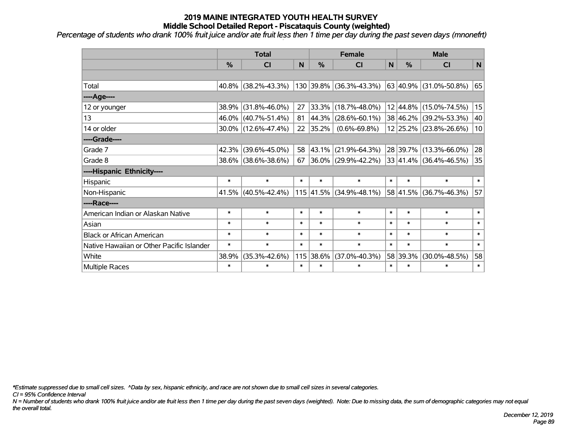*Percentage of students who drank 100% fruit juice and/or ate fruit less then 1 time per day during the past seven days (mnonefrt)*

|                                           | <b>Total</b>  |                        |        |               | <b>Female</b>           | <b>Male</b>  |          |                             |        |
|-------------------------------------------|---------------|------------------------|--------|---------------|-------------------------|--------------|----------|-----------------------------|--------|
|                                           | $\frac{0}{0}$ | CI                     | N      | $\frac{0}{0}$ | CI                      | $\mathsf{N}$ | %        | <b>CI</b>                   | N      |
|                                           |               |                        |        |               |                         |              |          |                             |        |
| Total                                     | $40.8\%$      | $(38.2\% - 43.3\%)$    |        |               | 130 39.8% (36.3%-43.3%) |              |          | 63 40.9% (31.0%-50.8%)      | 65     |
| ---- Age----                              |               |                        |        |               |                         |              |          |                             |        |
| 12 or younger                             | 38.9%         | $(31.8\% - 46.0\%)$    | 27     | 33.3%         | $(18.7\% - 48.0\%)$     |              |          | 12 44.8% (15.0%-74.5%)      | 15     |
| 13                                        |               | 46.0% (40.7%-51.4%)    | 81     | 44.3%         | $(28.6\% - 60.1\%)$     |              | 38 46.2% | $(39.2\% - 53.3\%)$         | 40     |
| 14 or older                               |               | $30.0\%$ (12.6%-47.4%) | 22     | 35.2%         | $(0.6\% - 69.8\%)$      |              |          | 12 25.2% (23.8%-26.6%)      | 10     |
| ----Grade----                             |               |                        |        |               |                         |              |          |                             |        |
| Grade 7                                   | 42.3%         | $(39.6\% - 45.0\%)$    | 58     | 43.1%         | $(21.9\% - 64.3\%)$     |              | 28 39.7% | $(13.3\% - 66.0\%)$         | 28     |
| Grade 8                                   |               | 38.6% (38.6%-38.6%)    | 67     |               | 36.0% (29.9%-42.2%)     |              |          | $ 33 41.4\% $ (36.4%-46.5%) | 35     |
| ----Hispanic Ethnicity----                |               |                        |        |               |                         |              |          |                             |        |
| Hispanic                                  | $\ast$        | $\ast$                 | $\ast$ | $\ast$        | $\ast$                  | $\ast$       | $\ast$   | $\ast$                      | $\ast$ |
| Non-Hispanic                              |               | 41.5% (40.5%-42.4%)    |        |               | 115 41.5% (34.9%-48.1%) |              | 58 41.5% | $(36.7\% - 46.3\%)$         | 57     |
| ----Race----                              |               |                        |        |               |                         |              |          |                             |        |
| American Indian or Alaskan Native         | $\ast$        | $\ast$                 | $\ast$ | $\ast$        | $\ast$                  | $\ast$       | $\ast$   | $\ast$                      | $\ast$ |
| Asian                                     | $\ast$        | $\ast$                 | $\ast$ | $\ast$        | $\ast$                  | $\ast$       | $\ast$   | $\ast$                      | $\ast$ |
| <b>Black or African American</b>          | $\ast$        | $\ast$                 | $\ast$ | $\ast$        | $\ast$                  | $\ast$       | $\ast$   | $\ast$                      | $\ast$ |
| Native Hawaiian or Other Pacific Islander | $\ast$        | $\ast$                 | $\ast$ | $\ast$        | $\ast$                  | $\ast$       | $\ast$   | $\ast$                      | $\ast$ |
| White                                     | 38.9%         | $(35.3\% - 42.6\%)$    |        | 115 38.6%     | $(37.0\% - 40.3\%)$     | 58           | 39.3%    | $(30.0\% - 48.5\%)$         | 58     |
| Multiple Races                            | $\ast$        | $\ast$                 | $\ast$ | $\ast$        | $\ast$                  | $\ast$       | $\ast$   | $\ast$                      | $\ast$ |

*\*Estimate suppressed due to small cell sizes. ^Data by sex, hispanic ethnicity, and race are not shown due to small cell sizes in several categories.*

*CI = 95% Confidence Interval*

*N = Number of students who drank 100% fruit juice and/or ate fruit less then 1 time per day during the past seven days (weighted). Note: Due to missing data, the sum of demographic categories may not equal the overall total.*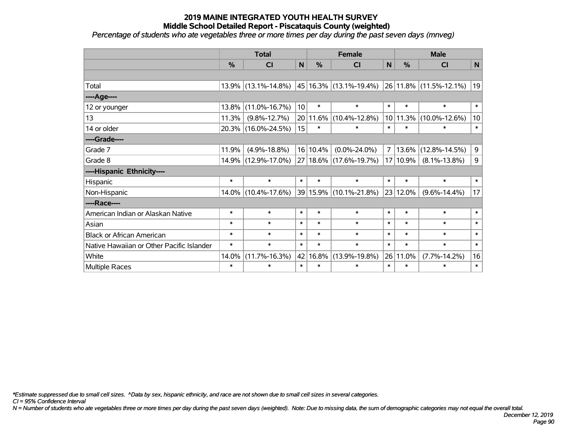*Percentage of students who ate vegetables three or more times per day during the past seven days (mnveg)*

|                                           | <b>Total</b>  |                        |                 |             | <b>Female</b>              | <b>Male</b>    |          |                        |              |
|-------------------------------------------|---------------|------------------------|-----------------|-------------|----------------------------|----------------|----------|------------------------|--------------|
|                                           | $\frac{0}{0}$ | <b>CI</b>              | N               | %           | <b>CI</b>                  | $\mathsf{N}$   | %        | <b>CI</b>              | $\mathsf{N}$ |
|                                           |               |                        |                 |             |                            |                |          |                        |              |
| Total                                     |               | $13.9\%$ (13.1%-14.8%) |                 |             | 45   16.3%   (13.1%-19.4%) |                |          | 26 11.8% (11.5%-12.1%) | 19           |
| ---- Age----                              |               |                        |                 |             |                            |                |          |                        |              |
| 12 or younger                             | 13.8%         | $(11.0\% - 16.7\%)$    | 10 <sup>1</sup> | $\ast$      | $\ast$                     | $\ast$         | $\ast$   | $\ast$                 | $\ast$       |
| 13                                        | 11.3%         | $(9.8\% - 12.7\%)$     |                 | $20 11.6\%$ | $(10.4\% - 12.8\%)$        |                | 10 11.3% | $(10.0\% - 12.6\%)$    | 10           |
| 14 or older                               |               | 20.3% (16.0%-24.5%)    | 15              | $\ast$      | $\ast$                     | $\ast$         | $\ast$   | $\ast$                 | $\ast$       |
| ----Grade----                             |               |                        |                 |             |                            |                |          |                        |              |
| Grade 7                                   | 11.9%         | $(4.9\% - 18.8\%)$     |                 | 16 10.4%    | $(0.0\% - 24.0\%)$         | $\overline{7}$ | 13.6%    | $(12.8\% - 14.5\%)$    | 9            |
| Grade 8                                   |               | 14.9% (12.9%-17.0%)    |                 |             | 27 18.6% (17.6%-19.7%)     | 17             | 10.9%    | $(8.1\% - 13.8\%)$     | 9            |
| ----Hispanic Ethnicity----                |               |                        |                 |             |                            |                |          |                        |              |
| Hispanic                                  | $\ast$        | $\ast$                 | $\ast$          | $\ast$      | $\ast$                     | $\ast$         | $\ast$   | $\ast$                 | $\ast$       |
| Non-Hispanic                              |               | 14.0% (10.4%-17.6%)    |                 |             | 39 15.9% (10.1%-21.8%)     |                | 23 12.0% | $(9.6\% - 14.4\%)$     | 17           |
| ----Race----                              |               |                        |                 |             |                            |                |          |                        |              |
| American Indian or Alaskan Native         | $\ast$        | $\ast$                 | $\ast$          | $\ast$      | $\ast$                     | $\ast$         | $\ast$   | $\ast$                 | $\ast$       |
| Asian                                     | $\ast$        | $\ast$                 | $\ast$          | $\ast$      | $\ast$                     | $\ast$         | $\ast$   | $\ast$                 | $\ast$       |
| <b>Black or African American</b>          | $\ast$        | $\ast$                 | $\ast$          | $\ast$      | $\ast$                     | $\ast$         | $\ast$   | $\ast$                 | $\ast$       |
| Native Hawaiian or Other Pacific Islander | $\ast$        | $\ast$                 | $\ast$          | $\ast$      | $\ast$                     | $\ast$         | $\ast$   | $\ast$                 | $\ast$       |
| White                                     | 14.0%         | $(11.7\% - 16.3\%)$    |                 | 42 16.8%    | $(13.9\% - 19.8\%)$        | 26             | 11.0%    | $(7.7\% - 14.2\%)$     | 16           |
| Multiple Races                            | $\ast$        | $\ast$                 | $\ast$          | $\ast$      | $\ast$                     | $\ast$         | $\ast$   | $\ast$                 | $\ast$       |

*\*Estimate suppressed due to small cell sizes. ^Data by sex, hispanic ethnicity, and race are not shown due to small cell sizes in several categories.*

*CI = 95% Confidence Interval*

*N = Number of students who ate vegetables three or more times per day during the past seven days (weighted). Note: Due to missing data, the sum of demographic categories may not equal the overall total.*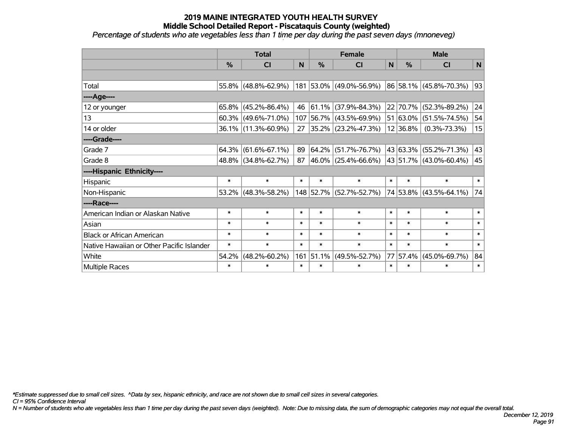*Percentage of students who ate vegetables less than 1 time per day during the past seven days (mnoneveg)*

|                                           | <b>Total</b>  |                        |        | <b>Female</b> | <b>Male</b>              |        |               |                             |        |
|-------------------------------------------|---------------|------------------------|--------|---------------|--------------------------|--------|---------------|-----------------------------|--------|
|                                           | $\frac{0}{0}$ | <b>CI</b>              | N      | %             | <b>CI</b>                | N      | $\frac{0}{0}$ | <b>CI</b>                   | N      |
|                                           |               |                        |        |               |                          |        |               |                             |        |
| Total                                     |               | $55.8\%$ (48.8%-62.9%) |        |               | 181 53.0% (49.0%-56.9%)  |        |               | $ 86 58.1\% $ (45.8%-70.3%) | 93     |
| ---- Age----                              |               |                        |        |               |                          |        |               |                             |        |
| 12 or younger                             | $65.8\%$      | $(45.2\% - 86.4\%)$    | 46     |               | $61.1\%$ (37.9%-84.3%)   |        | 22 70.7%      | $(52.3\% - 89.2\%)$         | 24     |
| 13                                        |               | $60.3\%$ (49.6%-71.0%) |        |               | 107 56.7% (43.5%-69.9%)  |        | 51 63.0%      | $(51.5\% - 74.5\%)$         | 54     |
| 14 or older                               |               | 36.1% (11.3%-60.9%)    | 27     |               | $ 35.2\% $ (23.2%-47.3%) |        | 12 36.8%      | $(0.3\% - 73.3\%)$          | 15     |
| ----Grade----                             |               |                        |        |               |                          |        |               |                             |        |
| Grade 7                                   | $64.3\%$      | $(61.6\% - 67.1\%)$    | 89     |               | $64.2\%$ (51.7%-76.7%)   |        |               | 43 63.3% (55.2%-71.3%)      | 43     |
| Grade 8                                   |               | 48.8% (34.8%-62.7%)    | 87     |               | $ 46.0\% $ (25.4%-66.6%) |        |               | 43   51.7%   (43.0%-60.4%)  | 45     |
| ----Hispanic Ethnicity----                |               |                        |        |               |                          |        |               |                             |        |
| Hispanic                                  | $\ast$        | $\ast$                 | $\ast$ | $\ast$        | $\ast$                   | $\ast$ | $\ast$        | $\ast$                      | $\ast$ |
| Non-Hispanic                              | $53.2\%$      | $(48.3\% - 58.2\%)$    |        |               | 148 52.7% (52.7%-52.7%)  |        |               | 74 53.8% (43.5%-64.1%)      | 74     |
| ----Race----                              |               |                        |        |               |                          |        |               |                             |        |
| American Indian or Alaskan Native         | $\ast$        | $\ast$                 | $\ast$ | $\ast$        | $\ast$                   | $\ast$ | $\ast$        | $\ast$                      | $\ast$ |
| Asian                                     | $\ast$        | $\ast$                 | $\ast$ | $\ast$        | $\ast$                   | $\ast$ | $\ast$        | $\ast$                      | $\ast$ |
| <b>Black or African American</b>          | $\ast$        | $\ast$                 | $\ast$ | $\ast$        | $\ast$                   | $\ast$ | $\ast$        | $\ast$                      | $\ast$ |
| Native Hawaiian or Other Pacific Islander | $\ast$        | $\ast$                 | $\ast$ | $\ast$        | $\ast$                   | $\ast$ | $\ast$        | $\ast$                      | $\ast$ |
| White                                     | 54.2%         | $(48.2\% - 60.2\%)$    | 161    | 51.1%         | $(49.5\% - 52.7\%)$      | 77     | 57.4%         | $(45.0\% - 69.7\%)$         | 84     |
| Multiple Races                            | $\ast$        | $\ast$                 | $\ast$ | $\ast$        | $\ast$                   | $\ast$ | $\ast$        | $\ast$                      | $\ast$ |

*\*Estimate suppressed due to small cell sizes. ^Data by sex, hispanic ethnicity, and race are not shown due to small cell sizes in several categories.*

*CI = 95% Confidence Interval*

*N = Number of students who ate vegetables less than 1 time per day during the past seven days (weighted). Note: Due to missing data, the sum of demographic categories may not equal the overall total.*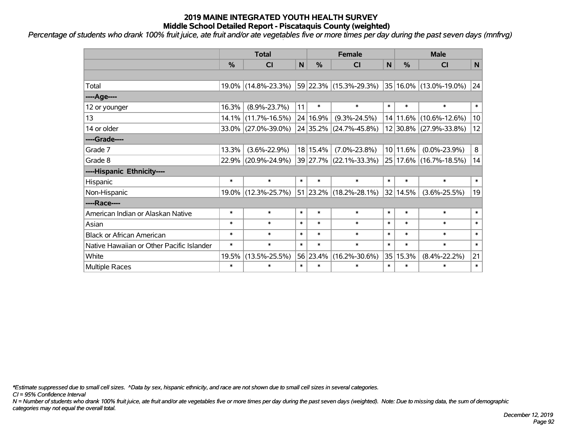*Percentage of students who drank 100% fruit juice, ate fruit and/or ate vegetables five or more times per day during the past seven days (mnfrvg)*

|                                           | <b>Total</b> |                     |             |          | <b>Female</b>                                           | <b>Male</b> |               |                        |        |
|-------------------------------------------|--------------|---------------------|-------------|----------|---------------------------------------------------------|-------------|---------------|------------------------|--------|
|                                           | %            | <b>CI</b>           | $\mathbf N$ | %        | <b>CI</b>                                               | $\mathbf N$ | $\frac{0}{0}$ | <b>CI</b>              | N      |
|                                           |              |                     |             |          |                                                         |             |               |                        |        |
| Total                                     |              | 19.0% (14.8%-23.3%) |             |          | $ 59 22.3\% $ (15.3%-29.3%) $ 35 16.0\% $ (13.0%-19.0%) |             |               |                        | 24     |
| ----Age----                               |              |                     |             |          |                                                         |             |               |                        |        |
| 12 or younger                             | 16.3%        | $(8.9\% - 23.7\%)$  | 11          | $\ast$   | $\ast$                                                  | $\ast$      | $\ast$        | $\ast$                 | $\ast$ |
| 13                                        | 14.1%        | $(11.7\% - 16.5\%)$ |             | 24 16.9% | $(9.3\% - 24.5\%)$                                      |             |               | 14 11.6% (10.6%-12.6%) | 10     |
| 14 or older                               |              | 33.0% (27.0%-39.0%) |             |          | 24 35.2% (24.7%-45.8%)                                  |             |               | 12 30.8% (27.9%-33.8%) | 12     |
| ----Grade----                             |              |                     |             |          |                                                         |             |               |                        |        |
| Grade 7                                   | 13.3%        | $(3.6\% - 22.9\%)$  |             | 18 15.4% | $(7.0\% - 23.8\%)$                                      |             | 10 11.6%      | $(0.0\% - 23.9\%)$     | 8      |
| Grade 8                                   |              | 22.9% (20.9%-24.9%) |             |          | 39 27.7% (22.1%-33.3%)                                  |             |               | 25 17.6% (16.7%-18.5%) | 14     |
| ----Hispanic Ethnicity----                |              |                     |             |          |                                                         |             |               |                        |        |
| Hispanic                                  | $\ast$       | $\ast$              | $\ast$      | $\ast$   | $\ast$                                                  | $\ast$      | $\ast$        | $\ast$                 | $\ast$ |
| Non-Hispanic                              | 19.0%        | $(12.3\% - 25.7\%)$ |             |          | 51 23.2% (18.2%-28.1%)                                  |             | 32 14.5%      | $(3.6\% - 25.5\%)$     | 19     |
| ----Race----                              |              |                     |             |          |                                                         |             |               |                        |        |
| American Indian or Alaskan Native         | $\ast$       | $\ast$              | $\ast$      | $\ast$   | $\ast$                                                  | $\ast$      | $\ast$        | $\ast$                 | $\ast$ |
| Asian                                     | $\ast$       | $\ast$              | $\ast$      | $\ast$   | $\ast$                                                  | $\ast$      | $\ast$        | $\ast$                 | $\ast$ |
| <b>Black or African American</b>          | $\ast$       | $\ast$              | $\ast$      | $\ast$   | $\ast$                                                  | $\ast$      | $\ast$        | $\ast$                 | $\ast$ |
| Native Hawaiian or Other Pacific Islander | $\ast$       | $\ast$              | $\ast$      | $\ast$   | $\ast$                                                  | $\ast$      | $\ast$        | $\ast$                 | $\ast$ |
| White                                     | 19.5%        | $(13.5\% - 25.5\%)$ |             | 56 23.4% | $(16.2\% - 30.6\%)$                                     |             | 35 15.3%      | $(8.4\% - 22.2\%)$     | 21     |
| Multiple Races                            | $\ast$       | $\ast$              | $\ast$      | $\ast$   | $\ast$                                                  | $\ast$      | $\ast$        | $\ast$                 | $\ast$ |

*\*Estimate suppressed due to small cell sizes. ^Data by sex, hispanic ethnicity, and race are not shown due to small cell sizes in several categories.*

*CI = 95% Confidence Interval*

*N = Number of students who drank 100% fruit juice, ate fruit and/or ate vegetables five or more times per day during the past seven days (weighted). Note: Due to missing data, the sum of demographic categories may not equal the overall total.*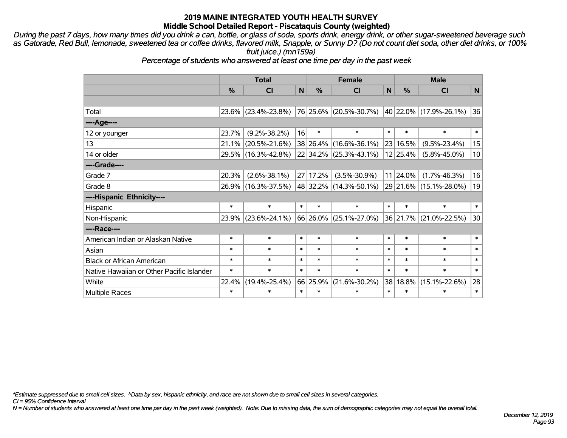*During the past 7 days, how many times did you drink a can, bottle, or glass of soda, sports drink, energy drink, or other sugar-sweetened beverage such as Gatorade, Red Bull, lemonade, sweetened tea or coffee drinks, flavored milk, Snapple, or Sunny D? (Do not count diet soda, other diet drinks, or 100% fruit juice.) (mn159a)*

*Percentage of students who answered at least one time per day in the past week*

|                                           | <b>Total</b> |                     |              |          | <b>Female</b>              | <b>Male</b>  |          |                        |              |
|-------------------------------------------|--------------|---------------------|--------------|----------|----------------------------|--------------|----------|------------------------|--------------|
|                                           | %            | <b>CI</b>           | $\mathsf{N}$ | %        | <b>CI</b>                  | $\mathsf{N}$ | %        | <b>CI</b>              | $\mathsf{N}$ |
|                                           |              |                     |              |          |                            |              |          |                        |              |
| Total                                     |              | 23.6% (23.4%-23.8%) |              |          | 76 25.6% (20.5%-30.7%)     |              |          | 40 22.0% (17.9%-26.1%) | 36           |
| ----Age----                               |              |                     |              |          |                            |              |          |                        |              |
| 12 or younger                             | 23.7%        | $(9.2\% - 38.2\%)$  | 16           | $\ast$   | $\ast$                     | $\ast$       | $\ast$   | $\ast$                 | $\ast$       |
| 13                                        | 21.1%        | $(20.5\% - 21.6\%)$ |              |          | 38 26.4% (16.6%-36.1%)     |              | 23 16.5% | $(9.5\% - 23.4\%)$     | 15           |
| 14 or older                               |              | 29.5% (16.3%-42.8%) |              |          | $22 34.2\% $ (25.3%-43.1%) |              | 12 25.4% | $(5.8\% - 45.0\%)$     | 10           |
| ----Grade----                             |              |                     |              |          |                            |              |          |                        |              |
| Grade 7                                   | 20.3%        | $(2.6\% - 38.1\%)$  |              | 27 17.2% | $(3.5\% - 30.9\%)$         |              | 11 24.0% | $(1.7\% - 46.3\%)$     | 16           |
| Grade 8                                   |              | 26.9% (16.3%-37.5%) |              |          | 48   32.2%   (14.3%-50.1%) |              |          | 29 21.6% (15.1%-28.0%) | 19           |
| ----Hispanic Ethnicity----                |              |                     |              |          |                            |              |          |                        |              |
| Hispanic                                  | $\ast$       | $\ast$              | $\ast$       | $\ast$   | $\ast$                     | $\ast$       | $\ast$   | $\ast$                 | $\ast$       |
| Non-Hispanic                              | 23.9%        | $(23.6\% - 24.1\%)$ |              |          | 66 26.0% (25.1%-27.0%)     |              |          | 36 21.7% (21.0%-22.5%) | 30           |
| ----Race----                              |              |                     |              |          |                            |              |          |                        |              |
| American Indian or Alaskan Native         | $\ast$       | $\ast$              | $\ast$       | $\ast$   | $\ast$                     | $\ast$       | $\ast$   | $\ast$                 | $\ast$       |
| Asian                                     | $\ast$       | $\ast$              | $\ast$       | $\ast$   | $\ast$                     | $\ast$       | $\ast$   | $\ast$                 | $\ast$       |
| <b>Black or African American</b>          | $\ast$       | $\ast$              | $\ast$       | $\ast$   | $\ast$                     | $\ast$       | $\ast$   | $\ast$                 | $\ast$       |
| Native Hawaiian or Other Pacific Islander | $\ast$       | $\ast$              | $\ast$       | $\ast$   | $\ast$                     | $\ast$       | $\ast$   | $\ast$                 | $\ast$       |
| White                                     | 22.4%        | $(19.4\% - 25.4\%)$ |              | 66 25.9% | $(21.6\% - 30.2\%)$        | 38           | 18.8%    | $(15.1\% - 22.6\%)$    | 28           |
| Multiple Races                            | $\ast$       | $\ast$              | $\ast$       | $\ast$   | $\ast$                     | $\ast$       | $\ast$   | $\ast$                 | $\ast$       |

*\*Estimate suppressed due to small cell sizes. ^Data by sex, hispanic ethnicity, and race are not shown due to small cell sizes in several categories.*

*CI = 95% Confidence Interval*

*N = Number of students who answered at least one time per day in the past week (weighted). Note: Due to missing data, the sum of demographic categories may not equal the overall total.*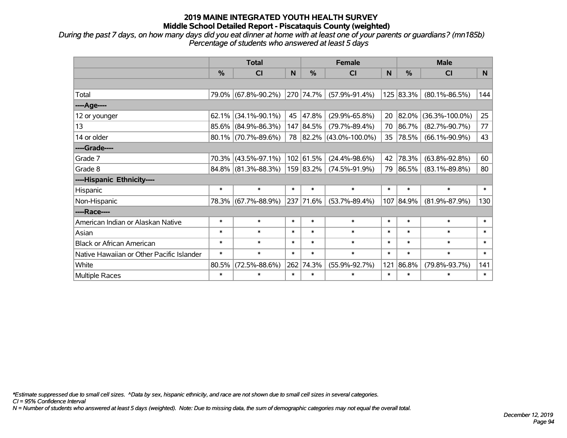*During the past 7 days, on how many days did you eat dinner at home with at least one of your parents or guardians? (mn185b) Percentage of students who answered at least 5 days*

|                                           |        | <b>Total</b>           |          |               | <b>Female</b>           |        | <b>Male</b> |                      |        |  |
|-------------------------------------------|--------|------------------------|----------|---------------|-------------------------|--------|-------------|----------------------|--------|--|
|                                           | %      | <b>CI</b>              | <b>N</b> | $\frac{0}{0}$ | <b>CI</b>               | N      | $\%$        | <b>CI</b>            | N.     |  |
|                                           |        |                        |          |               |                         |        |             |                      |        |  |
| Total                                     |        | 79.0% (67.8%-90.2%)    |          | 270 74.7%     | $(57.9\% - 91.4\%)$     |        | 125 83.3%   | $(80.1\% - 86.5\%)$  | 144    |  |
| ----Age----                               |        |                        |          |               |                         |        |             |                      |        |  |
| 12 or younger                             | 62.1%  | $(34.1\% - 90.1\%)$    | 45       | 47.8%         | $(29.9\% - 65.8\%)$     | 20     | 82.0%       | $(36.3\% - 100.0\%)$ | 25     |  |
| 13                                        |        | $85.6\%$ (84.9%-86.3%) |          | 147 84.5%     | $(79.7\% - 89.4\%)$     | 70     | 86.7%       | $(82.7\% - 90.7\%)$  | 77     |  |
| 14 or older                               |        | $80.1\%$ (70.7%-89.6%) |          |               | 78 82.2% (43.0%-100.0%) | 35     | 78.5%       | $(66.1\% - 90.9\%)$  | 43     |  |
| ----Grade----                             |        |                        |          |               |                         |        |             |                      |        |  |
| Grade 7                                   | 70.3%  | $(43.5\% - 97.1\%)$    |          | 102 61.5%     | $(24.4\% - 98.6\%)$     | 42     | 78.3%       | $(63.8\% - 92.8\%)$  | 60     |  |
| Grade 8                                   |        | 84.8% (81.3%-88.3%)    |          | 159 83.2%     | $(74.5\% - 91.9\%)$     | 79     | 86.5%       | $(83.1\% - 89.8\%)$  | 80     |  |
| ----Hispanic Ethnicity----                |        |                        |          |               |                         |        |             |                      |        |  |
| Hispanic                                  | $\ast$ | $\ast$                 | $\ast$   | $\ast$        | $\ast$                  | $\ast$ | $\ast$      | $\ast$               | $\ast$ |  |
| Non-Hispanic                              |        | 78.3% (67.7%-88.9%)    | 237      | 71.6%         | $(53.7\% - 89.4\%)$     | 107    | 84.9%       | $(81.9\% - 87.9\%)$  | 130    |  |
| ----Race----                              |        |                        |          |               |                         |        |             |                      |        |  |
| American Indian or Alaskan Native         | $\ast$ | $\ast$                 | $\ast$   | $\ast$        | $\ast$                  | $\ast$ | $\ast$      | $\ast$               | $\ast$ |  |
| Asian                                     | $\ast$ | $\ast$                 | $\ast$   | $\ast$        | $\ast$                  | $\ast$ | $\ast$      | $\ast$               | $\ast$ |  |
| <b>Black or African American</b>          | $\ast$ | $\ast$                 | $\ast$   | $\ast$        | $\ast$                  | $\ast$ | $\ast$      | $\ast$               | $\ast$ |  |
| Native Hawaiian or Other Pacific Islander | $\ast$ | $\ast$                 | $\ast$   | $\ast$        | $\ast$                  | $\ast$ | $\ast$      | $\ast$               | $\ast$ |  |
| White                                     | 80.5%  | $(72.5\% - 88.6\%)$    | 262      | 74.3%         | $(55.9\% - 92.7\%)$     | 121    | 86.8%       | $(79.8\% - 93.7\%)$  | 141    |  |
| Multiple Races                            | $\ast$ | $\ast$                 | $\ast$   | $\ast$        | $\ast$                  | $\ast$ | $\ast$      | $\ast$               | $\ast$ |  |

*\*Estimate suppressed due to small cell sizes. ^Data by sex, hispanic ethnicity, and race are not shown due to small cell sizes in several categories.*

*CI = 95% Confidence Interval*

*N = Number of students who answered at least 5 days (weighted). Note: Due to missing data, the sum of demographic categories may not equal the overall total.*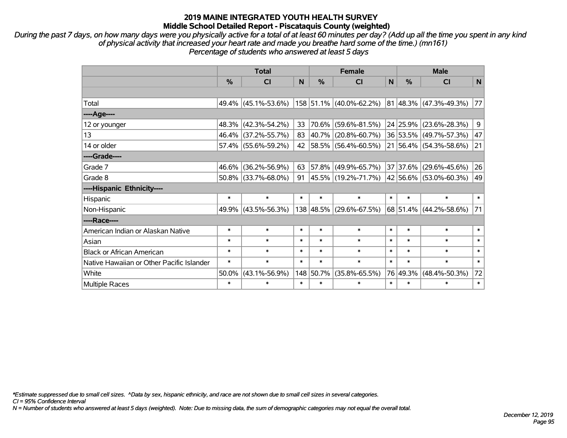*During the past 7 days, on how many days were you physically active for a total of at least 60 minutes per day? (Add up all the time you spent in any kind of physical activity that increased your heart rate and made you breathe hard some of the time.) (mn161) Percentage of students who answered at least 5 days*

|                                           | <b>Total</b>  |                        |        |           | <b>Female</b>           | <b>Male</b> |               |                                      |        |
|-------------------------------------------|---------------|------------------------|--------|-----------|-------------------------|-------------|---------------|--------------------------------------|--------|
|                                           | $\frac{0}{0}$ | <b>CI</b>              | N      | %         | <b>CI</b>               | N           | $\frac{0}{0}$ | <b>CI</b>                            | N      |
|                                           |               |                        |        |           |                         |             |               |                                      |        |
| Total                                     |               | 49.4% (45.1%-53.6%)    |        |           | 158 51.1% (40.0%-62.2%) |             |               | $81 \,   48.3\%   (47.3\% - 49.3\%)$ | 77     |
| ----Age----                               |               |                        |        |           |                         |             |               |                                      |        |
| 12 or younger                             |               | 48.3% (42.3%-54.2%)    | 33     | 70.6%     | $(59.6\% - 81.5\%)$     |             | 24 25.9%      | $(23.6\% - 28.3\%)$                  | 9      |
| 13                                        |               | 46.4% (37.2%-55.7%)    | 83     | 40.7%     | $(20.8\% - 60.7\%)$     |             |               | 36 53.5% (49.7%-57.3%)               | 47     |
| 14 or older                               |               | 57.4% (55.6%-59.2%)    | 42     |           | 58.5% (56.4%-60.5%)     |             |               | 21 56.4% (54.3%-58.6%)               | 21     |
| ----Grade----                             |               |                        |        |           |                         |             |               |                                      |        |
| Grade 7                                   | 46.6%         | $(36.2\% - 56.9\%)$    | 63     | 57.8%     | $(49.9\% - 65.7\%)$     |             | 37 37.6%      | $(29.6\% - 45.6\%)$                  | 26     |
| Grade 8                                   |               | $50.8\%$ (33.7%-68.0%) | 91     |           | 45.5% (19.2%-71.7%)     |             |               | 42 56.6% (53.0%-60.3%)               | 49     |
| ----Hispanic Ethnicity----                |               |                        |        |           |                         |             |               |                                      |        |
| Hispanic                                  | $\ast$        | $\ast$                 | $\ast$ | $\ast$    | $\ast$                  | $\ast$      | $\ast$        | $\ast$                               | $\ast$ |
| Non-Hispanic                              |               | 49.9% (43.5%-56.3%)    |        | 138 48.5% | $(29.6\% - 67.5\%)$     |             |               | 68 51.4% (44.2%-58.6%)               | 71     |
| ----Race----                              |               |                        |        |           |                         |             |               |                                      |        |
| American Indian or Alaskan Native         | $\ast$        | $\ast$                 | $\ast$ | $\ast$    | $\ast$                  | $\ast$      | $\ast$        | $\ast$                               | $\ast$ |
| Asian                                     | $\ast$        | $\ast$                 | $\ast$ | $\ast$    | $\ast$                  | $\ast$      | $\ast$        | $\ast$                               | $\ast$ |
| <b>Black or African American</b>          | $\ast$        | $\ast$                 | $\ast$ | $\ast$    | $\ast$                  | $\ast$      | $\ast$        | $\ast$                               | $\ast$ |
| Native Hawaiian or Other Pacific Islander | $\ast$        | $\ast$                 | $\ast$ | $\ast$    | $\ast$                  | $\ast$      | $\ast$        | $\ast$                               | $\ast$ |
| White                                     | 50.0%         | $(43.1\% - 56.9\%)$    |        | 148 50.7% | $(35.8\% - 65.5\%)$     |             | 76 49.3%      | $(48.4\% - 50.3\%)$                  | 72     |
| Multiple Races                            | $\ast$        | $\ast$                 | $\ast$ | $\ast$    | $\ast$                  | $\ast$      | $\ast$        | $\ast$                               | $\ast$ |

*\*Estimate suppressed due to small cell sizes. ^Data by sex, hispanic ethnicity, and race are not shown due to small cell sizes in several categories.*

*CI = 95% Confidence Interval*

*N = Number of students who answered at least 5 days (weighted). Note: Due to missing data, the sum of demographic categories may not equal the overall total.*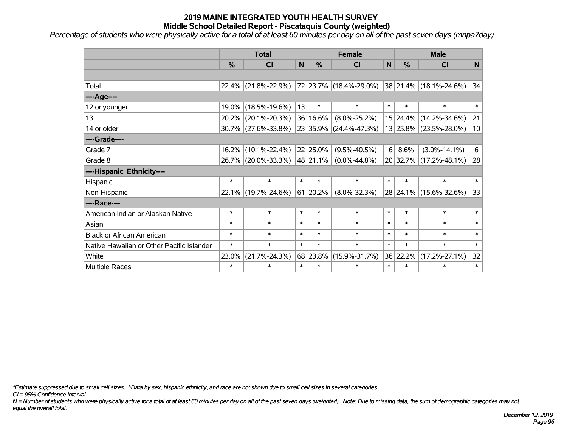*Percentage of students who were physically active for a total of at least 60 minutes per day on all of the past seven days (mnpa7day)*

|                                           | <b>Total</b> |                     |        |          | <b>Female</b>            | <b>Male</b>  |               |                        |              |
|-------------------------------------------|--------------|---------------------|--------|----------|--------------------------|--------------|---------------|------------------------|--------------|
|                                           | %            | <b>CI</b>           | N      | %        | <b>CI</b>                | $\mathsf{N}$ | $\frac{0}{0}$ | <b>CI</b>              | $\mathsf{N}$ |
|                                           |              |                     |        |          |                          |              |               |                        |              |
| Total                                     |              | 22.4% (21.8%-22.9%) |        |          | 72  23.7%  (18.4%-29.0%) |              |               | 38 21.4% (18.1%-24.6%) | 34           |
| ---- Age----                              |              |                     |        |          |                          |              |               |                        |              |
| 12 or younger                             | 19.0%        | $(18.5\% - 19.6\%)$ | 13     | $\ast$   | $\ast$                   | $\ast$       | $\ast$        | $\ast$                 | $\ast$       |
| 13                                        |              | 20.2% (20.1%-20.3%) |        | 36 16.6% | $(8.0\% - 25.2\%)$       |              | 15 24.4%      | $(14.2\% - 34.6\%)$    | 21           |
| 14 or older                               |              | 30.7% (27.6%-33.8%) |        |          | 23 35.9% (24.4%-47.3%)   |              |               | 13 25.8% (23.5%-28.0%) | 10           |
| ----Grade----                             |              |                     |        |          |                          |              |               |                        |              |
| Grade 7                                   | 16.2%        | $(10.1\% - 22.4\%)$ |        | 22 25.0% | $(9.5\% - 40.5\%)$       | 16           | 8.6%          | $(3.0\% - 14.1\%)$     | 6            |
| Grade 8                                   |              | 26.7% (20.0%-33.3%) |        | 48 21.1% | $(0.0\% - 44.8\%)$       |              |               | 20 32.7% (17.2%-48.1%) | 28           |
| ----Hispanic Ethnicity----                |              |                     |        |          |                          |              |               |                        |              |
| Hispanic                                  | $\ast$       | $\ast$              | $\ast$ | $\ast$   | $\ast$                   | $\ast$       | $\ast$        | $\ast$                 | $\ast$       |
| Non-Hispanic                              |              | 22.1% (19.7%-24.6%) |        | 61 20.2% | $(8.0\% - 32.3\%)$       |              |               | 28 24.1% (15.6%-32.6%) | 33           |
| ----Race----                              |              |                     |        |          |                          |              |               |                        |              |
| American Indian or Alaskan Native         | $\ast$       | $\ast$              | $\ast$ | $\ast$   | $\ast$                   | $\ast$       | $\ast$        | $\ast$                 | $\ast$       |
| Asian                                     | $\ast$       | $\ast$              | $\ast$ | $\ast$   | $\ast$                   | $\ast$       | $\ast$        | $\ast$                 | $\ast$       |
| <b>Black or African American</b>          | $\ast$       | $\ast$              | $\ast$ | $\ast$   | $\ast$                   | $\ast$       | $\ast$        | $\ast$                 | $\ast$       |
| Native Hawaiian or Other Pacific Islander | $\ast$       | $\ast$              | $\ast$ | $\ast$   | $\ast$                   | $\ast$       | $\ast$        | $\ast$                 | $\ast$       |
| White                                     | 23.0%        | $(21.7\% - 24.3\%)$ |        | 68 23.8% | $(15.9\% - 31.7\%)$      |              | 36 22.2%      | $(17.2\% - 27.1\%)$    | 32           |
| Multiple Races                            | $\ast$       | $\ast$              | $\ast$ | $\ast$   | $\ast$                   | $\ast$       | $\ast$        | $\ast$                 | $\ast$       |

*\*Estimate suppressed due to small cell sizes. ^Data by sex, hispanic ethnicity, and race are not shown due to small cell sizes in several categories.*

*CI = 95% Confidence Interval*

*N = Number of students who were physically active for a total of at least 60 minutes per day on all of the past seven days (weighted). Note: Due to missing data, the sum of demographic categories may not equal the overall total.*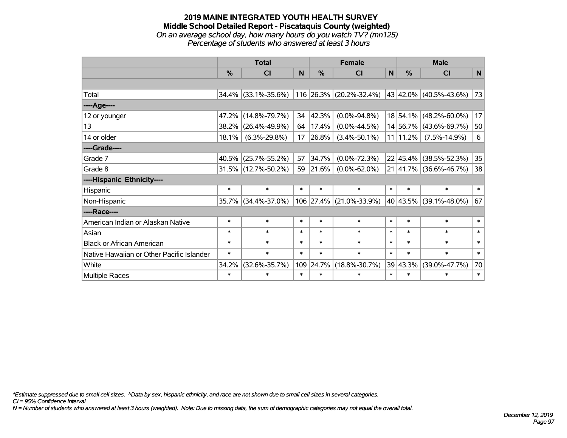#### **2019 MAINE INTEGRATED YOUTH HEALTH SURVEY Middle School Detailed Report - Piscataquis County (weighted)** *On an average school day, how many hours do you watch TV? (mn125) Percentage of students who answered at least 3 hours*

|                                           | <b>Total</b>  |                        |        |               | <b>Female</b>             |        | <b>Male</b>   |                        |        |  |
|-------------------------------------------|---------------|------------------------|--------|---------------|---------------------------|--------|---------------|------------------------|--------|--|
|                                           | $\frac{0}{0}$ | <b>CI</b>              | N      | $\frac{0}{0}$ | <b>CI</b>                 | N      | $\frac{0}{0}$ | <b>CI</b>              | N      |  |
|                                           |               |                        |        |               |                           |        |               |                        |        |  |
| Total                                     |               | $34.4\%$ (33.1%-35.6%) |        |               | $116$ 26.3% (20.2%-32.4%) |        |               | 43 42.0% (40.5%-43.6%) | 73     |  |
| ----Age----                               |               |                        |        |               |                           |        |               |                        |        |  |
| 12 or younger                             | 47.2%         | $(14.8\% - 79.7\%)$    | 34     | 42.3%         | $(0.0\% - 94.8\%)$        |        |               | 18 54.1% (48.2%-60.0%) | 17     |  |
| 13                                        | 38.2%         | $(26.4\% - 49.9\%)$    | 64     | 17.4%         | $(0.0\% - 44.5\%)$        |        |               | 14 56.7% (43.6%-69.7%) | 50     |  |
| 14 or older                               | 18.1%         | $(6.3\% - 29.8\%)$     | 17     | 26.8%         | $(3.4\% - 50.1\%)$        |        | $11 11.2\% $  | $(7.5\% - 14.9\%)$     | 6      |  |
| ----Grade----                             |               |                        |        |               |                           |        |               |                        |        |  |
| Grade 7                                   | 40.5%         | $(25.7\% - 55.2\%)$    | 57     | 34.7%         | $(0.0\% - 72.3\%)$        |        | $22 45.4\% $  | $(38.5\% - 52.3\%)$    | 35     |  |
| Grade 8                                   |               | 31.5% (12.7%-50.2%)    | 59     | 21.6%         | $(0.0\% - 62.0\%)$        |        |               | 21 41.7% (36.6%-46.7%) | 38     |  |
| ----Hispanic Ethnicity----                |               |                        |        |               |                           |        |               |                        |        |  |
| Hispanic                                  | $\ast$        | $\ast$                 | $\ast$ | $\ast$        | $\ast$                    | $\ast$ | $\ast$        | $\ast$                 | $\ast$ |  |
| Non-Hispanic                              | 35.7%         | $(34.4\% - 37.0\%)$    |        |               | 106 27.4% (21.0%-33.9%)   |        | 40 43.5%      | $(39.1\% - 48.0\%)$    | 67     |  |
| ----Race----                              |               |                        |        |               |                           |        |               |                        |        |  |
| American Indian or Alaskan Native         | $\ast$        | $\ast$                 | $\ast$ | $\ast$        | $\ast$                    | $\ast$ | $\ast$        | $\ast$                 | $\ast$ |  |
| Asian                                     | $\ast$        | $\ast$                 | $\ast$ | $\ast$        | $\ast$                    | $\ast$ | $\ast$        | $\ast$                 | $\ast$ |  |
| <b>Black or African American</b>          | $\ast$        | $\ast$                 | $\ast$ | $\ast$        | $\ast$                    | $\ast$ | $\ast$        | $\ast$                 | $\ast$ |  |
| Native Hawaiian or Other Pacific Islander | $\ast$        | $\ast$                 | $\ast$ | $\ast$        | $\ast$                    | $\ast$ | $\ast$        | $\ast$                 | $\ast$ |  |
| White                                     | 34.2%         | $(32.6\% - 35.7\%)$    | 109    | 24.7%         | $(18.8\% - 30.7\%)$       |        | 39 43.3%      | $(39.0\% - 47.7\%)$    | 70     |  |
| <b>Multiple Races</b>                     | $\ast$        | $\ast$                 | $\ast$ | $\ast$        | $\ast$                    | $\ast$ | $\ast$        | $\ast$                 | $\ast$ |  |

*\*Estimate suppressed due to small cell sizes. ^Data by sex, hispanic ethnicity, and race are not shown due to small cell sizes in several categories.*

*CI = 95% Confidence Interval*

*N = Number of students who answered at least 3 hours (weighted). Note: Due to missing data, the sum of demographic categories may not equal the overall total.*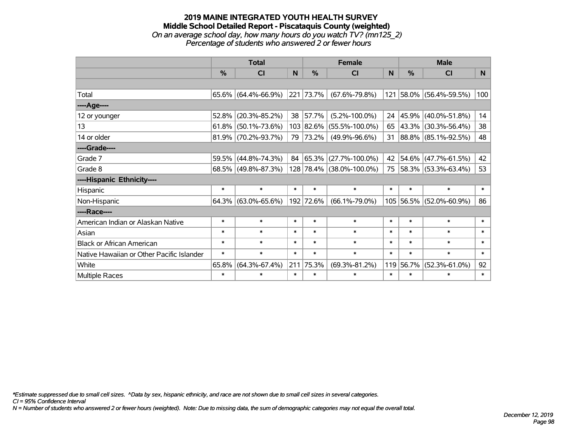#### **2019 MAINE INTEGRATED YOUTH HEALTH SURVEY Middle School Detailed Report - Piscataquis County (weighted)** *On an average school day, how many hours do you watch TV? (mn125\_2) Percentage of students who answered 2 or fewer hours*

|                                           | <b>Total</b> |                        |                 | <b>Female</b> | <b>Male</b>              |        |           |                          |        |
|-------------------------------------------|--------------|------------------------|-----------------|---------------|--------------------------|--------|-----------|--------------------------|--------|
|                                           | %            | CI                     | $\mathbf N$     | %             | CI                       | N      | %         | <b>CI</b>                | N      |
|                                           |              |                        |                 |               |                          |        |           |                          |        |
| Total                                     |              | $65.6\%$ (64.4%-66.9%) |                 | 221 73.7%     | $(67.6\% - 79.8\%)$      |        |           | 121 58.0% (56.4%-59.5%)  | 100    |
| ----Age----                               |              |                        |                 |               |                          |        |           |                          |        |
| 12 or younger                             | 52.8%        | $(20.3\% - 85.2\%)$    | 38 <sup>2</sup> | 57.7%         | $(5.2\% - 100.0\%)$      | 24     | 45.9%     | $(40.0\% - 51.8\%)$      | 14     |
| 13                                        | 61.8%        | $(50.1\% - 73.6\%)$    |                 | 103 82.6%     | $(55.5\% - 100.0\%)$     | 65     | 43.3%     | $(30.3\% - 56.4\%)$      | 38     |
| 14 or older                               |              | $81.9\%$ (70.2%-93.7%) | 79              | 73.2%         | $(49.9\% - 96.6\%)$      | 31     |           | 88.8% (85.1%-92.5%)      | 48     |
| ----Grade----                             |              |                        |                 |               |                          |        |           |                          |        |
| Grade 7                                   | 59.5%        | $(44.8\% - 74.3\%)$    | 84              | 65.3%         | $(27.7\% - 100.0\%)$     | 42     | 54.6%     | $(47.7\% - 61.5\%)$      | 42     |
| Grade 8                                   |              | $68.5\%$ (49.8%-87.3%) |                 |               | 128 78.4% (38.0%-100.0%) | 75     |           | $ 58.3\% $ (53.3%-63.4%) | 53     |
| ----Hispanic Ethnicity----                |              |                        |                 |               |                          |        |           |                          |        |
| Hispanic                                  | $\ast$       | $\ast$                 | $\ast$          | $\ast$        | $\ast$                   | $\ast$ | $\ast$    | $\ast$                   | $\ast$ |
| Non-Hispanic                              |              | $64.3\%$ (63.0%-65.6%) |                 | 192 72.6%     | $(66.1\% - 79.0\%)$      |        | 105 56.5% | $(52.0\% - 60.9\%)$      | 86     |
| ----Race----                              |              |                        |                 |               |                          |        |           |                          |        |
| American Indian or Alaskan Native         | $\ast$       | $\ast$                 | $\ast$          | $\ast$        | $\ast$                   | $\ast$ | $\ast$    | $\ast$                   | $\ast$ |
| Asian                                     | $\ast$       | $\ast$                 | $\ast$          | $\ast$        | $\ast$                   | $\ast$ | $\ast$    | $\ast$                   | $\ast$ |
| <b>Black or African American</b>          | $\ast$       | $\ast$                 | $\ast$          | $\ast$        | $\ast$                   | $\ast$ | $\ast$    | $\ast$                   | $\ast$ |
| Native Hawaiian or Other Pacific Islander | $\ast$       | $\ast$                 | $\ast$          | $\ast$        | $\ast$                   | $\ast$ | $\ast$    | $\ast$                   | $\ast$ |
| White                                     | 65.8%        | $(64.3\% - 67.4\%)$    | 211             | 75.3%         | $(69.3\% - 81.2\%)$      | 119    | 56.7%     | $(52.3\% - 61.0\%)$      | 92     |
| Multiple Races                            | $\ast$       | $\ast$                 | $\ast$          | $\ast$        | $\ast$                   | $\ast$ | $\ast$    | $\ast$                   | $\ast$ |

*\*Estimate suppressed due to small cell sizes. ^Data by sex, hispanic ethnicity, and race are not shown due to small cell sizes in several categories.*

*CI = 95% Confidence Interval*

*N = Number of students who answered 2 or fewer hours (weighted). Note: Due to missing data, the sum of demographic categories may not equal the overall total.*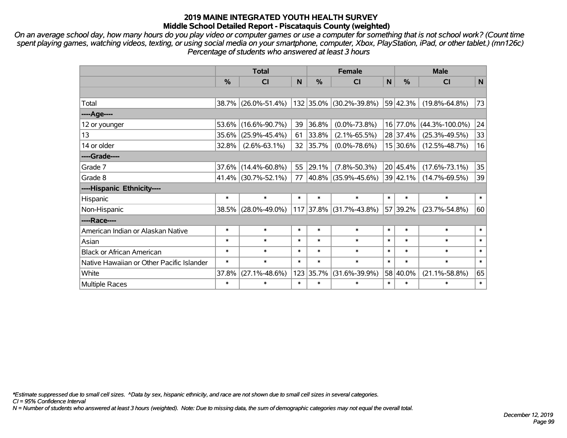*On an average school day, how many hours do you play video or computer games or use a computer for something that is not school work? (Count time spent playing games, watching videos, texting, or using social media on your smartphone, computer, Xbox, PlayStation, iPad, or other tablet.) (mn126c) Percentage of students who answered at least 3 hours*

|                                           | <b>Total</b> |                     |        | <b>Female</b> |                     |              |                  | <b>Male</b>          |        |  |  |
|-------------------------------------------|--------------|---------------------|--------|---------------|---------------------|--------------|------------------|----------------------|--------|--|--|
|                                           | %            | <b>CI</b>           | N      | %             | <b>CI</b>           | $\mathsf{N}$ | %                | <b>CI</b>            | N      |  |  |
|                                           |              |                     |        |               |                     |              |                  |                      |        |  |  |
| Total                                     | 38.7%        | $(26.0\% - 51.4\%)$ |        | 132 35.0%     | $(30.2\% - 39.8\%)$ |              | 59 42.3%         | $(19.8\% - 64.8\%)$  | 73     |  |  |
| ----Age----                               |              |                     |        |               |                     |              |                  |                      |        |  |  |
| 12 or younger                             | 53.6%        | $(16.6\% - 90.7\%)$ | 39     | 36.8%         | $(0.0\% - 73.8\%)$  |              | 16 77.0%         | $(44.3\% - 100.0\%)$ | 24     |  |  |
| 13                                        | 35.6%        | $(25.9\% - 45.4\%)$ | 61     | 33.8%         | $(2.1\% - 65.5\%)$  |              | 28 37.4%         | $(25.3\% - 49.5\%)$  | 33     |  |  |
| 14 or older                               | 32.8%        | $(2.6\% - 63.1\%)$  | 32     | 35.7%         | $(0.0\% - 78.6\%)$  |              | 15 30.6%         | $(12.5\% - 48.7\%)$  | 16     |  |  |
| ----Grade----                             |              |                     |        |               |                     |              |                  |                      |        |  |  |
| Grade 7                                   | 37.6%        | $(14.4\% - 60.8\%)$ | 55     | 29.1%         | $(7.8\% - 50.3\%)$  |              | 20 45.4%         | $(17.6\% - 73.1\%)$  | 35     |  |  |
| Grade 8                                   | 41.4%        | $(30.7\% - 52.1\%)$ | 77     |               | 40.8% (35.9%-45.6%) |              | $39 \mid 42.1\%$ | $(14.7\% - 69.5\%)$  | 39     |  |  |
| ----Hispanic Ethnicity----                |              |                     |        |               |                     |              |                  |                      |        |  |  |
| Hispanic                                  | $\ast$       | $\ast$              | $\ast$ | $\ast$        | $\ast$              | $\ast$       | $\ast$           | $\ast$               | $\ast$ |  |  |
| Non-Hispanic                              | 38.5%        | $(28.0\% - 49.0\%)$ |        | 117 37.8%     | $(31.7\% - 43.8\%)$ |              | 57 39.2%         | $(23.7\% - 54.8\%)$  | 60     |  |  |
| ----Race----                              |              |                     |        |               |                     |              |                  |                      |        |  |  |
| American Indian or Alaskan Native         | $\ast$       | $\ast$              | $\ast$ | $\ast$        | $\ast$              | $\ast$       | $\ast$           | $\ast$               | $\ast$ |  |  |
| Asian                                     | $\ast$       | $\ast$              | $\ast$ | $\ast$        | $\ast$              | $\ast$       | $\ast$           | $\ast$               | $\ast$ |  |  |
| <b>Black or African American</b>          | $\ast$       | $\ast$              | $\ast$ | $\ast$        | $\ast$              | $\ast$       | $\ast$           | $\ast$               | $\ast$ |  |  |
| Native Hawaiian or Other Pacific Islander | $\ast$       | $\ast$              | $\ast$ | $\ast$        | $\ast$              | $\ast$       | $\ast$           | $\ast$               | $\ast$ |  |  |
| White                                     | 37.8%        | $(27.1\% - 48.6\%)$ | 123    | 35.7%         | $(31.6\% - 39.9\%)$ |              | 58 40.0%         | $(21.1\% - 58.8\%)$  | 65     |  |  |
| <b>Multiple Races</b>                     | $\ast$       | *                   | $\ast$ | $\ast$        | $\ast$              | $\ast$       | $\ast$           | $\ast$               | $\ast$ |  |  |

*\*Estimate suppressed due to small cell sizes. ^Data by sex, hispanic ethnicity, and race are not shown due to small cell sizes in several categories.*

*CI = 95% Confidence Interval*

*N = Number of students who answered at least 3 hours (weighted). Note: Due to missing data, the sum of demographic categories may not equal the overall total.*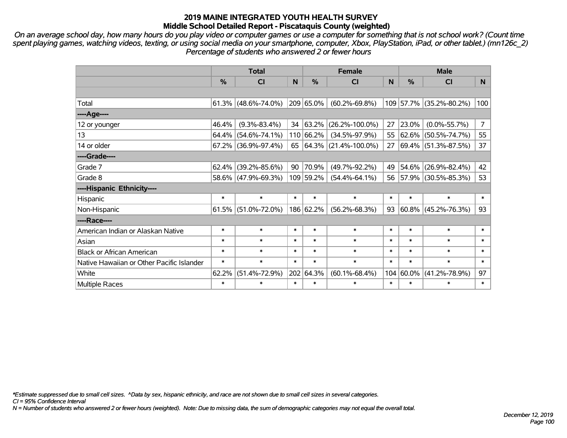*On an average school day, how many hours do you play video or computer games or use a computer for something that is not school work? (Count time spent playing games, watching videos, texting, or using social media on your smartphone, computer, Xbox, PlayStation, iPad, or other tablet.) (mn126c\_2) Percentage of students who answered 2 or fewer hours*

|                                           | <b>Total</b>  |                        |        |               | <b>Female</b>                |        | <b>Male</b>   |                          |                |  |
|-------------------------------------------|---------------|------------------------|--------|---------------|------------------------------|--------|---------------|--------------------------|----------------|--|
|                                           | $\frac{0}{0}$ | <b>CI</b>              | N      | $\frac{0}{0}$ | <b>CI</b>                    | N      | $\frac{0}{0}$ | <b>CI</b>                | N              |  |
|                                           |               |                        |        |               |                              |        |               |                          |                |  |
| Total                                     |               | $61.3\%$ (48.6%-74.0%) |        | 209 65.0%     | $(60.2\% - 69.8\%)$          |        |               | 109 57.7% (35.2%-80.2%)  | 100            |  |
| ----Age----                               |               |                        |        |               |                              |        |               |                          |                |  |
| 12 or younger                             | 46.4%         | $(9.3\% - 83.4\%)$     |        | 34 63.2%      | $(26.2\% - 100.0\%)$         | 27     | 23.0%         | $(0.0\% - 55.7\%)$       | $\overline{7}$ |  |
| 13                                        |               | 64.4% (54.6%-74.1%)    |        | 110 66.2%     | $(34.5\% - 97.9\%)$          | 55     |               | $62.6\%$ (50.5%-74.7%)   | 55             |  |
| 14 or older                               |               | 67.2% (36.9%-97.4%)    |        |               | 65 $ 64.3\% $ (21.4%-100.0%) | 27     |               | 69.4% (51.3%-87.5%)      | 37             |  |
| ----Grade----                             |               |                        |        |               |                              |        |               |                          |                |  |
| Grade 7                                   | $62.4\%$      | $(39.2\% - 85.6\%)$    |        | 90 70.9%      | $(49.7\% - 92.2\%)$          | 49     | 54.6%         | $(26.9\% - 82.4\%)$      | 42             |  |
| Grade 8                                   |               | 58.6% (47.9%-69.3%)    |        | 109 59.2%     | $(54.4\% - 64.1\%)$          | 56     |               | $ 57.9\% $ (30.5%-85.3%) | 53             |  |
| ----Hispanic Ethnicity----                |               |                        |        |               |                              |        |               |                          |                |  |
| Hispanic                                  | $\ast$        | $\ast$                 | $\ast$ | $\ast$        | $\ast$                       | $\ast$ | $\ast$        | $\ast$                   | $\ast$         |  |
| Non-Hispanic                              |               | $61.5\%$ (51.0%-72.0%) |        | 186 62.2%     | $(56.2\% - 68.3\%)$          | 93     |               | $60.8\%$ (45.2%-76.3%)   | 93             |  |
| ----Race----                              |               |                        |        |               |                              |        |               |                          |                |  |
| American Indian or Alaskan Native         | $\ast$        | $\ast$                 | $\ast$ | $\ast$        | $\ast$                       | $\ast$ | $\ast$        | $\ast$                   | $\ast$         |  |
| Asian                                     | $\ast$        | $\ast$                 | $\ast$ | $\ast$        | $\ast$                       | $\ast$ | $\ast$        | $\ast$                   | $\ast$         |  |
| <b>Black or African American</b>          | $\ast$        | $\ast$                 | $\ast$ | $\ast$        | $\ast$                       | $\ast$ | $\ast$        | $\ast$                   | $\ast$         |  |
| Native Hawaiian or Other Pacific Islander | $\ast$        | $\ast$                 | $\ast$ | $\ast$        | $\ast$                       | $\ast$ | $\ast$        | $\ast$                   | $\ast$         |  |
| White                                     | 62.2%         | $(51.4\% - 72.9\%)$    |        | 202 64.3%     | $(60.1\% - 68.4\%)$          |        | 104 60.0%     | $(41.2\% - 78.9\%)$      | 97             |  |
| <b>Multiple Races</b>                     | $\ast$        | $\ast$                 | $\ast$ | $\ast$        | $\ast$                       | $\ast$ | $\ast$        | $\ast$                   | $\ast$         |  |

*\*Estimate suppressed due to small cell sizes. ^Data by sex, hispanic ethnicity, and race are not shown due to small cell sizes in several categories.*

*CI = 95% Confidence Interval*

*N = Number of students who answered 2 or fewer hours (weighted). Note: Due to missing data, the sum of demographic categories may not equal the overall total.*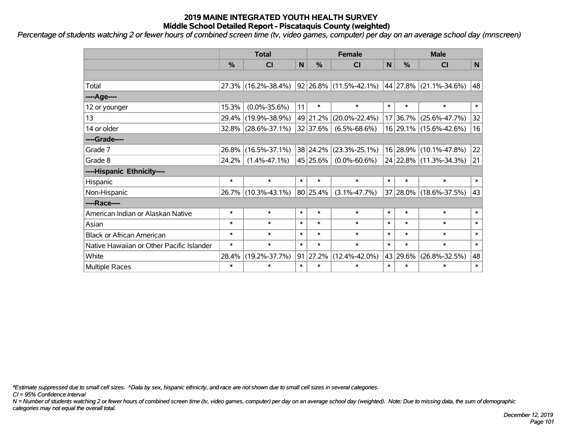*Percentage of students watching 2 or fewer hours of combined screen time (tv, video games, computer) per day on an average school day (mnscreen)*

|                                           | <b>Total</b> |                     |              |                  | <b>Female</b>                                           |        | <b>Male</b> |                        |              |  |
|-------------------------------------------|--------------|---------------------|--------------|------------------|---------------------------------------------------------|--------|-------------|------------------------|--------------|--|
|                                           | %            | <b>CI</b>           | $\mathsf{N}$ | $\frac{0}{0}$    | <b>CI</b>                                               | N      | %           | <b>CI</b>              | N            |  |
|                                           |              |                     |              |                  |                                                         |        |             |                        |              |  |
| Total                                     |              | 27.3% (16.2%-38.4%) |              |                  | $ 92 26.8\% $ (11.5%-42.1%) $ 44 27.8\% $ (21.1%-34.6%) |        |             |                        | 48           |  |
| ----Age----                               |              |                     |              |                  |                                                         |        |             |                        |              |  |
| 12 or younger                             | 15.3%        | $(0.0\% - 35.6\%)$  | 11           | $\ast$           | $\ast$                                                  | $\ast$ | $\ast$      | $\ast$                 | $\ast$       |  |
| 13                                        | 29.4%        | $(19.9\% - 38.9\%)$ |              | 49 21.2%         | $(20.0\% - 22.4\%)$                                     |        | 17 36.7%    | $(25.6\% - 47.7\%)$    | 32           |  |
| 14 or older                               |              | 32.8% (28.6%-37.1%) |              | 32 37.6%         | $(6.5\% - 68.6\%)$                                      |        |             | 16 29.1% (15.6%-42.6%) | 16           |  |
| ----Grade----                             |              |                     |              |                  |                                                         |        |             |                        |              |  |
| Grade 7                                   | 26.8%        | $(16.5\% - 37.1\%)$ |              | 38 24.2%         | $(23.3\% - 25.1\%)$                                     |        |             | 16 28.9% (10.1%-47.8%) | $ 22\rangle$ |  |
| Grade 8                                   | 24.2%        | $(1.4\% - 47.1\%)$  |              | 45 25.6%         | $(0.0\% - 60.6\%)$                                      |        |             | 24 22.8% (11.3%-34.3%) | 21           |  |
| ----Hispanic Ethnicity----                |              |                     |              |                  |                                                         |        |             |                        |              |  |
| Hispanic                                  | $\ast$       | $\ast$              | $\ast$       | $\ast$           | $\ast$                                                  | $\ast$ | $\ast$      | $\ast$                 | $\ast$       |  |
| Non-Hispanic                              |              | 26.7% (10.3%-43.1%) |              | 80 25.4%         | $(3.1\% - 47.7\%)$                                      |        |             | 37 28.0% (18.6%-37.5%) | 43           |  |
| ----Race----                              |              |                     |              |                  |                                                         |        |             |                        |              |  |
| American Indian or Alaskan Native         | $\ast$       | $\ast$              | $\ast$       | $\ast$           | $\ast$                                                  | $\ast$ | $\ast$      | $\ast$                 | $\ast$       |  |
| Asian                                     | $\ast$       | $\ast$              | $\ast$       | $\ast$           | $\ast$                                                  | $\ast$ | $\ast$      | $\ast$                 | $\ast$       |  |
| <b>Black or African American</b>          | $\ast$       | $\ast$              | $\ast$       | $\ast$           | $\ast$                                                  | $\ast$ | $\ast$      | $\ast$                 | $\ast$       |  |
| Native Hawaiian or Other Pacific Islander | $\ast$       | $\ast$              | $\ast$       | $\ast$           | $\ast$                                                  | $\ast$ | $\ast$      | $\ast$                 | $\ast$       |  |
| White                                     | 28.4%        | $(19.2\% - 37.7\%)$ |              | $91 \mid 27.2\%$ | $(12.4\% - 42.0\%)$                                     |        | 43 29.6%    | $(26.8\% - 32.5\%)$    | 48           |  |
| Multiple Races                            | $\ast$       | $\ast$              | $\ast$       | $\ast$           | $\ast$                                                  | $\ast$ | $\ast$      | $\ast$                 | $\ast$       |  |

*\*Estimate suppressed due to small cell sizes. ^Data by sex, hispanic ethnicity, and race are not shown due to small cell sizes in several categories.*

*CI = 95% Confidence Interval*

*N = Number of students watching 2 or fewer hours of combined screen time (tv, video games, computer) per day on an average school day (weighted). Note: Due to missing data, the sum of demographic categories may not equal the overall total.*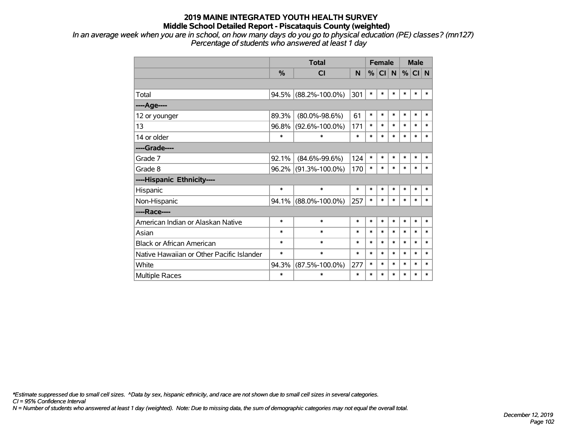*In an average week when you are in school, on how many days do you go to physical education (PE) classes? (mn127) Percentage of students who answered at least 1 day*

|                                           |               | <b>Total</b>         |        | <b>Female</b> |           |           |        | <b>Male</b> |        |
|-------------------------------------------|---------------|----------------------|--------|---------------|-----------|-----------|--------|-------------|--------|
|                                           | $\frac{0}{0}$ | <b>CI</b>            | N      | %             | <b>CI</b> | ${\sf N}$ | $\%$   | CI N        |        |
|                                           |               |                      |        |               |           |           |        |             |        |
| Total                                     |               | 94.5% (88.2%-100.0%) | 301    | $\ast$        | $\ast$    | $\ast$    | $\ast$ | $\ast$      | $\ast$ |
| ---- Age----                              |               |                      |        |               |           |           |        |             |        |
| 12 or younger                             | 89.3%         | $(80.0\% - 98.6\%)$  | 61     | $\ast$        | $\ast$    | $\ast$    | $\ast$ | $\ast$      | $\ast$ |
| 13                                        | $96.8\%$      | $(92.6\% - 100.0\%)$ | 171    | $\ast$        | $\ast$    | $\ast$    | $\ast$ | $\ast$      | $\ast$ |
| 14 or older                               | $\ast$        | $\ast$               | $\ast$ | $\ast$        | $\ast$    | $\ast$    | $\ast$ | $\ast$      | $\ast$ |
| ----Grade----                             |               |                      |        |               |           |           |        |             |        |
| Grade 7                                   | 92.1%         | $(84.6\% - 99.6\%)$  | 124    | *             | $\ast$    | $\ast$    | $\ast$ | $\ast$      | $\ast$ |
| Grade 8                                   |               | 96.2% (91.3%-100.0%) | 170    | $\ast$        | $\ast$    | $\ast$    | $\ast$ | $\ast$      | $\ast$ |
| ----Hispanic Ethnicity----                |               |                      |        |               |           |           |        |             |        |
| Hispanic                                  | $\ast$        | $\ast$               | $\ast$ | $\ast$        | $\ast$    | $\ast$    | $\ast$ | $\ast$      | $\ast$ |
| Non-Hispanic                              |               | 94.1% (88.0%-100.0%) | 257    | $\ast$        | $\ast$    | $\ast$    | $\ast$ | $\ast$      | $\ast$ |
| ----Race----                              |               |                      |        |               |           |           |        |             |        |
| American Indian or Alaskan Native         | $\ast$        | $\ast$               | $\ast$ | $\ast$        | $\ast$    | $\ast$    | $\ast$ | $\ast$      | $\ast$ |
| Asian                                     | $\ast$        | $\ast$               | $\ast$ | $\ast$        | $\ast$    | $\ast$    | $\ast$ | $\ast$      | $\ast$ |
| <b>Black or African American</b>          | $\ast$        | $\ast$               | $\ast$ | $\ast$        | $\ast$    | $\ast$    | $\ast$ | $\ast$      | $\ast$ |
| Native Hawaiian or Other Pacific Islander | $\ast$        | $\ast$               | $\ast$ | $\ast$        | $\ast$    | $\ast$    | $\ast$ | $\ast$      | $\ast$ |
| White                                     | 94.3%         | $(87.5\% - 100.0\%)$ | 277    | *             | $\ast$    | $\ast$    | $\ast$ | $\ast$      | $\ast$ |
| Multiple Races                            | $\ast$        | $\ast$               | $\ast$ | *             | $\ast$    | $\ast$    | $\ast$ | $\ast$      | $\ast$ |

*\*Estimate suppressed due to small cell sizes. ^Data by sex, hispanic ethnicity, and race are not shown due to small cell sizes in several categories.*

*CI = 95% Confidence Interval*

*N = Number of students who answered at least 1 day (weighted). Note: Due to missing data, the sum of demographic categories may not equal the overall total.*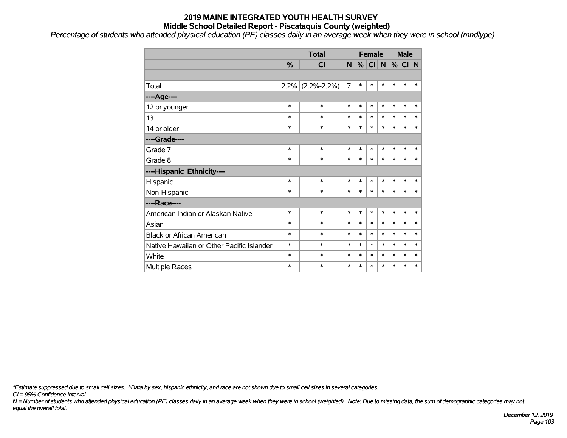*Percentage of students who attended physical education (PE) classes daily in an average week when they were in school (mndlype) '*

|                                           |        | <b>Total</b>        |                | <b>Female</b> |        |        | <b>Male</b> |        |        |
|-------------------------------------------|--------|---------------------|----------------|---------------|--------|--------|-------------|--------|--------|
|                                           | %      | <b>CI</b>           | N              | %             | CI     | N      | %           | CI N   |        |
|                                           |        |                     |                |               |        |        |             |        |        |
| Total                                     |        | $2.2\%$ (2.2%-2.2%) | $\overline{7}$ | $\ast$        | $\ast$ | $\ast$ | $\ast$      | $\ast$ | $\ast$ |
| ----Age----                               |        |                     |                |               |        |        |             |        |        |
| 12 or younger                             | $\ast$ | $\ast$              | $\ast$         | $\ast$        | $\ast$ | $\ast$ | $\ast$      | $\ast$ | $\ast$ |
| 13                                        | $\ast$ | $\ast$              | $\ast$         | $\ast$        | $\ast$ | $\ast$ | $\ast$      | $\ast$ | $\ast$ |
| 14 or older                               | $\ast$ | $\ast$              | $\ast$         | $\ast$        | $\ast$ | $\ast$ | $\ast$      | $\ast$ | $\ast$ |
| ----Grade----                             |        |                     |                |               |        |        |             |        |        |
| Grade 7                                   | $\ast$ | $\ast$              | $\ast$         | $\ast$        | *      | $\ast$ | $\ast$      | $\ast$ | $\ast$ |
| Grade 8                                   | $\ast$ | $\ast$              | $\ast$         | $\ast$        | *      | $\ast$ | $\ast$      | $\ast$ | $\ast$ |
| ----Hispanic Ethnicity----                |        |                     |                |               |        |        |             |        |        |
| Hispanic                                  | $\ast$ | $\ast$              | $\ast$         | $\ast$        | $\ast$ | $\ast$ | $\ast$      | $\ast$ | $\ast$ |
| Non-Hispanic                              | $\ast$ | $\ast$              | $\ast$         | $\ast$        | $\ast$ | $\ast$ | $\ast$      | $\ast$ | $\ast$ |
| ----Race----                              |        |                     |                |               |        |        |             |        |        |
| American Indian or Alaskan Native         | $\ast$ | $\ast$              | $\ast$         | $\ast$        | $\ast$ | $\ast$ | $\ast$      | $\ast$ | $\ast$ |
| Asian                                     | $\ast$ | $\ast$              | $\ast$         | $\ast$        | *      | $\ast$ | $\ast$      | $\ast$ | $\ast$ |
| <b>Black or African American</b>          | $\ast$ | $\ast$              | $\ast$         | $\ast$        | *      | $\ast$ | $\ast$      | $\ast$ | $\ast$ |
| Native Hawaiian or Other Pacific Islander | $\ast$ | $\ast$              | $\ast$         | $\ast$        | $\ast$ | $\ast$ | $\ast$      | $\ast$ | $\ast$ |
| White                                     | $\ast$ | $\ast$              | $\ast$         | $\ast$        | $\ast$ | $\ast$ | $\ast$      | $\ast$ | $\ast$ |
| <b>Multiple Races</b>                     | $\ast$ | $\ast$              | $\ast$         | $\ast$        | $\ast$ | $\ast$ | $\ast$      | $\ast$ | $\ast$ |

*\*Estimate suppressed due to small cell sizes. ^Data by sex, hispanic ethnicity, and race are not shown due to small cell sizes in several categories.*

*CI = 95% Confidence Interval*

*N = Number of students who attended physical education (PE) classes daily in an average week when they were in school (weighted). Note: Due to missing data, the sum of demographic categories may not equal the overall total.*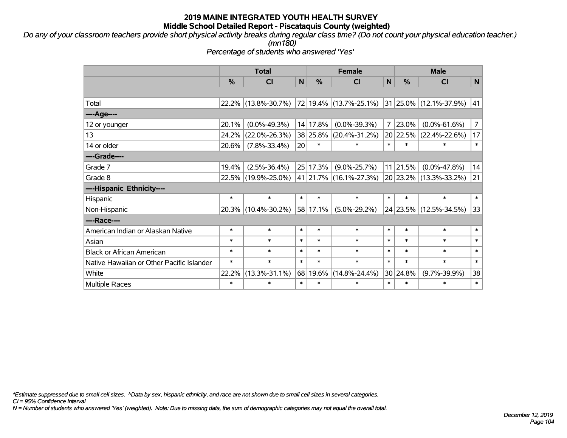*Do any of your classroom teachers provide short physical activity breaks during regular class time? (Do not count your physical education teacher.) (mn180)*

*Percentage of students who answered 'Yes'*

|                                           | <b>Total</b>  |                     |        | <b>Female</b> |                        | <b>Male</b>  |               |                                 |                |
|-------------------------------------------|---------------|---------------------|--------|---------------|------------------------|--------------|---------------|---------------------------------|----------------|
|                                           | $\frac{0}{0}$ | CI                  | N      | %             | C <sub>l</sub>         | $\mathsf{N}$ | $\frac{0}{0}$ | CI                              | $\mathsf{N}$   |
|                                           |               |                     |        |               |                        |              |               |                                 |                |
| Total                                     |               | 22.2% (13.8%-30.7%) |        |               | 72 19.4% (13.7%-25.1%) |              |               | $ 31 25.0\%  (12.1\% - 37.9\%)$ | 41             |
| ----Age----                               |               |                     |        |               |                        |              |               |                                 |                |
| 12 or younger                             | 20.1%         | $(0.0\% - 49.3\%)$  |        | 14 17.8%      | $(0.0\% - 39.3\%)$     | 7            | 23.0%         | $(0.0\% - 61.6\%)$              | $\overline{7}$ |
| 13                                        | 24.2%         | $(22.0\% - 26.3\%)$ |        | 38 25.8%      | $(20.4\% - 31.2\%)$    |              | 20 22.5%      | $(22.4\% - 22.6\%)$             | 17             |
| 14 or older                               | 20.6%         | $(7.8\% - 33.4\%)$  | 20     | $\ast$        | $\ast$                 | $\ast$       | $\ast$        | ∗                               | $\ast$         |
| ----Grade----                             |               |                     |        |               |                        |              |               |                                 |                |
| Grade 7                                   | 19.4%         | $(2.5\% - 36.4\%)$  |        | 25 17.3%      | $(9.0\% - 25.7\%)$     |              | $11$   21.5%  | $(0.0\% - 47.8\%)$              | 14             |
| Grade 8                                   |               | 22.5% (19.9%-25.0%) |        |               | 41 21.7% (16.1%-27.3%) |              |               | 20 23.2% (13.3%-33.2%)          | 21             |
| ----Hispanic Ethnicity----                |               |                     |        |               |                        |              |               |                                 |                |
| Hispanic                                  | $\ast$        | $\ast$              | $\ast$ | $\ast$        | $\ast$                 | $\ast$       | $\ast$        | $\ast$                          | $\ast$         |
| Non-Hispanic                              |               | 20.3% (10.4%-30.2%) |        | 58 17.1%      | $(5.0\% - 29.2\%)$     |              |               | 24 23.5% (12.5%-34.5%)          | 33             |
| ----Race----                              |               |                     |        |               |                        |              |               |                                 |                |
| American Indian or Alaskan Native         | $\ast$        | $\ast$              | $\ast$ | $\ast$        | $\ast$                 | $\ast$       | $\ast$        | $\ast$                          | $\ast$         |
| Asian                                     | $\ast$        | $\ast$              | $\ast$ | $\ast$        | $\ast$                 | $\ast$       | $\ast$        | $\ast$                          | $\ast$         |
| <b>Black or African American</b>          | $\ast$        | $\ast$              | $\ast$ | $\ast$        | $\ast$                 | $\ast$       | $\ast$        | $\ast$                          | $\ast$         |
| Native Hawaiian or Other Pacific Islander | $\ast$        | $\ast$              | $\ast$ | $\ast$        | $\ast$                 | $\ast$       | $\ast$        | $\ast$                          | $\ast$         |
| White                                     | 22.2%         | $(13.3\% - 31.1\%)$ |        | 68 19.6%      | $(14.8\% - 24.4\%)$    |              | 30 24.8%      | $(9.7\% - 39.9\%)$              | 38             |
| Multiple Races                            | $\ast$        | $\ast$              | $\ast$ | $\ast$        | $\ast$                 | $\ast$       | $\ast$        | $\ast$                          | $\ast$         |

*\*Estimate suppressed due to small cell sizes. ^Data by sex, hispanic ethnicity, and race are not shown due to small cell sizes in several categories.*

*CI = 95% Confidence Interval*

*N = Number of students who answered 'Yes' (weighted). Note: Due to missing data, the sum of demographic categories may not equal the overall total.*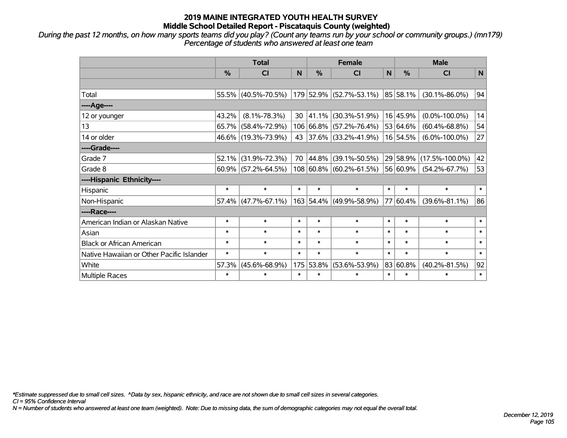*During the past 12 months, on how many sports teams did you play? (Count any teams run by your school or community groups.) (mn179) Percentage of students who answered at least one team*

|                                           | <b>Total</b> |                        |        |           | <b>Female</b>           |              | <b>Male</b> |                      |              |  |
|-------------------------------------------|--------------|------------------------|--------|-----------|-------------------------|--------------|-------------|----------------------|--------------|--|
|                                           | %            | <b>CI</b>              | N      | %         | <b>CI</b>               | $\mathsf{N}$ | %           | <b>CI</b>            | $\mathsf{N}$ |  |
|                                           |              |                        |        |           |                         |              |             |                      |              |  |
| Total                                     |              | 55.5% (40.5%-70.5%)    |        |           | 179 52.9% (52.7%-53.1%) |              | 85 58.1%    | $(30.1\% - 86.0\%)$  | 94           |  |
| ----Age----                               |              |                        |        |           |                         |              |             |                      |              |  |
| 12 or younger                             | 43.2%        | $(8.1\% - 78.3\%)$     | 30     | 41.1%     | $(30.3\% - 51.9\%)$     |              | 16 45.9%    | $(0.0\% - 100.0\%)$  | 14           |  |
| 13                                        | 65.7%        | $(58.4\% - 72.9\%)$    |        |           | 106 66.8% (57.2%-76.4%) |              | 53 64.6%    | $(60.4\% - 68.8\%)$  | 54           |  |
| 14 or older                               |              | 46.6% (19.3%-73.9%)    | 43     |           | 37.6% (33.2%-41.9%)     |              | 16 54.5%    | $(6.0\% - 100.0\%)$  | 27           |  |
| ----Grade----                             |              |                        |        |           |                         |              |             |                      |              |  |
| Grade 7                                   | 52.1%        | $(31.9\% - 72.3\%)$    | 70     | 44.8%     | $(39.1\% - 50.5\%)$     |              | 29 58.9%    | $(17.5\% - 100.0\%)$ | 42           |  |
| Grade 8                                   |              | $60.9\%$ (57.2%-64.5%) |        |           | 108 60.8% (60.2%-61.5%) |              | 56 60.9%    | $(54.2\% - 67.7\%)$  | 53           |  |
| ----Hispanic Ethnicity----                |              |                        |        |           |                         |              |             |                      |              |  |
| Hispanic                                  | $\ast$       | $\ast$                 | $\ast$ | $\ast$    | $\ast$                  | $\ast$       | $\ast$      | $\ast$               | $\ast$       |  |
| Non-Hispanic                              |              | 57.4% (47.7%-67.1%)    |        | 163 54.4% | $ (49.9\% - 58.9\%)$    |              | 77 60.4%    | $(39.6\% - 81.1\%)$  | 86           |  |
| ----Race----                              |              |                        |        |           |                         |              |             |                      |              |  |
| American Indian or Alaskan Native         | $\ast$       | $\ast$                 | $\ast$ | $\ast$    | $\ast$                  | $\ast$       | $\ast$      | $\ast$               | $\ast$       |  |
| Asian                                     | $\ast$       | $\ast$                 | $\ast$ | $\ast$    | $\ast$                  | $\ast$       | $\ast$      | $\ast$               | $\ast$       |  |
| <b>Black or African American</b>          | $\ast$       | $\ast$                 | $\ast$ | $\ast$    | $\ast$                  | $\ast$       | $\ast$      | $\ast$               | $\ast$       |  |
| Native Hawaiian or Other Pacific Islander | $\ast$       | $\ast$                 | $\ast$ | $\ast$    | $\ast$                  | $\ast$       | $\ast$      | $\ast$               | $\ast$       |  |
| White                                     | 57.3%        | $(45.6\% - 68.9\%)$    | 175    | 53.8%     | $(53.6\% - 53.9\%)$     |              | 83 60.8%    | $(40.2\% - 81.5\%)$  | 92           |  |
| <b>Multiple Races</b>                     | $\ast$       | $\ast$                 | $\ast$ | $\ast$    | $\ast$                  | $\ast$       | $\ast$      | $\ast$               | $\ast$       |  |

*\*Estimate suppressed due to small cell sizes. ^Data by sex, hispanic ethnicity, and race are not shown due to small cell sizes in several categories.*

*CI = 95% Confidence Interval*

*N = Number of students who answered at least one team (weighted). Note: Due to missing data, the sum of demographic categories may not equal the overall total.*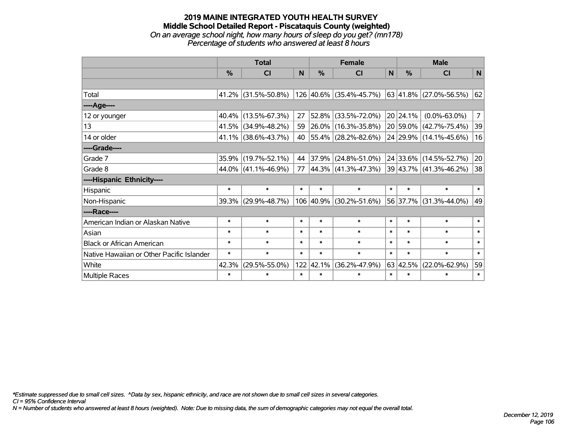#### **2019 MAINE INTEGRATED YOUTH HEALTH SURVEY Middle School Detailed Report - Piscataquis County (weighted)** *On an average school night, how many hours of sleep do you get? (mn178) Percentage of students who answered at least 8 hours*

|                                           | <b>Total</b> |                        |        |               | <b>Female</b>                                  |        | <b>Male</b>      |                        |                |  |
|-------------------------------------------|--------------|------------------------|--------|---------------|------------------------------------------------|--------|------------------|------------------------|----------------|--|
|                                           | %            | <b>CI</b>              | N      | $\frac{0}{0}$ | <b>CI</b>                                      | N      | $\frac{0}{0}$    | <b>CI</b>              | N              |  |
|                                           |              |                        |        |               |                                                |        |                  |                        |                |  |
| Total                                     |              | $41.2\%$ (31.5%-50.8%) |        |               | 126 40.6% (35.4%-45.7%) 63 41.8% (27.0%-56.5%) |        |                  |                        | 62             |  |
| ----Age----                               |              |                        |        |               |                                                |        |                  |                        |                |  |
| 12 or younger                             | 40.4%        | $(13.5\% - 67.3\%)$    | 27     | 52.8%         | $(33.5\% - 72.0\%)$                            |        | 20 24.1%         | $(0.0\% - 63.0\%)$     | $\overline{7}$ |  |
| 13                                        |              | 41.5% (34.9%-48.2%)    | 59     |               | $26.0\%$ (16.3%-35.8%)                         |        |                  | 20 59.0% (42.7%-75.4%) | 39             |  |
| 14 or older                               |              | $41.1\%$ (38.6%-43.7%) | 40     |               | $ 55.4\% $ (28.2%-82.6%)                       |        |                  | 24 29.9% (14.1%-45.6%) | 16             |  |
| ----Grade----                             |              |                        |        |               |                                                |        |                  |                        |                |  |
| Grade 7                                   |              | 35.9% (19.7%-52.1%)    | 44     | 37.9%         | $(24.8\% - 51.0\%)$                            |        |                  | 24 33.6% (14.5%-52.7%) | 20             |  |
| Grade 8                                   |              | $44.0\%$ (41.1%-46.9%) | 77     |               | $ 44.3\% $ (41.3%-47.3%)                       |        |                  | 39 43.7% (41.3%-46.2%) | 38             |  |
| ----Hispanic Ethnicity----                |              |                        |        |               |                                                |        |                  |                        |                |  |
| Hispanic                                  | $\ast$       | $\ast$                 | $\ast$ | $\ast$        | $\ast$                                         | $\ast$ | $\ast$           | $\ast$                 | $\ast$         |  |
| Non-Hispanic                              |              | 39.3% (29.9%-48.7%)    |        | 106 40.9%     | $(30.2\% - 51.6\%)$                            |        |                  | 56 37.7% (31.3%-44.0%) | 49             |  |
| ----Race----                              |              |                        |        |               |                                                |        |                  |                        |                |  |
| American Indian or Alaskan Native         | $\ast$       | $\ast$                 | $\ast$ | $\ast$        | $\ast$                                         | $\ast$ | $\ast$           | $\ast$                 | $\ast$         |  |
| Asian                                     | $\ast$       | $\ast$                 | $\ast$ | $\ast$        | $\ast$                                         | $\ast$ | $\ast$           | $\ast$                 | $\ast$         |  |
| <b>Black or African American</b>          | $\ast$       | $\ast$                 | $\ast$ | $\ast$        | $\ast$                                         | $\ast$ | $\ast$           | $\ast$                 | $\ast$         |  |
| Native Hawaiian or Other Pacific Islander | $\ast$       | $\ast$                 | $\ast$ | $\ast$        | $\ast$                                         | $\ast$ | $\ast$           | $\ast$                 | $\ast$         |  |
| White                                     | 42.3%        | $(29.5\% - 55.0\%)$    |        | 122 42.1%     | $(36.2\% - 47.9\%)$                            |        | $63 \mid 42.5\%$ | $(22.0\% - 62.9\%)$    | 59             |  |
| Multiple Races                            | $\ast$       | $\ast$                 | $\ast$ | $\ast$        | $\ast$                                         | $\ast$ | $\ast$           | $\ast$                 | $\ast$         |  |

*\*Estimate suppressed due to small cell sizes. ^Data by sex, hispanic ethnicity, and race are not shown due to small cell sizes in several categories.*

*CI = 95% Confidence Interval*

*N = Number of students who answered at least 8 hours (weighted). Note: Due to missing data, the sum of demographic categories may not equal the overall total.*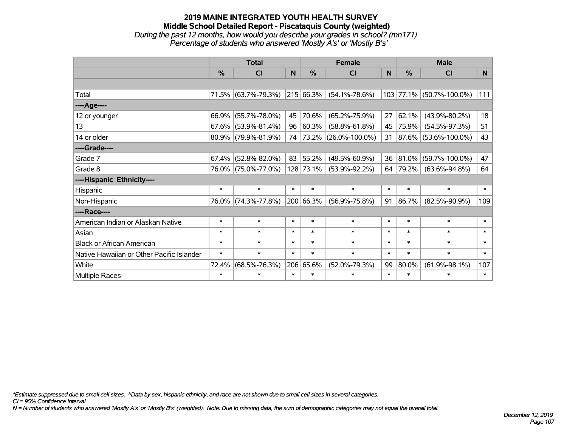#### **2019 MAINE INTEGRATED YOUTH HEALTH SURVEY Middle School Detailed Report - Piscataquis County (weighted)** *During the past 12 months, how would you describe your grades in school? (mn171) Percentage of students who answered 'Mostly A's' or 'Mostly B's'*

|                                           | <b>Total</b> |                        |        |               | <b>Female</b>             |        | <b>Male</b>   |                           |                |  |
|-------------------------------------------|--------------|------------------------|--------|---------------|---------------------------|--------|---------------|---------------------------|----------------|--|
|                                           | %            | <b>CI</b>              | N      | $\frac{0}{0}$ | <b>CI</b>                 | N      | $\frac{0}{0}$ | <b>CI</b>                 | N <sub>1</sub> |  |
|                                           |              |                        |        |               |                           |        |               |                           |                |  |
| Total                                     |              | 71.5% (63.7%-79.3%)    |        | 215 66.3%     | $(54.1\% - 78.6\%)$       |        |               | 103 77.1% (50.7%-100.0%)  | 111            |  |
| ----Age----                               |              |                        |        |               |                           |        |               |                           |                |  |
| 12 or younger                             | 66.9%        | $(55.7\% - 78.0\%)$    | 45     | 70.6%         | $(65.2\% - 75.9\%)$       | 27     | 62.1%         | $(43.9\% - 80.2\%)$       | 18             |  |
| 13                                        |              | $67.6\%$ (53.9%-81.4%) | 96     | 60.3%         | $(58.8\% - 61.8\%)$       | 45     | 75.9%         | $(54.5\% - 97.3\%)$       | 51             |  |
| 14 or older                               |              | $80.9\%$ (79.9%-81.9%) | 74     |               | $ 73.2\% $ (26.0%-100.0%) | 31     |               | $ 87.6\% $ (53.6%-100.0%) | 43             |  |
| ----Grade----                             |              |                        |        |               |                           |        |               |                           |                |  |
| Grade 7                                   | 67.4%        | $(52.8\% - 82.0\%)$    | 83     | 55.2%         | $(49.5\% - 60.9\%)$       | 36     | 81.0%         | $(59.7\% - 100.0\%)$      | 47             |  |
| Grade 8                                   |              | 76.0% (75.0%-77.0%)    |        | 128 73.1%     | $(53.9\% - 92.2\%)$       | 64     | 79.2%         | $(63.6\% - 94.8\%)$       | 64             |  |
| ----Hispanic Ethnicity----                |              |                        |        |               |                           |        |               |                           |                |  |
| Hispanic                                  | $\ast$       | $\ast$                 | $\ast$ | $\ast$        | $\ast$                    | $\ast$ | $\ast$        | $\ast$                    | $\ast$         |  |
| Non-Hispanic                              |              | 76.0% (74.3%-77.8%)    |        | 200 66.3%     | $(56.9\% - 75.8\%)$       | 91     | 86.7%         | $(82.5\% - 90.9\%)$       | 109            |  |
| ----Race----                              |              |                        |        |               |                           |        |               |                           |                |  |
| American Indian or Alaskan Native         | $\ast$       | $\ast$                 | $\ast$ | $\ast$        | $\ast$                    | $\ast$ | $\ast$        | $\ast$                    | $\ast$         |  |
| Asian                                     | $\ast$       | $\ast$                 | $\ast$ | $\ast$        | $\ast$                    | $\ast$ | $\ast$        | $\ast$                    | $\ast$         |  |
| <b>Black or African American</b>          | $\ast$       | $\ast$                 | $\ast$ | $\ast$        | $\ast$                    | $\ast$ | $\ast$        | $\ast$                    | $\ast$         |  |
| Native Hawaiian or Other Pacific Islander | $\ast$       | $\ast$                 | $\ast$ | $\ast$        | $\ast$                    | $\ast$ | $\ast$        | $\ast$                    | $\ast$         |  |
| White                                     | 72.4%        | $(68.5\% - 76.3\%)$    |        | 206 65.6%     | $(52.0\% - 79.3\%)$       | 99     | 80.0%         | $(61.9\% - 98.1\%)$       | 107            |  |
| Multiple Races                            | $\ast$       | $\ast$                 | $\ast$ | $\ast$        | $\ast$                    | $\ast$ | $\ast$        | $\ast$                    | $\ast$         |  |

*\*Estimate suppressed due to small cell sizes. ^Data by sex, hispanic ethnicity, and race are not shown due to small cell sizes in several categories.*

*CI = 95% Confidence Interval*

*N = Number of students who answered 'Mostly A's' or 'Mostly B's' (weighted). Note: Due to missing data, the sum of demographic categories may not equal the overall total.*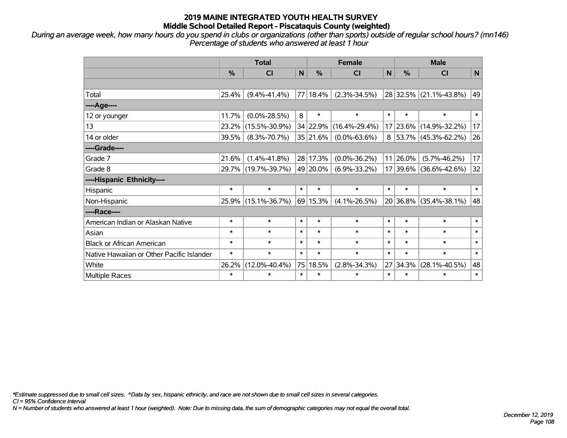*During an average week, how many hours do you spend in clubs or organizations (other than sports) outside of regular school hours? (mn146) Percentage of students who answered at least 1 hour*

|                                           | <b>Total</b> |                     |        |          | <b>Female</b>       |        | <b>Male</b> |                             |        |  |
|-------------------------------------------|--------------|---------------------|--------|----------|---------------------|--------|-------------|-----------------------------|--------|--|
|                                           | $\%$         | <b>CI</b>           | N      | %        | <b>CI</b>           | N      | %           | <b>CI</b>                   | N      |  |
|                                           |              |                     |        |          |                     |        |             |                             |        |  |
| Total                                     | 25.4%        | $(9.4\% - 41.4\%)$  |        | 77 18.4% | $(2.3\% - 34.5\%)$  |        |             | 28 32.5% (21.1%-43.8%)      | 49     |  |
| ----Age----                               |              |                     |        |          |                     |        |             |                             |        |  |
| 12 or younger                             | 11.7%        | $(0.0\% - 28.5\%)$  | 8      | $\ast$   | $\ast$              | $\ast$ | $\ast$      | $\ast$                      | $\ast$ |  |
| 13                                        | 23.2%        | $(15.5\% - 30.9\%)$ |        | 34 22.9% | $(16.4\% - 29.4\%)$ |        |             | 17 23.6% (14.9%-32.2%)      | 17     |  |
| 14 or older                               | 39.5%        | $(8.3\% - 70.7\%)$  |        | 35 21.6% | $(0.0\% - 63.6\%)$  |        |             | $8$   53.7%   (45.3%-62.2%) | 26     |  |
| ----Grade----                             |              |                     |        |          |                     |        |             |                             |        |  |
| Grade 7                                   | 21.6%        | $(1.4\% - 41.8\%)$  |        | 28 17.3% | $(0.0\% - 36.2\%)$  |        | 11 26.0%    | $(5.7\% - 46.2\%)$          | 17     |  |
| Grade 8                                   |              | 29.7% (19.7%-39.7%) |        | 49 20.0% | $(6.9\% - 33.2\%)$  |        |             | 17 39.6% (36.6%-42.6%)      | 32     |  |
| ----Hispanic Ethnicity----                |              |                     |        |          |                     |        |             |                             |        |  |
| Hispanic                                  | $\ast$       | $\ast$              | $\ast$ | $\ast$   | $\ast$              | $\ast$ | $\ast$      | $\ast$                      | $\ast$ |  |
| Non-Hispanic                              | 25.9%        | $(15.1\% - 36.7\%)$ |        | 69 15.3% | $(4.1\% - 26.5\%)$  |        | 20 36.8%    | $(35.4\% - 38.1\%)$         | 48     |  |
| ----Race----                              |              |                     |        |          |                     |        |             |                             |        |  |
| American Indian or Alaskan Native         | $\ast$       | $\ast$              | $\ast$ | $\ast$   | $\ast$              | $\ast$ | $\ast$      | $\ast$                      | $\ast$ |  |
| Asian                                     | $\ast$       | $\ast$              | $\ast$ | $\ast$   | $\ast$              | $\ast$ | $\ast$      | $\ast$                      | $\ast$ |  |
| <b>Black or African American</b>          | $\ast$       | $\ast$              | $\ast$ | $\ast$   | $\ast$              | $\ast$ | $\ast$      | $\ast$                      | $\ast$ |  |
| Native Hawaiian or Other Pacific Islander | $\ast$       | $\ast$              | $\ast$ | $\ast$   | $\ast$              | $\ast$ | $\ast$      | $\ast$                      | $\ast$ |  |
| White                                     | 26.2%        | $(12.0\% - 40.4\%)$ |        | 75 18.5% | $(2.8\% - 34.3\%)$  | 27     | 34.3%       | $(28.1\% - 40.5\%)$         | 48     |  |
| Multiple Races                            | $\ast$       | $\ast$              | $\ast$ | $\ast$   | $\ast$              | $\ast$ | $\ast$      | $\ast$                      | $\ast$ |  |

*\*Estimate suppressed due to small cell sizes. ^Data by sex, hispanic ethnicity, and race are not shown due to small cell sizes in several categories.*

*CI = 95% Confidence Interval*

*N = Number of students who answered at least 1 hour (weighted). Note: Due to missing data, the sum of demographic categories may not equal the overall total.*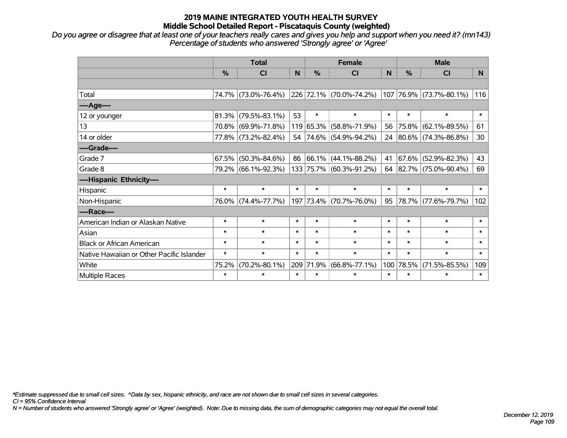### **2019 MAINE INTEGRATED YOUTH HEALTH SURVEY Middle School Detailed Report - Piscataquis County (weighted)**

*Do you agree or disagree that at least one of your teachers really cares and gives you help and support when you need it? (mn143) Percentage of students who answered 'Strongly agree' or 'Agree'*

|                                           | <b>Total</b>  |                     |        | <b>Female</b> |                         |        | <b>Male</b> |                         |        |  |
|-------------------------------------------|---------------|---------------------|--------|---------------|-------------------------|--------|-------------|-------------------------|--------|--|
|                                           | $\frac{0}{0}$ | <b>CI</b>           | N      | $\%$          | <b>CI</b>               | N      | %           | <b>CI</b>               | N.     |  |
|                                           |               |                     |        |               |                         |        |             |                         |        |  |
| Total                                     |               | 74.7% (73.0%-76.4%) |        |               | 226 72.1% (70.0%-74.2%) |        |             | 107 76.9% (73.7%-80.1%) | 116    |  |
| ----Age----                               |               |                     |        |               |                         |        |             |                         |        |  |
| 12 or younger                             | 81.3%         | $(79.5\% - 83.1\%)$ | 53     | $\ast$        | $\ast$                  | $\ast$ | $\ast$      | $\ast$                  | $\ast$ |  |
| 13                                        |               | 70.8% (69.9%-71.8%) |        |               | 119 65.3% (58.8%-71.9%) | 56     | 75.8%       | $(62.1\% - 89.5\%)$     | 61     |  |
| 14 or older                               |               | 77.8% (73.2%-82.4%) |        |               | 54 74.6% (54.9%-94.2%)  |        |             | 24 80.6% (74.3%-86.8%)  | 30     |  |
| ----Grade----                             |               |                     |        |               |                         |        |             |                         |        |  |
| Grade 7                                   | 67.5%         | $(50.3\% - 84.6\%)$ | 86     |               | 66.1% (44.1%-88.2%)     | 41     | 67.6%       | $(52.9\% - 82.3\%)$     | 43     |  |
| Grade 8                                   |               | 79.2% (66.1%-92.3%) |        |               | 133 75.7% (60.3%-91.2%) |        |             | 64 82.7% (75.0%-90.4%)  | 69     |  |
| ----Hispanic Ethnicity----                |               |                     |        |               |                         |        |             |                         |        |  |
| Hispanic                                  | $\ast$        | $\ast$              | $\ast$ | $\ast$        | $\ast$                  | $\ast$ | $\ast$      | $\ast$                  | $\ast$ |  |
| Non-Hispanic                              |               | 76.0% (74.4%-77.7%) |        |               | 197 73.4% (70.7%-76.0%) | 95     |             | 78.7% (77.6%-79.7%)     | 102    |  |
| ----Race----                              |               |                     |        |               |                         |        |             |                         |        |  |
| American Indian or Alaskan Native         | $\ast$        | $\ast$              | $\ast$ | $\ast$        | $\ast$                  | $\ast$ | $\ast$      | $\ast$                  | $\ast$ |  |
| Asian                                     | $\ast$        | $\ast$              | $\ast$ | $\ast$        | $\ast$                  | $\ast$ | $\ast$      | $\ast$                  | $\ast$ |  |
| <b>Black or African American</b>          | $\ast$        | $\ast$              | $\ast$ | $\ast$        | $\ast$                  | $\ast$ | $\ast$      | $\ast$                  | $\ast$ |  |
| Native Hawaiian or Other Pacific Islander | $\ast$        | $\ast$              | $\ast$ | $\ast$        | $\ast$                  | $\ast$ | $\ast$      | $\ast$                  | $\ast$ |  |
| White                                     | 75.2%         | $(70.2\% - 80.1\%)$ |        | 209 71.9%     | $(66.8\% - 77.1\%)$     | 100    | 78.5%       | $(71.5\% - 85.5\%)$     | 109    |  |
| Multiple Races                            | $\ast$        | $\ast$              | $\ast$ | $\ast$        | $\ast$                  | $\ast$ | $\ast$      | *                       | $\ast$ |  |

*\*Estimate suppressed due to small cell sizes. ^Data by sex, hispanic ethnicity, and race are not shown due to small cell sizes in several categories.*

*CI = 95% Confidence Interval*

*N = Number of students who answered 'Strongly agree' or 'Agree' (weighted). Note: Due to missing data, the sum of demographic categories may not equal the overall total.*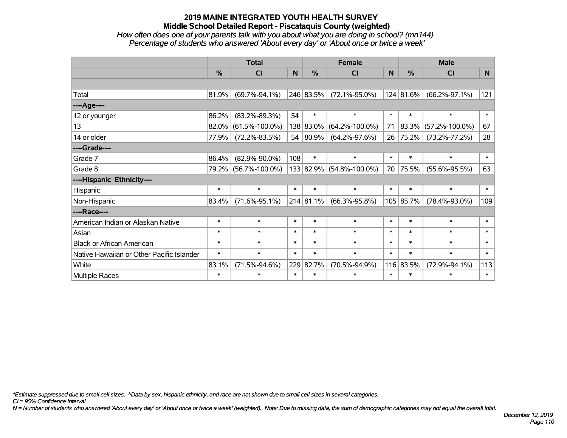# **2019 MAINE INTEGRATED YOUTH HEALTH SURVEY Middle School Detailed Report - Piscataquis County (weighted)**

### *How often does one of your parents talk with you about what you are doing in school? (mn144) Percentage of students who answered 'About every day' or 'About once or twice a week'*

|                                           | <b>Total</b>  |                      |        |           | <b>Female</b>        |        | <b>Male</b> |                      |              |  |
|-------------------------------------------|---------------|----------------------|--------|-----------|----------------------|--------|-------------|----------------------|--------------|--|
|                                           | $\frac{0}{0}$ | <b>CI</b>            | N      | $\%$      | <b>CI</b>            | N      | $\%$        | <b>CI</b>            | N.           |  |
|                                           |               |                      |        |           |                      |        |             |                      |              |  |
| Total                                     | 81.9%         | $(69.7\% - 94.1\%)$  |        | 246 83.5% | $(72.1\% - 95.0\%)$  |        | 124 81.6%   | $(66.2\% - 97.1\%)$  | 121          |  |
| ----Age----                               |               |                      |        |           |                      |        |             |                      |              |  |
| 12 or younger                             | 86.2%         | $(83.2\% - 89.3\%)$  | 54     | $\ast$    | $\ast$               | $\ast$ | $\ast$      | $\ast$               | $\ast$       |  |
| 13                                        | 82.0%         | $(61.5\% - 100.0\%)$ |        | 138 83.0% | $(64.2\% - 100.0\%)$ | 71     | 83.3%       | $(57.2\% - 100.0\%)$ | 67           |  |
| 14 or older                               | 77.9%         | $(72.2\% - 83.5\%)$  |        | 54 80.9%  | $(64.2\% - 97.6\%)$  | 26     | 75.2%       | $(73.2\% - 77.2\%)$  | 28           |  |
| ----Grade----                             |               |                      |        |           |                      |        |             |                      |              |  |
| Grade 7                                   | 86.4%         | $(82.9\% - 90.0\%)$  | 108    | $\ast$    | $\ast$               | $\ast$ | $\ast$      | $\ast$               | $\ast$       |  |
| Grade 8                                   |               | 79.2% (56.7%-100.0%) |        | 133 82.9% | $(54.8\% - 100.0\%)$ | 70     | 75.5%       | $(55.6\% - 95.5\%)$  | 63           |  |
| ----Hispanic Ethnicity----                |               |                      |        |           |                      |        |             |                      |              |  |
| Hispanic                                  | $\ast$        | $\ast$               | $\ast$ | $\ast$    | $\ast$               | $\ast$ | $\ast$      | $\ast$               | $\ast$       |  |
| Non-Hispanic                              | 83.4%         | $(71.6\% - 95.1\%)$  |        | 214 81.1% | $(66.3\% - 95.8\%)$  |        | 105 85.7%   | $(78.4\% - 93.0\%)$  | 109          |  |
| ----Race----                              |               |                      |        |           |                      |        |             |                      |              |  |
| American Indian or Alaskan Native         | $\ast$        | $\ast$               | $\ast$ | $\ast$    | $\ast$               | $\ast$ | $\ast$      | $\ast$               | $\ast$       |  |
| Asian                                     | $\ast$        | $\ast$               | $\ast$ | $\ast$    | $\ast$               | $\ast$ | $\ast$      | $\ast$               | $\ast$       |  |
| <b>Black or African American</b>          | $\ast$        | $\ast$               | $\ast$ | $\ast$    | $\ast$               | $\ast$ | $\ast$      | $\ast$               | $\ast$       |  |
| Native Hawaiian or Other Pacific Islander | $\ast$        | $\ast$               | $\ast$ | $\ast$    | $\ast$               | $\ast$ | $\ast$      | $\ast$               | $\pmb{\ast}$ |  |
| White                                     | 83.1%         | $(71.5\% - 94.6\%)$  |        | 229 82.7% | $(70.5\% - 94.9\%)$  |        | 116 83.5%   | $(72.9\% - 94.1\%)$  | 113          |  |
| Multiple Races                            | $\ast$        | $\ast$               | $\ast$ | $\ast$    | $\ast$               | $\ast$ | $\ast$      | $\ast$               | $\ast$       |  |

*\*Estimate suppressed due to small cell sizes. ^Data by sex, hispanic ethnicity, and race are not shown due to small cell sizes in several categories.*

*CI = 95% Confidence Interval*

*N = Number of students who answered 'About every day' or 'About once or twice a week' (weighted). Note: Due to missing data, the sum of demographic categories may not equal the overall total.*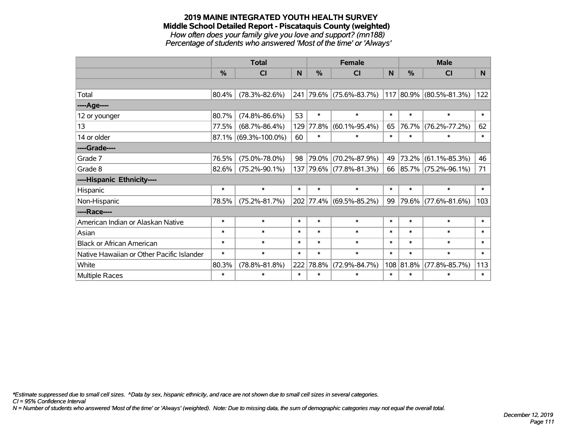#### **2019 MAINE INTEGRATED YOUTH HEALTH SURVEY Middle School Detailed Report - Piscataquis County (weighted)** *How often does your family give you love and support? (mn188) Percentage of students who answered 'Most of the time' or 'Always'*

|                                           | <b>Total</b>  |                      |        |           | <b>Female</b>           |        | <b>Male</b> |                         |        |  |
|-------------------------------------------|---------------|----------------------|--------|-----------|-------------------------|--------|-------------|-------------------------|--------|--|
|                                           | $\frac{0}{0}$ | <b>CI</b>            | N      | %         | <b>CI</b>               | N      | %           | CI                      | N.     |  |
|                                           |               |                      |        |           |                         |        |             |                         |        |  |
| Total                                     | 80.4%         | $(78.3\% - 82.6\%)$  |        |           | 241 79.6% (75.6%-83.7%) |        |             | 117 80.9% (80.5%-81.3%) | 122    |  |
| ----Age----                               |               |                      |        |           |                         |        |             |                         |        |  |
| 12 or younger                             | 80.7%         | $(74.8\% - 86.6\%)$  | 53     | $\ast$    | $\ast$                  | $\ast$ | $\ast$      | $\ast$                  | $\ast$ |  |
| 13                                        | 77.5%         | $(68.7\% - 86.4\%)$  | 129    | 77.8%     | $(60.1\% - 95.4\%)$     | 65     | 76.7%       | $(76.2\% - 77.2\%)$     | 62     |  |
| 14 or older                               |               | 87.1% (69.3%-100.0%) | 60     | $\ast$    | $\ast$                  | $\ast$ | $\ast$      | $\ast$                  | $\ast$ |  |
| ----Grade----                             |               |                      |        |           |                         |        |             |                         |        |  |
| Grade 7                                   | 76.5%         | $(75.0\% - 78.0\%)$  | 98     | 79.0%     | $(70.2\% - 87.9\%)$     | 49     | $73.2\%$    | $(61.1\% - 85.3\%)$     | 46     |  |
| Grade 8                                   | $82.6\%$      | $(75.2\% - 90.1\%)$  |        |           | 137 79.6% (77.8%-81.3%) |        |             | 66 85.7% (75.2%-96.1%)  | 71     |  |
| ----Hispanic Ethnicity----                |               |                      |        |           |                         |        |             |                         |        |  |
| Hispanic                                  | $\ast$        | $\ast$               | $\ast$ | $\ast$    | $\ast$                  | $\ast$ | $\ast$      | $\ast$                  | $\ast$ |  |
| Non-Hispanic                              | 78.5%         | $(75.2\% - 81.7\%)$  |        | 202 77.4% | $(69.5\% - 85.2\%)$     | 99     |             | 79.6% (77.6%-81.6%)     | 103    |  |
| ----Race----                              |               |                      |        |           |                         |        |             |                         |        |  |
| American Indian or Alaskan Native         | $\ast$        | $\ast$               | $\ast$ | $\ast$    | $\ast$                  | $\ast$ | $\ast$      | $\ast$                  | $\ast$ |  |
| Asian                                     | $\ast$        | $\ast$               | $\ast$ | $\ast$    | $\ast$                  | $\ast$ | $\ast$      | $\ast$                  | $\ast$ |  |
| <b>Black or African American</b>          | $\ast$        | $\ast$               | $\ast$ | $\ast$    | $\ast$                  | $\ast$ | $\ast$      | $\ast$                  | $\ast$ |  |
| Native Hawaiian or Other Pacific Islander | $\ast$        | $\ast$               | $\ast$ | $\ast$    | $\ast$                  | $\ast$ | $\ast$      | $\ast$                  | $\ast$ |  |
| White                                     | 80.3%         | $(78.8\% - 81.8\%)$  | 222    | 78.8%     | $(72.9\% - 84.7\%)$     |        | 108 81.8%   | $(77.8\% - 85.7\%)$     | 113    |  |
| <b>Multiple Races</b>                     | $\ast$        | $\ast$               | $\ast$ | $\ast$    | $\ast$                  | $\ast$ | $\ast$      | $\ast$                  | $\ast$ |  |

*\*Estimate suppressed due to small cell sizes. ^Data by sex, hispanic ethnicity, and race are not shown due to small cell sizes in several categories.*

*CI = 95% Confidence Interval*

*N = Number of students who answered 'Most of the time' or 'Always' (weighted). Note: Due to missing data, the sum of demographic categories may not equal the overall total.*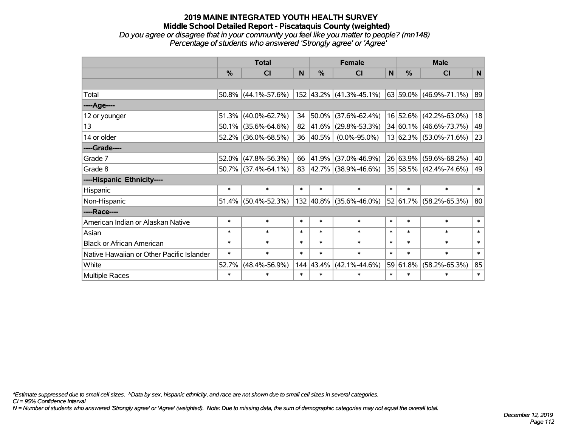#### **2019 MAINE INTEGRATED YOUTH HEALTH SURVEY Middle School Detailed Report - Piscataquis County (weighted)** *Do you agree or disagree that in your community you feel like you matter to people? (mn148) Percentage of students who answered 'Strongly agree' or 'Agree'*

|                                           | <b>Total</b>  |                        |        | <b>Female</b> |                          |              | <b>Male</b> |                        |        |  |
|-------------------------------------------|---------------|------------------------|--------|---------------|--------------------------|--------------|-------------|------------------------|--------|--|
|                                           | $\frac{0}{0}$ | <b>CI</b>              | N      | %             | <b>CI</b>                | $\mathsf{N}$ | %           | <b>CI</b>              | N      |  |
|                                           |               |                        |        |               |                          |              |             |                        |        |  |
| Total                                     |               | $50.8\%$ (44.1%-57.6%) |        |               | 152 43.2% (41.3%-45.1%)  |              |             | 63 59.0% (46.9%-71.1%) | 89     |  |
| ----Age----                               |               |                        |        |               |                          |              |             |                        |        |  |
| 12 or younger                             | 51.3%         | $(40.0\% - 62.7\%)$    | 34     | 50.0%         | $(37.6\% - 62.4\%)$      |              |             | 16 52.6% (42.2%-63.0%) | 18     |  |
| 13                                        | 50.1%         | $(35.6\% - 64.6\%)$    | 82     | 41.6%         | $(29.8\% - 53.3\%)$      |              |             | 34 60.1% (46.6%-73.7%) | 48     |  |
| 14 or older                               |               | 52.2% (36.0%-68.5%)    | 36     | 40.5%         | $(0.0\% - 95.0\%)$       |              |             | 13 62.3% (53.0%-71.6%) | 23     |  |
| ----Grade----                             |               |                        |        |               |                          |              |             |                        |        |  |
| Grade 7                                   | 52.0%         | $(47.8\% - 56.3\%)$    | 66     | 41.9%         | $(37.0\% - 46.9\%)$      |              |             | 26 63.9% (59.6%-68.2%) | 40     |  |
| Grade 8                                   |               | $50.7\%$ (37.4%-64.1%) | 83     |               | $ 42.7\% $ (38.9%-46.6%) |              |             | 35 58.5% (42.4%-74.6%) | 49     |  |
| ----Hispanic Ethnicity----                |               |                        |        |               |                          |              |             |                        |        |  |
| Hispanic                                  | $\ast$        | $\ast$                 | $\ast$ | $\ast$        | $\ast$                   | $\ast$       | $\ast$      | $\ast$                 | $\ast$ |  |
| Non-Hispanic                              |               | 51.4% (50.4%-52.3%)    |        |               | 132 40.8% (35.6%-46.0%)  |              | 52 61.7%    | $(58.2\% - 65.3\%)$    | 80     |  |
| ----Race----                              |               |                        |        |               |                          |              |             |                        |        |  |
| American Indian or Alaskan Native         | $\ast$        | $\ast$                 | $\ast$ | $\ast$        | $\ast$                   | $\ast$       | $\ast$      | $\ast$                 | $\ast$ |  |
| Asian                                     | $\ast$        | $\ast$                 | $\ast$ | $\ast$        | $\ast$                   | $\ast$       | $\ast$      | $\ast$                 | $\ast$ |  |
| <b>Black or African American</b>          | $\ast$        | $\ast$                 | $\ast$ | $\ast$        | $\ast$                   | $\ast$       | $\ast$      | $\ast$                 | $\ast$ |  |
| Native Hawaiian or Other Pacific Islander | $\ast$        | $\ast$                 | $\ast$ | $\ast$        | $\ast$                   | $\ast$       | $\ast$      | $\ast$                 | $\ast$ |  |
| White                                     | 52.7%         | $(48.4\% - 56.9\%)$    |        | 144 43.4%     | $(42.1\% - 44.6\%)$      |              | 59 61.8%    | $(58.2\% - 65.3\%)$    | 85     |  |
| <b>Multiple Races</b>                     | $\ast$        | $\ast$                 | $\ast$ | $\ast$        | $\ast$                   | $\ast$       | $\ast$      | $\ast$                 | $\ast$ |  |

*\*Estimate suppressed due to small cell sizes. ^Data by sex, hispanic ethnicity, and race are not shown due to small cell sizes in several categories.*

*CI = 95% Confidence Interval*

*N = Number of students who answered 'Strongly agree' or 'Agree' (weighted). Note: Due to missing data, the sum of demographic categories may not equal the overall total.*